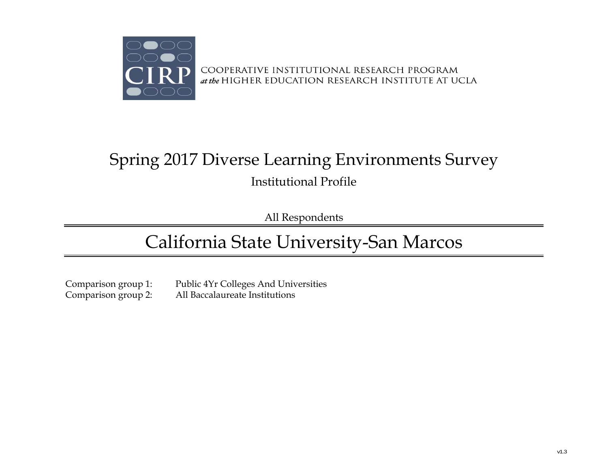

# Spring 2017 Diverse Learning Environments Survey Institutional Profile

All Respondents

# California State University-San Marcos

Comparison group 1: Public 4Yr Colleges And Universities<br>
Comparison group 2: All Baccalaureate Institutions All Baccalaureate Institutions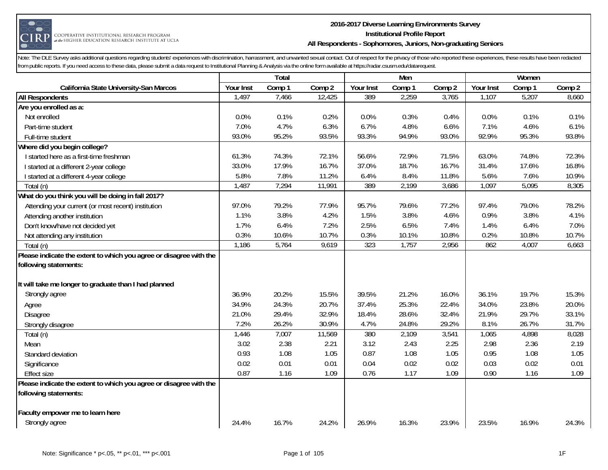

#### **2016-2017 Diverse Learning Environments Survey Institutional Profile Report All Respondents - Sophomores, Juniors, Non-graduating Seniors**

|                                                                    |           | Total  |        |           | Men    |        |           | Women  |        |
|--------------------------------------------------------------------|-----------|--------|--------|-----------|--------|--------|-----------|--------|--------|
| California State University-San Marcos                             | Your Inst | Comp 1 | Comp 2 | Your Inst | Comp 1 | Comp 2 | Your Inst | Comp 1 | Comp 2 |
| <b>All Respondents</b>                                             | 1,497     | 7,466  | 12,425 | 389       | 2,259  | 3,765  | 1,107     | 5,207  | 8,660  |
| Are you enrolled as a:                                             |           |        |        |           |        |        |           |        |        |
| Not enrolled                                                       | 0.0%      | 0.1%   | 0.2%   | 0.0%      | 0.3%   | 0.4%   | 0.0%      | 0.1%   | 0.1%   |
| Part-time student                                                  | 7.0%      | 4.7%   | 6.3%   | 6.7%      | 4.8%   | 6.6%   | 7.1%      | 4.6%   | 6.1%   |
| Full-time student                                                  | 93.0%     | 95.2%  | 93.5%  | 93.3%     | 94.9%  | 93.0%  | 92.9%     | 95.3%  | 93.8%  |
| Where did you begin college?                                       |           |        |        |           |        |        |           |        |        |
| I started here as a first-time freshman                            | 61.3%     | 74.3%  | 72.1%  | 56.6%     | 72.9%  | 71.5%  | 63.0%     | 74.8%  | 72.3%  |
| I started at a different 2-year college                            | 33.0%     | 17.9%  | 16.7%  | 37.0%     | 18.7%  | 16.7%  | 31.4%     | 17.6%  | 16.8%  |
| I started at a different 4-year college                            | 5.8%      | 7.8%   | 11.2%  | 6.4%      | 8.4%   | 11.8%  | 5.6%      | 7.6%   | 10.9%  |
| Total (n)                                                          | 1,487     | 7,294  | 11,991 | 389       | 2,199  | 3,686  | 1,097     | 5,095  | 8,305  |
| What do you think you will be doing in fall 2017?                  |           |        |        |           |        |        |           |        |        |
| Attending your current (or most recent) institution                | 97.0%     | 79.2%  | 77.9%  | 95.7%     | 79.6%  | 77.2%  | 97.4%     | 79.0%  | 78.2%  |
| Attending another institution                                      | 1.1%      | 3.8%   | 4.2%   | 1.5%      | 3.8%   | 4.6%   | 0.9%      | 3.8%   | 4.1%   |
| Don't know/have not decided yet                                    | 1.7%      | 6.4%   | 7.2%   | 2.5%      | 6.5%   | 7.4%   | 1.4%      | 6.4%   | 7.0%   |
| Not attending any institution                                      | 0.3%      | 10.6%  | 10.7%  | 0.3%      | 10.1%  | 10.8%  | 0.2%      | 10.8%  | 10.7%  |
| Total (n)                                                          | 1,186     | 5,764  | 9,619  | 323       | 1,757  | 2,956  | 862       | 4,007  | 6,663  |
| Please indicate the extent to which you agree or disagree with the |           |        |        |           |        |        |           |        |        |
| following statements:                                              |           |        |        |           |        |        |           |        |        |
| It will take me longer to graduate than I had planned              |           |        |        |           |        |        |           |        |        |
| Strongly agree                                                     | 36.9%     | 20.2%  | 15.5%  | 39.5%     | 21.2%  | 16.0%  | 36.1%     | 19.7%  | 15.3%  |
| Agree                                                              | 34.9%     | 24.3%  | 20.7%  | 37.4%     | 25.3%  | 22.4%  | 34.0%     | 23.8%  | 20.0%  |
| Disagree                                                           | 21.0%     | 29.4%  | 32.9%  | 18.4%     | 28.6%  | 32.4%  | 21.9%     | 29.7%  | 33.1%  |
| Strongly disagree                                                  | 7.2%      | 26.2%  | 30.9%  | 4.7%      | 24.8%  | 29.2%  | 8.1%      | 26.7%  | 31.7%  |
| Total (n)                                                          | 1,446     | 7,007  | 11,569 | 380       | 2,109  | 3,541  | 1,065     | 4,898  | 8,028  |
| Mean                                                               | 3.02      | 2.38   | 2.21   | 3.12      | 2.43   | 2.25   | 2.98      | 2.36   | 2.19   |
| Standard deviation                                                 | 0.93      | 1.08   | 1.05   | 0.87      | 1.08   | 1.05   | 0.95      | 1.08   | 1.05   |
| Significance                                                       | 0.02      | 0.01   | 0.01   | 0.04      | 0.02   | 0.02   | 0.03      | 0.02   | 0.01   |
| <b>Effect size</b>                                                 | 0.87      | 1.16   | 1.09   | 0.76      | 1.17   | 1.09   | 0.90      | 1.16   | 1.09   |
| Please indicate the extent to which you agree or disagree with the |           |        |        |           |        |        |           |        |        |
| following statements:                                              |           |        |        |           |        |        |           |        |        |
| Faculty empower me to learn here                                   |           |        |        |           |        |        |           |        |        |
| Strongly agree                                                     | 24.4%     | 16.7%  | 24.2%  | 26.9%     | 16.3%  | 23.9%  | 23.5%     | 16.9%  | 24.3%  |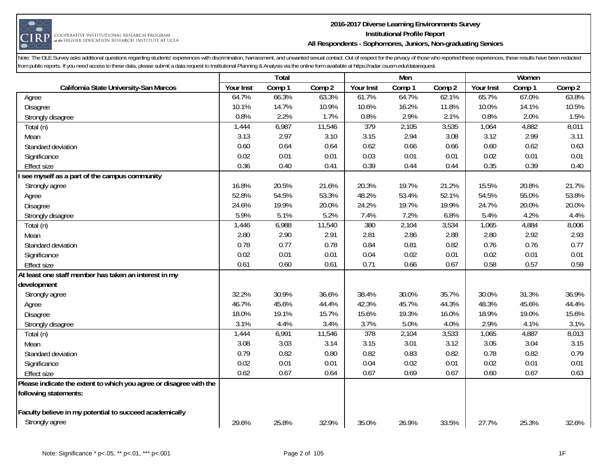

#### **2016-2017 Diverse Learning Environments Survey Institutional Profile Report All Respondents - Sophomores, Juniors, Non-graduating Seniors**

|                                                                    |           | Total  |        |           | Men    |        |                  | Women  |        |
|--------------------------------------------------------------------|-----------|--------|--------|-----------|--------|--------|------------------|--------|--------|
| California State University-San Marcos                             | Your Inst | Comp 1 | Comp 2 | Your Inst | Comp 1 | Comp 2 | <b>Your Inst</b> | Comp 1 | Comp 2 |
| Agree                                                              | 64.7%     | 66.3%  | 63.3%  | 61.7%     | 64.7%  | 62.1%  | 65.7%            | 67.0%  | 63.8%  |
| Disagree                                                           | 10.1%     | 14.7%  | 10.9%  | 10.6%     | 16.2%  | 11.8%  | 10.0%            | 14.1%  | 10.5%  |
| Strongly disagree                                                  | 0.8%      | 2.2%   | 1.7%   | 0.8%      | 2.9%   | 2.1%   | 0.8%             | 2.0%   | 1.5%   |
| Total (n)                                                          | 1,444     | 6,987  | 11,546 | 379       | 2,105  | 3,535  | 1,064            | 4,882  | 8,011  |
| Mean                                                               | 3.13      | 2.97   | 3.10   | 3.15      | 2.94   | 3.08   | 3.12             | 2.99   | 3.11   |
| Standard deviation                                                 | 0.60      | 0.64   | 0.64   | 0.62      | 0.66   | 0.66   | 0.60             | 0.62   | 0.63   |
| Significance                                                       | 0.02      | 0.01   | 0.01   | 0.03      | 0.01   | 0.01   | 0.02             | 0.01   | 0.01   |
| <b>Effect size</b>                                                 | 0.36      | 0.40   | 0.41   | 0.39      | 0.44   | 0.44   | 0.35             | 0.39   | 0.40   |
| see myself as a part of the campus community                       |           |        |        |           |        |        |                  |        |        |
| Strongly agree                                                     | 16.8%     | 20.5%  | 21.6%  | 20.3%     | 19.7%  | 21.2%  | 15.5%            | 20.8%  | 21.7%  |
| Agree                                                              | 52.8%     | 54.5%  | 53.3%  | 48.2%     | 53.4%  | 52.1%  | 54.5%            | 55.0%  | 53.8%  |
| Disagree                                                           | 24.6%     | 19.9%  | 20.0%  | 24.2%     | 19.7%  | 19.9%  | 24.7%            | 20.0%  | 20.0%  |
| Strongly disagree                                                  | 5.9%      | 5.1%   | 5.2%   | 7.4%      | 7.2%   | 6.8%   | 5.4%             | 4.2%   | 4.4%   |
| Total (n)                                                          | 1,446     | 6,988  | 11,540 | 380       | 2,104  | 3,534  | 1,065            | 4,884  | 8,006  |
| Mean                                                               | 2.80      | 2.90   | 2.91   | 2.81      | 2.86   | 2.88   | 2.80             | 2.92   | 2.93   |
| Standard deviation                                                 | 0.78      | 0.77   | 0.78   | 0.84      | 0.81   | 0.82   | 0.76             | 0.76   | 0.77   |
| Significance                                                       | 0.02      | 0.01   | 0.01   | 0.04      | 0.02   | 0.01   | 0.02             | 0.01   | 0.01   |
| <b>Effect size</b>                                                 | 0.61      | 0.60   | 0.61   | 0.71      | 0.66   | 0.67   | 0.58             | 0.57   | 0.59   |
| At least one staff member has taken an interest in my              |           |        |        |           |        |        |                  |        |        |
| development                                                        |           |        |        |           |        |        |                  |        |        |
| Strongly agree                                                     | 32.2%     | 30.9%  | 36.6%  | 38.4%     | 30.0%  | 35.7%  | 30.0%            | 31.3%  | 36.9%  |
| Agree                                                              | 46.7%     | 45.6%  | 44.4%  | 42.3%     | 45.7%  | 44.3%  | 48.3%            | 45.6%  | 44.4%  |
| Disagree                                                           | 18.0%     | 19.1%  | 15.7%  | 15.6%     | 19.3%  | 16.0%  | 18.9%            | 19.0%  | 15.6%  |
| Strongly disagree                                                  | 3.1%      | 4.4%   | 3.4%   | 3.7%      | 5.0%   | 4.0%   | 2.9%             | 4.1%   | 3.1%   |
| Total (n)                                                          | 1,444     | 6,991  | 11,546 | 378       | 2,104  | 3,533  | 1,065            | 4,887  | 8,013  |
| Mean                                                               | 3.08      | 3.03   | 3.14   | 3.15      | 3.01   | 3.12   | 3.05             | 3.04   | 3.15   |
| Standard deviation                                                 | 0.79      | 0.82   | 0.80   | 0.82      | 0.83   | 0.82   | 0.78             | 0.82   | 0.79   |
| Significance                                                       | 0.02      | 0.01   | 0.01   | 0.04      | 0.02   | 0.01   | 0.02             | 0.01   | 0.01   |
| <b>Effect size</b>                                                 | 0.62      | 0.67   | 0.64   | 0.67      | 0.69   | 0.67   | 0.60             | 0.67   | 0.63   |
| Please indicate the extent to which you agree or disagree with the |           |        |        |           |        |        |                  |        |        |
| following statements:                                              |           |        |        |           |        |        |                  |        |        |
| Faculty believe in my potential to succeed academically            |           |        |        |           |        |        |                  |        |        |
| Strongly agree                                                     | 29.6%     | 25.8%  | 32.9%  | 35.0%     | 26.9%  | 33.5%  | 27.7%            | 25.3%  | 32.6%  |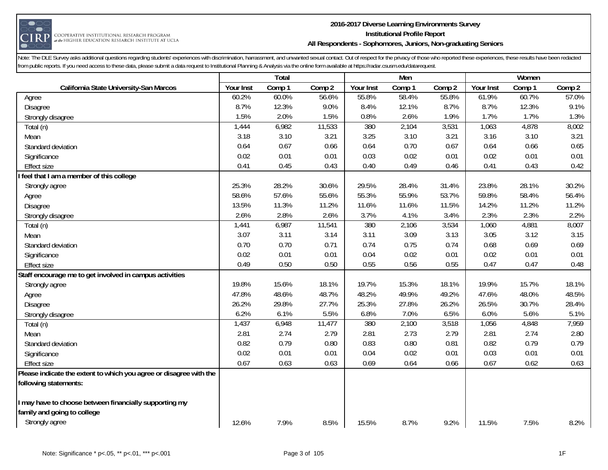

#### **2016-2017 Diverse Learning Environments Survey Institutional Profile Report All Respondents - Sophomores, Juniors, Non-graduating Seniors**

|                                                                    |           | Total  |        |           | Men    |        |                  | Women  |        |
|--------------------------------------------------------------------|-----------|--------|--------|-----------|--------|--------|------------------|--------|--------|
| California State University-San Marcos                             | Your Inst | Comp 1 | Comp 2 | Your Inst | Comp 1 | Comp 2 | <b>Your Inst</b> | Comp 1 | Comp 2 |
| Agree                                                              | 60.2%     | 60.0%  | 56.6%  | 55.8%     | 58.4%  | 55.8%  | 61.9%            | 60.7%  | 57.0%  |
| Disagree                                                           | 8.7%      | 12.3%  | 9.0%   | 8.4%      | 12.1%  | 8.7%   | 8.7%             | 12.3%  | 9.1%   |
| Strongly disagree                                                  | 1.5%      | 2.0%   | 1.5%   | 0.8%      | 2.6%   | 1.9%   | 1.7%             | 1.7%   | 1.3%   |
| Total (n)                                                          | 1,444     | 6,982  | 11,533 | 380       | 2,104  | 3,531  | 1,063            | 4,878  | 8,002  |
| Mean                                                               | 3.18      | 3.10   | 3.21   | 3.25      | 3.10   | 3.21   | 3.16             | 3.10   | 3.21   |
| Standard deviation                                                 | 0.64      | 0.67   | 0.66   | 0.64      | 0.70   | 0.67   | 0.64             | 0.66   | 0.65   |
| Significance                                                       | 0.02      | 0.01   | 0.01   | 0.03      | 0.02   | 0.01   | 0.02             | 0.01   | 0.01   |
| Effect size                                                        | 0.41      | 0.45   | 0.43   | 0.40      | 0.49   | 0.46   | 0.41             | 0.43   | 0.42   |
| feel that I am a member of this college                            |           |        |        |           |        |        |                  |        |        |
| Strongly agree                                                     | 25.3%     | 28.2%  | 30.6%  | 29.5%     | 28.4%  | 31.4%  | 23.8%            | 28.1%  | 30.2%  |
| Agree                                                              | 58.6%     | 57.6%  | 55.6%  | 55.3%     | 55.9%  | 53.7%  | 59.8%            | 58.4%  | 56.4%  |
| Disagree                                                           | 13.5%     | 11.3%  | 11.2%  | 11.6%     | 11.6%  | 11.5%  | 14.2%            | 11.2%  | 11.2%  |
| Strongly disagree                                                  | 2.6%      | 2.8%   | 2.6%   | 3.7%      | 4.1%   | 3.4%   | 2.3%             | 2.3%   | 2.2%   |
| Total (n)                                                          | 1,441     | 6,987  | 11,541 | 380       | 2,106  | 3,534  | 1,060            | 4,881  | 8,007  |
| Mean                                                               | 3.07      | 3.11   | 3.14   | 3.11      | 3.09   | 3.13   | 3.05             | 3.12   | 3.15   |
| Standard deviation                                                 | 0.70      | 0.70   | 0.71   | 0.74      | 0.75   | 0.74   | 0.68             | 0.69   | 0.69   |
| Significance                                                       | 0.02      | 0.01   | 0.01   | 0.04      | 0.02   | 0.01   | 0.02             | 0.01   | 0.01   |
| <b>Effect size</b>                                                 | 0.49      | 0.50   | 0.50   | 0.55      | 0.56   | 0.55   | 0.47             | 0.47   | 0.48   |
| Staff encourage me to get involved in campus activities            |           |        |        |           |        |        |                  |        |        |
| Strongly agree                                                     | 19.8%     | 15.6%  | 18.1%  | 19.7%     | 15.3%  | 18.1%  | 19.9%            | 15.7%  | 18.1%  |
| Agree                                                              | 47.8%     | 48.6%  | 48.7%  | 48.2%     | 49.9%  | 49.2%  | 47.6%            | 48.0%  | 48.5%  |
| Disagree                                                           | 26.2%     | 29.8%  | 27.7%  | 25.3%     | 27.8%  | 26.2%  | 26.5%            | 30.7%  | 28.4%  |
| Strongly disagree                                                  | 6.2%      | 6.1%   | 5.5%   | 6.8%      | 7.0%   | 6.5%   | 6.0%             | 5.6%   | 5.1%   |
| Total (n)                                                          | 1,437     | 6,948  | 11,477 | 380       | 2,100  | 3,518  | 1,056            | 4,848  | 7,959  |
| Mean                                                               | 2.81      | 2.74   | 2.79   | 2.81      | 2.73   | 2.79   | 2.81             | 2.74   | 2.80   |
| Standard deviation                                                 | 0.82      | 0.79   | 0.80   | 0.83      | 0.80   | 0.81   | 0.82             | 0.79   | 0.79   |
| Significance                                                       | 0.02      | 0.01   | 0.01   | 0.04      | 0.02   | 0.01   | 0.03             | 0.01   | 0.01   |
| <b>Effect size</b>                                                 | 0.67      | 0.63   | 0.63   | 0.69      | 0.64   | 0.66   | 0.67             | 0.62   | 0.63   |
| Please indicate the extent to which you agree or disagree with the |           |        |        |           |        |        |                  |        |        |
| following statements:                                              |           |        |        |           |        |        |                  |        |        |
|                                                                    |           |        |        |           |        |        |                  |        |        |
| I may have to choose between financially supporting my             |           |        |        |           |        |        |                  |        |        |
| family and going to college                                        |           |        |        |           |        |        |                  |        |        |
| Strongly agree                                                     | 12.6%     | 7.9%   | 8.5%   | 15.5%     | 8.7%   | 9.2%   | 11.5%            | 7.5%   | 8.2%   |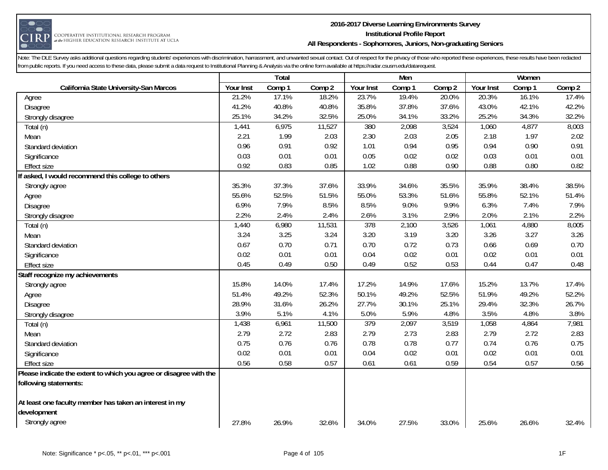

#### **2016-2017 Diverse Learning Environments Survey Institutional Profile Report All Respondents - Sophomores, Juniors, Non-graduating Seniors**

|                                                                    |           | Total  |        |           | Men    |        |                  | Women  |        |
|--------------------------------------------------------------------|-----------|--------|--------|-----------|--------|--------|------------------|--------|--------|
| California State University-San Marcos                             | Your Inst | Comp 1 | Comp 2 | Your Inst | Comp 1 | Comp 2 | <b>Your Inst</b> | Comp 1 | Comp 2 |
| Agree                                                              | 21.2%     | 17.1%  | 18.2%  | 23.7%     | 19.4%  | 20.0%  | 20.3%            | 16.1%  | 17.4%  |
| Disagree                                                           | 41.2%     | 40.8%  | 40.8%  | 35.8%     | 37.8%  | 37.6%  | 43.0%            | 42.1%  | 42.2%  |
| Strongly disagree                                                  | 25.1%     | 34.2%  | 32.5%  | 25.0%     | 34.1%  | 33.2%  | 25.2%            | 34.3%  | 32.2%  |
| Total (n)                                                          | 1,441     | 6,975  | 11,527 | 380       | 2,098  | 3,524  | 1,060            | 4,877  | 8,003  |
| Mean                                                               | 2.21      | 1.99   | 2.03   | 2.30      | 2.03   | 2.05   | 2.18             | 1.97   | 2.02   |
| Standard deviation                                                 | 0.96      | 0.91   | 0.92   | 1.01      | 0.94   | 0.95   | 0.94             | 0.90   | 0.91   |
| Significance                                                       | 0.03      | 0.01   | 0.01   | 0.05      | 0.02   | 0.02   | 0.03             | 0.01   | 0.01   |
| Effect size                                                        | 0.92      | 0.83   | 0.85   | 1.02      | 0.88   | 0.90   | 0.88             | 0.80   | 0.82   |
| If asked, I would recommend this college to others                 |           |        |        |           |        |        |                  |        |        |
| Strongly agree                                                     | 35.3%     | 37.3%  | 37.6%  | 33.9%     | 34.6%  | 35.5%  | 35.9%            | 38.4%  | 38.5%  |
| Agree                                                              | 55.6%     | 52.5%  | 51.5%  | 55.0%     | 53.3%  | 51.6%  | 55.8%            | 52.1%  | 51.4%  |
| Disagree                                                           | 6.9%      | 7.9%   | 8.5%   | 8.5%      | 9.0%   | 9.9%   | 6.3%             | 7.4%   | 7.9%   |
| Strongly disagree                                                  | 2.2%      | 2.4%   | 2.4%   | 2.6%      | 3.1%   | 2.9%   | 2.0%             | 2.1%   | 2.2%   |
| Total (n)                                                          | 1,440     | 6,980  | 11,531 | 378       | 2,100  | 3,526  | 1,061            | 4,880  | 8,005  |
| Mean                                                               | 3.24      | 3.25   | 3.24   | 3.20      | 3.19   | 3.20   | 3.26             | 3.27   | 3.26   |
| Standard deviation                                                 | 0.67      | 0.70   | 0.71   | 0.70      | 0.72   | 0.73   | 0.66             | 0.69   | 0.70   |
| Significance                                                       | 0.02      | 0.01   | 0.01   | 0.04      | 0.02   | 0.01   | 0.02             | 0.01   | 0.01   |
| <b>Effect size</b>                                                 | 0.45      | 0.49   | 0.50   | 0.49      | 0.52   | 0.53   | 0.44             | 0.47   | 0.48   |
| Staff recognize my achievements                                    |           |        |        |           |        |        |                  |        |        |
| Strongly agree                                                     | 15.8%     | 14.0%  | 17.4%  | 17.2%     | 14.9%  | 17.6%  | 15.2%            | 13.7%  | 17.4%  |
| Agree                                                              | 51.4%     | 49.2%  | 52.3%  | 50.1%     | 49.2%  | 52.5%  | 51.9%            | 49.2%  | 52.2%  |
| Disagree                                                           | 28.9%     | 31.6%  | 26.2%  | 27.7%     | 30.1%  | 25.1%  | 29.4%            | 32.3%  | 26.7%  |
| Strongly disagree                                                  | 3.9%      | 5.1%   | 4.1%   | 5.0%      | 5.9%   | 4.8%   | 3.5%             | 4.8%   | 3.8%   |
| Total (n)                                                          | 1,438     | 6,961  | 11,500 | 379       | 2,097  | 3,519  | 1,058            | 4,864  | 7,981  |
| Mean                                                               | 2.79      | 2.72   | 2.83   | 2.79      | 2.73   | 2.83   | 2.79             | 2.72   | 2.83   |
| Standard deviation                                                 | 0.75      | 0.76   | 0.76   | 0.78      | 0.78   | 0.77   | 0.74             | 0.76   | 0.75   |
| Significance                                                       | 0.02      | 0.01   | 0.01   | 0.04      | 0.02   | 0.01   | 0.02             | 0.01   | 0.01   |
| <b>Effect size</b>                                                 | 0.56      | 0.58   | 0.57   | 0.61      | 0.61   | 0.59   | 0.54             | 0.57   | 0.56   |
| Please indicate the extent to which you agree or disagree with the |           |        |        |           |        |        |                  |        |        |
| following statements:                                              |           |        |        |           |        |        |                  |        |        |
|                                                                    |           |        |        |           |        |        |                  |        |        |
| At least one faculty member has taken an interest in my            |           |        |        |           |        |        |                  |        |        |
| development                                                        |           |        |        |           |        |        |                  |        |        |
| Strongly agree                                                     | 27.8%     | 26.9%  | 32.6%  | 34.0%     | 27.5%  | 33.0%  | 25.6%            | 26.6%  | 32.4%  |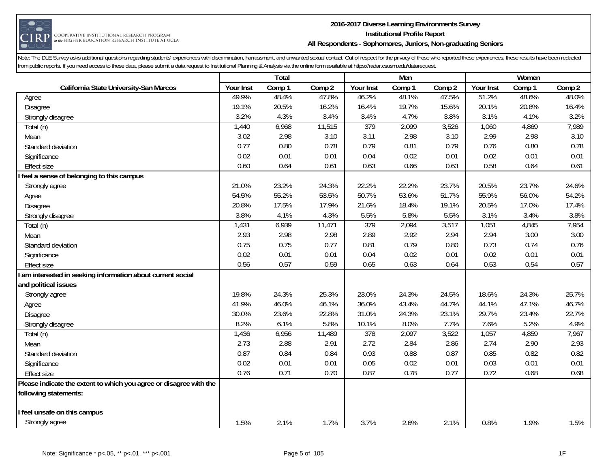

#### **2016-2017 Diverse Learning Environments Survey Institutional Profile Report All Respondents - Sophomores, Juniors, Non-graduating Seniors**

|                                                                    |           | Total  |        |           | Men    |        |           | Women  |        |
|--------------------------------------------------------------------|-----------|--------|--------|-----------|--------|--------|-----------|--------|--------|
| California State University-San Marcos                             | Your Inst | Comp 1 | Comp 2 | Your Inst | Comp 1 | Comp 2 | Your Inst | Comp 1 | Comp 2 |
| Agree                                                              | 49.9%     | 48.4%  | 47.8%  | 46.2%     | 48.1%  | 47.5%  | 51.2%     | 48.6%  | 48.0%  |
| Disagree                                                           | 19.1%     | 20.5%  | 16.2%  | 16.4%     | 19.7%  | 15.6%  | 20.1%     | 20.8%  | 16.4%  |
| Strongly disagree                                                  | 3.2%      | 4.3%   | 3.4%   | 3.4%      | 4.7%   | 3.8%   | 3.1%      | 4.1%   | 3.2%   |
| Total (n)                                                          | 1,440     | 6,968  | 11,515 | 379       | 2,099  | 3,526  | 1,060     | 4,869  | 7,989  |
| Mean                                                               | 3.02      | 2.98   | 3.10   | 3.11      | 2.98   | 3.10   | 2.99      | 2.98   | 3.10   |
| Standard deviation                                                 | 0.77      | 0.80   | 0.78   | 0.79      | 0.81   | 0.79   | 0.76      | 0.80   | 0.78   |
| Significance                                                       | 0.02      | 0.01   | 0.01   | 0.04      | 0.02   | 0.01   | 0.02      | 0.01   | 0.01   |
| <b>Effect size</b>                                                 | 0.60      | 0.64   | 0.61   | 0.63      | 0.66   | 0.63   | 0.58      | 0.64   | 0.61   |
| feel a sense of belonging to this campus                           |           |        |        |           |        |        |           |        |        |
| Strongly agree                                                     | 21.0%     | 23.2%  | 24.3%  | 22.2%     | 22.2%  | 23.7%  | 20.5%     | 23.7%  | 24.6%  |
| Agree                                                              | 54.5%     | 55.2%  | 53.5%  | 50.7%     | 53.6%  | 51.7%  | 55.9%     | 56.0%  | 54.2%  |
| Disagree                                                           | 20.8%     | 17.5%  | 17.9%  | 21.6%     | 18.4%  | 19.1%  | 20.5%     | 17.0%  | 17.4%  |
| Strongly disagree                                                  | 3.8%      | 4.1%   | 4.3%   | 5.5%      | 5.8%   | 5.5%   | 3.1%      | 3.4%   | 3.8%   |
| Total (n)                                                          | 1,431     | 6,939  | 11,471 | 379       | 2,094  | 3,517  | 1,051     | 4,845  | 7,954  |
| Mean                                                               | 2.93      | 2.98   | 2.98   | 2.89      | 2.92   | 2.94   | 2.94      | 3.00   | 3.00   |
| Standard deviation                                                 | 0.75      | 0.75   | 0.77   | 0.81      | 0.79   | 0.80   | 0.73      | 0.74   | 0.76   |
| Significance                                                       | 0.02      | 0.01   | 0.01   | 0.04      | 0.02   | 0.01   | 0.02      | 0.01   | 0.01   |
| <b>Effect size</b>                                                 | 0.56      | 0.57   | 0.59   | 0.65      | 0.63   | 0.64   | 0.53      | 0.54   | 0.57   |
| am interested in seeking information about current social          |           |        |        |           |        |        |           |        |        |
| and political issues                                               |           |        |        |           |        |        |           |        |        |
| Strongly agree                                                     | 19.8%     | 24.3%  | 25.3%  | 23.0%     | 24.3%  | 24.5%  | 18.6%     | 24.3%  | 25.7%  |
| Agree                                                              | 41.9%     | 46.0%  | 46.1%  | 36.0%     | 43.4%  | 44.7%  | 44.1%     | 47.1%  | 46.7%  |
| Disagree                                                           | 30.0%     | 23.6%  | 22.8%  | 31.0%     | 24.3%  | 23.1%  | 29.7%     | 23.4%  | 22.7%  |
| Strongly disagree                                                  | 8.2%      | 6.1%   | 5.8%   | 10.1%     | 8.0%   | 7.7%   | 7.6%      | 5.2%   | 4.9%   |
| Total (n)                                                          | 1,436     | 6,956  | 11,489 | 378       | 2,097  | 3,522  | 1,057     | 4,859  | 7,967  |
| Mean                                                               | 2.73      | 2.88   | 2.91   | 2.72      | 2.84   | 2.86   | 2.74      | 2.90   | 2.93   |
| Standard deviation                                                 | 0.87      | 0.84   | 0.84   | 0.93      | 0.88   | 0.87   | 0.85      | 0.82   | 0.82   |
| Significance                                                       | 0.02      | 0.01   | 0.01   | 0.05      | 0.02   | 0.01   | 0.03      | 0.01   | 0.01   |
| <b>Effect size</b>                                                 | 0.76      | 0.71   | 0.70   | 0.87      | 0.78   | 0.77   | 0.72      | 0.68   | 0.68   |
| Please indicate the extent to which you agree or disagree with the |           |        |        |           |        |        |           |        |        |
| following statements:                                              |           |        |        |           |        |        |           |        |        |
|                                                                    |           |        |        |           |        |        |           |        |        |
| feel unsafe on this campus                                         |           |        |        |           |        |        |           |        |        |
| Strongly agree                                                     | 1.5%      | 2.1%   | 1.7%   | 3.7%      | 2.6%   | 2.1%   | 0.8%      | 1.9%   | 1.5%   |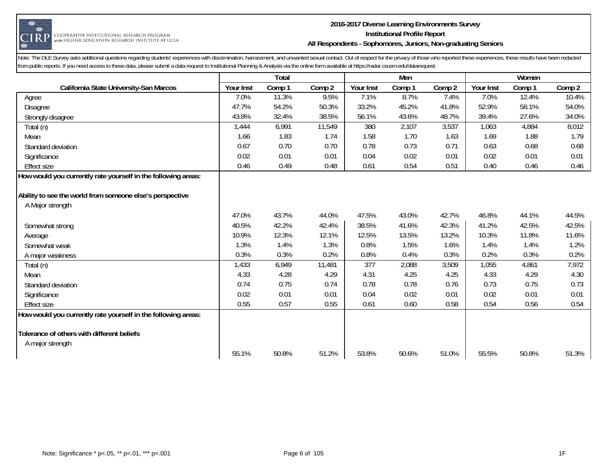

#### **2016-2017 Diverse Learning Environments Survey Institutional Profile Report All Respondents - Sophomores, Juniors, Non-graduating Seniors**

|                                                               |           | Total  |        |           | Men    |        |                  | Women  |                     |
|---------------------------------------------------------------|-----------|--------|--------|-----------|--------|--------|------------------|--------|---------------------|
| California State University-San Marcos                        | Your Inst | Comp 1 | Comp 2 | Your Inst | Comp 1 | Comp 2 | <b>Your Inst</b> | Comp 1 | Comp 2              |
| Agree                                                         | 7.0%      | 11.3%  | 9.5%   | 7.1%      | 8.7%   | 7.4%   | 7.0%             | 12.4%  | $10.\overline{4\%}$ |
| <b>Disagree</b>                                               | 47.7%     | 54.2%  | 50.3%  | 33.2%     | 45.2%  | 41.8%  | 52.9%            | 58.1%  | 54.0%               |
| Strongly disagree                                             | 43.8%     | 32.4%  | 38.5%  | 56.1%     | 43.6%  | 48.7%  | 39.4%            | 27.6%  | 34.0%               |
| Total (n)                                                     | 1,444     | 6,991  | 11,549 | 380       | 2,107  | 3,537  | 1,063            | 4,884  | 8,012               |
| Mean                                                          | 1.66      | 1.83   | 1.74   | 1.58      | 1.70   | 1.63   | 1.69             | 1.88   | 1.79                |
| Standard deviation                                            | 0.67      | 0.70   | 0.70   | 0.78      | 0.73   | 0.71   | 0.63             | 0.68   | 0.68                |
| Significance                                                  | 0.02      | 0.01   | 0.01   | 0.04      | 0.02   | 0.01   | 0.02             | 0.01   | 0.01                |
| <b>Effect size</b>                                            | 0.46      | 0.49   | 0.48   | 0.61      | 0.54   | 0.51   | 0.40             | 0.46   | 0.46                |
| How would you currently rate yourself in the following areas: |           |        |        |           |        |        |                  |        |                     |
|                                                               |           |        |        |           |        |        |                  |        |                     |
| Ability to see the world from someone else's perspective      |           |        |        |           |        |        |                  |        |                     |
| A Major strength                                              |           |        |        |           |        |        |                  |        |                     |
|                                                               | 47.0%     | 43.7%  | 44.0%  | 47.5%     | 43.0%  | 42.7%  | 46.8%            | 44.1%  | 44.5%               |
| Somewhat strong                                               | 40.5%     | 42.2%  | 42.4%  | 38.5%     | 41.6%  | 42.3%  | 41.2%            | 42.5%  | 42.5%               |
| Average                                                       | 10.9%     | 12.3%  | 12.1%  | 12.5%     | 13.5%  | 13.2%  | 10.3%            | 11.8%  | 11.6%               |
| Somewhat weak                                                 | 1.3%      | 1.4%   | 1.3%   | 0.8%      | 1.5%   | 1.6%   | 1.4%             | 1.4%   | 1.2%                |
| A major weakness                                              | 0.3%      | 0.3%   | 0.2%   | 0.8%      | 0.4%   | 0.3%   | 0.2%             | 0.3%   | 0.2%                |
| Total (n)                                                     | 1,433     | 6,949  | 11,481 | 377       | 2,088  | 3,509  | 1,055            | 4,861  | 7,972               |
| Mean                                                          | 4.33      | 4.28   | 4.29   | 4.31      | 4.25   | 4.25   | 4.33             | 4.29   | 4.30                |
| Standard deviation                                            | 0.74      | 0.75   | 0.74   | 0.78      | 0.78   | 0.76   | 0.73             | 0.75   | 0.73                |
| Significance                                                  | 0.02      | 0.01   | 0.01   | 0.04      | 0.02   | 0.01   | 0.02             | 0.01   | 0.01                |
| <b>Effect size</b>                                            | 0.55      | 0.57   | 0.55   | 0.61      | 0.60   | 0.58   | 0.54             | 0.56   | 0.54                |
| How would you currently rate yourself in the following areas: |           |        |        |           |        |        |                  |        |                     |
|                                                               |           |        |        |           |        |        |                  |        |                     |
| Tolerance of others with different beliefs                    |           |        |        |           |        |        |                  |        |                     |
| A major strength                                              |           |        |        |           |        |        |                  |        |                     |
|                                                               | 55.1%     | 50.8%  | 51.2%  | 53.8%     | 50.6%  | 51.0%  | 55.5%            | 50.8%  | 51.3%               |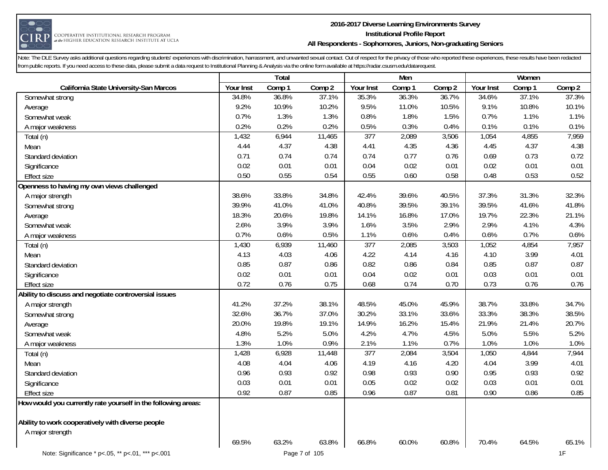

#### **2016-2017 Diverse Learning Environments Survey Institutional Profile Report All Respondents - Sophomores, Juniors, Non-graduating Seniors**

|                                                                       |           | Total  |        |                  | Men    |        |           | Women  |        |
|-----------------------------------------------------------------------|-----------|--------|--------|------------------|--------|--------|-----------|--------|--------|
| California State University-San Marcos                                | Your Inst | Comp 1 | Comp 2 | Your Inst        | Comp 1 | Comp 2 | Your Inst | Comp 1 | Comp 2 |
| Somewhat strong                                                       | 34.8%     | 36.8%  | 37.1%  | 35.3%            | 36.3%  | 36.7%  | 34.6%     | 37.1%  | 37.3%  |
| Average                                                               | 9.2%      | 10.9%  | 10.2%  | 9.5%             | 11.0%  | 10.5%  | 9.1%      | 10.8%  | 10.1%  |
| Somewhat weak                                                         | 0.7%      | 1.3%   | 1.3%   | 0.8%             | 1.8%   | 1.5%   | 0.7%      | 1.1%   | 1.1%   |
| A major weakness                                                      | 0.2%      | 0.2%   | 0.2%   | 0.5%             | 0.3%   | 0.4%   | 0.1%      | 0.1%   | 0.1%   |
| Total (n)                                                             | 1,432     | 6,944  | 11,465 | $\overline{377}$ | 2,089  | 3,506  | 1,054     | 4,855  | 7,959  |
| Mean                                                                  | 4.44      | 4.37   | 4.38   | 4.41             | 4.35   | 4.36   | 4.45      | 4.37   | 4.38   |
| Standard deviation                                                    | 0.71      | 0.74   | 0.74   | 0.74             | 0.77   | 0.76   | 0.69      | 0.73   | 0.72   |
| Significance                                                          | 0.02      | 0.01   | 0.01   | 0.04             | 0.02   | 0.01   | 0.02      | 0.01   | 0.01   |
| <b>Effect size</b>                                                    | 0.50      | 0.55   | 0.54   | 0.55             | 0.60   | 0.58   | 0.48      | 0.53   | 0.52   |
| Openness to having my own views challenged                            |           |        |        |                  |        |        |           |        |        |
| A major strength                                                      | 38.6%     | 33.8%  | 34.8%  | 42.4%            | 39.6%  | 40.5%  | 37.3%     | 31.3%  | 32.3%  |
| Somewhat strong                                                       | 39.9%     | 41.0%  | 41.0%  | 40.8%            | 39.5%  | 39.1%  | 39.5%     | 41.6%  | 41.8%  |
| Average                                                               | 18.3%     | 20.6%  | 19.8%  | 14.1%            | 16.8%  | 17.0%  | 19.7%     | 22.3%  | 21.1%  |
| Somewhat weak                                                         | 2.6%      | 3.9%   | 3.9%   | 1.6%             | 3.5%   | 2.9%   | 2.9%      | 4.1%   | 4.3%   |
| A major weakness                                                      | 0.7%      | 0.6%   | 0.5%   | 1.1%             | 0.6%   | 0.4%   | 0.6%      | 0.7%   | 0.6%   |
| Total (n)                                                             | 1,430     | 6,939  | 11,460 | 377              | 2,085  | 3,503  | 1,052     | 4,854  | 7,957  |
| Mean                                                                  | 4.13      | 4.03   | 4.06   | 4.22             | 4.14   | 4.16   | 4.10      | 3.99   | 4.01   |
| Standard deviation                                                    | 0.85      | 0.87   | 0.86   | 0.82             | 0.86   | 0.84   | 0.85      | 0.87   | 0.87   |
| Significance                                                          | 0.02      | 0.01   | 0.01   | 0.04             | 0.02   | 0.01   | 0.03      | 0.01   | 0.01   |
| <b>Effect size</b>                                                    | 0.72      | 0.76   | 0.75   | 0.68             | 0.74   | 0.70   | 0.73      | 0.76   | 0.76   |
| Ability to discuss and negotiate controversial issues                 |           |        |        |                  |        |        |           |        |        |
| A major strength                                                      | 41.2%     | 37.2%  | 38.1%  | 48.5%            | 45.0%  | 45.9%  | 38.7%     | 33.8%  | 34.7%  |
| Somewhat strong                                                       | 32.6%     | 36.7%  | 37.0%  | 30.2%            | 33.1%  | 33.6%  | 33.3%     | 38.3%  | 38.5%  |
| Average                                                               | 20.0%     | 19.8%  | 19.1%  | 14.9%            | 16.2%  | 15.4%  | 21.9%     | 21.4%  | 20.7%  |
| Somewhat weak                                                         | 4.8%      | 5.2%   | 5.0%   | 4.2%             | 4.7%   | 4.5%   | 5.0%      | 5.5%   | 5.2%   |
| A major weakness                                                      | 1.3%      | 1.0%   | 0.9%   | 2.1%             | 1.1%   | 0.7%   | 1.0%      | 1.0%   | 1.0%   |
| Total (n)                                                             | 1,428     | 6,928  | 11,448 | $\overline{377}$ | 2,084  | 3,504  | 1,050     | 4,844  | 7,944  |
| Mean                                                                  | 4.08      | 4.04   | 4.06   | 4.19             | 4.16   | 4.20   | 4.04      | 3.99   | 4.01   |
| Standard deviation                                                    | 0.96      | 0.93   | 0.92   | 0.98             | 0.93   | 0.90   | 0.95      | 0.93   | 0.92   |
| Significance                                                          | 0.03      | 0.01   | 0.01   | 0.05             | 0.02   | 0.02   | 0.03      | 0.01   | 0.01   |
| <b>Effect size</b>                                                    | 0.92      | 0.87   | 0.85   | 0.96             | 0.87   | 0.81   | 0.90      | 0.86   | 0.85   |
| How would you currently rate yourself in the following areas:         |           |        |        |                  |        |        |           |        |        |
| Ability to work cooperatively with diverse people<br>A major strength | 69.5%     | 63.2%  | 63.8%  | 66.8%            | 60.0%  | 60.8%  | 70.4%     | 64.5%  | 65.1%  |
|                                                                       |           |        |        |                  |        |        |           |        |        |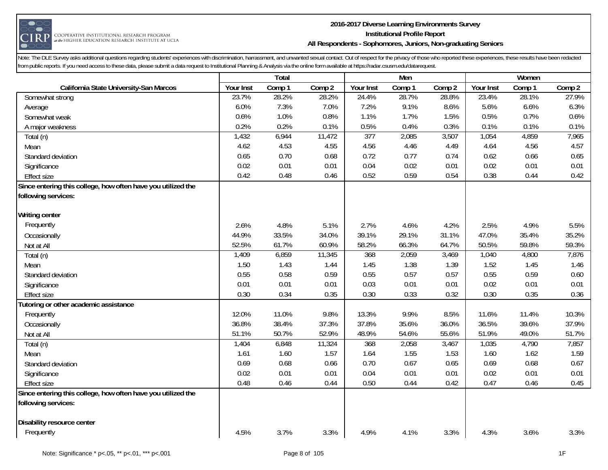

#### **2016-2017 Diverse Learning Environments Survey Institutional Profile Report All Respondents - Sophomores, Juniors, Non-graduating Seniors**

|                                                              |           | Total  |        |                  | Men    |        |           | Women  |        |
|--------------------------------------------------------------|-----------|--------|--------|------------------|--------|--------|-----------|--------|--------|
| California State University-San Marcos                       | Your Inst | Comp 1 | Comp 2 | Your Inst        | Comp 1 | Comp 2 | Your Inst | Comp 1 | Comp 2 |
| Somewhat strong                                              | 23.7%     | 28.2%  | 28.2%  | 24.4%            | 28.7%  | 28.8%  | 23.4%     | 28.1%  | 27.9%  |
| Average                                                      | 6.0%      | 7.3%   | 7.0%   | 7.2%             | 9.1%   | 8.6%   | 5.6%      | 6.6%   | 6.3%   |
| Somewhat weak                                                | 0.6%      | 1.0%   | 0.8%   | 1.1%             | 1.7%   | 1.5%   | 0.5%      | 0.7%   | 0.6%   |
| A major weakness                                             | 0.2%      | 0.2%   | 0.1%   | 0.5%             | 0.4%   | 0.3%   | 0.1%      | 0.1%   | 0.1%   |
| Total (n)                                                    | 1,432     | 6,944  | 11,472 | $\overline{377}$ | 2,085  | 3,507  | 1,054     | 4,859  | 7,965  |
| Mean                                                         | 4.62      | 4.53   | 4.55   | 4.56             | 4.46   | 4.49   | 4.64      | 4.56   | 4.57   |
| Standard deviation                                           | 0.65      | 0.70   | 0.68   | 0.72             | 0.77   | 0.74   | 0.62      | 0.66   | 0.65   |
| Significance                                                 | 0.02      | 0.01   | 0.01   | 0.04             | 0.02   | 0.01   | 0.02      | 0.01   | 0.01   |
| <b>Effect size</b>                                           | 0.42      | 0.48   | 0.46   | 0.52             | 0.59   | 0.54   | 0.38      | 0.44   | 0.42   |
| Since entering this college, how often have you utilized the |           |        |        |                  |        |        |           |        |        |
| following services:                                          |           |        |        |                  |        |        |           |        |        |
|                                                              |           |        |        |                  |        |        |           |        |        |
| <b>Writing center</b>                                        |           |        |        |                  |        |        |           |        |        |
| Frequently                                                   | 2.6%      | 4.8%   | 5.1%   | 2.7%             | 4.6%   | 4.2%   | 2.5%      | 4.9%   | 5.5%   |
| Occasionally                                                 | 44.9%     | 33.5%  | 34.0%  | 39.1%            | 29.1%  | 31.1%  | 47.0%     | 35.4%  | 35.2%  |
| Not at All                                                   | 52.5%     | 61.7%  | 60.9%  | 58.2%            | 66.3%  | 64.7%  | 50.5%     | 59.8%  | 59.3%  |
| Total (n)                                                    | 1,409     | 6,859  | 11,345 | 368              | 2,059  | 3,469  | 1,040     | 4,800  | 7,876  |
| Mean                                                         | 1.50      | 1.43   | 1.44   | 1.45             | 1.38   | 1.39   | 1.52      | 1.45   | 1.46   |
| Standard deviation                                           | 0.55      | 0.58   | 0.59   | 0.55             | 0.57   | 0.57   | 0.55      | 0.59   | 0.60   |
| Significance                                                 | 0.01      | 0.01   | 0.01   | 0.03             | 0.01   | 0.01   | 0.02      | 0.01   | 0.01   |
| <b>Effect size</b>                                           | 0.30      | 0.34   | 0.35   | 0.30             | 0.33   | 0.32   | 0.30      | 0.35   | 0.36   |
| Tutoring or other academic assistance                        |           |        |        |                  |        |        |           |        |        |
| Frequently                                                   | 12.0%     | 11.0%  | 9.8%   | 13.3%            | 9.9%   | 8.5%   | 11.6%     | 11.4%  | 10.3%  |
| Occasionally                                                 | 36.8%     | 38.4%  | 37.3%  | 37.8%            | 35.6%  | 36.0%  | 36.5%     | 39.6%  | 37.9%  |
| Not at All                                                   | 51.1%     | 50.7%  | 52.9%  | 48.9%            | 54.6%  | 55.6%  | 51.9%     | 49.0%  | 51.7%  |
| Total (n)                                                    | 1,404     | 6,848  | 11,324 | 368              | 2,058  | 3,467  | 1,035     | 4,790  | 7,857  |
| Mean                                                         | 1.61      | 1.60   | 1.57   | 1.64             | 1.55   | 1.53   | 1.60      | 1.62   | 1.59   |
| Standard deviation                                           | 0.69      | 0.68   | 0.66   | 0.70             | 0.67   | 0.65   | 0.69      | 0.68   | 0.67   |
| Significance                                                 | 0.02      | 0.01   | 0.01   | 0.04             | 0.01   | 0.01   | 0.02      | 0.01   | 0.01   |
| <b>Effect size</b>                                           | 0.48      | 0.46   | 0.44   | 0.50             | 0.44   | 0.42   | 0.47      | 0.46   | 0.45   |
| Since entering this college, how often have you utilized the |           |        |        |                  |        |        |           |        |        |
| following services:                                          |           |        |        |                  |        |        |           |        |        |
| Disability resource center                                   |           |        |        |                  |        |        |           |        |        |
| Frequently                                                   | 4.5%      | 3.7%   | 3.3%   | 4.9%             | 4.1%   | 3.3%   | 4.3%      | 3.6%   | 3.3%   |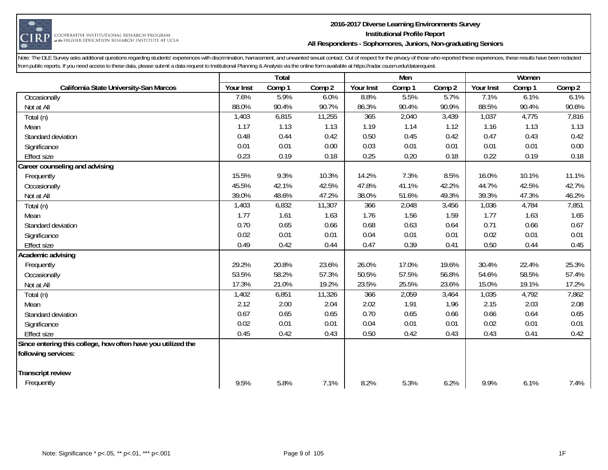

#### **2016-2017 Diverse Learning Environments Survey Institutional Profile Report All Respondents - Sophomores, Juniors, Non-graduating Seniors**

|                                                              |           | Total  |        |           | Men    |        |           | Women  |        |
|--------------------------------------------------------------|-----------|--------|--------|-----------|--------|--------|-----------|--------|--------|
| California State University-San Marcos                       | Your Inst | Comp 1 | Comp 2 | Your Inst | Comp 1 | Comp 2 | Your Inst | Comp 1 | Comp 2 |
| Occasionally                                                 | 7.6%      | 5.9%   | 6.0%   | 8.8%      | 5.5%   | 5.7%   | 7.1%      | 6.1%   | 6.1%   |
| Not at All                                                   | 88.0%     | 90.4%  | 90.7%  | 86.3%     | 90.4%  | 90.9%  | 88.5%     | 90.4%  | 90.6%  |
| Total (n)                                                    | 1,403     | 6,815  | 11,255 | 365       | 2,040  | 3,439  | 1,037     | 4,775  | 7,816  |
| Mean                                                         | 1.17      | 1.13   | 1.13   | 1.19      | 1.14   | 1.12   | 1.16      | 1.13   | 1.13   |
| Standard deviation                                           | 0.48      | 0.44   | 0.42   | 0.50      | 0.45   | 0.42   | 0.47      | 0.43   | 0.42   |
| Significance                                                 | 0.01      | 0.01   | 0.00   | 0.03      | 0.01   | 0.01   | 0.01      | 0.01   | 0.00   |
| <b>Effect size</b>                                           | 0.23      | 0.19   | 0.18   | 0.25      | 0.20   | 0.18   | 0.22      | 0.19   | 0.18   |
| Career counseling and advising                               |           |        |        |           |        |        |           |        |        |
| Frequently                                                   | 15.5%     | 9.3%   | 10.3%  | 14.2%     | 7.3%   | 8.5%   | 16.0%     | 10.1%  | 11.1%  |
| Occasionally                                                 | 45.5%     | 42.1%  | 42.5%  | 47.8%     | 41.1%  | 42.2%  | 44.7%     | 42.5%  | 42.7%  |
| Not at All                                                   | 39.0%     | 48.6%  | 47.2%  | 38.0%     | 51.6%  | 49.3%  | 39.3%     | 47.3%  | 46.2%  |
| Total (n)                                                    | 1,403     | 6,832  | 11,307 | 366       | 2,048  | 3,456  | 1,036     | 4,784  | 7,851  |
| Mean                                                         | 1.77      | 1.61   | 1.63   | 1.76      | 1.56   | 1.59   | 1.77      | 1.63   | 1.65   |
| Standard deviation                                           | 0.70      | 0.65   | 0.66   | 0.68      | 0.63   | 0.64   | 0.71      | 0.66   | 0.67   |
| Significance                                                 | 0.02      | 0.01   | 0.01   | 0.04      | 0.01   | 0.01   | 0.02      | 0.01   | 0.01   |
| <b>Effect size</b>                                           | 0.49      | 0.42   | 0.44   | 0.47      | 0.39   | 0.41   | 0.50      | 0.44   | 0.45   |
| Academic advising                                            |           |        |        |           |        |        |           |        |        |
| Frequently                                                   | 29.2%     | 20.8%  | 23.6%  | 26.0%     | 17.0%  | 19.6%  | 30.4%     | 22.4%  | 25.3%  |
| Occasionally                                                 | 53.5%     | 58.2%  | 57.3%  | 50.5%     | 57.5%  | 56.8%  | 54.6%     | 58.5%  | 57.4%  |
| Not at All                                                   | 17.3%     | 21.0%  | 19.2%  | 23.5%     | 25.5%  | 23.6%  | 15.0%     | 19.1%  | 17.2%  |
| Total (n)                                                    | 1,402     | 6,851  | 11,326 | 366       | 2,059  | 3,464  | 1,035     | 4,792  | 7,862  |
| Mean                                                         | 2.12      | 2.00   | 2.04   | 2.02      | 1.91   | 1.96   | 2.15      | 2.03   | 2.08   |
| Standard deviation                                           | 0.67      | 0.65   | 0.65   | 0.70      | 0.65   | 0.66   | 0.66      | 0.64   | 0.65   |
| Significance                                                 | 0.02      | 0.01   | 0.01   | 0.04      | 0.01   | 0.01   | 0.02      | 0.01   | 0.01   |
| <b>Effect size</b>                                           | 0.45      | 0.42   | 0.43   | 0.50      | 0.42   | 0.43   | 0.43      | 0.41   | 0.42   |
| Since entering this college, how often have you utilized the |           |        |        |           |        |        |           |        |        |
| following services:                                          |           |        |        |           |        |        |           |        |        |
| <b>Transcript review</b>                                     |           |        |        |           |        |        |           |        |        |
| Frequently                                                   | 9.5%      | 5.8%   | 7.1%   | 8.2%      | 5.3%   | 6.2%   | 9.9%      | 6.1%   | 7.4%   |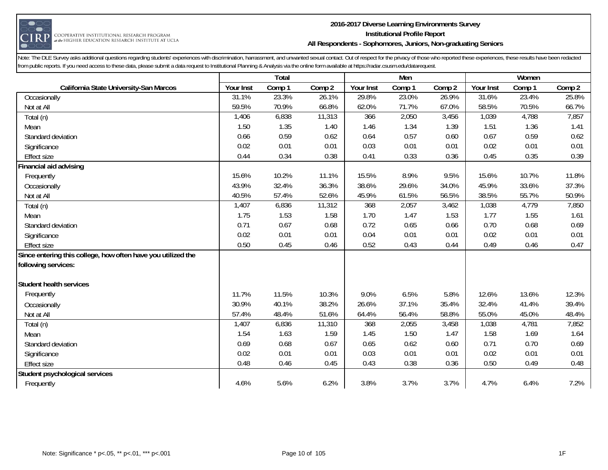

#### **2016-2017 Diverse Learning Environments Survey Institutional Profile Report All Respondents - Sophomores, Juniors, Non-graduating Seniors**

|                                                              |           | Total  |        |           | Men    |        |           | Women  |        |
|--------------------------------------------------------------|-----------|--------|--------|-----------|--------|--------|-----------|--------|--------|
| California State University-San Marcos                       | Your Inst | Comp 1 | Comp 2 | Your Inst | Comp 1 | Comp 2 | Your Inst | Comp 1 | Comp 2 |
| Occasionally                                                 | 31.1%     | 23.3%  | 26.1%  | 29.8%     | 23.0%  | 26.9%  | 31.6%     | 23.4%  | 25.8%  |
| Not at All                                                   | 59.5%     | 70.9%  | 66.8%  | 62.0%     | 71.7%  | 67.0%  | 58.5%     | 70.5%  | 66.7%  |
| Total (n)                                                    | 1,406     | 6,838  | 11,313 | 366       | 2,050  | 3,456  | 1,039     | 4,788  | 7,857  |
| Mean                                                         | 1.50      | 1.35   | 1.40   | 1.46      | 1.34   | 1.39   | 1.51      | 1.36   | 1.41   |
| Standard deviation                                           | 0.66      | 0.59   | 0.62   | 0.64      | 0.57   | 0.60   | 0.67      | 0.59   | 0.62   |
| Significance                                                 | 0.02      | 0.01   | 0.01   | 0.03      | 0.01   | 0.01   | 0.02      | 0.01   | 0.01   |
| <b>Effect size</b>                                           | 0.44      | 0.34   | 0.38   | 0.41      | 0.33   | 0.36   | 0.45      | 0.35   | 0.39   |
| Financial aid advising                                       |           |        |        |           |        |        |           |        |        |
| Frequently                                                   | 15.6%     | 10.2%  | 11.1%  | 15.5%     | 8.9%   | 9.5%   | 15.6%     | 10.7%  | 11.8%  |
| Occasionally                                                 | 43.9%     | 32.4%  | 36.3%  | 38.6%     | 29.6%  | 34.0%  | 45.9%     | 33.6%  | 37.3%  |
| Not at All                                                   | 40.5%     | 57.4%  | 52.6%  | 45.9%     | 61.5%  | 56.5%  | 38.5%     | 55.7%  | 50.9%  |
| Total (n)                                                    | 1,407     | 6,836  | 11,312 | 368       | 2,057  | 3,462  | 1,038     | 4,779  | 7,850  |
| Mean                                                         | 1.75      | 1.53   | 1.58   | 1.70      | 1.47   | 1.53   | 1.77      | 1.55   | 1.61   |
| Standard deviation                                           | 0.71      | 0.67   | 0.68   | 0.72      | 0.65   | 0.66   | 0.70      | 0.68   | 0.69   |
| Significance                                                 | 0.02      | 0.01   | 0.01   | 0.04      | 0.01   | 0.01   | 0.02      | 0.01   | 0.01   |
| <b>Effect size</b>                                           | 0.50      | 0.45   | 0.46   | 0.52      | 0.43   | 0.44   | 0.49      | 0.46   | 0.47   |
| Since entering this college, how often have you utilized the |           |        |        |           |        |        |           |        |        |
| following services:                                          |           |        |        |           |        |        |           |        |        |
| Student health services                                      |           |        |        |           |        |        |           |        |        |
| Frequently                                                   | 11.7%     | 11.5%  | 10.3%  | 9.0%      | 6.5%   | 5.8%   | 12.6%     | 13.6%  | 12.3%  |
| Occasionally                                                 | 30.9%     | 40.1%  | 38.2%  | 26.6%     | 37.1%  | 35.4%  | 32.4%     | 41.4%  | 39.4%  |
| Not at All                                                   | 57.4%     | 48.4%  | 51.6%  | 64.4%     | 56.4%  | 58.8%  | 55.0%     | 45.0%  | 48.4%  |
| Total (n)                                                    | 1,407     | 6,836  | 11,310 | 368       | 2,055  | 3,458  | 1,038     | 4,781  | 7,852  |
| Mean                                                         | 1.54      | 1.63   | 1.59   | 1.45      | 1.50   | 1.47   | 1.58      | 1.69   | 1.64   |
| Standard deviation                                           | 0.69      | 0.68   | 0.67   | 0.65      | 0.62   | 0.60   | 0.71      | 0.70   | 0.69   |
| Significance                                                 | 0.02      | 0.01   | 0.01   | 0.03      | 0.01   | 0.01   | 0.02      | 0.01   | 0.01   |
| <b>Effect size</b>                                           | 0.48      | 0.46   | 0.45   | 0.43      | 0.38   | 0.36   | 0.50      | 0.49   | 0.48   |
| Student psychological services                               |           |        |        |           |        |        |           |        |        |
| Frequently                                                   | 4.6%      | 5.6%   | 6.2%   | 3.8%      | 3.7%   | 3.7%   | 4.7%      | 6.4%   | 7.2%   |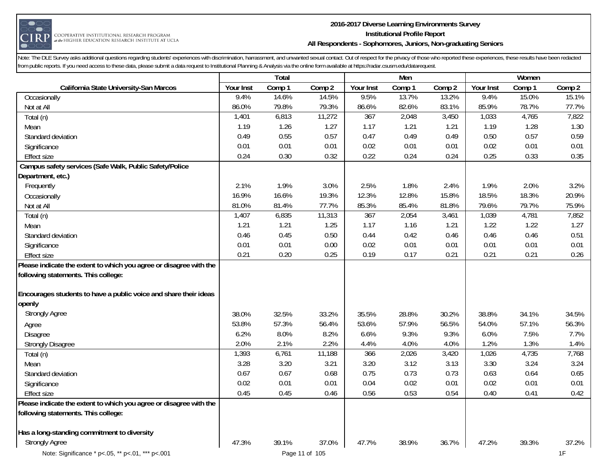

#### **2016-2017 Diverse Learning Environments Survey Institutional Profile Report All Respondents - Sophomores, Juniors, Non-graduating Seniors**

|                                                                                                                                                                               |           | Total  |                |           | Men    |        |           | Women  |        |
|-------------------------------------------------------------------------------------------------------------------------------------------------------------------------------|-----------|--------|----------------|-----------|--------|--------|-----------|--------|--------|
| California State University-San Marcos                                                                                                                                        | Your Inst | Comp 1 | Comp 2         | Your Inst | Comp 1 | Comp 2 | Your Inst | Comp 1 | Comp 2 |
| Occasionally                                                                                                                                                                  | 9.4%      | 14.6%  | 14.5%          | 9.5%      | 13.7%  | 13.2%  | 9.4%      | 15.0%  | 15.1%  |
| Not at All                                                                                                                                                                    | 86.0%     | 79.8%  | 79.3%          | 86.6%     | 82.6%  | 83.1%  | 85.9%     | 78.7%  | 77.7%  |
| Total (n)                                                                                                                                                                     | 1,401     | 6,813  | 11,272         | 367       | 2,048  | 3,450  | 1,033     | 4,765  | 7,822  |
| Mean                                                                                                                                                                          | 1.19      | 1.26   | 1.27           | 1.17      | 1.21   | 1.21   | 1.19      | 1.28   | 1.30   |
| Standard deviation                                                                                                                                                            | 0.49      | 0.55   | 0.57           | 0.47      | 0.49   | 0.49   | 0.50      | 0.57   | 0.59   |
| Significance                                                                                                                                                                  | 0.01      | 0.01   | 0.01           | 0.02      | 0.01   | 0.01   | 0.02      | 0.01   | 0.01   |
| <b>Effect size</b>                                                                                                                                                            | 0.24      | 0.30   | 0.32           | 0.22      | 0.24   | 0.24   | 0.25      | 0.33   | 0.35   |
| Campus safety services (Safe Walk, Public Safety/Police                                                                                                                       |           |        |                |           |        |        |           |        |        |
| Department, etc.)                                                                                                                                                             |           |        |                |           |        |        |           |        |        |
| Frequently                                                                                                                                                                    | 2.1%      | 1.9%   | 3.0%           | 2.5%      | 1.8%   | 2.4%   | 1.9%      | 2.0%   | 3.2%   |
| Occasionally                                                                                                                                                                  | 16.9%     | 16.6%  | 19.3%          | 12.3%     | 12.8%  | 15.8%  | 18.5%     | 18.3%  | 20.9%  |
| Not at All                                                                                                                                                                    | 81.0%     | 81.4%  | 77.7%          | 85.3%     | 85.4%  | 81.8%  | 79.6%     | 79.7%  | 75.9%  |
| Total (n)                                                                                                                                                                     | 1,407     | 6,835  | 11,313         | 367       | 2,054  | 3,461  | 1,039     | 4,781  | 7,852  |
| Mean                                                                                                                                                                          | 1.21      | 1.21   | 1.25           | 1.17      | 1.16   | 1.21   | 1.22      | 1.22   | 1.27   |
| Standard deviation                                                                                                                                                            | 0.46      | 0.45   | 0.50           | 0.44      | 0.42   | 0.46   | 0.46      | 0.46   | 0.51   |
| Significance                                                                                                                                                                  | 0.01      | 0.01   | 0.00           | 0.02      | 0.01   | 0.01   | 0.01      | 0.01   | 0.01   |
| <b>Effect size</b>                                                                                                                                                            | 0.21      | 0.20   | 0.25           | 0.19      | 0.17   | 0.21   | 0.21      | 0.21   | 0.26   |
| Please indicate the extent to which you agree or disagree with the<br>following statements. This college:<br>Encourages students to have a public voice and share their ideas |           |        |                |           |        |        |           |        |        |
| openly                                                                                                                                                                        |           |        |                |           |        |        |           |        |        |
| <b>Strongly Agree</b>                                                                                                                                                         | 38.0%     | 32.5%  | 33.2%          | 35.5%     | 28.8%  | 30.2%  | 38.8%     | 34.1%  | 34.5%  |
| Agree                                                                                                                                                                         | 53.8%     | 57.3%  | 56.4%          | 53.6%     | 57.9%  | 56.5%  | 54.0%     | 57.1%  | 56.3%  |
| Disagree                                                                                                                                                                      | 6.2%      | 8.0%   | 8.2%           | 6.6%      | 9.3%   | 9.3%   | 6.0%      | 7.5%   | 7.7%   |
| <b>Strongly Disagree</b>                                                                                                                                                      | 2.0%      | 2.1%   | 2.2%           | 4.4%      | 4.0%   | 4.0%   | 1.2%      | 1.3%   | 1.4%   |
| Total (n)                                                                                                                                                                     | 1,393     | 6,761  | 11,188         | 366       | 2,026  | 3,420  | 1,026     | 4,735  | 7,768  |
| Mean                                                                                                                                                                          | 3.28      | 3.20   | 3.21           | 3.20      | 3.12   | 3.13   | 3.30      | 3.24   | 3.24   |
| Standard deviation                                                                                                                                                            | 0.67      | 0.67   | 0.68           | 0.75      | 0.73   | 0.73   | 0.63      | 0.64   | 0.65   |
| Significance                                                                                                                                                                  | 0.02      | 0.01   | 0.01           | 0.04      | 0.02   | 0.01   | 0.02      | 0.01   | 0.01   |
| <b>Effect size</b>                                                                                                                                                            | 0.45      | 0.45   | 0.46           | 0.56      | 0.53   | 0.54   | 0.40      | 0.41   | 0.42   |
| Please indicate the extent to which you agree or disagree with the                                                                                                            |           |        |                |           |        |        |           |        |        |
| following statements. This college:                                                                                                                                           |           |        |                |           |        |        |           |        |        |
| Has a long-standing commitment to diversity                                                                                                                                   |           |        |                |           |        |        |           |        |        |
| <b>Strongly Agree</b>                                                                                                                                                         | 47.3%     | 39.1%  | 37.0%          | 47.7%     | 38.9%  | 36.7%  | 47.2%     | 39.3%  | 37.2%  |
| Note: Significance * p<.05, ** p<.01, *** p<.001                                                                                                                              |           |        | Page 11 of 105 |           |        |        |           |        | 1F     |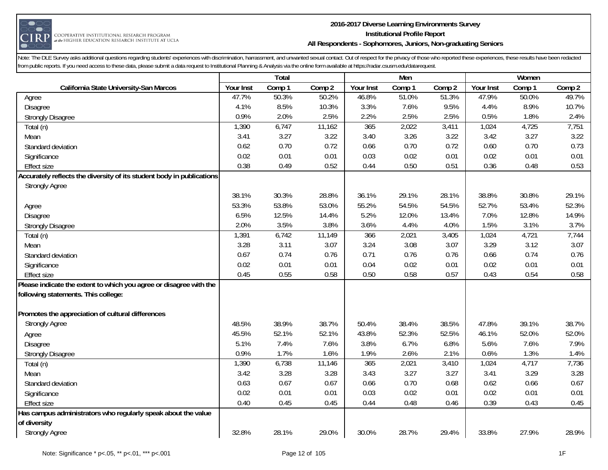

#### **2016-2017 Diverse Learning Environments Survey Institutional Profile Report All Respondents - Sophomores, Juniors, Non-graduating Seniors**

|                                                                       |           | Total  |        |           | Men    |        |           | Women  |        |
|-----------------------------------------------------------------------|-----------|--------|--------|-----------|--------|--------|-----------|--------|--------|
| California State University-San Marcos                                | Your Inst | Comp 1 | Comp 2 | Your Inst | Comp 1 | Comp 2 | Your Inst | Comp 1 | Comp 2 |
| Agree                                                                 | 47.7%     | 50.3%  | 50.2%  | 46.8%     | 51.0%  | 51.3%  | 47.9%     | 50.0%  | 49.7%  |
| Disagree                                                              | 4.1%      | 8.5%   | 10.3%  | 3.3%      | 7.6%   | 9.5%   | 4.4%      | 8.9%   | 10.7%  |
| <b>Strongly Disagree</b>                                              | 0.9%      | 2.0%   | 2.5%   | 2.2%      | 2.5%   | 2.5%   | 0.5%      | 1.8%   | 2.4%   |
| Total (n)                                                             | 1,390     | 6,747  | 11,162 | 365       | 2,022  | 3,411  | 1,024     | 4,725  | 7,751  |
| Mean                                                                  | 3.41      | 3.27   | 3.22   | 3.40      | 3.26   | 3.22   | 3.42      | 3.27   | 3.22   |
| Standard deviation                                                    | 0.62      | 0.70   | 0.72   | 0.66      | 0.70   | 0.72   | 0.60      | 0.70   | 0.73   |
| Significance                                                          | 0.02      | 0.01   | 0.01   | 0.03      | 0.02   | 0.01   | 0.02      | 0.01   | 0.01   |
| <b>Effect size</b>                                                    | 0.38      | 0.49   | 0.52   | 0.44      | 0.50   | 0.51   | 0.36      | 0.48   | 0.53   |
| Accurately reflects the diversity of its student body in publications |           |        |        |           |        |        |           |        |        |
| <b>Strongly Agree</b>                                                 |           |        |        |           |        |        |           |        |        |
|                                                                       | 38.1%     | 30.3%  | 28.8%  | 36.1%     | 29.1%  | 28.1%  | 38.8%     | 30.8%  | 29.1%  |
| Agree                                                                 | 53.3%     | 53.8%  | 53.0%  | 55.2%     | 54.5%  | 54.5%  | 52.7%     | 53.4%  | 52.3%  |
| Disagree                                                              | 6.5%      | 12.5%  | 14.4%  | 5.2%      | 12.0%  | 13.4%  | 7.0%      | 12.8%  | 14.9%  |
| <b>Strongly Disagree</b>                                              | 2.0%      | 3.5%   | 3.8%   | 3.6%      | 4.4%   | 4.0%   | 1.5%      | 3.1%   | 3.7%   |
| Total (n)                                                             | 1,391     | 6,742  | 11,149 | 366       | 2,021  | 3,405  | 1,024     | 4,721  | 7,744  |
| Mean                                                                  | 3.28      | 3.11   | 3.07   | 3.24      | 3.08   | 3.07   | 3.29      | 3.12   | 3.07   |
| Standard deviation                                                    | 0.67      | 0.74   | 0.76   | 0.71      | 0.76   | 0.76   | 0.66      | 0.74   | 0.76   |
| Significance                                                          | 0.02      | 0.01   | 0.01   | 0.04      | 0.02   | 0.01   | 0.02      | 0.01   | 0.01   |
| <b>Effect size</b>                                                    | 0.45      | 0.55   | 0.58   | 0.50      | 0.58   | 0.57   | 0.43      | 0.54   | 0.58   |
| Please indicate the extent to which you agree or disagree with the    |           |        |        |           |        |        |           |        |        |
| following statements. This college:                                   |           |        |        |           |        |        |           |        |        |
| Promotes the appreciation of cultural differences                     |           |        |        |           |        |        |           |        |        |
| <b>Strongly Agree</b>                                                 | 48.5%     | 38.9%  | 38.7%  | 50.4%     | 38.4%  | 38.5%  | 47.8%     | 39.1%  | 38.7%  |
| Agree                                                                 | 45.5%     | 52.1%  | 52.1%  | 43.8%     | 52.3%  | 52.5%  | 46.1%     | 52.0%  | 52.0%  |
| Disagree                                                              | 5.1%      | 7.4%   | 7.6%   | 3.8%      | 6.7%   | 6.8%   | 5.6%      | 7.6%   | 7.9%   |
| <b>Strongly Disagree</b>                                              | 0.9%      | 1.7%   | 1.6%   | 1.9%      | 2.6%   | 2.1%   | 0.6%      | 1.3%   | 1.4%   |
| Total (n)                                                             | 1,390     | 6,738  | 11,146 | 365       | 2,021  | 3,410  | 1,024     | 4,717  | 7,736  |
| Mean                                                                  | 3.42      | 3.28   | 3.28   | 3.43      | 3.27   | 3.27   | 3.41      | 3.29   | 3.28   |
| Standard deviation                                                    | 0.63      | 0.67   | 0.67   | 0.66      | 0.70   | 0.68   | 0.62      | 0.66   | 0.67   |
| Significance                                                          | 0.02      | 0.01   | 0.01   | 0.03      | 0.02   | 0.01   | 0.02      | 0.01   | 0.01   |
| <b>Effect size</b>                                                    | 0.40      | 0.45   | 0.45   | 0.44      | 0.48   | 0.46   | 0.39      | 0.43   | 0.45   |
| Has campus administrators who regularly speak about the value         |           |        |        |           |        |        |           |        |        |
| of diversity                                                          |           |        |        |           |        |        |           |        |        |
| <b>Strongly Agree</b>                                                 | 32.8%     | 28.1%  | 29.0%  | 30.0%     | 28.7%  | 29.4%  | 33.8%     | 27.9%  | 28.9%  |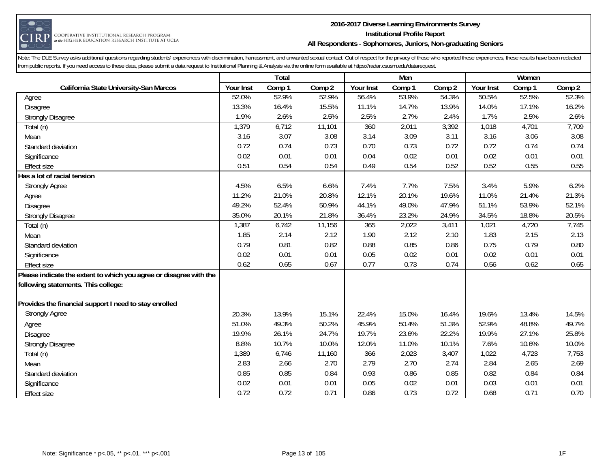

#### **2016-2017 Diverse Learning Environments Survey Institutional Profile Report All Respondents - Sophomores, Juniors, Non-graduating Seniors**

|                                                                    |           | Total  |        |           | Men    |        |           | Women  |        |
|--------------------------------------------------------------------|-----------|--------|--------|-----------|--------|--------|-----------|--------|--------|
| California State University-San Marcos                             | Your Inst | Comp 1 | Comp 2 | Your Inst | Comp 1 | Comp 2 | Your Inst | Comp 1 | Comp 2 |
| Agree                                                              | 52.0%     | 52.9%  | 52.9%  | 56.4%     | 53.9%  | 54.3%  | 50.5%     | 52.5%  | 52.3%  |
| Disagree                                                           | 13.3%     | 16.4%  | 15.5%  | 11.1%     | 14.7%  | 13.9%  | 14.0%     | 17.1%  | 16.2%  |
| <b>Strongly Disagree</b>                                           | 1.9%      | 2.6%   | 2.5%   | 2.5%      | 2.7%   | 2.4%   | 1.7%      | 2.5%   | 2.6%   |
| Total (n)                                                          | 1,379     | 6,712  | 11,101 | 360       | 2,011  | 3,392  | 1,018     | 4,701  | 7,709  |
| Mean                                                               | 3.16      | 3.07   | 3.08   | 3.14      | 3.09   | 3.11   | 3.16      | 3.06   | 3.08   |
| Standard deviation                                                 | 0.72      | 0.74   | 0.73   | 0.70      | 0.73   | 0.72   | 0.72      | 0.74   | 0.74   |
| Significance                                                       | 0.02      | 0.01   | 0.01   | 0.04      | 0.02   | 0.01   | 0.02      | 0.01   | 0.01   |
| <b>Effect size</b>                                                 | 0.51      | 0.54   | 0.54   | 0.49      | 0.54   | 0.52   | 0.52      | 0.55   | 0.55   |
| Has a lot of racial tension                                        |           |        |        |           |        |        |           |        |        |
| <b>Strongly Agree</b>                                              | 4.5%      | 6.5%   | 6.6%   | 7.4%      | 7.7%   | 7.5%   | 3.4%      | 5.9%   | 6.2%   |
| Agree                                                              | 11.2%     | 21.0%  | 20.8%  | 12.1%     | 20.1%  | 19.6%  | 11.0%     | 21.4%  | 21.3%  |
| Disagree                                                           | 49.2%     | 52.4%  | 50.9%  | 44.1%     | 49.0%  | 47.9%  | 51.1%     | 53.9%  | 52.1%  |
| <b>Strongly Disagree</b>                                           | 35.0%     | 20.1%  | 21.8%  | 36.4%     | 23.2%  | 24.9%  | 34.5%     | 18.8%  | 20.5%  |
| Total (n)                                                          | 1,387     | 6,742  | 11,156 | 365       | 2,022  | 3,411  | 1,021     | 4,720  | 7,745  |
| Mean                                                               | 1.85      | 2.14   | 2.12   | 1.90      | 2.12   | 2.10   | 1.83      | 2.15   | 2.13   |
| Standard deviation                                                 | 0.79      | 0.81   | 0.82   | 0.88      | 0.85   | 0.86   | 0.75      | 0.79   | 0.80   |
| Significance                                                       | 0.02      | 0.01   | 0.01   | 0.05      | 0.02   | 0.01   | 0.02      | 0.01   | 0.01   |
| <b>Effect size</b>                                                 | 0.62      | 0.65   | 0.67   | 0.77      | 0.73   | 0.74   | 0.56      | 0.62   | 0.65   |
| Please indicate the extent to which you agree or disagree with the |           |        |        |           |        |        |           |        |        |
| following statements. This college:                                |           |        |        |           |        |        |           |        |        |
|                                                                    |           |        |        |           |        |        |           |        |        |
| Provides the financial support I need to stay enrolled             |           |        |        |           |        |        |           |        |        |
| <b>Strongly Agree</b>                                              | 20.3%     | 13.9%  | 15.1%  | 22.4%     | 15.0%  | 16.4%  | 19.6%     | 13.4%  | 14.5%  |
| Agree                                                              | 51.0%     | 49.3%  | 50.2%  | 45.9%     | 50.4%  | 51.3%  | 52.9%     | 48.8%  | 49.7%  |
| Disagree                                                           | 19.9%     | 26.1%  | 24.7%  | 19.7%     | 23.6%  | 22.2%  | 19.9%     | 27.1%  | 25.8%  |
| <b>Strongly Disagree</b>                                           | 8.8%      | 10.7%  | 10.0%  | 12.0%     | 11.0%  | 10.1%  | 7.6%      | 10.6%  | 10.0%  |
| Total (n)                                                          | 1,389     | 6,746  | 11,160 | 366       | 2,023  | 3,407  | 1,022     | 4,723  | 7,753  |
| Mean                                                               | 2.83      | 2.66   | 2.70   | 2.79      | 2.70   | 2.74   | 2.84      | 2.65   | 2.69   |
| Standard deviation                                                 | 0.85      | 0.85   | 0.84   | 0.93      | 0.86   | 0.85   | 0.82      | 0.84   | 0.84   |
| Significance                                                       | 0.02      | 0.01   | 0.01   | 0.05      | 0.02   | 0.01   | 0.03      | 0.01   | 0.01   |
| <b>Effect size</b>                                                 | 0.72      | 0.72   | 0.71   | 0.86      | 0.73   | 0.72   | 0.68      | 0.71   | 0.70   |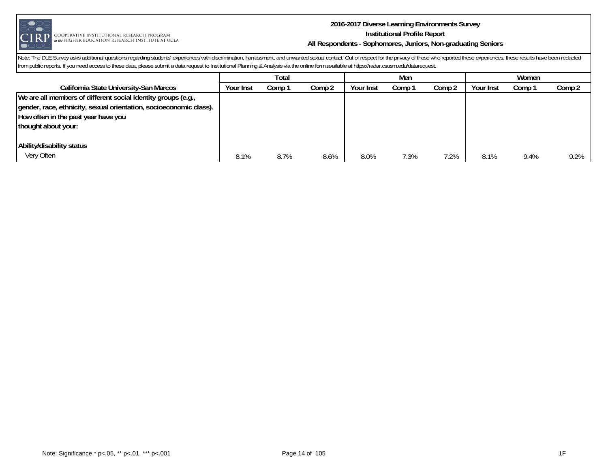

COOPERATIVE INSTITUTIONAL RESEARCH PROGRAM  $_{at\textit{the}}$  higher education research institute at ucla

#### **2016-2017 Diverse Learning Environments Survey Institutional Profile Report All Respondents - Sophomores, Juniors, Non-graduating Seniors**

|                                                                    | Total     |        |        | Men       |        |        | Women     |        |        |
|--------------------------------------------------------------------|-----------|--------|--------|-----------|--------|--------|-----------|--------|--------|
| California State University-San Marcos                             | Your Inst | Comp 1 | Comp 2 | Your Inst | Comp 1 | Comp 2 | Your Inst | Comp 1 | Comp 2 |
| We are all members of different social identity groups (e.g.,      |           |        |        |           |        |        |           |        |        |
| gender, race, ethnicity, sexual orientation, socioeconomic class). |           |        |        |           |        |        |           |        |        |
| How often in the past year have you                                |           |        |        |           |        |        |           |        |        |
| thought about your:                                                |           |        |        |           |        |        |           |        |        |
|                                                                    |           |        |        |           |        |        |           |        |        |
| Ability/disability status                                          |           |        |        |           |        |        |           |        |        |
| Very Often                                                         | 8.1%      | 8.7%   | 8.6%   | 8.0%      | 7.3%   | 7.2%   | 8.1%      | 9.4%   | 9.2%   |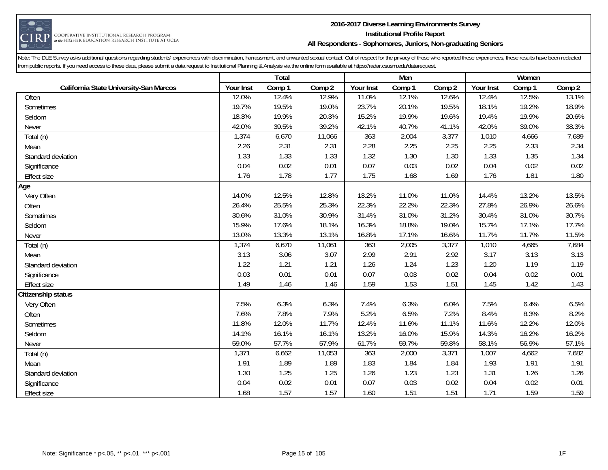

#### **2016-2017 Diverse Learning Environments Survey Institutional Profile Report All Respondents - Sophomores, Juniors, Non-graduating Seniors**

|                                        |           | Total  |        |           | Men    |        |           | Women  |        |
|----------------------------------------|-----------|--------|--------|-----------|--------|--------|-----------|--------|--------|
| California State University-San Marcos | Your Inst | Comp 1 | Comp 2 | Your Inst | Comp 1 | Comp 2 | Your Inst | Comp 1 | Comp 2 |
| Often                                  | 12.0%     | 12.4%  | 12.9%  | 11.0%     | 12.1%  | 12.6%  | 12.4%     | 12.5%  | 13.1%  |
| Sometimes                              | 19.7%     | 19.5%  | 19.0%  | 23.7%     | 20.1%  | 19.5%  | 18.1%     | 19.2%  | 18.9%  |
| Seldom                                 | 18.3%     | 19.9%  | 20.3%  | 15.2%     | 19.9%  | 19.6%  | 19.4%     | 19.9%  | 20.6%  |
| Never                                  | 42.0%     | 39.5%  | 39.2%  | 42.1%     | 40.7%  | 41.1%  | 42.0%     | 39.0%  | 38.3%  |
| Total (n)                              | 1,374     | 6,670  | 11,066 | 363       | 2,004  | 3,377  | 1,010     | 4,666  | 7,689  |
| Mean                                   | 2.26      | 2.31   | 2.31   | 2.28      | 2.25   | 2.25   | 2.25      | 2.33   | 2.34   |
| Standard deviation                     | 1.33      | 1.33   | 1.33   | 1.32      | 1.30   | 1.30   | 1.33      | 1.35   | 1.34   |
| Significance                           | 0.04      | 0.02   | 0.01   | 0.07      | 0.03   | 0.02   | 0.04      | 0.02   | 0.02   |
| Effect size                            | 1.76      | 1.78   | 1.77   | 1.75      | 1.68   | 1.69   | 1.76      | 1.81   | 1.80   |
| Age                                    |           |        |        |           |        |        |           |        |        |
| Very Often                             | 14.0%     | 12.5%  | 12.8%  | 13.2%     | 11.0%  | 11.0%  | 14.4%     | 13.2%  | 13.5%  |
| Often                                  | 26.4%     | 25.5%  | 25.3%  | 22.3%     | 22.2%  | 22.3%  | 27.8%     | 26.9%  | 26.6%  |
| Sometimes                              | 30.6%     | 31.0%  | 30.9%  | 31.4%     | 31.0%  | 31.2%  | 30.4%     | 31.0%  | 30.7%  |
| Seldom                                 | 15.9%     | 17.6%  | 18.1%  | 16.3%     | 18.8%  | 19.0%  | 15.7%     | 17.1%  | 17.7%  |
| Never                                  | 13.0%     | 13.3%  | 13.1%  | 16.8%     | 17.1%  | 16.6%  | 11.7%     | 11.7%  | 11.5%  |
| Total (n)                              | 1,374     | 6,670  | 11,061 | 363       | 2,005  | 3,377  | 1,010     | 4,665  | 7,684  |
| Mean                                   | 3.13      | 3.06   | 3.07   | 2.99      | 2.91   | 2.92   | 3.17      | 3.13   | 3.13   |
| Standard deviation                     | 1.22      | 1.21   | 1.21   | 1.26      | 1.24   | 1.23   | 1.20      | 1.19   | 1.19   |
| Significance                           | 0.03      | 0.01   | 0.01   | 0.07      | 0.03   | 0.02   | 0.04      | 0.02   | 0.01   |
| <b>Effect size</b>                     | 1.49      | 1.46   | 1.46   | 1.59      | 1.53   | 1.51   | 1.45      | 1.42   | 1.43   |
| Citizenship status                     |           |        |        |           |        |        |           |        |        |
| Very Often                             | 7.5%      | 6.3%   | 6.3%   | 7.4%      | 6.3%   | 6.0%   | 7.5%      | 6.4%   | 6.5%   |
| Often                                  | 7.6%      | 7.8%   | 7.9%   | 5.2%      | 6.5%   | 7.2%   | 8.4%      | 8.3%   | 8.2%   |
| Sometimes                              | 11.8%     | 12.0%  | 11.7%  | 12.4%     | 11.6%  | 11.1%  | 11.6%     | 12.2%  | 12.0%  |
| Seldom                                 | 14.1%     | 16.1%  | 16.1%  | 13.2%     | 16.0%  | 15.9%  | 14.3%     | 16.2%  | 16.2%  |
| Never                                  | 59.0%     | 57.7%  | 57.9%  | 61.7%     | 59.7%  | 59.8%  | 58.1%     | 56.9%  | 57.1%  |
| Total (n)                              | 1,371     | 6,662  | 11,053 | 363       | 2,000  | 3,371  | 1,007     | 4,662  | 7,682  |
| Mean                                   | 1.91      | 1.89   | 1.89   | 1.83      | 1.84   | 1.84   | 1.93      | 1.91   | 1.91   |
| Standard deviation                     | 1.30      | 1.25   | 1.25   | 1.26      | 1.23   | 1.23   | 1.31      | 1.26   | 1.26   |
| Significance                           | 0.04      | 0.02   | 0.01   | 0.07      | 0.03   | 0.02   | 0.04      | 0.02   | 0.01   |
| <b>Effect size</b>                     | 1.68      | 1.57   | 1.57   | 1.60      | 1.51   | 1.51   | 1.71      | 1.59   | 1.59   |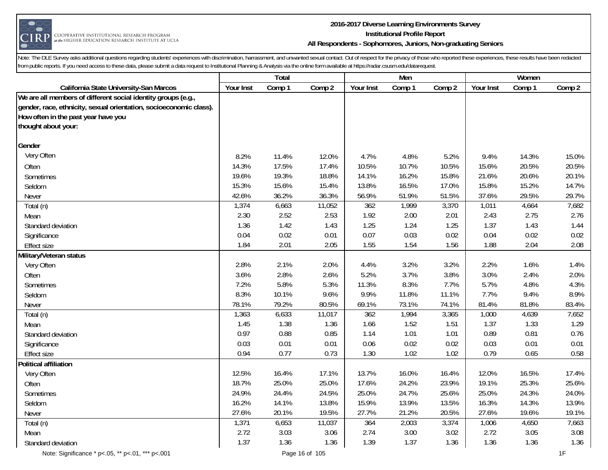

#### **2016-2017 Diverse Learning Environments Survey Institutional Profile Report All Respondents - Sophomores, Juniors, Non-graduating Seniors**

|                                                                    |           | Total  |        |           | Men    |        |           | Women  |        |
|--------------------------------------------------------------------|-----------|--------|--------|-----------|--------|--------|-----------|--------|--------|
| California State University-San Marcos                             | Your Inst | Comp 1 | Comp 2 | Your Inst | Comp 1 | Comp 2 | Your Inst | Comp 1 | Comp 2 |
| We are all members of different social identity groups (e.g.,      |           |        |        |           |        |        |           |        |        |
| gender, race, ethnicity, sexual orientation, socioeconomic class). |           |        |        |           |        |        |           |        |        |
| How often in the past year have you                                |           |        |        |           |        |        |           |        |        |
| thought about your:                                                |           |        |        |           |        |        |           |        |        |
| Gender                                                             |           |        |        |           |        |        |           |        |        |
| Very Often                                                         | 8.2%      | 11.4%  | 12.0%  | 4.7%      | 4.8%   | 5.2%   | 9.4%      | 14.3%  | 15.0%  |
| Often                                                              | 14.3%     | 17.5%  | 17.4%  | 10.5%     | 10.7%  | 10.5%  | 15.6%     | 20.5%  | 20.5%  |
| Sometimes                                                          | 19.6%     | 19.3%  | 18.8%  | 14.1%     | 16.2%  | 15.8%  | 21.6%     | 20.6%  | 20.1%  |
| Seldom                                                             | 15.3%     | 15.6%  | 15.4%  | 13.8%     | 16.5%  | 17.0%  | 15.8%     | 15.2%  | 14.7%  |
| Never                                                              | 42.6%     | 36.2%  | 36.3%  | 56.9%     | 51.9%  | 51.5%  | 37.6%     | 29.5%  | 29.7%  |
| Total (n)                                                          | 1,374     | 6,663  | 11,052 | 362       | 1,999  | 3,370  | 1,011     | 4,664  | 7,682  |
| Mean                                                               | 2.30      | 2.52   | 2.53   | 1.92      | 2.00   | 2.01   | 2.43      | 2.75   | 2.76   |
| Standard deviation                                                 | 1.36      | 1.42   | 1.43   | 1.25      | 1.24   | 1.25   | 1.37      | 1.43   | 1.44   |
| Significance                                                       | 0.04      | 0.02   | 0.01   | 0.07      | 0.03   | 0.02   | 0.04      | 0.02   | 0.02   |
| <b>Effect size</b>                                                 | 1.84      | 2.01   | 2.05   | 1.55      | 1.54   | 1.56   | 1.88      | 2.04   | 2.08   |
| Military/Veteran status                                            |           |        |        |           |        |        |           |        |        |
| Very Often                                                         | 2.8%      | 2.1%   | 2.0%   | 4.4%      | 3.2%   | 3.2%   | 2.2%      | 1.6%   | 1.4%   |
| Often                                                              | 3.6%      | 2.8%   | 2.6%   | 5.2%      | 3.7%   | 3.8%   | 3.0%      | 2.4%   | 2.0%   |
| Sometimes                                                          | 7.2%      | 5.8%   | 5.3%   | 11.3%     | 8.3%   | 7.7%   | 5.7%      | 4.8%   | 4.3%   |
| Seldom                                                             | 8.3%      | 10.1%  | 9.6%   | 9.9%      | 11.8%  | 11.1%  | 7.7%      | 9.4%   | 8.9%   |
| Never                                                              | 78.1%     | 79.2%  | 80.5%  | 69.1%     | 73.1%  | 74.1%  | 81.4%     | 81.8%  | 83.4%  |
| Total (n)                                                          | 1,363     | 6,633  | 11,017 | 362       | 1,994  | 3,365  | 1,000     | 4,639  | 7,652  |
| Mean                                                               | 1.45      | 1.38   | 1.36   | 1.66      | 1.52   | 1.51   | 1.37      | 1.33   | 1.29   |
| Standard deviation                                                 | 0.97      | 0.88   | 0.85   | 1.14      | 1.01   | 1.01   | 0.89      | 0.81   | 0.76   |
| Significance                                                       | 0.03      | 0.01   | 0.01   | 0.06      | 0.02   | 0.02   | 0.03      | 0.01   | 0.01   |
| <b>Effect size</b>                                                 | 0.94      | 0.77   | 0.73   | 1.30      | 1.02   | 1.02   | 0.79      | 0.65   | 0.58   |
| <b>Political affiliation</b>                                       |           |        |        |           |        |        |           |        |        |
| Very Often                                                         | 12.5%     | 16.4%  | 17.1%  | 13.7%     | 16.0%  | 16.4%  | 12.0%     | 16.5%  | 17.4%  |
| Often                                                              | 18.7%     | 25.0%  | 25.0%  | 17.6%     | 24.2%  | 23.9%  | 19.1%     | 25.3%  | 25.6%  |
| Sometimes                                                          | 24.9%     | 24.4%  | 24.5%  | 25.0%     | 24.7%  | 25.6%  | 25.0%     | 24.3%  | 24.0%  |
| Seldom                                                             | 16.2%     | 14.1%  | 13.8%  | 15.9%     | 13.9%  | 13.5%  | 16.3%     | 14.3%  | 13.9%  |
| Never                                                              | 27.6%     | 20.1%  | 19.5%  | 27.7%     | 21.2%  | 20.5%  | 27.6%     | 19.6%  | 19.1%  |
| Total (n)                                                          | 1,371     | 6,653  | 11,037 | 364       | 2,003  | 3,374  | 1,006     | 4,650  | 7,663  |
| Mean                                                               | 2.72      | 3.03   | 3.06   | 2.74      | 3.00   | 3.02   | 2.72      | 3.05   | 3.08   |
| Standard deviation                                                 | 1.37      | 1.36   | 1.36   | 1.39      | 1.37   | 1.36   | 1.36      | 1.36   | 1.36   |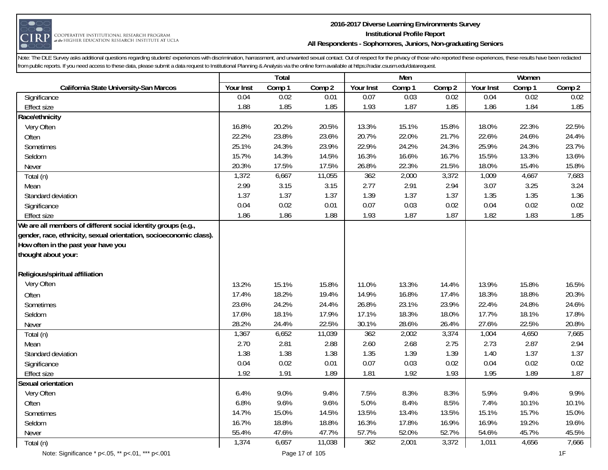

## **2016-2017 Diverse Learning Environments Survey Institutional Profile Report All Respondents - Sophomores, Juniors, Non-graduating Seniors**

| Comp 2<br>Your Inst<br>Comp 2<br>Your Inst<br>Comp 1<br>Your Inst<br>Comp 1<br>Comp 2<br>Comp 1<br>California State University-San Marcos<br>0.02<br>0.03<br>0.02<br>0.02<br>0.04<br>0.01<br>0.07<br>0.04<br>0.02<br>Significance<br>1.88<br>1.85<br>1.85<br>1.93<br>1.87<br>1.85<br>1.86<br>1.84<br>1.85<br><b>Effect size</b><br>Race/ethnicity<br>16.8%<br>20.2%<br>20.5%<br>15.1%<br>22.3%<br>22.5%<br>Very Often<br>13.3%<br>15.8%<br>18.0%<br>22.2%<br>23.8%<br>23.6%<br>22.0%<br>24.6%<br>20.7%<br>21.7%<br>22.6%<br>24.4%<br>Often<br>24.3%<br>23.9%<br>24.2%<br>25.9%<br>24.3%<br>25.1%<br>22.9%<br>24.3%<br>23.7%<br>Sometimes<br>15.7%<br>14.3%<br>14.5%<br>16.3%<br>16.6%<br>16.7%<br>15.5%<br>13.3%<br>13.6%<br>Seldom<br>20.3%<br>17.5%<br>17.5%<br>26.8%<br>22.3%<br>21.5%<br>18.0%<br>15.4%<br>15.8%<br>Never<br>1,372<br>6,667<br>362<br>2,000<br>4,667<br>11,055<br>3,372<br>1,009<br>7,683<br>Total (n)<br>2.99<br>3.15<br>2.77<br>2.91<br>3.25<br>3.15<br>2.94<br>3.07<br>3.24<br>Mean<br>1.37<br>1.37<br>1.35<br>1.37<br>1.37<br>1.39<br>1.37<br>1.35<br>1.36<br>Standard deviation<br>0.02<br>0.02<br>0.04<br>0.01<br>0.07<br>0.03<br>0.02<br>0.04<br>0.02<br>Significance<br>1.86<br>1.86<br>1.93<br>1.87<br>1.82<br>1.83<br>1.85<br>1.88<br>1.87<br><b>Effect size</b><br>We are all members of different social identity groups (e.g.,<br>gender, race, ethnicity, sexual orientation, socioeconomic class).<br>How often in the past year have you |  | Total |  | Men |  | Women |  |
|------------------------------------------------------------------------------------------------------------------------------------------------------------------------------------------------------------------------------------------------------------------------------------------------------------------------------------------------------------------------------------------------------------------------------------------------------------------------------------------------------------------------------------------------------------------------------------------------------------------------------------------------------------------------------------------------------------------------------------------------------------------------------------------------------------------------------------------------------------------------------------------------------------------------------------------------------------------------------------------------------------------------------------------------------------------------------------------------------------------------------------------------------------------------------------------------------------------------------------------------------------------------------------------------------------------------------------------------------------------------------------------------------------------------------------------------------------------------------|--|-------|--|-----|--|-------|--|
|                                                                                                                                                                                                                                                                                                                                                                                                                                                                                                                                                                                                                                                                                                                                                                                                                                                                                                                                                                                                                                                                                                                                                                                                                                                                                                                                                                                                                                                                              |  |       |  |     |  |       |  |
|                                                                                                                                                                                                                                                                                                                                                                                                                                                                                                                                                                                                                                                                                                                                                                                                                                                                                                                                                                                                                                                                                                                                                                                                                                                                                                                                                                                                                                                                              |  |       |  |     |  |       |  |
|                                                                                                                                                                                                                                                                                                                                                                                                                                                                                                                                                                                                                                                                                                                                                                                                                                                                                                                                                                                                                                                                                                                                                                                                                                                                                                                                                                                                                                                                              |  |       |  |     |  |       |  |
|                                                                                                                                                                                                                                                                                                                                                                                                                                                                                                                                                                                                                                                                                                                                                                                                                                                                                                                                                                                                                                                                                                                                                                                                                                                                                                                                                                                                                                                                              |  |       |  |     |  |       |  |
|                                                                                                                                                                                                                                                                                                                                                                                                                                                                                                                                                                                                                                                                                                                                                                                                                                                                                                                                                                                                                                                                                                                                                                                                                                                                                                                                                                                                                                                                              |  |       |  |     |  |       |  |
|                                                                                                                                                                                                                                                                                                                                                                                                                                                                                                                                                                                                                                                                                                                                                                                                                                                                                                                                                                                                                                                                                                                                                                                                                                                                                                                                                                                                                                                                              |  |       |  |     |  |       |  |
|                                                                                                                                                                                                                                                                                                                                                                                                                                                                                                                                                                                                                                                                                                                                                                                                                                                                                                                                                                                                                                                                                                                                                                                                                                                                                                                                                                                                                                                                              |  |       |  |     |  |       |  |
|                                                                                                                                                                                                                                                                                                                                                                                                                                                                                                                                                                                                                                                                                                                                                                                                                                                                                                                                                                                                                                                                                                                                                                                                                                                                                                                                                                                                                                                                              |  |       |  |     |  |       |  |
|                                                                                                                                                                                                                                                                                                                                                                                                                                                                                                                                                                                                                                                                                                                                                                                                                                                                                                                                                                                                                                                                                                                                                                                                                                                                                                                                                                                                                                                                              |  |       |  |     |  |       |  |
|                                                                                                                                                                                                                                                                                                                                                                                                                                                                                                                                                                                                                                                                                                                                                                                                                                                                                                                                                                                                                                                                                                                                                                                                                                                                                                                                                                                                                                                                              |  |       |  |     |  |       |  |
|                                                                                                                                                                                                                                                                                                                                                                                                                                                                                                                                                                                                                                                                                                                                                                                                                                                                                                                                                                                                                                                                                                                                                                                                                                                                                                                                                                                                                                                                              |  |       |  |     |  |       |  |
|                                                                                                                                                                                                                                                                                                                                                                                                                                                                                                                                                                                                                                                                                                                                                                                                                                                                                                                                                                                                                                                                                                                                                                                                                                                                                                                                                                                                                                                                              |  |       |  |     |  |       |  |
|                                                                                                                                                                                                                                                                                                                                                                                                                                                                                                                                                                                                                                                                                                                                                                                                                                                                                                                                                                                                                                                                                                                                                                                                                                                                                                                                                                                                                                                                              |  |       |  |     |  |       |  |
|                                                                                                                                                                                                                                                                                                                                                                                                                                                                                                                                                                                                                                                                                                                                                                                                                                                                                                                                                                                                                                                                                                                                                                                                                                                                                                                                                                                                                                                                              |  |       |  |     |  |       |  |
|                                                                                                                                                                                                                                                                                                                                                                                                                                                                                                                                                                                                                                                                                                                                                                                                                                                                                                                                                                                                                                                                                                                                                                                                                                                                                                                                                                                                                                                                              |  |       |  |     |  |       |  |
|                                                                                                                                                                                                                                                                                                                                                                                                                                                                                                                                                                                                                                                                                                                                                                                                                                                                                                                                                                                                                                                                                                                                                                                                                                                                                                                                                                                                                                                                              |  |       |  |     |  |       |  |
|                                                                                                                                                                                                                                                                                                                                                                                                                                                                                                                                                                                                                                                                                                                                                                                                                                                                                                                                                                                                                                                                                                                                                                                                                                                                                                                                                                                                                                                                              |  |       |  |     |  |       |  |
| thought about your:                                                                                                                                                                                                                                                                                                                                                                                                                                                                                                                                                                                                                                                                                                                                                                                                                                                                                                                                                                                                                                                                                                                                                                                                                                                                                                                                                                                                                                                          |  |       |  |     |  |       |  |
| Religious/spiritual affiliation                                                                                                                                                                                                                                                                                                                                                                                                                                                                                                                                                                                                                                                                                                                                                                                                                                                                                                                                                                                                                                                                                                                                                                                                                                                                                                                                                                                                                                              |  |       |  |     |  |       |  |
| Very Often<br>13.2%<br>15.1%<br>15.8%<br>11.0%<br>13.3%<br>13.9%<br>15.8%<br>16.5%<br>14.4%                                                                                                                                                                                                                                                                                                                                                                                                                                                                                                                                                                                                                                                                                                                                                                                                                                                                                                                                                                                                                                                                                                                                                                                                                                                                                                                                                                                  |  |       |  |     |  |       |  |
| 17.4%<br>18.2%<br>16.8%<br>18.3%<br>18.8%<br>20.3%<br>19.4%<br>14.9%<br>17.4%<br>Often                                                                                                                                                                                                                                                                                                                                                                                                                                                                                                                                                                                                                                                                                                                                                                                                                                                                                                                                                                                                                                                                                                                                                                                                                                                                                                                                                                                       |  |       |  |     |  |       |  |
| 23.6%<br>24.2%<br>26.8%<br>23.1%<br>24.8%<br>24.4%<br>23.9%<br>22.4%<br>24.6%<br>Sometimes                                                                                                                                                                                                                                                                                                                                                                                                                                                                                                                                                                                                                                                                                                                                                                                                                                                                                                                                                                                                                                                                                                                                                                                                                                                                                                                                                                                   |  |       |  |     |  |       |  |
| 17.6%<br>18.1%<br>17.9%<br>18.3%<br>17.7%<br>18.1%<br>Seldom<br>17.1%<br>18.0%<br>17.8%                                                                                                                                                                                                                                                                                                                                                                                                                                                                                                                                                                                                                                                                                                                                                                                                                                                                                                                                                                                                                                                                                                                                                                                                                                                                                                                                                                                      |  |       |  |     |  |       |  |
| 28.2%<br>24.4%<br>22.5%<br>30.1%<br>28.6%<br>26.4%<br>27.6%<br>22.5%<br>20.8%<br>Never                                                                                                                                                                                                                                                                                                                                                                                                                                                                                                                                                                                                                                                                                                                                                                                                                                                                                                                                                                                                                                                                                                                                                                                                                                                                                                                                                                                       |  |       |  |     |  |       |  |
| 1,367<br>6,652<br>2,002<br>4,650<br>362<br>3,374<br>1,004<br>7,665<br>11,039<br>Total (n)                                                                                                                                                                                                                                                                                                                                                                                                                                                                                                                                                                                                                                                                                                                                                                                                                                                                                                                                                                                                                                                                                                                                                                                                                                                                                                                                                                                    |  |       |  |     |  |       |  |
| 2.70<br>2.81<br>2.60<br>2.68<br>2.73<br>2.87<br>2.88<br>2.75<br>2.94<br>Mean                                                                                                                                                                                                                                                                                                                                                                                                                                                                                                                                                                                                                                                                                                                                                                                                                                                                                                                                                                                                                                                                                                                                                                                                                                                                                                                                                                                                 |  |       |  |     |  |       |  |
| 1.38<br>1.37<br>1.38<br>1.38<br>1.35<br>1.39<br>1.39<br>1.40<br>1.37<br>Standard deviation                                                                                                                                                                                                                                                                                                                                                                                                                                                                                                                                                                                                                                                                                                                                                                                                                                                                                                                                                                                                                                                                                                                                                                                                                                                                                                                                                                                   |  |       |  |     |  |       |  |
| 0.04<br>0.02<br>0.07<br>0.03<br>0.02<br>0.02<br>0.01<br>0.02<br>0.04<br>Significance                                                                                                                                                                                                                                                                                                                                                                                                                                                                                                                                                                                                                                                                                                                                                                                                                                                                                                                                                                                                                                                                                                                                                                                                                                                                                                                                                                                         |  |       |  |     |  |       |  |
| 1.92<br>1.89<br>1.92<br>1.91<br>1.89<br>1.81<br>1.93<br>1.95<br>1.87<br><b>Effect size</b>                                                                                                                                                                                                                                                                                                                                                                                                                                                                                                                                                                                                                                                                                                                                                                                                                                                                                                                                                                                                                                                                                                                                                                                                                                                                                                                                                                                   |  |       |  |     |  |       |  |
| Sexual orientation                                                                                                                                                                                                                                                                                                                                                                                                                                                                                                                                                                                                                                                                                                                                                                                                                                                                                                                                                                                                                                                                                                                                                                                                                                                                                                                                                                                                                                                           |  |       |  |     |  |       |  |
| 6.4%<br>9.0%<br>9.4%<br>7.5%<br>8.3%<br>8.3%<br>5.9%<br>9.4%<br>9.9%<br>Very Often                                                                                                                                                                                                                                                                                                                                                                                                                                                                                                                                                                                                                                                                                                                                                                                                                                                                                                                                                                                                                                                                                                                                                                                                                                                                                                                                                                                           |  |       |  |     |  |       |  |
| 6.8%<br>9.6%<br>8.4%<br>9.6%<br>5.0%<br>8.5%<br>7.4%<br>10.1%<br>10.1%<br>Often                                                                                                                                                                                                                                                                                                                                                                                                                                                                                                                                                                                                                                                                                                                                                                                                                                                                                                                                                                                                                                                                                                                                                                                                                                                                                                                                                                                              |  |       |  |     |  |       |  |
| 14.7%<br>15.0%<br>14.5%<br>13.5%<br>13.4%<br>13.5%<br>15.1%<br>15.7%<br>15.0%<br>Sometimes                                                                                                                                                                                                                                                                                                                                                                                                                                                                                                                                                                                                                                                                                                                                                                                                                                                                                                                                                                                                                                                                                                                                                                                                                                                                                                                                                                                   |  |       |  |     |  |       |  |
| 16.7%<br>18.8%<br>16.3%<br>17.8%<br>16.9%<br>19.2%<br>18.8%<br>16.9%<br>19.6%<br>Seldom                                                                                                                                                                                                                                                                                                                                                                                                                                                                                                                                                                                                                                                                                                                                                                                                                                                                                                                                                                                                                                                                                                                                                                                                                                                                                                                                                                                      |  |       |  |     |  |       |  |
| 55.4%<br>52.0%<br>45.7%<br>47.6%<br>47.7%<br>57.7%<br>52.7%<br>54.6%<br>45.5%<br>Never                                                                                                                                                                                                                                                                                                                                                                                                                                                                                                                                                                                                                                                                                                                                                                                                                                                                                                                                                                                                                                                                                                                                                                                                                                                                                                                                                                                       |  |       |  |     |  |       |  |
| 1,374<br>362<br>6,657<br>11,038<br>2,001<br>3,372<br>1,011<br>4,656<br>7,666<br>Total (n)                                                                                                                                                                                                                                                                                                                                                                                                                                                                                                                                                                                                                                                                                                                                                                                                                                                                                                                                                                                                                                                                                                                                                                                                                                                                                                                                                                                    |  |       |  |     |  |       |  |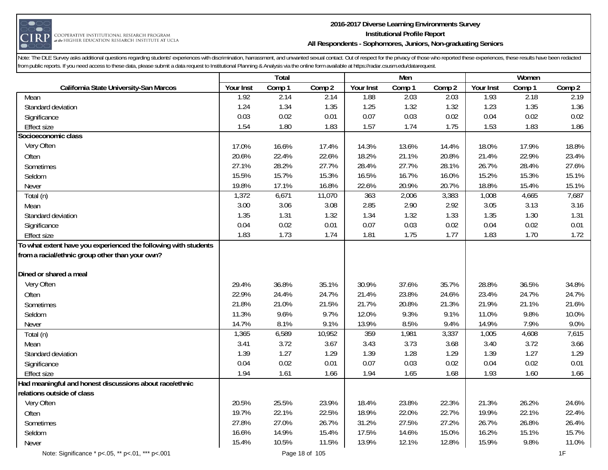

#### **2016-2017 Diverse Learning Environments Survey Institutional Profile Report All Respondents - Sophomores, Juniors, Non-graduating Seniors**

|                                                                 |           | Total  |        |           | Men    |        |           | Women  |        |
|-----------------------------------------------------------------|-----------|--------|--------|-----------|--------|--------|-----------|--------|--------|
| California State University-San Marcos                          | Your Inst | Comp 1 | Comp 2 | Your Inst | Comp 1 | Comp 2 | Your Inst | Comp 1 | Comp 2 |
| Mean                                                            | 1.92      | 2.14   | 2.14   | 1.88      | 2.03   | 2.03   | 1.93      | 2.18   | 2.19   |
| Standard deviation                                              | 1.24      | 1.34   | 1.35   | 1.25      | 1.32   | 1.32   | 1.23      | 1.35   | 1.36   |
| Significance                                                    | 0.03      | 0.02   | 0.01   | 0.07      | 0.03   | 0.02   | 0.04      | 0.02   | 0.02   |
| <b>Effect size</b>                                              | 1.54      | 1.80   | 1.83   | 1.57      | 1.74   | 1.75   | 1.53      | 1.83   | 1.86   |
| Socioeconomic class                                             |           |        |        |           |        |        |           |        |        |
| Very Often                                                      | 17.0%     | 16.6%  | 17.4%  | 14.3%     | 13.6%  | 14.4%  | 18.0%     | 17.9%  | 18.8%  |
| Often                                                           | 20.6%     | 22.4%  | 22.6%  | 18.2%     | 21.1%  | 20.8%  | 21.4%     | 22.9%  | 23.4%  |
| Sometimes                                                       | 27.1%     | 28.2%  | 27.7%  | 28.4%     | 27.7%  | 28.1%  | 26.7%     | 28.4%  | 27.6%  |
| Seldom                                                          | 15.5%     | 15.7%  | 15.3%  | 16.5%     | 16.7%  | 16.0%  | 15.2%     | 15.3%  | 15.1%  |
| Never                                                           | 19.8%     | 17.1%  | 16.8%  | 22.6%     | 20.9%  | 20.7%  | 18.8%     | 15.4%  | 15.1%  |
| Total (n)                                                       | 1,372     | 6,671  | 11,070 | 363       | 2,006  | 3,383  | 1,008     | 4,665  | 7,687  |
| Mean                                                            | 3.00      | 3.06   | 3.08   | 2.85      | 2.90   | 2.92   | 3.05      | 3.13   | 3.16   |
| Standard deviation                                              | 1.35      | 1.31   | 1.32   | 1.34      | 1.32   | 1.33   | 1.35      | 1.30   | 1.31   |
| Significance                                                    | 0.04      | 0.02   | 0.01   | 0.07      | 0.03   | 0.02   | 0.04      | 0.02   | 0.01   |
| <b>Effect size</b>                                              | 1.83      | 1.73   | 1.74   | 1.81      | 1.75   | 1.77   | 1.83      | 1.70   | 1.72   |
| To what extent have you experienced the following with students |           |        |        |           |        |        |           |        |        |
| from a racial/ethnic group other than your own?                 |           |        |        |           |        |        |           |        |        |
|                                                                 |           |        |        |           |        |        |           |        |        |
| Dined or shared a meal                                          |           |        |        |           |        |        |           |        |        |
| Very Often                                                      | 29.4%     | 36.8%  | 35.1%  | 30.9%     | 37.6%  | 35.7%  | 28.8%     | 36.5%  | 34.8%  |
| Often                                                           | 22.9%     | 24.4%  | 24.7%  | 21.4%     | 23.8%  | 24.6%  | 23.4%     | 24.7%  | 24.7%  |
| Sometimes                                                       | 21.8%     | 21.0%  | 21.5%  | 21.7%     | 20.8%  | 21.3%  | 21.9%     | 21.1%  | 21.6%  |
| Seldom                                                          | 11.3%     | 9.6%   | 9.7%   | 12.0%     | 9.3%   | 9.1%   | 11.0%     | 9.8%   | 10.0%  |
| Never                                                           | 14.7%     | 8.1%   | 9.1%   | 13.9%     | 8.5%   | 9.4%   | 14.9%     | 7.9%   | 9.0%   |
| Total (n)                                                       | 1,365     | 6,589  | 10,952 | 359       | 1,981  | 3,337  | 1,005     | 4,608  | 7,615  |
| Mean                                                            | 3.41      | 3.72   | 3.67   | 3.43      | 3.73   | 3.68   | 3.40      | 3.72   | 3.66   |
| Standard deviation                                              | 1.39      | 1.27   | 1.29   | 1.39      | 1.28   | 1.29   | 1.39      | 1.27   | 1.29   |
| Significance                                                    | 0.04      | 0.02   | 0.01   | 0.07      | 0.03   | 0.02   | 0.04      | 0.02   | 0.01   |
| <b>Effect size</b>                                              | 1.94      | 1.61   | 1.66   | 1.94      | 1.65   | 1.68   | 1.93      | 1.60   | 1.66   |
| Had meaningful and honest discussions about race/ethnic         |           |        |        |           |        |        |           |        |        |
| relations outside of class                                      |           |        |        |           |        |        |           |        |        |
| Very Often                                                      | 20.5%     | 25.5%  | 23.9%  | 18.4%     | 23.8%  | 22.3%  | 21.3%     | 26.2%  | 24.6%  |
| Often                                                           | 19.7%     | 22.1%  | 22.5%  | 18.9%     | 22.0%  | 22.7%  | 19.9%     | 22.1%  | 22.4%  |
| Sometimes                                                       | 27.8%     | 27.0%  | 26.7%  | 31.2%     | 27.5%  | 27.2%  | 26.7%     | 26.8%  | 26.4%  |
| Seldom                                                          | 16.6%     | 14.9%  | 15.4%  | 17.5%     | 14.6%  | 15.0%  | 16.2%     | 15.1%  | 15.7%  |
| Never                                                           | 15.4%     | 10.5%  | 11.5%  | 13.9%     | 12.1%  | 12.8%  | 15.9%     | 9.8%   | 11.0%  |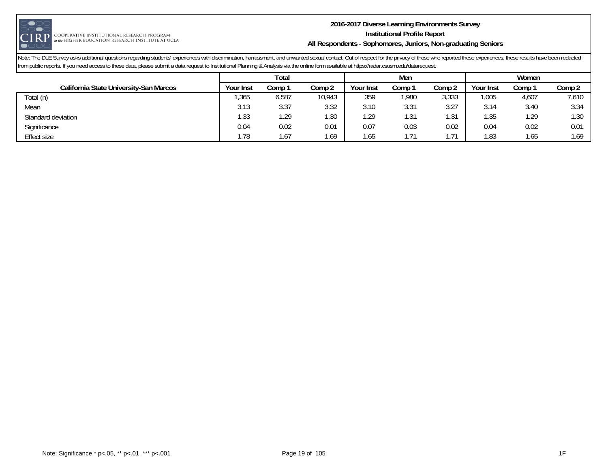

#### **2016-2017 Diverse Learning Environments Survey Institutional Profile Report All Respondents - Sophomores, Juniors, Non-graduating Seniors**

|                                        |           | Total  |        |           | Men   |            |           | Women  |                   |
|----------------------------------------|-----------|--------|--------|-----------|-------|------------|-----------|--------|-------------------|
| California State University-San Marcos | Your Inst | Comp : | Comp 2 | Your Inst | `ompٺ | Comp 2     | Your Inst | Comp : | Comp 2            |
| Total (n)                              | ,365      | 6,587  | 10,943 | 359       | ,980  | 3,333      | .005      | 4,607  | 7,610             |
| Mean                                   | 3.13      | 3.37   | 3.32   | 3.10      | 3.31  | 3.27       | 3.14      | 3.40   | 3.34              |
| Standard deviation                     | 1.33      | 29، ا  | i.30   | . 29      | 1.31  | -21<br>. ب | 1.35      | . 29   | 1.30 <sub>1</sub> |
| Significance                           | 0.04      | 0.02   | 0.01   | 0.07      | 0.03  | 0.02       | 0.04      | 0.02   | 0.01              |
| Effect size                            | .78       | .67    | .69    | 1.65      | 1.71  | 74         | 1.83      | l.65   | 1.69              |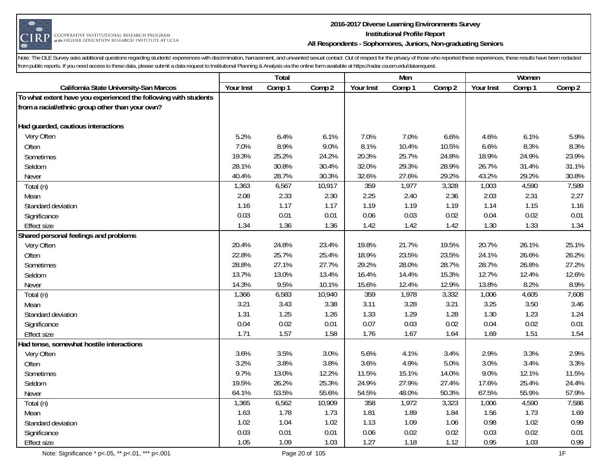

## **2016-2017 Diverse Learning Environments Survey Institutional Profile Report All Respondents - Sophomores, Juniors, Non-graduating Seniors**

|                                                                 |           | Total  |        |           | Men    |        |           | Women  |        |
|-----------------------------------------------------------------|-----------|--------|--------|-----------|--------|--------|-----------|--------|--------|
| California State University-San Marcos                          | Your Inst | Comp 1 | Comp 2 | Your Inst | Comp 1 | Comp 2 | Your Inst | Comp 1 | Comp 2 |
| To what extent have you experienced the following with students |           |        |        |           |        |        |           |        |        |
| from a racial/ethnic group other than your own?                 |           |        |        |           |        |        |           |        |        |
|                                                                 |           |        |        |           |        |        |           |        |        |
| Had guarded, cautious interactions                              |           |        |        |           |        |        |           |        |        |
| Very Often                                                      | 5.2%      | 6.4%   | 6.1%   | 7.0%      | 7.0%   | 6.6%   | 4.6%      | 6.1%   | 5.9%   |
| Often                                                           | 7.0%      | 8.9%   | 9.0%   | 8.1%      | 10.4%  | 10.5%  | 6.6%      | 8.3%   | 8.3%   |
| Sometimes                                                       | 19.3%     | 25.2%  | 24.2%  | 20.3%     | 25.7%  | 24.8%  | 18.9%     | 24.9%  | 23.9%  |
| Seldom                                                          | 28.1%     | 30.8%  | 30.4%  | 32.0%     | 29.3%  | 28.9%  | 26.7%     | 31.4%  | 31.1%  |
| Never                                                           | 40.4%     | 28.7%  | 30.3%  | 32.6%     | 27.6%  | 29.2%  | 43.2%     | 29.2%  | 30.8%  |
| Total (n)                                                       | 1,363     | 6,567  | 10,917 | 359       | 1,977  | 3,328  | 1,003     | 4,590  | 7,589  |
| Mean                                                            | 2.08      | 2.33   | 2.30   | 2.25      | 2.40   | 2.36   | 2.03      | 2.31   | 2.27   |
| Standard deviation                                              | 1.16      | 1.17   | 1.17   | 1.19      | 1.19   | 1.19   | 1.14      | 1.15   | 1.16   |
| Significance                                                    | 0.03      | 0.01   | 0.01   | 0.06      | 0.03   | 0.02   | 0.04      | 0.02   | 0.01   |
| <b>Effect size</b>                                              | 1.34      | 1.36   | 1.36   | 1.42      | 1.42   | 1.42   | 1.30      | 1.33   | 1.34   |
| Shared personal feelings and problems                           |           |        |        |           |        |        |           |        |        |
| Very Often                                                      | 20.4%     | 24.8%  | 23.4%  | 19.8%     | 21.7%  | 19.5%  | 20.7%     | 26.1%  | 25.1%  |
| Often                                                           | 22.8%     | 25.7%  | 25.4%  | 18.9%     | 23.5%  | 23.5%  | 24.1%     | 26.6%  | 26.2%  |
| Sometimes                                                       | 28.8%     | 27.1%  | 27.7%  | 29.2%     | 28.0%  | 28.7%  | 28.7%     | 26.8%  | 27.2%  |
| Seldom                                                          | 13.7%     | 13.0%  | 13.4%  | 16.4%     | 14.4%  | 15.3%  | 12.7%     | 12.4%  | 12.6%  |
| Never                                                           | 14.3%     | 9.5%   | 10.1%  | 15.6%     | 12.4%  | 12.9%  | 13.8%     | 8.2%   | 8.9%   |
| Total (n)                                                       | 1,366     | 6,583  | 10,940 | 359       | 1,978  | 3,332  | 1,006     | 4,605  | 7,608  |
| Mean                                                            | 3.21      | 3.43   | 3.38   | 3.11      | 3.28   | 3.21   | 3.25      | 3.50   | 3.46   |
| Standard deviation                                              | 1.31      | 1.25   | 1.26   | 1.33      | 1.29   | 1.28   | 1.30      | 1.23   | 1.24   |
| Significance                                                    | 0.04      | 0.02   | 0.01   | 0.07      | 0.03   | 0.02   | 0.04      | 0.02   | 0.01   |
| <b>Effect size</b>                                              | 1.71      | 1.57   | 1.58   | 1.76      | 1.67   | 1.64   | 1.69      | 1.51   | 1.54   |
| Had tense, somewhat hostile interactions                        |           |        |        |           |        |        |           |        |        |
| Very Often                                                      | 3.6%      | 3.5%   | 3.0%   | 5.6%      | 4.1%   | 3.4%   | 2.9%      | 3.3%   | 2.9%   |
| Often                                                           | 3.2%      | 3.8%   | 3.8%   | 3.6%      | 4.9%   | 5.0%   | 3.0%      | 3.4%   | 3.3%   |
| Sometimes                                                       | 9.7%      | 13.0%  | 12.2%  | 11.5%     | 15.1%  | 14.0%  | 9.0%      | 12.1%  | 11.5%  |
| Seldom                                                          | 19.5%     | 26.2%  | 25.3%  | 24.9%     | 27.9%  | 27.4%  | 17.6%     | 25.4%  | 24.4%  |
| Never                                                           | 64.1%     | 53.5%  | 55.6%  | 54.5%     | 48.0%  | 50.3%  | 67.5%     | 55.9%  | 57.9%  |
| Total (n)                                                       | 1,365     | 6,562  | 10,909 | 358       | 1,972  | 3,323  | 1,006     | 4,590  | 7,586  |
| Mean                                                            | 1.63      | 1.78   | 1.73   | 1.81      | 1.89   | 1.84   | 1.56      | 1.73   | 1.69   |
| Standard deviation                                              | 1.02      | 1.04   | 1.02   | 1.13      | 1.09   | 1.06   | 0.98      | 1.02   | 0.99   |
| Significance                                                    | 0.03      | 0.01   | 0.01   | 0.06      | 0.02   | 0.02   | 0.03      | 0.02   | 0.01   |
| <b>Effect size</b>                                              | 1.05      | 1.09   | 1.03   | 1.27      | 1.18   | 1.12   | 0.95      | 1.03   | 0.99   |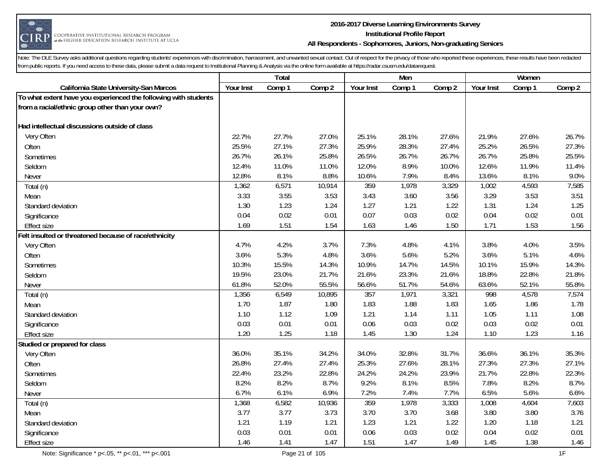

#### **2016-2017 Diverse Learning Environments Survey Institutional Profile Report All Respondents - Sophomores, Juniors, Non-graduating Seniors**

|                                                                 |           | Total  |        |           | Men    |        |           | Women  |        |
|-----------------------------------------------------------------|-----------|--------|--------|-----------|--------|--------|-----------|--------|--------|
| California State University-San Marcos                          | Your Inst | Comp 1 | Comp 2 | Your Inst | Comp 1 | Comp 2 | Your Inst | Comp 1 | Comp 2 |
| To what extent have you experienced the following with students |           |        |        |           |        |        |           |        |        |
| from a racial/ethnic group other than your own?                 |           |        |        |           |        |        |           |        |        |
|                                                                 |           |        |        |           |        |        |           |        |        |
| Had intellectual discussions outside of class                   |           |        |        |           |        |        |           |        |        |
| Very Often                                                      | 22.7%     | 27.7%  | 27.0%  | 25.1%     | 28.1%  | 27.6%  | 21.9%     | 27.6%  | 26.7%  |
| Often                                                           | 25.5%     | 27.1%  | 27.3%  | 25.9%     | 28.3%  | 27.4%  | 25.2%     | 26.5%  | 27.3%  |
| Sometimes                                                       | 26.7%     | 26.1%  | 25.8%  | 26.5%     | 26.7%  | 26.7%  | 26.7%     | 25.8%  | 25.5%  |
| Seldom                                                          | 12.4%     | 11.0%  | 11.0%  | 12.0%     | 8.9%   | 10.0%  | 12.6%     | 11.9%  | 11.4%  |
| Never                                                           | 12.8%     | 8.1%   | 8.8%   | 10.6%     | 7.9%   | 8.4%   | 13.6%     | 8.1%   | 9.0%   |
| Total (n)                                                       | 1,362     | 6,571  | 10,914 | 359       | 1,978  | 3,329  | 1,002     | 4,593  | 7,585  |
| Mean                                                            | 3.33      | 3.55   | 3.53   | 3.43      | 3.60   | 3.56   | 3.29      | 3.53   | 3.51   |
| Standard deviation                                              | 1.30      | 1.23   | 1.24   | 1.27      | 1.21   | 1.22   | 1.31      | 1.24   | 1.25   |
| Significance                                                    | 0.04      | 0.02   | 0.01   | 0.07      | 0.03   | 0.02   | 0.04      | 0.02   | 0.01   |
| <b>Effect size</b>                                              | 1.69      | 1.51   | 1.54   | 1.63      | 1.46   | 1.50   | 1.71      | 1.53   | 1.56   |
| Felt insulted or threatened because of race/ethnicity           |           |        |        |           |        |        |           |        |        |
| Very Often                                                      | 4.7%      | 4.2%   | 3.7%   | 7.3%      | 4.8%   | 4.1%   | 3.8%      | 4.0%   | 3.5%   |
| Often                                                           | 3.6%      | 5.3%   | 4.8%   | 3.6%      | 5.6%   | 5.2%   | 3.6%      | 5.1%   | 4.6%   |
| Sometimes                                                       | 10.3%     | 15.5%  | 14.3%  | 10.9%     | 14.7%  | 14.5%  | 10.1%     | 15.9%  | 14.3%  |
| Seldom                                                          | 19.5%     | 23.0%  | 21.7%  | 21.6%     | 23.3%  | 21.6%  | 18.8%     | 22.8%  | 21.8%  |
| Never                                                           | 61.8%     | 52.0%  | 55.5%  | 56.6%     | 51.7%  | 54.6%  | 63.6%     | 52.1%  | 55.8%  |
| Total (n)                                                       | 1,356     | 6,549  | 10,895 | 357       | 1,971  | 3,321  | 998       | 4,578  | 7,574  |
| Mean                                                            | 1.70      | 1.87   | 1.80   | 1.83      | 1.88   | 1.83   | 1.65      | 1.86   | 1.78   |
| Standard deviation                                              | 1.10      | 1.12   | 1.09   | 1.21      | 1.14   | 1.11   | 1.05      | 1.11   | 1.08   |
| Significance                                                    | 0.03      | 0.01   | 0.01   | 0.06      | 0.03   | 0.02   | 0.03      | 0.02   | 0.01   |
| <b>Effect size</b>                                              | 1.20      | 1.25   | 1.18   | 1.45      | 1.30   | 1.24   | 1.10      | 1.23   | 1.16   |
| Studied or prepared for class                                   |           |        |        |           |        |        |           |        |        |
| Very Often                                                      | 36.0%     | 35.1%  | 34.2%  | 34.0%     | 32.8%  | 31.7%  | 36.6%     | 36.1%  | 35.3%  |
| Often                                                           | 26.8%     | 27.4%  | 27.4%  | 25.3%     | 27.6%  | 28.1%  | 27.3%     | 27.3%  | 27.1%  |
| Sometimes                                                       | 22.4%     | 23.2%  | 22.8%  | 24.2%     | 24.2%  | 23.9%  | 21.7%     | 22.8%  | 22.3%  |
| Seldom                                                          | 8.2%      | 8.2%   | 8.7%   | 9.2%      | 8.1%   | 8.5%   | 7.8%      | 8.2%   | 8.7%   |
| Never                                                           | 6.7%      | 6.1%   | 6.9%   | 7.2%      | 7.4%   | 7.7%   | 6.5%      | 5.6%   | 6.6%   |
| Total (n)                                                       | 1,368     | 6,582  | 10,936 | 359       | 1,978  | 3,333  | 1,008     | 4,604  | 7,603  |
| Mean                                                            | 3.77      | 3.77   | 3.73   | 3.70      | 3.70   | 3.68   | 3.80      | 3.80   | 3.76   |
| Standard deviation                                              | 1.21      | 1.19   | 1.21   | 1.23      | 1.21   | 1.22   | 1.20      | 1.18   | 1.21   |
| Significance                                                    | 0.03      | 0.01   | 0.01   | 0.06      | 0.03   | 0.02   | 0.04      | 0.02   | 0.01   |
| <b>Effect size</b>                                              | 1.46      | 1.41   | 1.47   | 1.51      | 1.47   | 1.49   | 1.45      | 1.38   | 1.46   |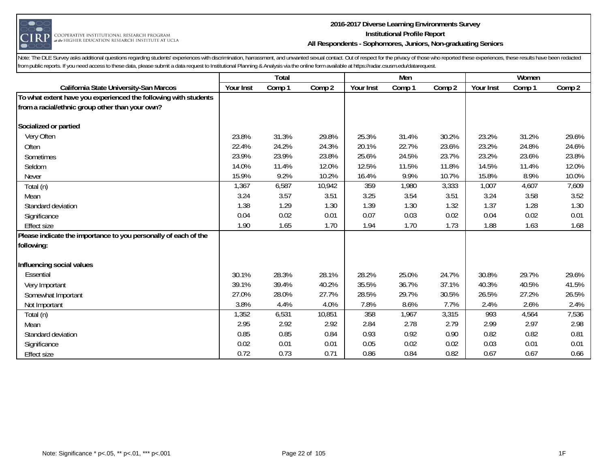

#### **2016-2017 Diverse Learning Environments Survey Institutional Profile Report All Respondents - Sophomores, Juniors, Non-graduating Seniors**

|                                                                                                                    |           | Total  |        |           | Men    |        |           | Women  |        |
|--------------------------------------------------------------------------------------------------------------------|-----------|--------|--------|-----------|--------|--------|-----------|--------|--------|
| California State University-San Marcos                                                                             | Your Inst | Comp 1 | Comp 2 | Your Inst | Comp 1 | Comp 2 | Your Inst | Comp 1 | Comp 2 |
| To what extent have you experienced the following with students<br>from a racial/ethnic group other than your own? |           |        |        |           |        |        |           |        |        |
| Socialized or partied                                                                                              |           |        |        |           |        |        |           |        |        |
| Very Often                                                                                                         | 23.8%     | 31.3%  | 29.8%  | 25.3%     | 31.4%  | 30.2%  | 23.2%     | 31.2%  | 29.6%  |
| Often                                                                                                              | 22.4%     | 24.2%  | 24.3%  | 20.1%     | 22.7%  | 23.6%  | 23.2%     | 24.8%  | 24.6%  |
| Sometimes                                                                                                          | 23.9%     | 23.9%  | 23.8%  | 25.6%     | 24.5%  | 23.7%  | 23.2%     | 23.6%  | 23.8%  |
| Seldom                                                                                                             | 14.0%     | 11.4%  | 12.0%  | 12.5%     | 11.5%  | 11.8%  | 14.5%     | 11.4%  | 12.0%  |
| Never                                                                                                              | 15.9%     | 9.2%   | 10.2%  | 16.4%     | 9.9%   | 10.7%  | 15.8%     | 8.9%   | 10.0%  |
| Total (n)                                                                                                          | 1,367     | 6,587  | 10,942 | 359       | 1,980  | 3,333  | 1,007     | 4,607  | 7,609  |
| Mean                                                                                                               | 3.24      | 3.57   | 3.51   | 3.25      | 3.54   | 3.51   | 3.24      | 3.58   | 3.52   |
| Standard deviation                                                                                                 | 1.38      | 1.29   | 1.30   | 1.39      | 1.30   | 1.32   | 1.37      | 1.28   | 1.30   |
| Significance                                                                                                       | 0.04      | 0.02   | 0.01   | 0.07      | 0.03   | 0.02   | 0.04      | 0.02   | 0.01   |
| <b>Effect size</b>                                                                                                 | 1.90      | 1.65   | 1.70   | 1.94      | 1.70   | 1.73   | 1.88      | 1.63   | 1.68   |
| Please indicate the importance to you personally of each of the                                                    |           |        |        |           |        |        |           |        |        |
| following:                                                                                                         |           |        |        |           |        |        |           |        |        |
| Influencing social values                                                                                          |           |        |        |           |        |        |           |        |        |
| Essential                                                                                                          | 30.1%     | 28.3%  | 28.1%  | 28.2%     | 25.0%  | 24.7%  | 30.8%     | 29.7%  | 29.6%  |
| Very Important                                                                                                     | 39.1%     | 39.4%  | 40.2%  | 35.5%     | 36.7%  | 37.1%  | 40.3%     | 40.5%  | 41.5%  |
| Somewhat Important                                                                                                 | 27.0%     | 28.0%  | 27.7%  | 28.5%     | 29.7%  | 30.5%  | 26.5%     | 27.2%  | 26.5%  |
| Not Important                                                                                                      | 3.8%      | 4.4%   | 4.0%   | 7.8%      | 8.6%   | 7.7%   | 2.4%      | 2.6%   | 2.4%   |
| Total (n)                                                                                                          | 1,352     | 6,531  | 10,851 | 358       | 1,967  | 3,315  | 993       | 4,564  | 7,536  |
| Mean                                                                                                               | 2.95      | 2.92   | 2.92   | 2.84      | 2.78   | 2.79   | 2.99      | 2.97   | 2.98   |
| Standard deviation                                                                                                 | 0.85      | 0.85   | 0.84   | 0.93      | 0.92   | 0.90   | 0.82      | 0.82   | 0.81   |
| Significance                                                                                                       | 0.02      | 0.01   | 0.01   | 0.05      | 0.02   | 0.02   | 0.03      | 0.01   | 0.01   |
| <b>Effect size</b>                                                                                                 | 0.72      | 0.73   | 0.71   | 0.86      | 0.84   | 0.82   | 0.67      | 0.67   | 0.66   |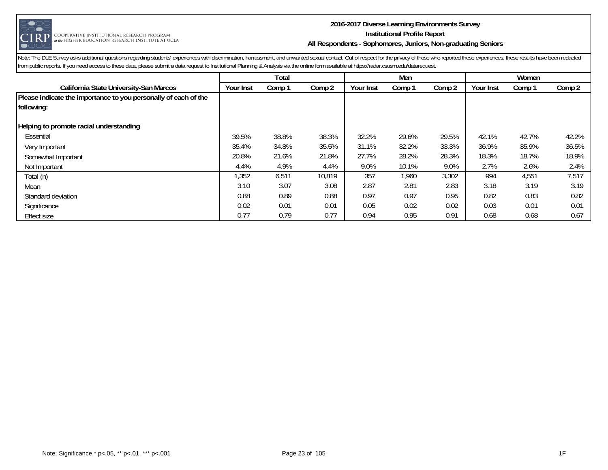

#### **2016-2017 Diverse Learning Environments Survey Institutional Profile Report All Respondents - Sophomores, Juniors, Non-graduating Seniors**

|                                                                 | Total     |        |        |           | Men    |        |           | Women  |        |  |
|-----------------------------------------------------------------|-----------|--------|--------|-----------|--------|--------|-----------|--------|--------|--|
| California State University-San Marcos                          | Your Inst | Comp 1 | Comp 2 | Your Inst | Comp 1 | Comp 2 | Your Inst | Comp 1 | Comp 2 |  |
| Please indicate the importance to you personally of each of the |           |        |        |           |        |        |           |        |        |  |
| following:                                                      |           |        |        |           |        |        |           |        |        |  |
| Helping to promote racial understanding                         |           |        |        |           |        |        |           |        |        |  |
| Essential                                                       | 39.5%     | 38.8%  | 38.3%  | 32.2%     | 29.6%  | 29.5%  | 42.1%     | 42.7%  | 42.2%  |  |
| Very Important                                                  | 35.4%     | 34.8%  | 35.5%  | 31.1%     | 32.2%  | 33.3%  | 36.9%     | 35.9%  | 36.5%  |  |
| Somewhat Important                                              | 20.8%     | 21.6%  | 21.8%  | 27.7%     | 28.2%  | 28.3%  | 18.3%     | 18.7%  | 18.9%  |  |
| Not Important                                                   | 4.4%      | 4.9%   | 4.4%   | 9.0%      | 10.1%  | 9.0%   | 2.7%      | 2.6%   | 2.4%   |  |
| Total (n)                                                       | 1,352     | 6,511  | 10,819 | 357       | 1,960  | 3,302  | 994       | 4,551  | 7,517  |  |
| Mean                                                            | 3.10      | 3.07   | 3.08   | 2.87      | 2.81   | 2.83   | 3.18      | 3.19   | 3.19   |  |
| Standard deviation                                              | 0.88      | 0.89   | 0.88   | 0.97      | 0.97   | 0.95   | 0.82      | 0.83   | 0.82   |  |
| Significance                                                    | 0.02      | 0.01   | 0.01   | 0.05      | 0.02   | 0.02   | 0.03      | 0.01   | 0.01   |  |
| <b>Effect size</b>                                              | 0.77      | 0.79   | 0.77   | 0.94      | 0.95   | 0.91   | 0.68      | 0.68   | 0.67   |  |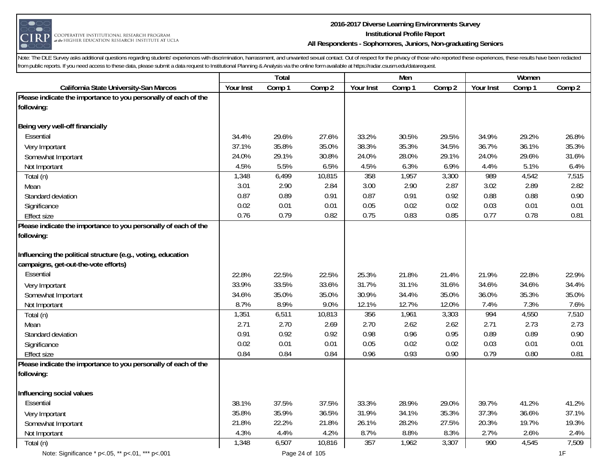

#### **2016-2017 Diverse Learning Environments Survey Institutional Profile Report All Respondents - Sophomores, Juniors, Non-graduating Seniors**

|                                                                 |           | Total  |        |           | Men    |        |           | Women  |        |
|-----------------------------------------------------------------|-----------|--------|--------|-----------|--------|--------|-----------|--------|--------|
| California State University-San Marcos                          | Your Inst | Comp 1 | Comp 2 | Your Inst | Comp 1 | Comp 2 | Your Inst | Comp 1 | Comp 2 |
| Please indicate the importance to you personally of each of the |           |        |        |           |        |        |           |        |        |
| following:                                                      |           |        |        |           |        |        |           |        |        |
|                                                                 |           |        |        |           |        |        |           |        |        |
| Being very well-off financially                                 |           |        |        |           |        |        |           |        |        |
| Essential                                                       | 34.4%     | 29.6%  | 27.6%  | 33.2%     | 30.5%  | 29.5%  | 34.9%     | 29.2%  | 26.8%  |
| Very Important                                                  | 37.1%     | 35.8%  | 35.0%  | 38.3%     | 35.3%  | 34.5%  | 36.7%     | 36.1%  | 35.3%  |
| Somewhat Important                                              | 24.0%     | 29.1%  | 30.8%  | 24.0%     | 28.0%  | 29.1%  | 24.0%     | 29.6%  | 31.6%  |
| Not Important                                                   | 4.5%      | 5.5%   | 6.5%   | 4.5%      | 6.3%   | 6.9%   | 4.4%      | 5.1%   | 6.4%   |
| Total (n)                                                       | 1,348     | 6,499  | 10,815 | 358       | 1,957  | 3,300  | 989       | 4,542  | 7,515  |
| Mean                                                            | 3.01      | 2.90   | 2.84   | 3.00      | 2.90   | 2.87   | 3.02      | 2.89   | 2.82   |
| Standard deviation                                              | 0.87      | 0.89   | 0.91   | 0.87      | 0.91   | 0.92   | 0.88      | 0.88   | 0.90   |
| Significance                                                    | 0.02      | 0.01   | 0.01   | 0.05      | 0.02   | 0.02   | 0.03      | 0.01   | 0.01   |
| <b>Effect size</b>                                              | 0.76      | 0.79   | 0.82   | 0.75      | 0.83   | 0.85   | 0.77      | 0.78   | 0.81   |
| Please indicate the importance to you personally of each of the |           |        |        |           |        |        |           |        |        |
| following:                                                      |           |        |        |           |        |        |           |        |        |
|                                                                 |           |        |        |           |        |        |           |        |        |
| Influencing the political structure (e.g., voting, education    |           |        |        |           |        |        |           |        |        |
| campaigns, get-out-the-vote efforts)                            |           |        |        |           |        |        |           |        |        |
| Essential                                                       | 22.8%     | 22.5%  | 22.5%  | 25.3%     | 21.8%  | 21.4%  | 21.9%     | 22.8%  | 22.9%  |
| Very Important                                                  | 33.9%     | 33.5%  | 33.6%  | 31.7%     | 31.1%  | 31.6%  | 34.6%     | 34.6%  | 34.4%  |
| Somewhat Important                                              | 34.6%     | 35.0%  | 35.0%  | 30.9%     | 34.4%  | 35.0%  | 36.0%     | 35.3%  | 35.0%  |
| Not Important                                                   | 8.7%      | 8.9%   | 9.0%   | 12.1%     | 12.7%  | 12.0%  | 7.4%      | 7.3%   | 7.6%   |
| Total (n)                                                       | 1,351     | 6,511  | 10,813 | 356       | 1,961  | 3,303  | 994       | 4,550  | 7,510  |
| Mean                                                            | 2.71      | 2.70   | 2.69   | 2.70      | 2.62   | 2.62   | 2.71      | 2.73   | 2.73   |
| Standard deviation                                              | 0.91      | 0.92   | 0.92   | 0.98      | 0.96   | 0.95   | 0.89      | 0.89   | 0.90   |
| Significance                                                    | 0.02      | 0.01   | 0.01   | 0.05      | 0.02   | 0.02   | 0.03      | 0.01   | 0.01   |
| <b>Effect size</b>                                              | 0.84      | 0.84   | 0.84   | 0.96      | 0.93   | 0.90   | 0.79      | 0.80   | 0.81   |
| Please indicate the importance to you personally of each of the |           |        |        |           |        |        |           |        |        |
| following:                                                      |           |        |        |           |        |        |           |        |        |
|                                                                 |           |        |        |           |        |        |           |        |        |
| Influencing social values                                       |           |        |        |           |        |        |           |        |        |
| Essential                                                       | 38.1%     | 37.5%  | 37.5%  | 33.3%     | 28.9%  | 29.0%  | 39.7%     | 41.2%  | 41.2%  |
| Very Important                                                  | 35.8%     | 35.9%  | 36.5%  | 31.9%     | 34.1%  | 35.3%  | 37.3%     | 36.6%  | 37.1%  |
| Somewhat Important                                              | 21.8%     | 22.2%  | 21.8%  | 26.1%     | 28.2%  | 27.5%  | 20.3%     | 19.7%  | 19.3%  |
| Not Important                                                   | 4.3%      | 4.4%   | 4.2%   | 8.7%      | 8.8%   | 8.3%   | 2.7%      | 2.6%   | 2.4%   |
| Total (n)                                                       | 1,348     | 6,507  | 10,816 | 357       | 1,962  | 3,307  | 990       | 4,545  | 7,509  |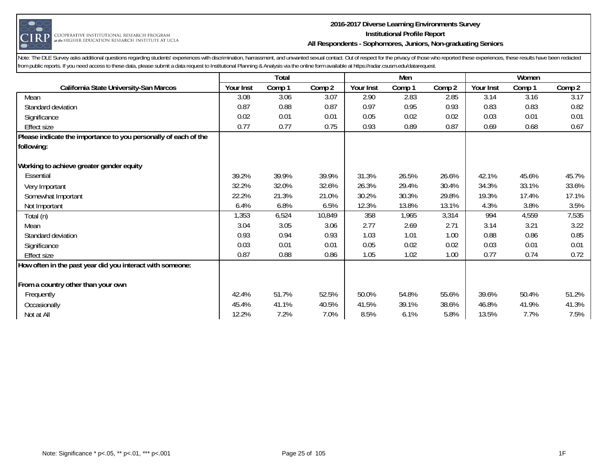

#### **2016-2017 Diverse Learning Environments Survey Institutional Profile Report All Respondents - Sophomores, Juniors, Non-graduating Seniors**

|                                                                 | <b>Total</b> |        |        |           | Men    |        | Women            |        |        |
|-----------------------------------------------------------------|--------------|--------|--------|-----------|--------|--------|------------------|--------|--------|
| California State University-San Marcos                          | Your Inst    | Comp 1 | Comp 2 | Your Inst | Comp 1 | Comp 2 | <b>Your Inst</b> | Comp 1 | Comp 2 |
| Mean                                                            | 3.08         | 3.06   | 3.07   | 2.90      | 2.83   | 2.85   | 3.14             | 3.16   | 3.17   |
| Standard deviation                                              | 0.87         | 0.88   | 0.87   | 0.97      | 0.95   | 0.93   | 0.83             | 0.83   | 0.82   |
| Significance                                                    | 0.02         | 0.01   | 0.01   | 0.05      | 0.02   | 0.02   | 0.03             | 0.01   | 0.01   |
| <b>Effect size</b>                                              | 0.77         | 0.77   | 0.75   | 0.93      | 0.89   | 0.87   | 0.69             | 0.68   | 0.67   |
| Please indicate the importance to you personally of each of the |              |        |        |           |        |        |                  |        |        |
| following:                                                      |              |        |        |           |        |        |                  |        |        |
| Working to achieve greater gender equity                        |              |        |        |           |        |        |                  |        |        |
| Essential                                                       | 39.2%        | 39.9%  | 39.9%  | 31.3%     | 26.5%  | 26.6%  | 42.1%            | 45.6%  | 45.7%  |
| Very Important                                                  | 32.2%        | 32.0%  | 32.6%  | 26.3%     | 29.4%  | 30.4%  | 34.3%            | 33.1%  | 33.6%  |
| Somewhat Important                                              | 22.2%        | 21.3%  | 21.0%  | 30.2%     | 30.3%  | 29.8%  | 19.3%            | 17.4%  | 17.1%  |
| Not Important                                                   | 6.4%         | 6.8%   | 6.5%   | 12.3%     | 13.8%  | 13.1%  | 4.3%             | 3.8%   | 3.5%   |
| Total (n)                                                       | 1,353        | 6,524  | 10,849 | 358       | 1,965  | 3,314  | 994              | 4,559  | 7,535  |
| Mean                                                            | 3.04         | 3.05   | 3.06   | 2.77      | 2.69   | 2.71   | 3.14             | 3.21   | 3.22   |
| Standard deviation                                              | 0.93         | 0.94   | 0.93   | 1.03      | 1.01   | 1.00   | 0.88             | 0.86   | 0.85   |
| Significance                                                    | 0.03         | 0.01   | 0.01   | 0.05      | 0.02   | 0.02   | 0.03             | 0.01   | 0.01   |
| <b>Effect size</b>                                              | 0.87         | 0.88   | 0.86   | 1.05      | 1.02   | 1.00   | 0.77             | 0.74   | 0.72   |
| How often in the past year did you interact with someone:       |              |        |        |           |        |        |                  |        |        |
| From a country other than your own                              |              |        |        |           |        |        |                  |        |        |
| Frequently                                                      | 42.4%        | 51.7%  | 52.5%  | 50.0%     | 54.8%  | 55.6%  | 39.6%            | 50.4%  | 51.2%  |
| Occasionally                                                    | 45.4%        | 41.1%  | 40.5%  | 41.5%     | 39.1%  | 38.6%  | 46.8%            | 41.9%  | 41.3%  |
| Not at All                                                      | 12.2%        | 7.2%   | 7.0%   | 8.5%      | 6.1%   | 5.8%   | 13.5%            | 7.7%   | 7.5%   |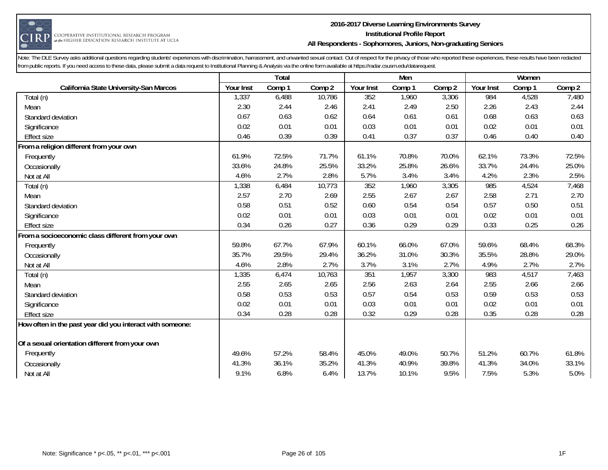

#### **2016-2017 Diverse Learning Environments Survey Institutional Profile Report All Respondents - Sophomores, Juniors, Non-graduating Seniors**

|                                                           | Total     |        |        |           | Men    |        | Women     |        |        |
|-----------------------------------------------------------|-----------|--------|--------|-----------|--------|--------|-----------|--------|--------|
| California State University-San Marcos                    | Your Inst | Comp 1 | Comp 2 | Your Inst | Comp 1 | Comp 2 | Your Inst | Comp 1 | Comp 2 |
| Total (n)                                                 | 1,337     | 6,488  | 10,786 | 352       | 1,960  | 3,306  | 984       | 4,528  | 7,480  |
| Mean                                                      | 2.30      | 2.44   | 2.46   | 2.41      | 2.49   | 2.50   | 2.26      | 2.43   | 2.44   |
| Standard deviation                                        | 0.67      | 0.63   | 0.62   | 0.64      | 0.61   | 0.61   | 0.68      | 0.63   | 0.63   |
| Significance                                              | 0.02      | 0.01   | 0.01   | 0.03      | 0.01   | 0.01   | 0.02      | 0.01   | 0.01   |
| <b>Effect size</b>                                        | 0.46      | 0.39   | 0.39   | 0.41      | 0.37   | 0.37   | 0.46      | 0.40   | 0.40   |
| From a religion different from your own                   |           |        |        |           |        |        |           |        |        |
| Frequently                                                | 61.9%     | 72.5%  | 71.7%  | 61.1%     | 70.8%  | 70.0%  | 62.1%     | 73.3%  | 72.5%  |
| Occasionally                                              | 33.6%     | 24.8%  | 25.5%  | 33.2%     | 25.8%  | 26.6%  | 33.7%     | 24.4%  | 25.0%  |
| Not at All                                                | 4.6%      | 2.7%   | 2.8%   | 5.7%      | 3.4%   | 3.4%   | 4.2%      | 2.3%   | 2.5%   |
| Total (n)                                                 | 1,338     | 6,484  | 10,773 | 352       | 1,960  | 3,305  | 985       | 4,524  | 7,468  |
| Mean                                                      | 2.57      | 2.70   | 2.69   | 2.55      | 2.67   | 2.67   | 2.58      | 2.71   | 2.70   |
| Standard deviation                                        | 0.58      | 0.51   | 0.52   | 0.60      | 0.54   | 0.54   | 0.57      | 0.50   | 0.51   |
| Significance                                              | 0.02      | 0.01   | 0.01   | 0.03      | 0.01   | 0.01   | 0.02      | 0.01   | 0.01   |
| <b>Effect size</b>                                        | 0.34      | 0.26   | 0.27   | 0.36      | 0.29   | 0.29   | 0.33      | 0.25   | 0.26   |
| From a socioeconomic class different from your own        |           |        |        |           |        |        |           |        |        |
| Frequently                                                | 59.8%     | 67.7%  | 67.9%  | 60.1%     | 66.0%  | 67.0%  | 59.6%     | 68.4%  | 68.3%  |
| Occasionally                                              | 35.7%     | 29.5%  | 29.4%  | 36.2%     | 31.0%  | 30.3%  | 35.5%     | 28.8%  | 29.0%  |
| Not at All                                                | 4.6%      | 2.8%   | 2.7%   | 3.7%      | 3.1%   | 2.7%   | 4.9%      | 2.7%   | 2.7%   |
| Total (n)                                                 | 1,335     | 6,474  | 10,763 | 351       | 1,957  | 3,300  | 983       | 4,517  | 7,463  |
| Mean                                                      | 2.55      | 2.65   | 2.65   | 2.56      | 2.63   | 2.64   | 2.55      | 2.66   | 2.66   |
| Standard deviation                                        | 0.58      | 0.53   | 0.53   | 0.57      | 0.54   | 0.53   | 0.59      | 0.53   | 0.53   |
| Significance                                              | 0.02      | 0.01   | 0.01   | 0.03      | 0.01   | 0.01   | 0.02      | 0.01   | 0.01   |
| <b>Effect size</b>                                        | 0.34      | 0.28   | 0.28   | 0.32      | 0.29   | 0.28   | 0.35      | 0.28   | 0.28   |
| How often in the past year did you interact with someone: |           |        |        |           |        |        |           |        |        |
|                                                           |           |        |        |           |        |        |           |        |        |
| Of a sexual orientation different from your own           |           |        |        |           |        |        |           |        |        |
| Frequently                                                | 49.6%     | 57.2%  | 58.4%  | 45.0%     | 49.0%  | 50.7%  | 51.2%     | 60.7%  | 61.8%  |
| Occasionally                                              | 41.3%     | 36.1%  | 35.2%  | 41.3%     | 40.9%  | 39.8%  | 41.3%     | 34.0%  | 33.1%  |
| Not at All                                                | 9.1%      | 6.8%   | 6.4%   | 13.7%     | 10.1%  | 9.5%   | 7.5%      | 5.3%   | 5.0%   |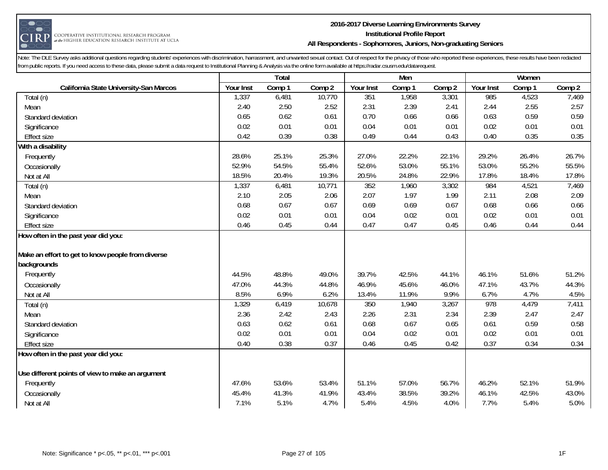

#### **2016-2017 Diverse Learning Environments Survey Institutional Profile Report All Respondents - Sophomores, Juniors, Non-graduating Seniors**

|                                                   | Total     |        |        | Men       |        |        | Women     |        |        |
|---------------------------------------------------|-----------|--------|--------|-----------|--------|--------|-----------|--------|--------|
| California State University-San Marcos            | Your Inst | Comp 1 | Comp 2 | Your Inst | Comp 1 | Comp 2 | Your Inst | Comp 1 | Comp 2 |
| Total (n)                                         | 1,337     | 6,481  | 10,770 | 351       | 1,958  | 3,301  | 985       | 4,523  | 7,469  |
| Mean                                              | 2.40      | 2.50   | 2.52   | 2.31      | 2.39   | 2.41   | 2.44      | 2.55   | 2.57   |
| Standard deviation                                | 0.65      | 0.62   | 0.61   | 0.70      | 0.66   | 0.66   | 0.63      | 0.59   | 0.59   |
| Significance                                      | 0.02      | 0.01   | 0.01   | 0.04      | 0.01   | 0.01   | 0.02      | 0.01   | 0.01   |
| <b>Effect size</b>                                | 0.42      | 0.39   | 0.38   | 0.49      | 0.44   | 0.43   | 0.40      | 0.35   | 0.35   |
| With a disability                                 |           |        |        |           |        |        |           |        |        |
| Frequently                                        | 28.6%     | 25.1%  | 25.3%  | 27.0%     | 22.2%  | 22.1%  | 29.2%     | 26.4%  | 26.7%  |
| Occasionally                                      | 52.9%     | 54.5%  | 55.4%  | 52.6%     | 53.0%  | 55.1%  | 53.0%     | 55.2%  | 55.5%  |
| Not at All                                        | 18.5%     | 20.4%  | 19.3%  | 20.5%     | 24.8%  | 22.9%  | 17.8%     | 18.4%  | 17.8%  |
| Total (n)                                         | 1,337     | 6,481  | 10,771 | 352       | 1,960  | 3,302  | 984       | 4,521  | 7,469  |
| Mean                                              | 2.10      | 2.05   | 2.06   | 2.07      | 1.97   | 1.99   | 2.11      | 2.08   | 2.09   |
| Standard deviation                                | 0.68      | 0.67   | 0.67   | 0.69      | 0.69   | 0.67   | 0.68      | 0.66   | 0.66   |
| Significance                                      | 0.02      | 0.01   | 0.01   | 0.04      | 0.02   | 0.01   | 0.02      | 0.01   | 0.01   |
| <b>Effect size</b>                                | 0.46      | 0.45   | 0.44   | 0.47      | 0.47   | 0.45   | 0.46      | 0.44   | 0.44   |
| How often in the past year did you:               |           |        |        |           |        |        |           |        |        |
|                                                   |           |        |        |           |        |        |           |        |        |
| Make an effort to get to know people from diverse |           |        |        |           |        |        |           |        |        |
| backgrounds                                       |           |        |        |           |        |        |           |        |        |
| Frequently                                        | 44.5%     | 48.8%  | 49.0%  | 39.7%     | 42.5%  | 44.1%  | 46.1%     | 51.6%  | 51.2%  |
| Occasionally                                      | 47.0%     | 44.3%  | 44.8%  | 46.9%     | 45.6%  | 46.0%  | 47.1%     | 43.7%  | 44.3%  |
| Not at All                                        | 8.5%      | 6.9%   | 6.2%   | 13.4%     | 11.9%  | 9.9%   | 6.7%      | 4.7%   | 4.5%   |
| Total (n)                                         | 1,329     | 6,419  | 10,678 | 350       | 1,940  | 3,267  | 978       | 4,479  | 7,411  |
| Mean                                              | 2.36      | 2.42   | 2.43   | 2.26      | 2.31   | 2.34   | 2.39      | 2.47   | 2.47   |
| Standard deviation                                | 0.63      | 0.62   | 0.61   | 0.68      | 0.67   | 0.65   | 0.61      | 0.59   | 0.58   |
| Significance                                      | 0.02      | 0.01   | 0.01   | 0.04      | 0.02   | 0.01   | 0.02      | 0.01   | 0.01   |
| <b>Effect size</b>                                | 0.40      | 0.38   | 0.37   | 0.46      | 0.45   | 0.42   | 0.37      | 0.34   | 0.34   |
| How often in the past year did you:               |           |        |        |           |        |        |           |        |        |
|                                                   |           |        |        |           |        |        |           |        |        |
| Use different points of view to make an argument  |           |        |        |           |        |        |           |        |        |
| Frequently                                        | 47.6%     | 53.6%  | 53.4%  | 51.1%     | 57.0%  | 56.7%  | 46.2%     | 52.1%  | 51.9%  |
| Occasionally                                      | 45.4%     | 41.3%  | 41.9%  | 43.4%     | 38.5%  | 39.2%  | 46.1%     | 42.5%  | 43.0%  |
| Not at All                                        | 7.1%      | 5.1%   | 4.7%   | 5.4%      | 4.5%   | 4.0%   | 7.7%      | 5.4%   | 5.0%   |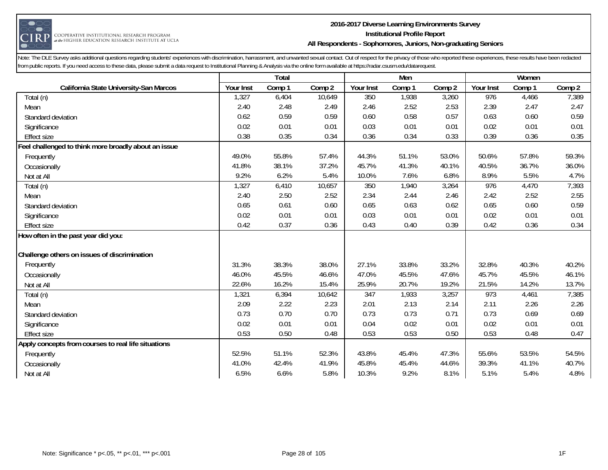

#### **2016-2017 Diverse Learning Environments Survey Institutional Profile Report All Respondents - Sophomores, Juniors, Non-graduating Seniors**

|                                                      | Total     |        |        |           | Men    |        | Women     |        |        |
|------------------------------------------------------|-----------|--------|--------|-----------|--------|--------|-----------|--------|--------|
| California State University-San Marcos               | Your Inst | Comp 1 | Comp 2 | Your Inst | Comp 1 | Comp 2 | Your Inst | Comp 1 | Comp 2 |
| Total (n)                                            | 1,327     | 6,404  | 10,649 | 350       | 1,938  | 3,260  | 976       | 4,466  | 7,389  |
| Mean                                                 | 2.40      | 2.48   | 2.49   | 2.46      | 2.52   | 2.53   | 2.39      | 2.47   | 2.47   |
| Standard deviation                                   | 0.62      | 0.59   | 0.59   | 0.60      | 0.58   | 0.57   | 0.63      | 0.60   | 0.59   |
| Significance                                         | 0.02      | 0.01   | 0.01   | 0.03      | 0.01   | 0.01   | 0.02      | 0.01   | 0.01   |
| <b>Effect size</b>                                   | 0.38      | 0.35   | 0.34   | 0.36      | 0.34   | 0.33   | 0.39      | 0.36   | 0.35   |
| Feel challenged to think more broadly about an issue |           |        |        |           |        |        |           |        |        |
| Frequently                                           | 49.0%     | 55.8%  | 57.4%  | 44.3%     | 51.1%  | 53.0%  | 50.6%     | 57.8%  | 59.3%  |
| Occasionally                                         | 41.8%     | 38.1%  | 37.2%  | 45.7%     | 41.3%  | 40.1%  | 40.5%     | 36.7%  | 36.0%  |
| Not at All                                           | 9.2%      | 6.2%   | 5.4%   | 10.0%     | 7.6%   | 6.8%   | 8.9%      | 5.5%   | 4.7%   |
| Total (n)                                            | 1,327     | 6,410  | 10,657 | 350       | 1,940  | 3,264  | 976       | 4,470  | 7,393  |
| Mean                                                 | 2.40      | 2.50   | 2.52   | 2.34      | 2.44   | 2.46   | 2.42      | 2.52   | 2.55   |
| Standard deviation                                   | 0.65      | 0.61   | 0.60   | 0.65      | 0.63   | 0.62   | 0.65      | 0.60   | 0.59   |
| Significance                                         | 0.02      | 0.01   | 0.01   | 0.03      | 0.01   | 0.01   | 0.02      | 0.01   | 0.01   |
| <b>Effect size</b>                                   | 0.42      | 0.37   | 0.36   | 0.43      | 0.40   | 0.39   | 0.42      | 0.36   | 0.34   |
| How often in the past year did you:                  |           |        |        |           |        |        |           |        |        |
|                                                      |           |        |        |           |        |        |           |        |        |
| Challenge others on issues of discrimination         |           |        |        |           |        |        |           |        |        |
| Frequently                                           | 31.3%     | 38.3%  | 38.0%  | 27.1%     | 33.8%  | 33.2%  | 32.8%     | 40.3%  | 40.2%  |
| Occasionally                                         | 46.0%     | 45.5%  | 46.6%  | 47.0%     | 45.5%  | 47.6%  | 45.7%     | 45.5%  | 46.1%  |
| Not at All                                           | 22.6%     | 16.2%  | 15.4%  | 25.9%     | 20.7%  | 19.2%  | 21.5%     | 14.2%  | 13.7%  |
| Total (n)                                            | 1,321     | 6,394  | 10,642 | 347       | 1,933  | 3,257  | 973       | 4,461  | 7,385  |
| Mean                                                 | 2.09      | 2.22   | 2.23   | 2.01      | 2.13   | 2.14   | 2.11      | 2.26   | 2.26   |
| Standard deviation                                   | 0.73      | 0.70   | 0.70   | 0.73      | 0.73   | 0.71   | 0.73      | 0.69   | 0.69   |
| Significance                                         | 0.02      | 0.01   | 0.01   | 0.04      | 0.02   | 0.01   | 0.02      | 0.01   | 0.01   |
| <b>Effect size</b>                                   | 0.53      | 0.50   | 0.48   | 0.53      | 0.53   | 0.50   | 0.53      | 0.48   | 0.47   |
| Apply concepts from courses to real life situations  |           |        |        |           |        |        |           |        |        |
| Frequently                                           | 52.5%     | 51.1%  | 52.3%  | 43.8%     | 45.4%  | 47.3%  | 55.6%     | 53.5%  | 54.5%  |
| Occasionally                                         | 41.0%     | 42.4%  | 41.9%  | 45.8%     | 45.4%  | 44.6%  | 39.3%     | 41.1%  | 40.7%  |
| Not at All                                           | 6.5%      | 6.6%   | 5.8%   | 10.3%     | 9.2%   | 8.1%   | 5.1%      | 5.4%   | 4.8%   |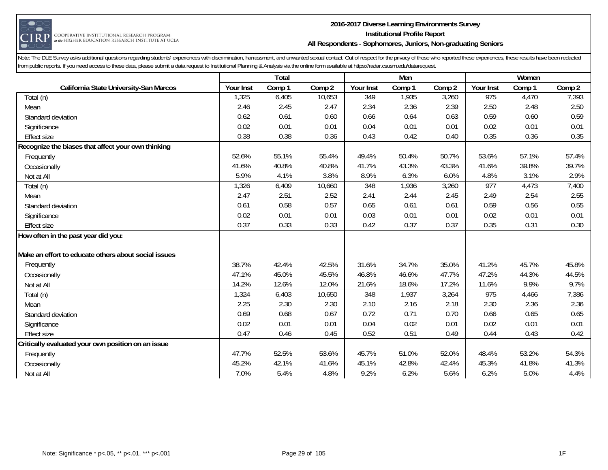

#### **2016-2017 Diverse Learning Environments Survey Institutional Profile Report All Respondents - Sophomores, Juniors, Non-graduating Seniors**

|                                                      | Total     |        |        |           | Men    |        | Women     |        |        |
|------------------------------------------------------|-----------|--------|--------|-----------|--------|--------|-----------|--------|--------|
| California State University-San Marcos               | Your Inst | Comp 1 | Comp 2 | Your Inst | Comp 1 | Comp 2 | Your Inst | Comp 1 | Comp 2 |
| Total (n)                                            | 1,325     | 6,405  | 10,653 | 349       | 1,935  | 3,260  | 975       | 4,470  | 7,393  |
| Mean                                                 | 2.46      | 2.45   | 2.47   | 2.34      | 2.36   | 2.39   | 2.50      | 2.48   | 2.50   |
| Standard deviation                                   | 0.62      | 0.61   | 0.60   | 0.66      | 0.64   | 0.63   | 0.59      | 0.60   | 0.59   |
| Significance                                         | 0.02      | 0.01   | 0.01   | 0.04      | 0.01   | 0.01   | 0.02      | 0.01   | 0.01   |
| <b>Effect size</b>                                   | 0.38      | 0.38   | 0.36   | 0.43      | 0.42   | 0.40   | 0.35      | 0.36   | 0.35   |
| Recognize the biases that affect your own thinking   |           |        |        |           |        |        |           |        |        |
| Frequently                                           | 52.6%     | 55.1%  | 55.4%  | 49.4%     | 50.4%  | 50.7%  | 53.6%     | 57.1%  | 57.4%  |
| Occasionally                                         | 41.6%     | 40.8%  | 40.8%  | 41.7%     | 43.3%  | 43.3%  | 41.6%     | 39.8%  | 39.7%  |
| Not at All                                           | 5.9%      | 4.1%   | 3.8%   | 8.9%      | 6.3%   | 6.0%   | 4.8%      | 3.1%   | 2.9%   |
| Total (n)                                            | 1,326     | 6,409  | 10,660 | 348       | 1,936  | 3,260  | 977       | 4,473  | 7,400  |
| Mean                                                 | 2.47      | 2.51   | 2.52   | 2.41      | 2.44   | 2.45   | 2.49      | 2.54   | 2.55   |
| Standard deviation                                   | 0.61      | 0.58   | 0.57   | 0.65      | 0.61   | 0.61   | 0.59      | 0.56   | 0.55   |
| Significance                                         | 0.02      | 0.01   | 0.01   | 0.03      | 0.01   | 0.01   | 0.02      | 0.01   | 0.01   |
| <b>Effect size</b>                                   | 0.37      | 0.33   | 0.33   | 0.42      | 0.37   | 0.37   | 0.35      | 0.31   | 0.30   |
| How often in the past year did you:                  |           |        |        |           |        |        |           |        |        |
|                                                      |           |        |        |           |        |        |           |        |        |
| Make an effort to educate others about social issues |           |        |        |           |        |        |           |        |        |
| Frequently                                           | 38.7%     | 42.4%  | 42.5%  | 31.6%     | 34.7%  | 35.0%  | 41.2%     | 45.7%  | 45.8%  |
| Occasionally                                         | 47.1%     | 45.0%  | 45.5%  | 46.8%     | 46.6%  | 47.7%  | 47.2%     | 44.3%  | 44.5%  |
| Not at All                                           | 14.2%     | 12.6%  | 12.0%  | 21.6%     | 18.6%  | 17.2%  | 11.6%     | 9.9%   | 9.7%   |
| Total (n)                                            | 1,324     | 6,403  | 10,650 | 348       | 1,937  | 3,264  | 975       | 4,466  | 7,386  |
| Mean                                                 | 2.25      | 2.30   | 2.30   | 2.10      | 2.16   | 2.18   | 2.30      | 2.36   | 2.36   |
| Standard deviation                                   | 0.69      | 0.68   | 0.67   | 0.72      | 0.71   | 0.70   | 0.66      | 0.65   | 0.65   |
| Significance                                         | 0.02      | 0.01   | 0.01   | 0.04      | 0.02   | 0.01   | 0.02      | 0.01   | 0.01   |
| <b>Effect size</b>                                   | 0.47      | 0.46   | 0.45   | 0.52      | 0.51   | 0.49   | 0.44      | 0.43   | 0.42   |
| Critically evaluated your own position on an issue   |           |        |        |           |        |        |           |        |        |
| Frequently                                           | 47.7%     | 52.5%  | 53.6%  | 45.7%     | 51.0%  | 52.0%  | 48.4%     | 53.2%  | 54.3%  |
| Occasionally                                         | 45.2%     | 42.1%  | 41.6%  | 45.1%     | 42.8%  | 42.4%  | 45.3%     | 41.8%  | 41.3%  |
| Not at All                                           | 7.0%      | 5.4%   | 4.8%   | 9.2%      | 6.2%   | 5.6%   | 6.2%      | 5.0%   | 4.4%   |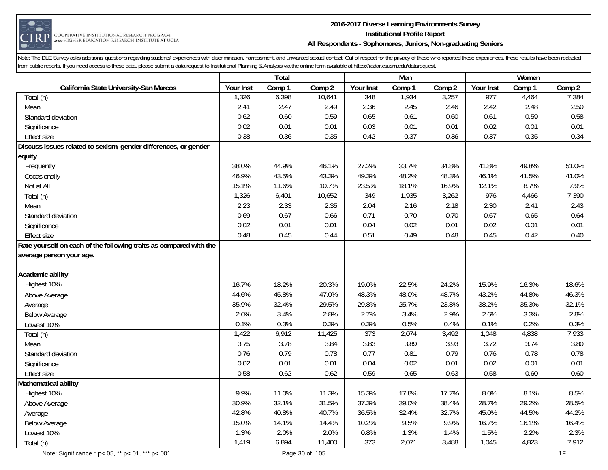

#### **2016-2017 Diverse Learning Environments Survey Institutional Profile Report All Respondents - Sophomores, Juniors, Non-graduating Seniors**

|                                                                    | <b>Total</b> |        |        | Men              |        |                   | Women     |        |        |
|--------------------------------------------------------------------|--------------|--------|--------|------------------|--------|-------------------|-----------|--------|--------|
| California State University-San Marcos                             | Your Inst    | Comp 1 | Comp 2 | Your Inst        | Comp 1 | Comp <sub>2</sub> | Your Inst | Comp 1 | Comp 2 |
| Total (n)                                                          | 1,326        | 6,398  | 10,641 | 348              | 1,934  | 3,257             | 977       | 4,464  | 7,384  |
| Mean                                                               | 2.41         | 2.47   | 2.49   | 2.36             | 2.45   | 2.46              | 2.42      | 2.48   | 2.50   |
| Standard deviation                                                 | 0.62         | 0.60   | 0.59   | 0.65             | 0.61   | 0.60              | 0.61      | 0.59   | 0.58   |
| Significance                                                       | 0.02         | 0.01   | 0.01   | 0.03             | 0.01   | 0.01              | 0.02      | 0.01   | 0.01   |
| <b>Effect size</b>                                                 | 0.38         | 0.36   | 0.35   | 0.42             | 0.37   | 0.36              | 0.37      | 0.35   | 0.34   |
| Discuss issues related to sexism, gender differences, or gender    |              |        |        |                  |        |                   |           |        |        |
| equity                                                             |              |        |        |                  |        |                   |           |        |        |
| Frequently                                                         | 38.0%        | 44.9%  | 46.1%  | 27.2%            | 33.7%  | 34.8%             | 41.8%     | 49.8%  | 51.0%  |
| Occasionally                                                       | 46.9%        | 43.5%  | 43.3%  | 49.3%            | 48.2%  | 48.3%             | 46.1%     | 41.5%  | 41.0%  |
| Not at All                                                         | 15.1%        | 11.6%  | 10.7%  | 23.5%            | 18.1%  | 16.9%             | 12.1%     | 8.7%   | 7.9%   |
| Total (n)                                                          | 1,326        | 6,401  | 10,652 | 349              | 1,935  | 3,262             | 976       | 4,466  | 7,390  |
| Mean                                                               | 2.23         | 2.33   | 2.35   | 2.04             | 2.16   | 2.18              | 2.30      | 2.41   | 2.43   |
| Standard deviation                                                 | 0.69         | 0.67   | 0.66   | 0.71             | 0.70   | 0.70              | 0.67      | 0.65   | 0.64   |
| Significance                                                       | 0.02         | 0.01   | 0.01   | 0.04             | 0.02   | 0.01              | 0.02      | 0.01   | 0.01   |
| <b>Effect size</b>                                                 | 0.48         | 0.45   | 0.44   | 0.51             | 0.49   | 0.48              | 0.45      | 0.42   | 0.40   |
| Rate yourself on each of the following traits as compared with the |              |        |        |                  |        |                   |           |        |        |
| average person your age.                                           |              |        |        |                  |        |                   |           |        |        |
|                                                                    |              |        |        |                  |        |                   |           |        |        |
| Academic ability                                                   |              |        |        |                  |        |                   |           |        |        |
| Highest 10%                                                        | 16.7%        | 18.2%  | 20.3%  | 19.0%            | 22.5%  | 24.2%             | 15.9%     | 16.3%  | 18.6%  |
| Above Average                                                      | 44.6%        | 45.8%  | 47.0%  | 48.3%            | 48.0%  | 48.7%             | 43.2%     | 44.8%  | 46.3%  |
| Average                                                            | 35.9%        | 32.4%  | 29.5%  | 29.8%            | 25.7%  | 23.8%             | 38.2%     | 35.3%  | 32.1%  |
| <b>Below Average</b>                                               | 2.6%         | 3.4%   | 2.8%   | 2.7%             | 3.4%   | 2.9%              | 2.6%      | 3.3%   | 2.8%   |
| Lowest 10%                                                         | 0.1%         | 0.3%   | 0.3%   | 0.3%             | 0.5%   | 0.4%              | 0.1%      | 0.2%   | 0.3%   |
| Total (n)                                                          | 1,422        | 6,912  | 11,425 | $\overline{373}$ | 2,074  | 3,492             | 1,048     | 4,838  | 7,933  |
| Mean                                                               | 3.75         | 3.78   | 3.84   | 3.83             | 3.89   | 3.93              | 3.72      | 3.74   | 3.80   |
| Standard deviation                                                 | 0.76         | 0.79   | 0.78   | 0.77             | 0.81   | 0.79              | 0.76      | 0.78   | 0.78   |
| Significance                                                       | 0.02         | 0.01   | 0.01   | 0.04             | 0.02   | 0.01              | 0.02      | 0.01   | 0.01   |
| <b>Effect size</b>                                                 | 0.58         | 0.62   | 0.62   | 0.59             | 0.65   | 0.63              | 0.58      | 0.60   | 0.60   |
| Mathematical ability                                               |              |        |        |                  |        |                   |           |        |        |
| Highest 10%                                                        | 9.9%         | 11.0%  | 11.3%  | 15.3%            | 17.8%  | 17.7%             | 8.0%      | 8.1%   | 8.5%   |
| Above Average                                                      | 30.9%        | 32.1%  | 31.5%  | 37.3%            | 39.0%  | 38.4%             | 28.7%     | 29.2%  | 28.5%  |
| Average                                                            | 42.8%        | 40.8%  | 40.7%  | 36.5%            | 32.4%  | 32.7%             | 45.0%     | 44.5%  | 44.2%  |
| <b>Below Average</b>                                               | 15.0%        | 14.1%  | 14.4%  | 10.2%            | 9.5%   | 9.9%              | 16.7%     | 16.1%  | 16.4%  |
| Lowest 10%                                                         | 1.3%         | 2.0%   | 2.0%   | 0.8%             | 1.3%   | 1.4%              | 1.5%      | 2.2%   | 2.3%   |
| Total (n)                                                          | 1,419        | 6,894  | 11,400 | 373              | 2,071  | 3,488             | 1,045     | 4,823  | 7,912  |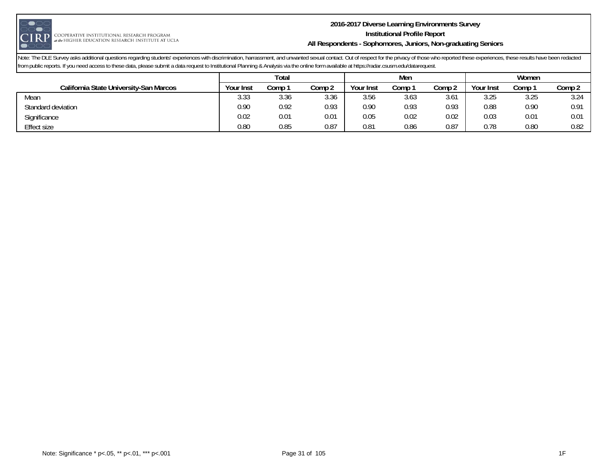

#### **2016-2017 Diverse Learning Environments Survey Institutional Profile Report All Respondents - Sophomores, Juniors, Non-graduating Seniors**

|                                        | Total            |      |        |           | Men    |               | Women     |      |        |
|----------------------------------------|------------------|------|--------|-----------|--------|---------------|-----------|------|--------|
| California State University-San Marcos | <b>Your Inst</b> | Comp | Comp 2 | Your Inst | Comp 1 | Comp 2        | Your Inst | Comp | Comp 2 |
| Mean                                   | 3.33             | 3.36 | 3.36   | 3.56      | 3.63   | $3.6^{\circ}$ | 3.25      | 3.25 | 3.24   |
| Standard deviation                     | 0.90             | 0.92 | 0.93   | 0.90      | 0.93   | 0.93          | 0.88      | 0.90 | 0.91   |
| Significance                           | 0.02             | 0.01 | 0.01   | 0.05      | 0.02   | 0.02          | 0.03      | 0.01 | 0.01   |
| Effect size                            | 0.80             | 0.85 | 0.87   | 0.81      | 0.86   | 0.87          | 0.78      | 0.80 | 0.82   |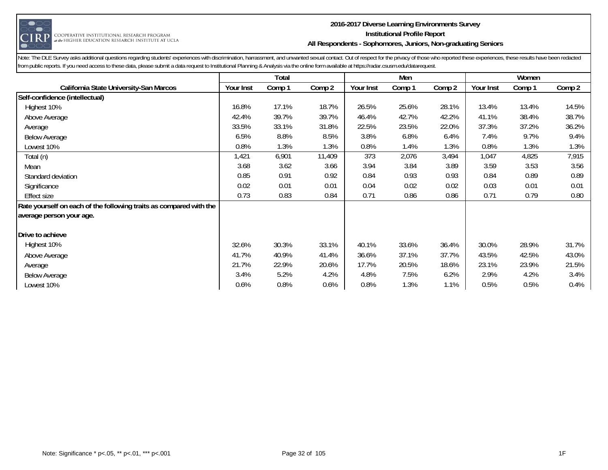

#### **2016-2017 Diverse Learning Environments Survey Institutional Profile Report All Respondents - Sophomores, Juniors, Non-graduating Seniors**

|                                                                    |           | Total  |        | Men       |        |        |           | Women  |        |
|--------------------------------------------------------------------|-----------|--------|--------|-----------|--------|--------|-----------|--------|--------|
| California State University-San Marcos                             | Your Inst | Comp 1 | Comp 2 | Your Inst | Comp 1 | Comp 2 | Your Inst | Comp 1 | Comp 2 |
| Self-confidence (intellectual)                                     |           |        |        |           |        |        |           |        |        |
| Highest 10%                                                        | 16.8%     | 17.1%  | 18.7%  | 26.5%     | 25.6%  | 28.1%  | 13.4%     | 13.4%  | 14.5%  |
| Above Average                                                      | 42.4%     | 39.7%  | 39.7%  | 46.4%     | 42.7%  | 42.2%  | 41.1%     | 38.4%  | 38.7%  |
| Average                                                            | 33.5%     | 33.1%  | 31.8%  | 22.5%     | 23.5%  | 22.0%  | 37.3%     | 37.2%  | 36.2%  |
| <b>Below Average</b>                                               | 6.5%      | 8.8%   | 8.5%   | 3.8%      | 6.8%   | 6.4%   | 7.4%      | 9.7%   | 9.4%   |
| Lowest 10%                                                         | 0.8%      | 1.3%   | 1.3%   | 0.8%      | 1.4%   | 1.3%   | 0.8%      | 1.3%   | 1.3%   |
| Total (n)                                                          | 1,421     | 6,901  | 11,409 | 373       | 2,076  | 3,494  | 1,047     | 4,825  | 7,915  |
| Mean                                                               | 3.68      | 3.62   | 3.66   | 3.94      | 3.84   | 3.89   | 3.59      | 3.53   | 3.56   |
| Standard deviation                                                 | 0.85      | 0.91   | 0.92   | 0.84      | 0.93   | 0.93   | 0.84      | 0.89   | 0.89   |
| Significance                                                       | 0.02      | 0.01   | 0.01   | 0.04      | 0.02   | 0.02   | 0.03      | 0.01   | 0.01   |
| <b>Effect size</b>                                                 | 0.73      | 0.83   | 0.84   | 0.71      | 0.86   | 0.86   | 0.71      | 0.79   | 0.80   |
| Rate yourself on each of the following traits as compared with the |           |        |        |           |        |        |           |        |        |
| average person your age.                                           |           |        |        |           |        |        |           |        |        |
|                                                                    |           |        |        |           |        |        |           |        |        |
| Drive to achieve                                                   |           |        |        |           |        |        |           |        |        |
| Highest 10%                                                        | 32.6%     | 30.3%  | 33.1%  | 40.1%     | 33.6%  | 36.4%  | 30.0%     | 28.9%  | 31.7%  |
| Above Average                                                      | 41.7%     | 40.9%  | 41.4%  | 36.6%     | 37.1%  | 37.7%  | 43.5%     | 42.5%  | 43.0%  |
| Average                                                            | 21.7%     | 22.9%  | 20.6%  | 17.7%     | 20.5%  | 18.6%  | 23.1%     | 23.9%  | 21.5%  |
| <b>Below Average</b>                                               | 3.4%      | 5.2%   | 4.2%   | 4.8%      | 7.5%   | 6.2%   | 2.9%      | 4.2%   | 3.4%   |
| Lowest 10%                                                         | 0.6%      | 0.8%   | 0.6%   | 0.8%      | 1.3%   | 1.1%   | 0.5%      | 0.5%   | 0.4%   |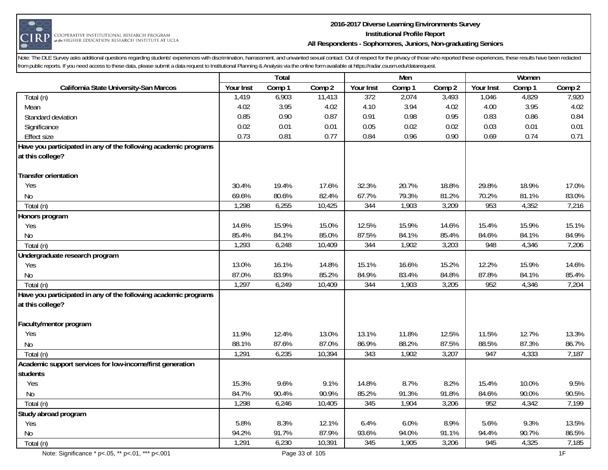

#### **2016-2017 Diverse Learning Environments Survey Institutional Profile Report All Respondents - Sophomores, Juniors, Non-graduating Seniors**

|                                                                 | <b>Total</b> |        |        | Men              |        |        | Women     |        |        |
|-----------------------------------------------------------------|--------------|--------|--------|------------------|--------|--------|-----------|--------|--------|
| California State University-San Marcos                          | Your Inst    | Comp 1 | Comp 2 | Your Inst        | Comp 1 | Comp 2 | Your Inst | Comp 1 | Comp 2 |
| Total (n)                                                       | 1,419        | 6,903  | 11,413 | $\overline{372}$ | 2,074  | 3,493  | 1,046     | 4,829  | 7,920  |
| Mean                                                            | 4.02         | 3.95   | 4.02   | 4.10             | 3.94   | 4.02   | 4.00      | 3.95   | 4.02   |
| Standard deviation                                              | 0.85         | 0.90   | 0.87   | 0.91             | 0.98   | 0.95   | 0.83      | 0.86   | 0.84   |
| Significance                                                    | 0.02         | 0.01   | 0.01   | 0.05             | 0.02   | 0.02   | 0.03      | 0.01   | 0.01   |
| <b>Effect size</b>                                              | 0.73         | 0.81   | 0.77   | 0.84             | 0.96   | 0.90   | 0.69      | 0.74   | 0.71   |
| Have you participated in any of the following academic programs |              |        |        |                  |        |        |           |        |        |
| at this college?                                                |              |        |        |                  |        |        |           |        |        |
|                                                                 |              |        |        |                  |        |        |           |        |        |
| <b>Transfer orientation</b>                                     |              |        |        |                  |        |        |           |        |        |
| Yes                                                             | 30.4%        | 19.4%  | 17.6%  | 32.3%            | 20.7%  | 18.8%  | 29.8%     | 18.9%  | 17.0%  |
| No                                                              | 69.6%        | 80.6%  | 82.4%  | 67.7%            | 79.3%  | 81.2%  | 70.2%     | 81.1%  | 83.0%  |
| Total (n)                                                       | 1,298        | 6,255  | 10,425 | 344              | 1,903  | 3,209  | 953       | 4,352  | 7,216  |
| Honors program                                                  |              |        |        |                  |        |        |           |        |        |
| Yes                                                             | 14.6%        | 15.9%  | 15.0%  | 12.5%            | 15.9%  | 14.6%  | 15.4%     | 15.9%  | 15.1%  |
| No                                                              | 85.4%        | 84.1%  | 85.0%  | 87.5%            | 84.1%  | 85.4%  | 84.6%     | 84.1%  | 84.9%  |
| Total (n)                                                       | 1,293        | 6,248  | 10,409 | 344              | 1,902  | 3,203  | 948       | 4,346  | 7,206  |
| Undergraduate research program                                  |              |        |        |                  |        |        |           |        |        |
| Yes                                                             | 13.0%        | 16.1%  | 14.8%  | 15.1%            | 16.6%  | 15.2%  | 12.2%     | 15.9%  | 14.6%  |
| No                                                              | 87.0%        | 83.9%  | 85.2%  | 84.9%            | 83.4%  | 84.8%  | 87.8%     | 84.1%  | 85.4%  |
| Total (n)                                                       | 1,297        | 6,249  | 10,409 | 344              | 1,903  | 3,205  | 952       | 4,346  | 7,204  |
| Have you participated in any of the following academic programs |              |        |        |                  |        |        |           |        |        |
| at this college?                                                |              |        |        |                  |        |        |           |        |        |
|                                                                 |              |        |        |                  |        |        |           |        |        |
| Faculty/mentor program                                          |              |        |        |                  |        |        |           |        |        |
| Yes                                                             | 11.9%        | 12.4%  | 13.0%  | 13.1%            | 11.8%  | 12.5%  | 11.5%     | 12.7%  | 13.3%  |
| <b>No</b>                                                       | 88.1%        | 87.6%  | 87.0%  | 86.9%            | 88.2%  | 87.5%  | 88.5%     | 87.3%  | 86.7%  |
| Total (n)                                                       | 1,291        | 6,235  | 10,394 | 343              | 1,902  | 3,207  | 947       | 4,333  | 7,187  |
| Academic support services for low-income/first generation       |              |        |        |                  |        |        |           |        |        |
| students                                                        |              |        |        |                  |        |        |           |        |        |
| Yes                                                             | 15.3%        | 9.6%   | 9.1%   | 14.8%            | 8.7%   | 8.2%   | 15.4%     | 10.0%  | 9.5%   |
| N <sub>0</sub>                                                  | 84.7%        | 90.4%  | 90.9%  | 85.2%            | 91.3%  | 91.8%  | 84.6%     | 90.0%  | 90.5%  |
| Total (n)                                                       | 1,298        | 6,246  | 10,405 | 345              | 1,904  | 3,206  | 952       | 4,342  | 7,199  |
| Study abroad program                                            |              |        |        |                  |        |        |           |        |        |
| Yes                                                             | 5.8%         | 8.3%   | 12.1%  | 6.4%             | 6.0%   | 8.9%   | 5.6%      | 9.3%   | 13.5%  |
| <b>No</b>                                                       | 94.2%        | 91.7%  | 87.9%  | 93.6%            | 94.0%  | 91.1%  | 94.4%     | 90.7%  | 86.5%  |
| Total (n)                                                       | 1,291        | 6,230  | 10,391 | 345              | 1,905  | 3,206  | 945       | 4,325  | 7,185  |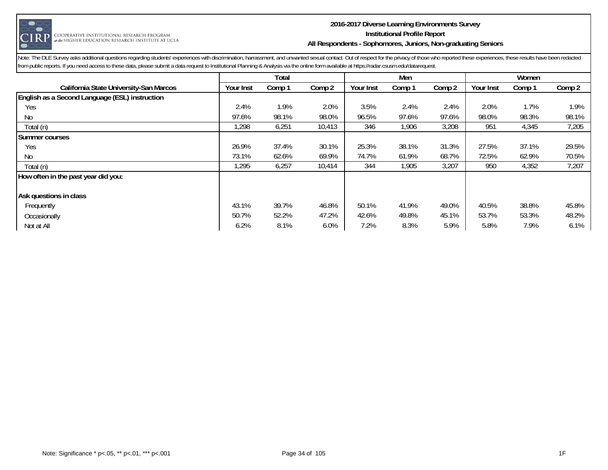

#### **2016-2017 Diverse Learning Environments Survey Institutional Profile Report All Respondents - Sophomores, Juniors, Non-graduating Seniors**

|                                                |           | Total  |        |           | Men    |        | Women     |        |        |
|------------------------------------------------|-----------|--------|--------|-----------|--------|--------|-----------|--------|--------|
| California State University-San Marcos         | Your Inst | Comp 1 | Comp 2 | Your Inst | Comp 1 | Comp 2 | Your Inst | Comp 1 | Comp 2 |
| English as a Second Language (ESL) instruction |           |        |        |           |        |        |           |        |        |
| Yes                                            | 2.4%      | 1.9%   | 2.0%   | 3.5%      | 2.4%   | 2.4%   | 2.0%      | 1.7%   | 1.9%   |
| No                                             | 97.6%     | 98.1%  | 98.0%  | 96.5%     | 97.6%  | 97.6%  | 98.0%     | 98.3%  | 98.1%  |
| Total (n)                                      | 298, ا    | 6,251  | 10,413 | 346       | 1,906  | 3,208  | 951       | 4,345  | 7,205  |
| Summer courses                                 |           |        |        |           |        |        |           |        |        |
| Yes                                            | 26.9%     | 37.4%  | 30.1%  | 25.3%     | 38.1%  | 31.3%  | 27.5%     | 37.1%  | 29.5%  |
| No                                             | 73.1%     | 62.6%  | 69.9%  | 74.7%     | 61.9%  | 68.7%  | 72.5%     | 62.9%  | 70.5%  |
| Total (n)                                      | 1,295     | 6,257  | 10,414 | 344       | 1,905  | 3,207  | 950       | 4,352  | 7,207  |
| How often in the past year did you:            |           |        |        |           |        |        |           |        |        |
| Ask questions in class                         |           |        |        |           |        |        |           |        |        |
| Frequently                                     | 43.1%     | 39.7%  | 46.8%  | 50.1%     | 41.9%  | 49.0%  | 40.5%     | 38.8%  | 45.8%  |
| Occasionally                                   | 50.7%     | 52.2%  | 47.2%  | 42.6%     | 49.8%  | 45.1%  | 53.7%     | 53.3%  | 48.2%  |
| Not at All                                     | 6.2%      | 8.1%   | 6.0%   | 7.2%      | 8.3%   | 5.9%   | 5.8%      | 7.9%   | 6.1%   |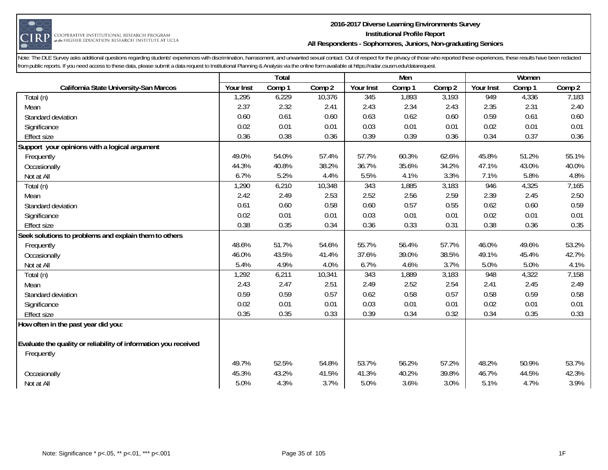

#### **2016-2017 Diverse Learning Environments Survey Institutional Profile Report All Respondents - Sophomores, Juniors, Non-graduating Seniors**

|                                                                 |           | Total  |        |           | Men    |        | Women     |        |        |
|-----------------------------------------------------------------|-----------|--------|--------|-----------|--------|--------|-----------|--------|--------|
| California State University-San Marcos                          | Your Inst | Comp 1 | Comp 2 | Your Inst | Comp 1 | Comp 2 | Your Inst | Comp 1 | Comp 2 |
| Total (n)                                                       | 1,295     | 6,229  | 10,376 | 345       | 1,893  | 3,193  | 949       | 4,336  | 7,183  |
| Mean                                                            | 2.37      | 2.32   | 2.41   | 2.43      | 2.34   | 2.43   | 2.35      | 2.31   | 2.40   |
| Standard deviation                                              | 0.60      | 0.61   | 0.60   | 0.63      | 0.62   | 0.60   | 0.59      | 0.61   | 0.60   |
| Significance                                                    | 0.02      | 0.01   | 0.01   | 0.03      | 0.01   | 0.01   | 0.02      | 0.01   | 0.01   |
| <b>Effect size</b>                                              | 0.36      | 0.38   | 0.36   | 0.39      | 0.39   | 0.36   | 0.34      | 0.37   | 0.36   |
| Support your opinions with a logical argument                   |           |        |        |           |        |        |           |        |        |
| Frequently                                                      | 49.0%     | 54.0%  | 57.4%  | 57.7%     | 60.3%  | 62.6%  | 45.8%     | 51.2%  | 55.1%  |
| Occasionally                                                    | 44.3%     | 40.8%  | 38.2%  | 36.7%     | 35.6%  | 34.2%  | 47.1%     | 43.0%  | 40.0%  |
| Not at All                                                      | 6.7%      | 5.2%   | 4.4%   | 5.5%      | 4.1%   | 3.3%   | 7.1%      | 5.8%   | 4.8%   |
| Total (n)                                                       | 1,290     | 6,210  | 10,348 | 343       | 1,885  | 3,183  | 946       | 4,325  | 7,165  |
| Mean                                                            | 2.42      | 2.49   | 2.53   | 2.52      | 2.56   | 2.59   | 2.39      | 2.45   | 2.50   |
| Standard deviation                                              | 0.61      | 0.60   | 0.58   | 0.60      | 0.57   | 0.55   | 0.62      | 0.60   | 0.59   |
| Significance                                                    | 0.02      | 0.01   | 0.01   | 0.03      | 0.01   | 0.01   | 0.02      | 0.01   | 0.01   |
| <b>Effect size</b>                                              | 0.38      | 0.35   | 0.34   | 0.36      | 0.33   | 0.31   | 0.38      | 0.36   | 0.35   |
| Seek solutions to problems and explain them to others           |           |        |        |           |        |        |           |        |        |
| Frequently                                                      | 48.6%     | 51.7%  | 54.6%  | 55.7%     | 56.4%  | 57.7%  | 46.0%     | 49.6%  | 53.2%  |
| Occasionally                                                    | 46.0%     | 43.5%  | 41.4%  | 37.6%     | 39.0%  | 38.5%  | 49.1%     | 45.4%  | 42.7%  |
| Not at All                                                      | 5.4%      | 4.9%   | 4.0%   | 6.7%      | 4.6%   | 3.7%   | 5.0%      | 5.0%   | 4.1%   |
| Total (n)                                                       | 1,292     | 6,211  | 10,341 | 343       | 1,889  | 3,183  | 948       | 4,322  | 7,158  |
| Mean                                                            | 2.43      | 2.47   | 2.51   | 2.49      | 2.52   | 2.54   | 2.41      | 2.45   | 2.49   |
| Standard deviation                                              | 0.59      | 0.59   | 0.57   | 0.62      | 0.58   | 0.57   | 0.58      | 0.59   | 0.58   |
| Significance                                                    | 0.02      | 0.01   | 0.01   | 0.03      | 0.01   | 0.01   | 0.02      | 0.01   | 0.01   |
| <b>Effect size</b>                                              | 0.35      | 0.35   | 0.33   | 0.39      | 0.34   | 0.32   | 0.34      | 0.35   | 0.33   |
| How often in the past year did you:                             |           |        |        |           |        |        |           |        |        |
|                                                                 |           |        |        |           |        |        |           |        |        |
| Evaluate the quality or reliability of information you received |           |        |        |           |        |        |           |        |        |
| Frequently                                                      |           |        |        |           |        |        |           |        |        |
|                                                                 | 49.7%     | 52.5%  | 54.8%  | 53.7%     | 56.2%  | 57.2%  | 48.2%     | 50.9%  | 53.7%  |
| Occasionally                                                    | 45.3%     | 43.2%  | 41.5%  | 41.3%     | 40.2%  | 39.8%  | 46.7%     | 44.5%  | 42.3%  |
| Not at All                                                      | 5.0%      | 4.3%   | 3.7%   | 5.0%      | 3.6%   | 3.0%   | 5.1%      | 4.7%   | 3.9%   |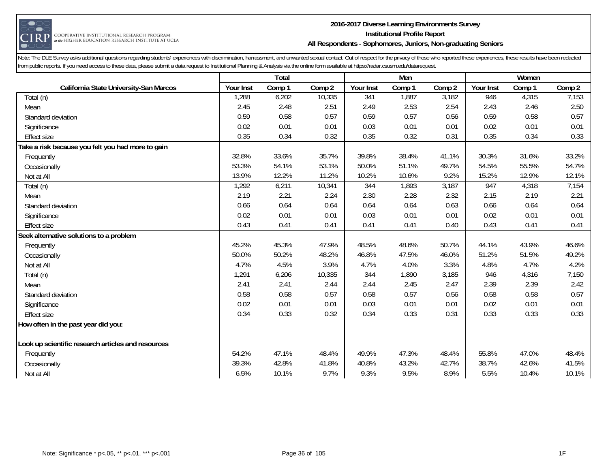

#### **2016-2017 Diverse Learning Environments Survey Institutional Profile Report All Respondents - Sophomores, Juniors, Non-graduating Seniors**

|                                                    |           | Total  |        |           | Men    |        |           | Women  |        |
|----------------------------------------------------|-----------|--------|--------|-----------|--------|--------|-----------|--------|--------|
| California State University-San Marcos             | Your Inst | Comp 1 | Comp 2 | Your Inst | Comp 1 | Comp 2 | Your Inst | Comp 1 | Comp 2 |
| Total (n)                                          | 1,288     | 6,202  | 10,335 | 341       | 1,887  | 3,182  | 946       | 4,315  | 7,153  |
| Mean                                               | 2.45      | 2.48   | 2.51   | 2.49      | 2.53   | 2.54   | 2.43      | 2.46   | 2.50   |
| Standard deviation                                 | 0.59      | 0.58   | 0.57   | 0.59      | 0.57   | 0.56   | 0.59      | 0.58   | 0.57   |
| Significance                                       | 0.02      | 0.01   | 0.01   | 0.03      | 0.01   | 0.01   | 0.02      | 0.01   | 0.01   |
| <b>Effect size</b>                                 | 0.35      | 0.34   | 0.32   | 0.35      | 0.32   | 0.31   | 0.35      | 0.34   | 0.33   |
| Take a risk because you felt you had more to gain  |           |        |        |           |        |        |           |        |        |
| Frequently                                         | 32.8%     | 33.6%  | 35.7%  | 39.8%     | 38.4%  | 41.1%  | 30.3%     | 31.6%  | 33.2%  |
| Occasionally                                       | 53.3%     | 54.1%  | 53.1%  | 50.0%     | 51.1%  | 49.7%  | 54.5%     | 55.5%  | 54.7%  |
| Not at All                                         | 13.9%     | 12.2%  | 11.2%  | 10.2%     | 10.6%  | 9.2%   | 15.2%     | 12.9%  | 12.1%  |
| Total (n)                                          | 1,292     | 6,211  | 10,341 | 344       | 1,893  | 3,187  | 947       | 4,318  | 7,154  |
| Mean                                               | 2.19      | 2.21   | 2.24   | 2.30      | 2.28   | 2.32   | 2.15      | 2.19   | 2.21   |
| Standard deviation                                 | 0.66      | 0.64   | 0.64   | 0.64      | 0.64   | 0.63   | 0.66      | 0.64   | 0.64   |
| Significance                                       | 0.02      | 0.01   | 0.01   | 0.03      | 0.01   | 0.01   | 0.02      | 0.01   | 0.01   |
| <b>Effect size</b>                                 | 0.43      | 0.41   | 0.41   | 0.41      | 0.41   | 0.40   | 0.43      | 0.41   | 0.41   |
| Seek alternative solutions to a problem            |           |        |        |           |        |        |           |        |        |
| Frequently                                         | 45.2%     | 45.3%  | 47.9%  | 48.5%     | 48.6%  | 50.7%  | 44.1%     | 43.9%  | 46.6%  |
| Occasionally                                       | 50.0%     | 50.2%  | 48.2%  | 46.8%     | 47.5%  | 46.0%  | 51.2%     | 51.5%  | 49.2%  |
| Not at All                                         | 4.7%      | 4.5%   | 3.9%   | 4.7%      | 4.0%   | 3.3%   | 4.8%      | 4.7%   | 4.2%   |
| Total (n)                                          | 1,291     | 6,206  | 10,335 | 344       | 1,890  | 3,185  | 946       | 4,316  | 7,150  |
| Mean                                               | 2.41      | 2.41   | 2.44   | 2.44      | 2.45   | 2.47   | 2.39      | 2.39   | 2.42   |
| Standard deviation                                 | 0.58      | 0.58   | 0.57   | 0.58      | 0.57   | 0.56   | 0.58      | 0.58   | 0.57   |
| Significance                                       | 0.02      | 0.01   | 0.01   | 0.03      | 0.01   | 0.01   | 0.02      | 0.01   | 0.01   |
| <b>Effect size</b>                                 | 0.34      | 0.33   | 0.32   | 0.34      | 0.33   | 0.31   | 0.33      | 0.33   | 0.33   |
| How often in the past year did you:                |           |        |        |           |        |        |           |        |        |
|                                                    |           |        |        |           |        |        |           |        |        |
| Look up scientific research articles and resources |           |        |        |           |        |        |           |        |        |
| Frequently                                         | 54.2%     | 47.1%  | 48.4%  | 49.9%     | 47.3%  | 48.4%  | 55.8%     | 47.0%  | 48.4%  |
| Occasionally                                       | 39.3%     | 42.8%  | 41.8%  | 40.8%     | 43.2%  | 42.7%  | 38.7%     | 42.6%  | 41.5%  |
| Not at All                                         | 6.5%      | 10.1%  | 9.7%   | 9.3%      | 9.5%   | 8.9%   | 5.5%      | 10.4%  | 10.1%  |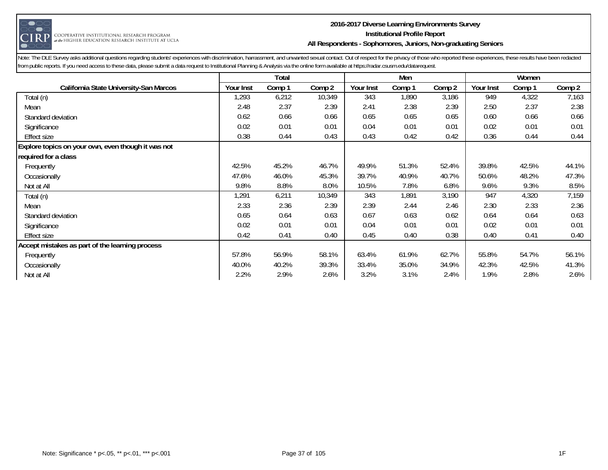

#### **2016-2017 Diverse Learning Environments Survey Institutional Profile Report All Respondents - Sophomores, Juniors, Non-graduating Seniors**

|                                                    |           | Total  |        |           | Men    |        |           | Women  |        |
|----------------------------------------------------|-----------|--------|--------|-----------|--------|--------|-----------|--------|--------|
| California State University-San Marcos             | Your Inst | Comp 1 | Comp 2 | Your Inst | Comp 1 | Comp 2 | Your Inst | Comp 1 | Comp 2 |
| Total (n)                                          | ,293      | 6,212  | 10,349 | 343       | 1,890  | 3,186  | 949       | 4,322  | 7,163  |
| Mean                                               | 2.48      | 2.37   | 2.39   | 2.41      | 2.38   | 2.39   | 2.50      | 2.37   | 2.38   |
| Standard deviation                                 | 0.62      | 0.66   | 0.66   | 0.65      | 0.65   | 0.65   | 0.60      | 0.66   | 0.66   |
| Significance                                       | 0.02      | 0.01   | 0.01   | 0.04      | 0.01   | 0.01   | 0.02      | 0.01   | 0.01   |
| <b>Effect size</b>                                 | 0.38      | 0.44   | 0.43   | 0.43      | 0.42   | 0.42   | 0.36      | 0.44   | 0.44   |
| Explore topics on your own, even though it was not |           |        |        |           |        |        |           |        |        |
| required for a class                               |           |        |        |           |        |        |           |        |        |
| Frequently                                         | 42.5%     | 45.2%  | 46.7%  | 49.9%     | 51.3%  | 52.4%  | 39.8%     | 42.5%  | 44.1%  |
| Occasionally                                       | 47.6%     | 46.0%  | 45.3%  | 39.7%     | 40.9%  | 40.7%  | 50.6%     | 48.2%  | 47.3%  |
| Not at All                                         | 9.8%      | 8.8%   | 8.0%   | 10.5%     | 7.8%   | 6.8%   | 9.6%      | 9.3%   | 8.5%   |
| Total (n)                                          | 1,291     | 6,211  | 10,349 | 343       | 1,891  | 3,190  | 947       | 4,320  | 7,159  |
| Mean                                               | 2.33      | 2.36   | 2.39   | 2.39      | 2.44   | 2.46   | 2.30      | 2.33   | 2.36   |
| Standard deviation                                 | 0.65      | 0.64   | 0.63   | 0.67      | 0.63   | 0.62   | 0.64      | 0.64   | 0.63   |
| Significance                                       | 0.02      | 0.01   | 0.01   | 0.04      | 0.01   | 0.01   | 0.02      | 0.01   | 0.01   |
| <b>Effect size</b>                                 | 0.42      | 0.41   | 0.40   | 0.45      | 0.40   | 0.38   | 0.40      | 0.41   | 0.40   |
| Accept mistakes as part of the learning process    |           |        |        |           |        |        |           |        |        |
| Frequently                                         | 57.8%     | 56.9%  | 58.1%  | 63.4%     | 61.9%  | 62.7%  | 55.8%     | 54.7%  | 56.1%  |
| Occasionally                                       | 40.0%     | 40.2%  | 39.3%  | 33.4%     | 35.0%  | 34.9%  | 42.3%     | 42.5%  | 41.3%  |
| Not at All                                         | 2.2%      | 2.9%   | 2.6%   | 3.2%      | 3.1%   | 2.4%   | 1.9%      | 2.8%   | 2.6%   |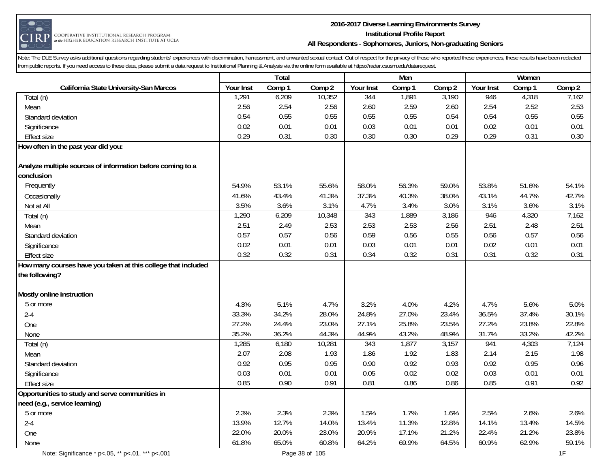

#### **2016-2017 Diverse Learning Environments Survey Institutional Profile Report All Respondents - Sophomores, Juniors, Non-graduating Seniors**

|                                                               |           | Total  |        |           | Men    |        |           | Women  |        |
|---------------------------------------------------------------|-----------|--------|--------|-----------|--------|--------|-----------|--------|--------|
| California State University-San Marcos                        | Your Inst | Comp 1 | Comp 2 | Your Inst | Comp 1 | Comp 2 | Your Inst | Comp 1 | Comp 2 |
| Total (n)                                                     | 1,291     | 6,209  | 10,352 | 344       | 1,891  | 3,190  | 946       | 4,318  | 7,162  |
| Mean                                                          | 2.56      | 2.54   | 2.56   | 2.60      | 2.59   | 2.60   | 2.54      | 2.52   | 2.53   |
| Standard deviation                                            | 0.54      | 0.55   | 0.55   | 0.55      | 0.55   | 0.54   | 0.54      | 0.55   | 0.55   |
| Significance                                                  | 0.02      | 0.01   | 0.01   | 0.03      | 0.01   | 0.01   | 0.02      | 0.01   | 0.01   |
| Effect size                                                   | 0.29      | 0.31   | 0.30   | 0.30      | 0.30   | 0.29   | 0.29      | 0.31   | 0.30   |
| How often in the past year did you:                           |           |        |        |           |        |        |           |        |        |
| Analyze multiple sources of information before coming to a    |           |        |        |           |        |        |           |        |        |
| conclusion                                                    |           |        |        |           |        |        |           |        |        |
| Frequently                                                    | 54.9%     | 53.1%  | 55.6%  | 58.0%     | 56.3%  | 59.0%  | 53.8%     | 51.6%  | 54.1%  |
| Occasionally                                                  | 41.6%     | 43.4%  | 41.3%  | 37.3%     | 40.3%  | 38.0%  | 43.1%     | 44.7%  | 42.7%  |
| Not at All                                                    | 3.5%      | 3.6%   | 3.1%   | 4.7%      | 3.4%   | 3.0%   | 3.1%      | 3.6%   | 3.1%   |
| Total (n)                                                     | 1,290     | 6,209  | 10,348 | 343       | 1,889  | 3,186  | 946       | 4,320  | 7,162  |
| Mean                                                          | 2.51      | 2.49   | 2.53   | 2.53      | 2.53   | 2.56   | 2.51      | 2.48   | 2.51   |
| Standard deviation                                            | 0.57      | 0.57   | 0.56   | 0.59      | 0.56   | 0.55   | 0.56      | 0.57   | 0.56   |
| Significance                                                  | 0.02      | 0.01   | 0.01   | 0.03      | 0.01   | 0.01   | 0.02      | 0.01   | 0.01   |
| <b>Effect size</b>                                            | 0.32      | 0.32   | 0.31   | 0.34      | 0.32   | 0.31   | 0.31      | 0.32   | 0.31   |
| How many courses have you taken at this college that included |           |        |        |           |        |        |           |        |        |
| the following?                                                |           |        |        |           |        |        |           |        |        |
| Mostly online instruction                                     |           |        |        |           |        |        |           |        |        |
| 5 or more                                                     | 4.3%      | 5.1%   | 4.7%   | 3.2%      | 4.0%   | 4.2%   | 4.7%      | 5.6%   | 5.0%   |
| $2 - 4$                                                       | 33.3%     | 34.2%  | 28.0%  | 24.8%     | 27.0%  | 23.4%  | 36.5%     | 37.4%  | 30.1%  |
| One                                                           | 27.2%     | 24.4%  | 23.0%  | 27.1%     | 25.8%  | 23.5%  | 27.2%     | 23.8%  | 22.8%  |
| None                                                          | 35.2%     | 36.2%  | 44.3%  | 44.9%     | 43.2%  | 48.9%  | 31.7%     | 33.2%  | 42.2%  |
| Total (n)                                                     | 1,285     | 6,180  | 10,281 | 343       | 1,877  | 3,157  | 941       | 4,303  | 7,124  |
| Mean                                                          | 2.07      | 2.08   | 1.93   | 1.86      | 1.92   | 1.83   | 2.14      | 2.15   | 1.98   |
| Standard deviation                                            | 0.92      | 0.95   | 0.95   | 0.90      | 0.92   | 0.93   | 0.92      | 0.95   | 0.96   |
| Significance                                                  | 0.03      | 0.01   | 0.01   | 0.05      | 0.02   | 0.02   | 0.03      | 0.01   | 0.01   |
| <b>Effect size</b>                                            | 0.85      | 0.90   | 0.91   | 0.81      | 0.86   | 0.86   | 0.85      | 0.91   | 0.92   |
| Opportunities to study and serve communities in               |           |        |        |           |        |        |           |        |        |
| need (e.g., service learning)                                 |           |        |        |           |        |        |           |        |        |
| 5 or more                                                     | 2.3%      | 2.3%   | 2.3%   | 1.5%      | 1.7%   | 1.6%   | 2.5%      | 2.6%   | 2.6%   |
| $2 - 4$                                                       | 13.9%     | 12.7%  | 14.0%  | 13.4%     | 11.3%  | 12.8%  | 14.1%     | 13.4%  | 14.5%  |
| One                                                           | 22.0%     | 20.0%  | 23.0%  | 20.9%     | 17.1%  | 21.2%  | 22.4%     | 21.2%  | 23.8%  |
| None                                                          | 61.8%     | 65.0%  | 60.8%  | 64.2%     | 69.9%  | 64.5%  | 60.9%     | 62.9%  | 59.1%  |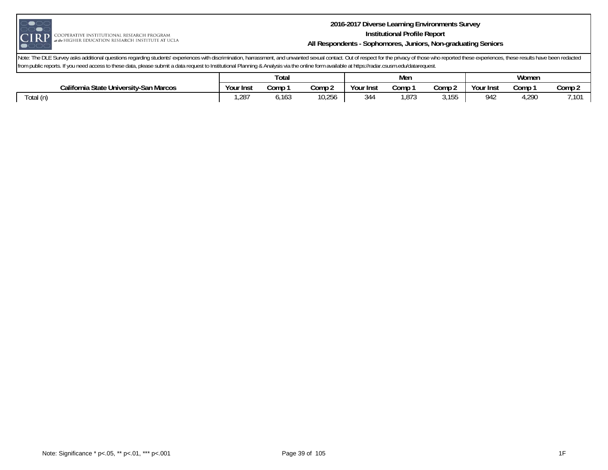

#### **2016-2017 Diverse Learning Environments Survey Institutional Profile Report All Respondents - Sophomores, Juniors, Non-graduating Seniors**

|                                        | Total     |       |                  |           | <b>Men</b>     |               | Women                   |       |             |
|----------------------------------------|-----------|-------|------------------|-----------|----------------|---------------|-------------------------|-------|-------------|
| California State University-San Marcos | Your Inst | Comp  | Comp 2           | Your Inst | Comp           | Comp 2        | Your Inst               | Comp  | Comp 2      |
| Total (n)                              | $,28^{-}$ | 6,163 | $\cap$<br>10,25ປ | 344       | $\sim$<br>,013 | 155<br>ບ, ເບບ | .11 <sup>o</sup><br>94∠ | 1,290 | 7.101<br>ΙV |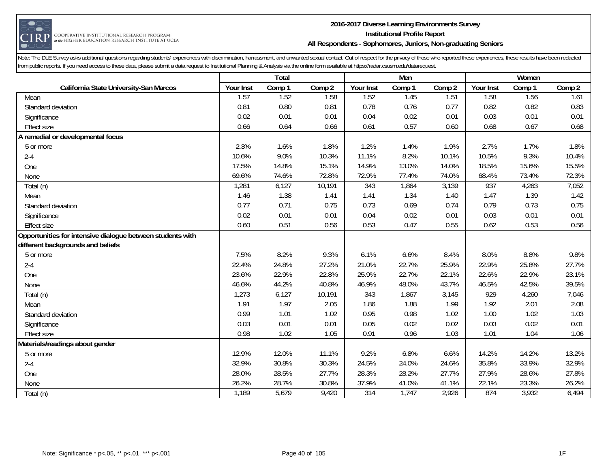

#### **2016-2017 Diverse Learning Environments Survey Institutional Profile Report All Respondents - Sophomores, Juniors, Non-graduating Seniors**

|                                                            |           | Total  |        |           | Men    |        |           | Women  |        |
|------------------------------------------------------------|-----------|--------|--------|-----------|--------|--------|-----------|--------|--------|
| California State University-San Marcos                     | Your Inst | Comp 1 | Comp 2 | Your Inst | Comp 1 | Comp 2 | Your Inst | Comp 1 | Comp 2 |
| Mean                                                       | 1.57      | 1.52   | 1.58   | 1.52      | 1.45   | 1.51   | 1.58      | 1.56   | 1.61   |
| Standard deviation                                         | 0.81      | 0.80   | 0.81   | 0.78      | 0.76   | 0.77   | 0.82      | 0.82   | 0.83   |
| Significance                                               | 0.02      | 0.01   | 0.01   | 0.04      | 0.02   | 0.01   | 0.03      | 0.01   | 0.01   |
| <b>Effect size</b>                                         | 0.66      | 0.64   | 0.66   | 0.61      | 0.57   | 0.60   | 0.68      | 0.67   | 0.68   |
| A remedial or developmental focus                          |           |        |        |           |        |        |           |        |        |
| 5 or more                                                  | 2.3%      | 1.6%   | 1.8%   | 1.2%      | 1.4%   | 1.9%   | 2.7%      | 1.7%   | 1.8%   |
| $2 - 4$                                                    | 10.6%     | 9.0%   | 10.3%  | 11.1%     | 8.2%   | 10.1%  | 10.5%     | 9.3%   | 10.4%  |
| One                                                        | 17.5%     | 14.8%  | 15.1%  | 14.9%     | 13.0%  | 14.0%  | 18.5%     | 15.6%  | 15.5%  |
| None                                                       | 69.6%     | 74.6%  | 72.8%  | 72.9%     | 77.4%  | 74.0%  | 68.4%     | 73.4%  | 72.3%  |
| Total (n)                                                  | 1,281     | 6,127  | 10,191 | 343       | 1,864  | 3,139  | 937       | 4,263  | 7,052  |
| Mean                                                       | 1.46      | 1.38   | 1.41   | 1.41      | 1.34   | 1.40   | 1.47      | 1.39   | 1.42   |
| Standard deviation                                         | 0.77      | 0.71   | 0.75   | 0.73      | 0.69   | 0.74   | 0.79      | 0.73   | 0.75   |
| Significance                                               | 0.02      | 0.01   | 0.01   | 0.04      | 0.02   | 0.01   | 0.03      | 0.01   | 0.01   |
| <b>Effect size</b>                                         | 0.60      | 0.51   | 0.56   | 0.53      | 0.47   | 0.55   | 0.62      | 0.53   | 0.56   |
| Opportunities for intensive dialogue between students with |           |        |        |           |        |        |           |        |        |
| different backgrounds and beliefs                          |           |        |        |           |        |        |           |        |        |
| 5 or more                                                  | 7.5%      | 8.2%   | 9.3%   | 6.1%      | 6.6%   | 8.4%   | 8.0%      | 8.8%   | 9.8%   |
| $2 - 4$                                                    | 22.4%     | 24.8%  | 27.2%  | 21.0%     | 22.7%  | 25.9%  | 22.9%     | 25.8%  | 27.7%  |
| One                                                        | 23.6%     | 22.9%  | 22.8%  | 25.9%     | 22.7%  | 22.1%  | 22.6%     | 22.9%  | 23.1%  |
| None                                                       | 46.6%     | 44.2%  | 40.8%  | 46.9%     | 48.0%  | 43.7%  | 46.5%     | 42.5%  | 39.5%  |
| Total (n)                                                  | 1,273     | 6,127  | 10,191 | 343       | 1,867  | 3,145  | 929       | 4,260  | 7,046  |
| Mean                                                       | 1.91      | 1.97   | 2.05   | 1.86      | 1.88   | 1.99   | 1.92      | 2.01   | 2.08   |
| Standard deviation                                         | 0.99      | 1.01   | 1.02   | 0.95      | 0.98   | 1.02   | 1.00      | 1.02   | 1.03   |
| Significance                                               | 0.03      | 0.01   | 0.01   | 0.05      | 0.02   | 0.02   | 0.03      | 0.02   | 0.01   |
| <b>Effect size</b>                                         | 0.98      | 1.02   | 1.05   | 0.91      | 0.96   | 1.03   | 1.01      | 1.04   | 1.06   |
| Materials/readings about gender                            |           |        |        |           |        |        |           |        |        |
| 5 or more                                                  | 12.9%     | 12.0%  | 11.1%  | 9.2%      | 6.8%   | 6.6%   | 14.2%     | 14.2%  | 13.2%  |
| $2 - 4$                                                    | 32.9%     | 30.8%  | 30.3%  | 24.5%     | 24.0%  | 24.6%  | 35.8%     | 33.9%  | 32.9%  |
| One                                                        | 28.0%     | 28.5%  | 27.7%  | 28.3%     | 28.2%  | 27.7%  | 27.9%     | 28.6%  | 27.8%  |
| None                                                       | 26.2%     | 28.7%  | 30.8%  | 37.9%     | 41.0%  | 41.1%  | 22.1%     | 23.3%  | 26.2%  |
| Total (n)                                                  | 1,189     | 5,679  | 9,420  | 314       | 1,747  | 2,926  | 874       | 3,932  | 6,494  |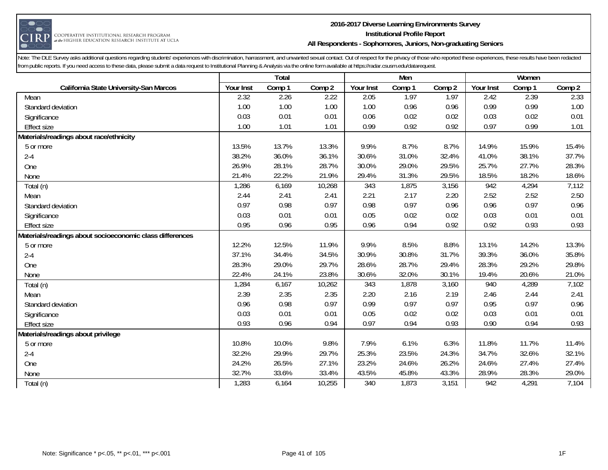

#### **2016-2017 Diverse Learning Environments Survey Institutional Profile Report All Respondents - Sophomores, Juniors, Non-graduating Seniors**

|                                                          |           | Total  |        |           | Men    |        |           | Women  |        |
|----------------------------------------------------------|-----------|--------|--------|-----------|--------|--------|-----------|--------|--------|
| California State University-San Marcos                   | Your Inst | Comp 1 | Comp 2 | Your Inst | Comp 1 | Comp 2 | Your Inst | Comp 1 | Comp 2 |
| Mean                                                     | 2.32      | 2.26   | 2.22   | 2.05      | 1.97   | 1.97   | 2.42      | 2.39   | 2.33   |
| Standard deviation                                       | 1.00      | 1.00   | 1.00   | 1.00      | 0.96   | 0.96   | 0.99      | 0.99   | 1.00   |
| Significance                                             | 0.03      | 0.01   | 0.01   | 0.06      | 0.02   | 0.02   | 0.03      | 0.02   | 0.01   |
| <b>Effect size</b>                                       | 1.00      | 1.01   | 1.01   | 0.99      | 0.92   | 0.92   | 0.97      | 0.99   | 1.01   |
| Materials/readings about race/ethnicity                  |           |        |        |           |        |        |           |        |        |
| 5 or more                                                | 13.5%     | 13.7%  | 13.3%  | 9.9%      | 8.7%   | 8.7%   | 14.9%     | 15.9%  | 15.4%  |
| $2 - 4$                                                  | 38.2%     | 36.0%  | 36.1%  | 30.6%     | 31.0%  | 32.4%  | 41.0%     | 38.1%  | 37.7%  |
| One                                                      | 26.9%     | 28.1%  | 28.7%  | 30.0%     | 29.0%  | 29.5%  | 25.7%     | 27.7%  | 28.3%  |
| None                                                     | 21.4%     | 22.2%  | 21.9%  | 29.4%     | 31.3%  | 29.5%  | 18.5%     | 18.2%  | 18.6%  |
| Total (n)                                                | 1,286     | 6,169  | 10,268 | 343       | 1,875  | 3,156  | 942       | 4,294  | 7,112  |
| Mean                                                     | 2.44      | 2.41   | 2.41   | 2.21      | 2.17   | 2.20   | 2.52      | 2.52   | 2.50   |
| Standard deviation                                       | 0.97      | 0.98   | 0.97   | 0.98      | 0.97   | 0.96   | 0.96      | 0.97   | 0.96   |
| Significance                                             | 0.03      | 0.01   | 0.01   | 0.05      | 0.02   | 0.02   | 0.03      | 0.01   | 0.01   |
| <b>Effect size</b>                                       | 0.95      | 0.96   | 0.95   | 0.96      | 0.94   | 0.92   | 0.92      | 0.93   | 0.93   |
| Materials/readings about socioeconomic class differences |           |        |        |           |        |        |           |        |        |
| 5 or more                                                | 12.2%     | 12.5%  | 11.9%  | 9.9%      | 8.5%   | 8.8%   | 13.1%     | 14.2%  | 13.3%  |
| $2 - 4$                                                  | 37.1%     | 34.4%  | 34.5%  | 30.9%     | 30.8%  | 31.7%  | 39.3%     | 36.0%  | 35.8%  |
| One                                                      | 28.3%     | 29.0%  | 29.7%  | 28.6%     | 28.7%  | 29.4%  | 28.3%     | 29.2%  | 29.8%  |
| None                                                     | 22.4%     | 24.1%  | 23.8%  | 30.6%     | 32.0%  | 30.1%  | 19.4%     | 20.6%  | 21.0%  |
| Total (n)                                                | 1,284     | 6,167  | 10,262 | 343       | 1,878  | 3,160  | 940       | 4,289  | 7,102  |
| Mean                                                     | 2.39      | 2.35   | 2.35   | 2.20      | 2.16   | 2.19   | 2.46      | 2.44   | 2.41   |
| Standard deviation                                       | 0.96      | 0.98   | 0.97   | 0.99      | 0.97   | 0.97   | 0.95      | 0.97   | 0.96   |
| Significance                                             | 0.03      | 0.01   | 0.01   | 0.05      | 0.02   | 0.02   | 0.03      | 0.01   | 0.01   |
| <b>Effect size</b>                                       | 0.93      | 0.96   | 0.94   | 0.97      | 0.94   | 0.93   | 0.90      | 0.94   | 0.93   |
| Materials/readings about privilege                       |           |        |        |           |        |        |           |        |        |
| 5 or more                                                | 10.8%     | 10.0%  | 9.8%   | 7.9%      | 6.1%   | 6.3%   | 11.8%     | 11.7%  | 11.4%  |
| $2 - 4$                                                  | 32.2%     | 29.9%  | 29.7%  | 25.3%     | 23.5%  | 24.3%  | 34.7%     | 32.6%  | 32.1%  |
| One                                                      | 24.2%     | 26.5%  | 27.1%  | 23.2%     | 24.6%  | 26.2%  | 24.6%     | 27.4%  | 27.4%  |
| None                                                     | 32.7%     | 33.6%  | 33.4%  | 43.5%     | 45.8%  | 43.3%  | 28.9%     | 28.3%  | 29.0%  |
| Total (n)                                                | 1,283     | 6,164  | 10,255 | 340       | 1,873  | 3,151  | 942       | 4,291  | 7,104  |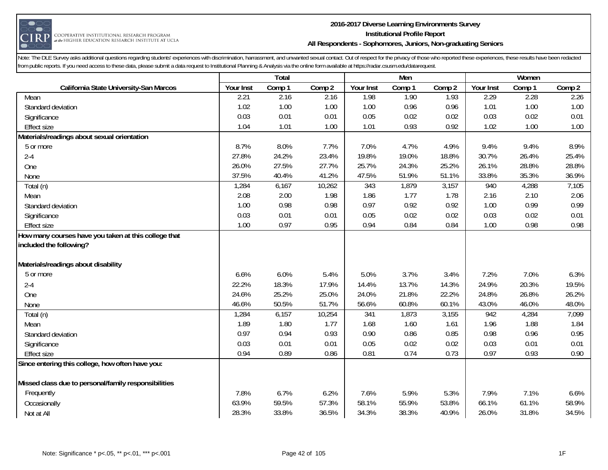

#### **2016-2017 Diverse Learning Environments Survey Institutional Profile Report All Respondents - Sophomores, Juniors, Non-graduating Seniors**

|                                                                                 |           | Total  |        |           | Men    |        |           | Women  |        |
|---------------------------------------------------------------------------------|-----------|--------|--------|-----------|--------|--------|-----------|--------|--------|
| California State University-San Marcos                                          | Your Inst | Comp 1 | Comp 2 | Your Inst | Comp 1 | Comp 2 | Your Inst | Comp 1 | Comp 2 |
| Mean                                                                            | 2.21      | 2.16   | 2.16   | 1.98      | 1.90   | 1.93   | 2.29      | 2.28   | 2.26   |
| Standard deviation                                                              | 1.02      | 1.00   | 1.00   | 1.00      | 0.96   | 0.96   | 1.01      | 1.00   | 1.00   |
| Significance                                                                    | 0.03      | 0.01   | 0.01   | 0.05      | 0.02   | 0.02   | 0.03      | 0.02   | 0.01   |
| <b>Effect size</b>                                                              | 1.04      | 1.01   | 1.00   | 1.01      | 0.93   | 0.92   | 1.02      | 1.00   | 1.00   |
| Materials/readings about sexual orientation                                     |           |        |        |           |        |        |           |        |        |
| 5 or more                                                                       | 8.7%      | 8.0%   | 7.7%   | 7.0%      | 4.7%   | 4.9%   | 9.4%      | 9.4%   | 8.9%   |
| $2 - 4$                                                                         | 27.8%     | 24.2%  | 23.4%  | 19.8%     | 19.0%  | 18.8%  | 30.7%     | 26.4%  | 25.4%  |
| One                                                                             | 26.0%     | 27.5%  | 27.7%  | 25.7%     | 24.3%  | 25.2%  | 26.1%     | 28.8%  | 28.8%  |
| None                                                                            | 37.5%     | 40.4%  | 41.2%  | 47.5%     | 51.9%  | 51.1%  | 33.8%     | 35.3%  | 36.9%  |
| Total (n)                                                                       | 1,284     | 6,167  | 10,262 | 343       | 1,879  | 3,157  | 940       | 4,288  | 7,105  |
| Mean                                                                            | 2.08      | 2.00   | 1.98   | 1.86      | 1.77   | 1.78   | 2.16      | 2.10   | 2.06   |
| Standard deviation                                                              | 1.00      | 0.98   | 0.98   | 0.97      | 0.92   | 0.92   | 1.00      | 0.99   | 0.99   |
| Significance                                                                    | 0.03      | 0.01   | 0.01   | 0.05      | 0.02   | 0.02   | 0.03      | 0.02   | 0.01   |
| <b>Effect size</b>                                                              | 1.00      | 0.97   | 0.95   | 0.94      | 0.84   | 0.84   | 1.00      | 0.98   | 0.98   |
| How many courses have you taken at this college that<br>included the following? |           |        |        |           |        |        |           |        |        |
| Materials/readings about disability                                             |           |        |        |           |        |        |           |        |        |
| 5 or more                                                                       | 6.6%      | 6.0%   | 5.4%   | 5.0%      | 3.7%   | 3.4%   | 7.2%      | 7.0%   | 6.3%   |
| $2 - 4$                                                                         | 22.2%     | 18.3%  | 17.9%  | 14.4%     | 13.7%  | 14.3%  | 24.9%     | 20.3%  | 19.5%  |
| One                                                                             | 24.6%     | 25.2%  | 25.0%  | 24.0%     | 21.8%  | 22.2%  | 24.8%     | 26.8%  | 26.2%  |
| None                                                                            | 46.6%     | 50.5%  | 51.7%  | 56.6%     | 60.8%  | 60.1%  | 43.0%     | 46.0%  | 48.0%  |
| Total (n)                                                                       | 1,284     | 6,157  | 10,254 | 341       | 1,873  | 3,155  | 942       | 4,284  | 7,099  |
| Mean                                                                            | 1.89      | 1.80   | 1.77   | 1.68      | 1.60   | 1.61   | 1.96      | 1.88   | 1.84   |
| Standard deviation                                                              | 0.97      | 0.94   | 0.93   | 0.90      | 0.86   | 0.85   | 0.98      | 0.96   | 0.95   |
| Significance                                                                    | 0.03      | 0.01   | 0.01   | 0.05      | 0.02   | 0.02   | 0.03      | 0.01   | 0.01   |
| <b>Effect size</b>                                                              | 0.94      | 0.89   | 0.86   | 0.81      | 0.74   | 0.73   | 0.97      | 0.93   | 0.90   |
| Since entering this college, how often have you:                                |           |        |        |           |        |        |           |        |        |
| Missed class due to personal/family responsibilities                            |           |        |        |           |        |        |           |        |        |
| Frequently                                                                      | 7.8%      | 6.7%   | 6.2%   | 7.6%      | 5.9%   | 5.3%   | 7.9%      | 7.1%   | 6.6%   |
| Occasionally                                                                    | 63.9%     | 59.5%  | 57.3%  | 58.1%     | 55.9%  | 53.8%  | 66.1%     | 61.1%  | 58.9%  |
| Not at All                                                                      | 28.3%     | 33.8%  | 36.5%  | 34.3%     | 38.3%  | 40.9%  | 26.0%     | 31.8%  | 34.5%  |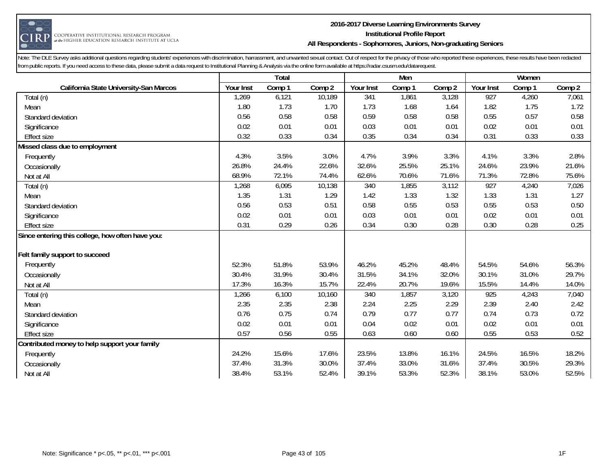

#### **2016-2017 Diverse Learning Environments Survey Institutional Profile Report All Respondents - Sophomores, Juniors, Non-graduating Seniors**

|                                                  |           | Total  |        |           | Men    |        |           | Women  |        |
|--------------------------------------------------|-----------|--------|--------|-----------|--------|--------|-----------|--------|--------|
| California State University-San Marcos           | Your Inst | Comp 1 | Comp 2 | Your Inst | Comp 1 | Comp 2 | Your Inst | Comp 1 | Comp 2 |
| Total (n)                                        | 1,269     | 6,121  | 10,189 | 341       | 1,861  | 3,128  | 927       | 4,260  | 7,061  |
| Mean                                             | 1.80      | 1.73   | 1.70   | 1.73      | 1.68   | 1.64   | 1.82      | 1.75   | 1.72   |
| Standard deviation                               | 0.56      | 0.58   | 0.58   | 0.59      | 0.58   | 0.58   | 0.55      | 0.57   | 0.58   |
| Significance                                     | 0.02      | 0.01   | 0.01   | 0.03      | 0.01   | 0.01   | 0.02      | 0.01   | 0.01   |
| <b>Effect size</b>                               | 0.32      | 0.33   | 0.34   | 0.35      | 0.34   | 0.34   | 0.31      | 0.33   | 0.33   |
| Missed class due to employment                   |           |        |        |           |        |        |           |        |        |
| Frequently                                       | 4.3%      | 3.5%   | 3.0%   | 4.7%      | 3.9%   | 3.3%   | 4.1%      | 3.3%   | 2.8%   |
| Occasionally                                     | 26.8%     | 24.4%  | 22.6%  | 32.6%     | 25.5%  | 25.1%  | 24.6%     | 23.9%  | 21.6%  |
| Not at All                                       | 68.9%     | 72.1%  | 74.4%  | 62.6%     | 70.6%  | 71.6%  | 71.3%     | 72.8%  | 75.6%  |
| Total (n)                                        | 1,268     | 6,095  | 10,138 | 340       | 1,855  | 3,112  | 927       | 4,240  | 7,026  |
| Mean                                             | 1.35      | 1.31   | 1.29   | 1.42      | 1.33   | 1.32   | 1.33      | 1.31   | 1.27   |
| Standard deviation                               | 0.56      | 0.53   | 0.51   | 0.58      | 0.55   | 0.53   | 0.55      | 0.53   | 0.50   |
| Significance                                     | 0.02      | 0.01   | 0.01   | 0.03      | 0.01   | 0.01   | 0.02      | 0.01   | 0.01   |
| <b>Effect size</b>                               | 0.31      | 0.29   | 0.26   | 0.34      | 0.30   | 0.28   | 0.30      | 0.28   | 0.25   |
| Since entering this college, how often have you: |           |        |        |           |        |        |           |        |        |
|                                                  |           |        |        |           |        |        |           |        |        |
| Felt family support to succeed                   |           |        |        |           |        |        |           |        |        |
| Frequently                                       | 52.3%     | 51.8%  | 53.9%  | 46.2%     | 45.2%  | 48.4%  | 54.5%     | 54.6%  | 56.3%  |
| Occasionally                                     | 30.4%     | 31.9%  | 30.4%  | 31.5%     | 34.1%  | 32.0%  | 30.1%     | 31.0%  | 29.7%  |
| Not at All                                       | 17.3%     | 16.3%  | 15.7%  | 22.4%     | 20.7%  | 19.6%  | 15.5%     | 14.4%  | 14.0%  |
| Total (n)                                        | 1,266     | 6,100  | 10,160 | 340       | 1,857  | 3,120  | 925       | 4,243  | 7,040  |
| Mean                                             | 2.35      | 2.35   | 2.38   | 2.24      | 2.25   | 2.29   | 2.39      | 2.40   | 2.42   |
| Standard deviation                               | 0.76      | 0.75   | 0.74   | 0.79      | 0.77   | 0.77   | 0.74      | 0.73   | 0.72   |
| Significance                                     | 0.02      | 0.01   | 0.01   | 0.04      | 0.02   | 0.01   | 0.02      | 0.01   | 0.01   |
| <b>Effect size</b>                               | 0.57      | 0.56   | 0.55   | 0.63      | 0.60   | 0.60   | 0.55      | 0.53   | 0.52   |
| Contributed money to help support your family    |           |        |        |           |        |        |           |        |        |
| Frequently                                       | 24.2%     | 15.6%  | 17.6%  | 23.5%     | 13.8%  | 16.1%  | 24.5%     | 16.5%  | 18.2%  |
| Occasionally                                     | 37.4%     | 31.3%  | 30.0%  | 37.4%     | 33.0%  | 31.6%  | 37.4%     | 30.5%  | 29.3%  |
| Not at All                                       | 38.4%     | 53.1%  | 52.4%  | 39.1%     | 53.3%  | 52.3%  | 38.1%     | 53.0%  | 52.5%  |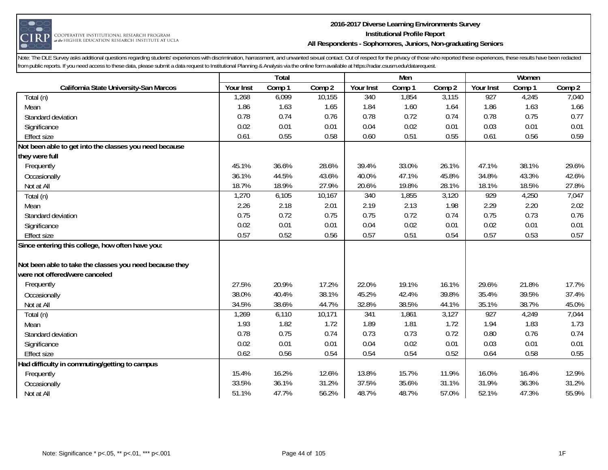

#### **2016-2017 Diverse Learning Environments Survey Institutional Profile Report All Respondents - Sophomores, Juniors, Non-graduating Seniors**

|                                                         |           | Total  |        |           | Men    |        |           | Women  |        |
|---------------------------------------------------------|-----------|--------|--------|-----------|--------|--------|-----------|--------|--------|
| California State University-San Marcos                  | Your Inst | Comp 1 | Comp 2 | Your Inst | Comp 1 | Comp 2 | Your Inst | Comp 1 | Comp 2 |
| Total (n)                                               | 1,268     | 6,099  | 10,155 | 340       | 1,854  | 3,115  | 927       | 4,245  | 7,040  |
| Mean                                                    | 1.86      | 1.63   | 1.65   | 1.84      | 1.60   | 1.64   | 1.86      | 1.63   | 1.66   |
| Standard deviation                                      | 0.78      | 0.74   | 0.76   | 0.78      | 0.72   | 0.74   | 0.78      | 0.75   | 0.77   |
| Significance                                            | 0.02      | 0.01   | 0.01   | 0.04      | 0.02   | 0.01   | 0.03      | 0.01   | 0.01   |
| <b>Effect size</b>                                      | 0.61      | 0.55   | 0.58   | 0.60      | 0.51   | 0.55   | 0.61      | 0.56   | 0.59   |
| Not been able to get into the classes you need because  |           |        |        |           |        |        |           |        |        |
| they were full                                          |           |        |        |           |        |        |           |        |        |
| Frequently                                              | 45.1%     | 36.6%  | 28.6%  | 39.4%     | 33.0%  | 26.1%  | 47.1%     | 38.1%  | 29.6%  |
| Occasionally                                            | 36.1%     | 44.5%  | 43.6%  | 40.0%     | 47.1%  | 45.8%  | 34.8%     | 43.3%  | 42.6%  |
| Not at All                                              | 18.7%     | 18.9%  | 27.9%  | 20.6%     | 19.8%  | 28.1%  | 18.1%     | 18.5%  | 27.8%  |
| Total (n)                                               | 1,270     | 6,105  | 10,167 | 340       | 1,855  | 3,120  | 929       | 4,250  | 7,047  |
| Mean                                                    | 2.26      | 2.18   | 2.01   | 2.19      | 2.13   | 1.98   | 2.29      | 2.20   | 2.02   |
| Standard deviation                                      | 0.75      | 0.72   | 0.75   | 0.75      | 0.72   | 0.74   | 0.75      | 0.73   | 0.76   |
| Significance                                            | 0.02      | 0.01   | 0.01   | 0.04      | 0.02   | 0.01   | 0.02      | 0.01   | 0.01   |
| <b>Effect size</b>                                      | 0.57      | 0.52   | 0.56   | 0.57      | 0.51   | 0.54   | 0.57      | 0.53   | 0.57   |
| Since entering this college, how often have you:        |           |        |        |           |        |        |           |        |        |
|                                                         |           |        |        |           |        |        |           |        |        |
| Not been able to take the classes you need because they |           |        |        |           |        |        |           |        |        |
| were not offered/were canceled                          |           |        |        |           |        |        |           |        |        |
| Frequently                                              | 27.5%     | 20.9%  | 17.2%  | 22.0%     | 19.1%  | 16.1%  | 29.6%     | 21.8%  | 17.7%  |
| Occasionally                                            | 38.0%     | 40.4%  | 38.1%  | 45.2%     | 42.4%  | 39.8%  | 35.4%     | 39.5%  | 37.4%  |
| Not at All                                              | 34.5%     | 38.6%  | 44.7%  | 32.8%     | 38.5%  | 44.1%  | 35.1%     | 38.7%  | 45.0%  |
| Total (n)                                               | 1,269     | 6,110  | 10,171 | 341       | 1,861  | 3,127  | 927       | 4,249  | 7,044  |
| Mean                                                    | 1.93      | 1.82   | 1.72   | 1.89      | 1.81   | 1.72   | 1.94      | 1.83   | 1.73   |
| Standard deviation                                      | 0.78      | 0.75   | 0.74   | 0.73      | 0.73   | 0.72   | 0.80      | 0.76   | 0.74   |
| Significance                                            | 0.02      | 0.01   | 0.01   | 0.04      | 0.02   | 0.01   | 0.03      | 0.01   | 0.01   |
| <b>Effect size</b>                                      | 0.62      | 0.56   | 0.54   | 0.54      | 0.54   | 0.52   | 0.64      | 0.58   | 0.55   |
| Had difficulty in commuting/getting to campus           |           |        |        |           |        |        |           |        |        |
| Frequently                                              | 15.4%     | 16.2%  | 12.6%  | 13.8%     | 15.7%  | 11.9%  | 16.0%     | 16.4%  | 12.9%  |
| Occasionally                                            | 33.5%     | 36.1%  | 31.2%  | 37.5%     | 35.6%  | 31.1%  | 31.9%     | 36.3%  | 31.2%  |
| Not at All                                              | 51.1%     | 47.7%  | 56.2%  | 48.7%     | 48.7%  | 57.0%  | 52.1%     | 47.3%  | 55.9%  |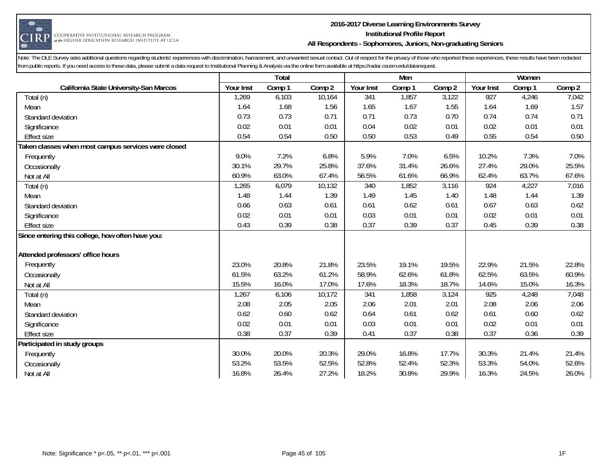

#### **2016-2017 Diverse Learning Environments Survey Institutional Profile Report All Respondents - Sophomores, Juniors, Non-graduating Seniors**

|                                                     |           | Total  |        |           | Men    |        |           | Women  |        |
|-----------------------------------------------------|-----------|--------|--------|-----------|--------|--------|-----------|--------|--------|
| California State University-San Marcos              | Your Inst | Comp 1 | Comp 2 | Your Inst | Comp 1 | Comp 2 | Your Inst | Comp 1 | Comp 2 |
| Total (n)                                           | 1,269     | 6,103  | 10,164 | 341       | 1,857  | 3,122  | 927       | 4,246  | 7,042  |
| Mean                                                | 1.64      | 1.68   | 1.56   | 1.65      | 1.67   | 1.55   | 1.64      | 1.69   | 1.57   |
| Standard deviation                                  | 0.73      | 0.73   | 0.71   | 0.71      | 0.73   | 0.70   | 0.74      | 0.74   | 0.71   |
| Significance                                        | 0.02      | 0.01   | 0.01   | 0.04      | 0.02   | 0.01   | 0.02      | 0.01   | 0.01   |
| Effect size                                         | 0.54      | 0.54   | 0.50   | 0.50      | 0.53   | 0.49   | 0.55      | 0.54   | 0.50   |
| Taken classes when most campus services were closed |           |        |        |           |        |        |           |        |        |
| Frequently                                          | 9.0%      | 7.2%   | 6.8%   | 5.9%      | 7.0%   | 6.5%   | 10.2%     | 7.3%   | 7.0%   |
| Occasionally                                        | 30.1%     | 29.7%  | 25.8%  | 37.6%     | 31.4%  | 26.6%  | 27.4%     | 29.0%  | 25.5%  |
| Not at All                                          | 60.9%     | 63.0%  | 67.4%  | 56.5%     | 61.6%  | 66.9%  | 62.4%     | 63.7%  | 67.6%  |
| Total (n)                                           | 1,265     | 6,079  | 10,132 | 340       | 1,852  | 3,116  | 924       | 4,227  | 7,016  |
| Mean                                                | 1.48      | 1.44   | 1.39   | 1.49      | 1.45   | 1.40   | 1.48      | 1.44   | 1.39   |
| Standard deviation                                  | 0.66      | 0.63   | 0.61   | 0.61      | 0.62   | 0.61   | 0.67      | 0.63   | 0.62   |
| Significance                                        | 0.02      | 0.01   | 0.01   | 0.03      | 0.01   | 0.01   | 0.02      | 0.01   | 0.01   |
| <b>Effect size</b>                                  | 0.43      | 0.39   | 0.38   | 0.37      | 0.39   | 0.37   | 0.45      | 0.39   | 0.38   |
| Since entering this college, how often have you:    |           |        |        |           |        |        |           |        |        |
|                                                     |           |        |        |           |        |        |           |        |        |
| Attended professors' office hours                   |           |        |        |           |        |        |           |        |        |
| Frequently                                          | 23.0%     | 20.8%  | 21.8%  | 23.5%     | 19.1%  | 19.5%  | 22.9%     | 21.5%  | 22.8%  |
| Occasionally                                        | 61.5%     | 63.2%  | 61.2%  | 58.9%     | 62.6%  | 61.8%  | 62.5%     | 63.5%  | 60.9%  |
| Not at All                                          | 15.5%     | 16.0%  | 17.0%  | 17.6%     | 18.3%  | 18.7%  | 14.6%     | 15.0%  | 16.3%  |
| Total (n)                                           | 1,267     | 6,106  | 10,172 | 341       | 1,858  | 3,124  | 925       | 4,248  | 7,048  |
| Mean                                                | 2.08      | 2.05   | 2.05   | 2.06      | 2.01   | 2.01   | 2.08      | 2.06   | 2.06   |
| Standard deviation                                  | 0.62      | 0.60   | 0.62   | 0.64      | 0.61   | 0.62   | 0.61      | 0.60   | 0.62   |
| Significance                                        | 0.02      | 0.01   | 0.01   | 0.03      | 0.01   | 0.01   | 0.02      | 0.01   | 0.01   |
| Effect size                                         | 0.38      | 0.37   | 0.39   | 0.41      | 0.37   | 0.38   | 0.37      | 0.36   | 0.39   |
| Participated in study groups                        |           |        |        |           |        |        |           |        |        |
| Frequently                                          | 30.0%     | 20.0%  | 20.3%  | 29.0%     | 16.8%  | 17.7%  | 30.3%     | 21.4%  | 21.4%  |
| Occasionally                                        | 53.2%     | 53.5%  | 52.5%  | 52.8%     | 52.4%  | 52.3%  | 53.3%     | 54.0%  | 52.6%  |
| Not at All                                          | 16.8%     | 26.4%  | 27.2%  | 18.2%     | 30.8%  | 29.9%  | 16.3%     | 24.5%  | 26.0%  |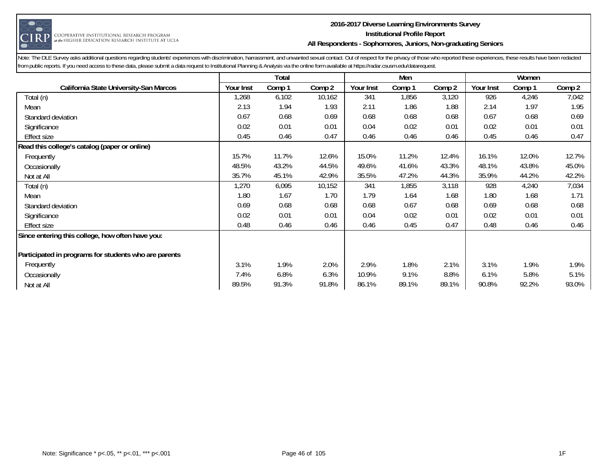

#### **2016-2017 Diverse Learning Environments Survey Institutional Profile Report All Respondents - Sophomores, Juniors, Non-graduating Seniors**

|                                                       |           | <b>Total</b> |        |           | Men    |        |           | Women  |        |
|-------------------------------------------------------|-----------|--------------|--------|-----------|--------|--------|-----------|--------|--------|
| California State University-San Marcos                | Your Inst | Comp 1       | Comp 2 | Your Inst | Comp 1 | Comp 2 | Your Inst | Comp 1 | Comp 2 |
| Total (n)                                             | 1,268     | 6,102        | 10,162 | 341       | 1,856  | 3,120  | 926       | 4,246  | 7,042  |
| Mean                                                  | 2.13      | 1.94         | 1.93   | 2.11      | 1.86   | 1.88   | 2.14      | 1.97   | 1.95   |
| Standard deviation                                    | 0.67      | 0.68         | 0.69   | 0.68      | 0.68   | 0.68   | 0.67      | 0.68   | 0.69   |
| Significance                                          | 0.02      | 0.01         | 0.01   | 0.04      | 0.02   | 0.01   | 0.02      | 0.01   | 0.01   |
| Effect size                                           | 0.45      | 0.46         | 0.47   | 0.46      | 0.46   | 0.46   | 0.45      | 0.46   | 0.47   |
| Read this college's catalog (paper or online)         |           |              |        |           |        |        |           |        |        |
| Frequently                                            | 15.7%     | 11.7%        | 12.6%  | 15.0%     | 11.2%  | 12.4%  | 16.1%     | 12.0%  | 12.7%  |
| Occasionally                                          | 48.5%     | 43.2%        | 44.5%  | 49.6%     | 41.6%  | 43.3%  | 48.1%     | 43.8%  | 45.0%  |
| Not at All                                            | 35.7%     | 45.1%        | 42.9%  | 35.5%     | 47.2%  | 44.3%  | 35.9%     | 44.2%  | 42.2%  |
| Total (n)                                             | 1,270     | 6,095        | 10,152 | 341       | 1,855  | 3,118  | 928       | 4,240  | 7,034  |
| Mean                                                  | 1.80      | 1.67         | 1.70   | 1.79      | 1.64   | 1.68   | 1.80      | 1.68   | 1.71   |
| Standard deviation                                    | 0.69      | 0.68         | 0.68   | 0.68      | 0.67   | 0.68   | 0.69      | 0.68   | 0.68   |
| Significance                                          | 0.02      | 0.01         | 0.01   | 0.04      | 0.02   | 0.01   | 0.02      | 0.01   | 0.01   |
| <b>Effect size</b>                                    | 0.48      | 0.46         | 0.46   | 0.46      | 0.45   | 0.47   | 0.48      | 0.46   | 0.46   |
| Since entering this college, how often have you:      |           |              |        |           |        |        |           |        |        |
|                                                       |           |              |        |           |        |        |           |        |        |
| Participated in programs for students who are parents |           |              |        |           |        |        |           |        |        |
| Frequently                                            | 3.1%      | 1.9%         | 2.0%   | 2.9%      | 1.8%   | 2.1%   | 3.1%      | 1.9%   | 1.9%   |
| Occasionally                                          | 7.4%      | 6.8%         | 6.3%   | 10.9%     | 9.1%   | 8.8%   | 6.1%      | 5.8%   | 5.1%   |
| Not at All                                            | 89.5%     | 91.3%        | 91.8%  | 86.1%     | 89.1%  | 89.1%  | 90.8%     | 92.2%  | 93.0%  |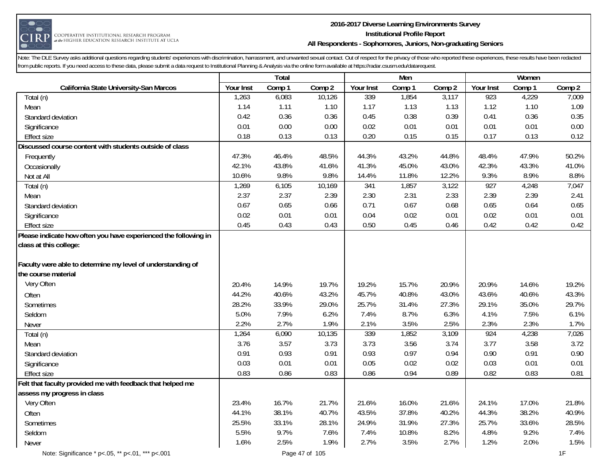

#### **2016-2017 Diverse Learning Environments Survey Institutional Profile Report All Respondents - Sophomores, Juniors, Non-graduating Seniors**

|                                                                                           |           | Total  |        |           | Men    |        |           | Women  |        |
|-------------------------------------------------------------------------------------------|-----------|--------|--------|-----------|--------|--------|-----------|--------|--------|
| California State University-San Marcos                                                    | Your Inst | Comp 1 | Comp 2 | Your Inst | Comp 1 | Comp 2 | Your Inst | Comp 1 | Comp 2 |
| Total (n)                                                                                 | 1,263     | 6,083  | 10,126 | 339       | 1,854  | 3,117  | 923       | 4,229  | 7,009  |
| Mean                                                                                      | 1.14      | 1.11   | 1.10   | 1.17      | 1.13   | 1.13   | 1.12      | 1.10   | 1.09   |
| Standard deviation                                                                        | 0.42      | 0.36   | 0.36   | 0.45      | 0.38   | 0.39   | 0.41      | 0.36   | 0.35   |
| Significance                                                                              | 0.01      | 0.00   | 0.00   | 0.02      | 0.01   | 0.01   | 0.01      | 0.01   | 0.00   |
| <b>Effect size</b>                                                                        | 0.18      | 0.13   | 0.13   | 0.20      | 0.15   | 0.15   | 0.17      | 0.13   | 0.12   |
| Discussed course content with students outside of class                                   |           |        |        |           |        |        |           |        |        |
| Frequently                                                                                | 47.3%     | 46.4%  | 48.5%  | 44.3%     | 43.2%  | 44.8%  | 48.4%     | 47.9%  | 50.2%  |
| Occasionally                                                                              | 42.1%     | 43.8%  | 41.6%  | 41.3%     | 45.0%  | 43.0%  | 42.3%     | 43.3%  | 41.0%  |
| Not at All                                                                                | 10.6%     | 9.8%   | 9.8%   | 14.4%     | 11.8%  | 12.2%  | 9.3%      | 8.9%   | 8.8%   |
| Total (n)                                                                                 | 1,269     | 6,105  | 10,169 | 341       | 1,857  | 3,122  | 927       | 4,248  | 7,047  |
| Mean                                                                                      | 2.37      | 2.37   | 2.39   | 2.30      | 2.31   | 2.33   | 2.39      | 2.39   | 2.41   |
| Standard deviation                                                                        | 0.67      | 0.65   | 0.66   | 0.71      | 0.67   | 0.68   | 0.65      | 0.64   | 0.65   |
| Significance                                                                              | 0.02      | 0.01   | 0.01   | 0.04      | 0.02   | 0.01   | 0.02      | 0.01   | 0.01   |
| <b>Effect size</b>                                                                        | 0.45      | 0.43   | 0.43   | 0.50      | 0.45   | 0.46   | 0.42      | 0.42   | 0.42   |
| Please indicate how often you have experienced the following in<br>class at this college: |           |        |        |           |        |        |           |        |        |
| Faculty were able to determine my level of understanding of<br>the course material        |           |        |        |           |        |        |           |        |        |
| Very Often                                                                                | 20.4%     | 14.9%  | 19.7%  | 19.2%     | 15.7%  | 20.9%  | 20.9%     | 14.6%  | 19.2%  |
| Often                                                                                     | 44.2%     | 40.6%  | 43.2%  | 45.7%     | 40.8%  | 43.0%  | 43.6%     | 40.6%  | 43.3%  |
| Sometimes                                                                                 | 28.2%     | 33.9%  | 29.0%  | 25.7%     | 31.4%  | 27.3%  | 29.1%     | 35.0%  | 29.7%  |
| Seldom                                                                                    | 5.0%      | 7.9%   | 6.2%   | 7.4%      | 8.7%   | 6.3%   | 4.1%      | 7.5%   | 6.1%   |
| Never                                                                                     | 2.2%      | 2.7%   | 1.9%   | 2.1%      | 3.5%   | 2.5%   | 2.3%      | 2.3%   | 1.7%   |
| Total (n)                                                                                 | 1,264     | 6,090  | 10,135 | 339       | 1,852  | 3,109  | 924       | 4,238  | 7,026  |
| Mean                                                                                      | 3.76      | 3.57   | 3.73   | 3.73      | 3.56   | 3.74   | 3.77      | 3.58   | 3.72   |
| Standard deviation                                                                        | 0.91      | 0.93   | 0.91   | 0.93      | 0.97   | 0.94   | 0.90      | 0.91   | 0.90   |
| Significance                                                                              | 0.03      | 0.01   | 0.01   | 0.05      | 0.02   | 0.02   | 0.03      | 0.01   | 0.01   |
| <b>Effect size</b>                                                                        | 0.83      | 0.86   | 0.83   | 0.86      | 0.94   | 0.89   | 0.82      | 0.83   | 0.81   |
| Felt that faculty provided me with feedback that helped me                                |           |        |        |           |        |        |           |        |        |
| assess my progress in class                                                               |           |        |        |           |        |        |           |        |        |
| Very Often                                                                                | 23.4%     | 16.7%  | 21.7%  | 21.6%     | 16.0%  | 21.6%  | 24.1%     | 17.0%  | 21.8%  |
| Often                                                                                     | 44.1%     | 38.1%  | 40.7%  | 43.5%     | 37.8%  | 40.2%  | 44.3%     | 38.2%  | 40.9%  |
| Sometimes                                                                                 | 25.5%     | 33.1%  | 28.1%  | 24.9%     | 31.9%  | 27.3%  | 25.7%     | 33.6%  | 28.5%  |
| Seldom                                                                                    | 5.5%      | 9.7%   | 7.6%   | 7.4%      | 10.8%  | 8.2%   | 4.8%      | 9.2%   | 7.4%   |
| <b>Never</b>                                                                              | 1.6%      | 2.5%   | 1.9%   | 2.7%      | 3.5%   | 2.7%   | 1.2%      | 2.0%   | 1.5%   |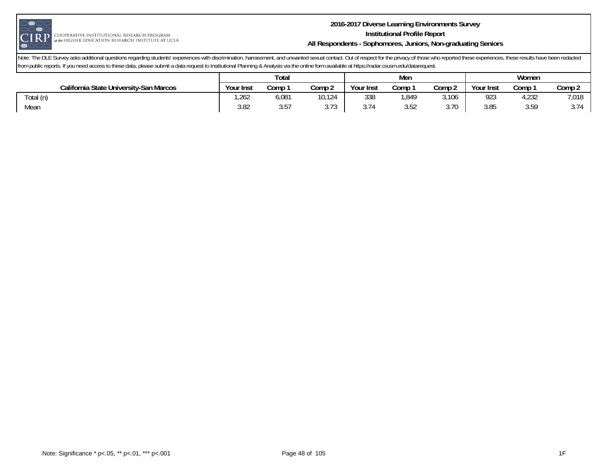

#### **2016-2017 Diverse Learning Environments Survey Institutional Profile Report All Respondents - Sophomores, Juniors, Non-graduating Seniors**

|                                        | Total     |             |                 |             | Men  |        | Women     |       |            |
|----------------------------------------|-----------|-------------|-----------------|-------------|------|--------|-----------|-------|------------|
| California State University-San Marcos | Your Inst | Comp        | Comp 2          | Your Inst   | Comp | Comp 2 | Your Inst | Comp  | Comp 2     |
| Total (n)                              | ,262      | 6,081       | 10,124          | 338         | 849, | 3,106  | 923       | 4,232 | 7,018      |
| Mean                                   | 3.82      | $ -$<br>ບ.ບ | $-20$<br>J. I J | 374<br>J.I. | 3.52 | 3.70   | 3.85      | 3.59  | 271<br>J.I |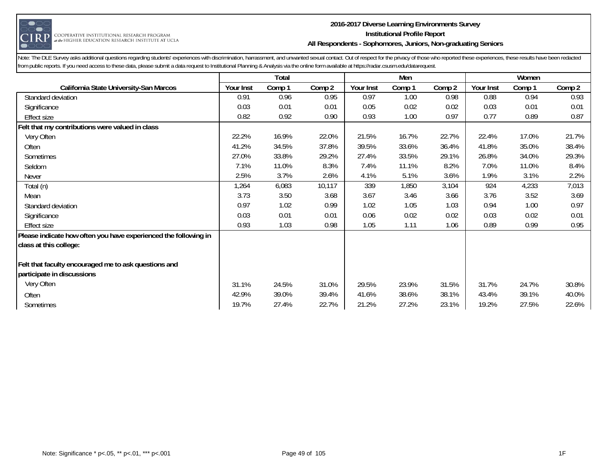

#### **2016-2017 Diverse Learning Environments Survey Institutional Profile Report All Respondents - Sophomores, Juniors, Non-graduating Seniors**

|                                                                 |           | Total  |        |           | Men    |        |           | Women  |        |
|-----------------------------------------------------------------|-----------|--------|--------|-----------|--------|--------|-----------|--------|--------|
| California State University-San Marcos                          | Your Inst | Comp 1 | Comp 2 | Your Inst | Comp 1 | Comp 2 | Your Inst | Comp 1 | Comp 2 |
| Standard deviation                                              | 0.91      | 0.96   | 0.95   | 0.97      | 1.00   | 0.98   | 0.88      | 0.94   | 0.93   |
| Significance                                                    | 0.03      | 0.01   | 0.01   | 0.05      | 0.02   | 0.02   | 0.03      | 0.01   | 0.01   |
| Effect size                                                     | 0.82      | 0.92   | 0.90   | 0.93      | 1.00   | 0.97   | 0.77      | 0.89   | 0.87   |
| Felt that my contributions were valued in class                 |           |        |        |           |        |        |           |        |        |
| Very Often                                                      | 22.2%     | 16.9%  | 22.0%  | 21.5%     | 16.7%  | 22.7%  | 22.4%     | 17.0%  | 21.7%  |
| Often                                                           | 41.2%     | 34.5%  | 37.8%  | 39.5%     | 33.6%  | 36.4%  | 41.8%     | 35.0%  | 38.4%  |
| Sometimes                                                       | 27.0%     | 33.8%  | 29.2%  | 27.4%     | 33.5%  | 29.1%  | 26.8%     | 34.0%  | 29.3%  |
| Seldom                                                          | 7.1%      | 11.0%  | 8.3%   | 7.4%      | 11.1%  | 8.2%   | 7.0%      | 11.0%  | 8.4%   |
| Never                                                           | 2.5%      | 3.7%   | 2.6%   | 4.1%      | 5.1%   | 3.6%   | 1.9%      | 3.1%   | 2.2%   |
| Total (n)                                                       | 1,264     | 6,083  | 10,117 | 339       | 1,850  | 3,104  | 924       | 4,233  | 7,013  |
| Mean                                                            | 3.73      | 3.50   | 3.68   | 3.67      | 3.46   | 3.66   | 3.76      | 3.52   | 3.69   |
| Standard deviation                                              | 0.97      | 1.02   | 0.99   | 1.02      | 1.05   | 1.03   | 0.94      | 1.00   | 0.97   |
| Significance                                                    | 0.03      | 0.01   | 0.01   | 0.06      | 0.02   | 0.02   | 0.03      | 0.02   | 0.01   |
| <b>Effect size</b>                                              | 0.93      | 1.03   | 0.98   | 1.05      | 1.11   | 1.06   | 0.89      | 0.99   | 0.95   |
| Please indicate how often you have experienced the following in |           |        |        |           |        |        |           |        |        |
| class at this college:                                          |           |        |        |           |        |        |           |        |        |
| Felt that faculty encouraged me to ask questions and            |           |        |        |           |        |        |           |        |        |
| participate in discussions                                      |           |        |        |           |        |        |           |        |        |
| Very Often                                                      | 31.1%     | 24.5%  | 31.0%  | 29.5%     | 23.9%  | 31.5%  | 31.7%     | 24.7%  | 30.8%  |
| Often                                                           | 42.9%     | 39.0%  | 39.4%  | 41.6%     | 38.6%  | 38.1%  | 43.4%     | 39.1%  | 40.0%  |
| Sometimes                                                       | 19.7%     | 27.4%  | 22.7%  | 21.2%     | 27.2%  | 23.1%  | 19.2%     | 27.5%  | 22.6%  |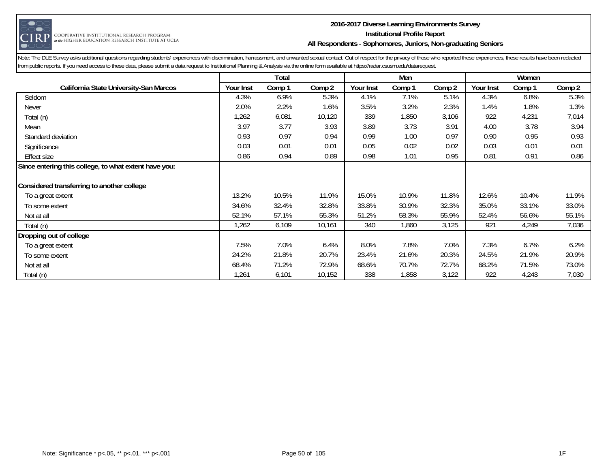

#### **2016-2017 Diverse Learning Environments Survey Institutional Profile Report All Respondents - Sophomores, Juniors, Non-graduating Seniors**

|                                                       |           | Total  |        |           | Men    |        |           | Women  |        |
|-------------------------------------------------------|-----------|--------|--------|-----------|--------|--------|-----------|--------|--------|
| California State University-San Marcos                | Your Inst | Comp 1 | Comp 2 | Your Inst | Comp 1 | Comp 2 | Your Inst | Comp 1 | Comp 2 |
| Seldom                                                | 4.3%      | 6.9%   | 5.3%   | 4.1%      | 7.1%   | 5.1%   | 4.3%      | 6.8%   | 5.3%   |
| <b>Never</b>                                          | 2.0%      | 2.2%   | 1.6%   | 3.5%      | 3.2%   | 2.3%   | 1.4%      | 1.8%   | 1.3%   |
| Total (n)                                             | 1,262     | 6,081  | 10,120 | 339       | 1,850  | 3,106  | 922       | 4,231  | 7,014  |
| Mean                                                  | 3.97      | 3.77   | 3.93   | 3.89      | 3.73   | 3.91   | 4.00      | 3.78   | 3.94   |
| Standard deviation                                    | 0.93      | 0.97   | 0.94   | 0.99      | 1.00   | 0.97   | 0.90      | 0.95   | 0.93   |
| Significance                                          | 0.03      | 0.01   | 0.01   | 0.05      | 0.02   | 0.02   | 0.03      | 0.01   | 0.01   |
| <b>Effect size</b>                                    | 0.86      | 0.94   | 0.89   | 0.98      | 1.01   | 0.95   | 0.81      | 0.91   | 0.86   |
| Since entering this college, to what extent have you: |           |        |        |           |        |        |           |        |        |
|                                                       |           |        |        |           |        |        |           |        |        |
| Considered transferring to another college            |           |        |        |           |        |        |           |        |        |
| To a great extent                                     | 13.2%     | 10.5%  | 11.9%  | 15.0%     | 10.9%  | 11.8%  | 12.6%     | 10.4%  | 11.9%  |
| To some extent                                        | 34.6%     | 32.4%  | 32.8%  | 33.8%     | 30.9%  | 32.3%  | 35.0%     | 33.1%  | 33.0%  |
| Not at all                                            | 52.1%     | 57.1%  | 55.3%  | 51.2%     | 58.3%  | 55.9%  | 52.4%     | 56.6%  | 55.1%  |
| Total (n)                                             | 1,262     | 6,109  | 10,161 | 340       | 1,860  | 3,125  | 921       | 4,249  | 7,036  |
| Dropping out of college                               |           |        |        |           |        |        |           |        |        |
| To a great extent                                     | 7.5%      | 7.0%   | 6.4%   | 8.0%      | 7.8%   | 7.0%   | 7.3%      | 6.7%   | 6.2%   |
| To some extent                                        | 24.2%     | 21.8%  | 20.7%  | 23.4%     | 21.6%  | 20.3%  | 24.5%     | 21.9%  | 20.9%  |
| Not at all                                            | 68.4%     | 71.2%  | 72.9%  | 68.6%     | 70.7%  | 72.7%  | 68.2%     | 71.5%  | 73.0%  |
| Total (n)                                             | 1,261     | 6,101  | 10,152 | 338       | 1,858  | 3,122  | 922       | 4,243  | 7,030  |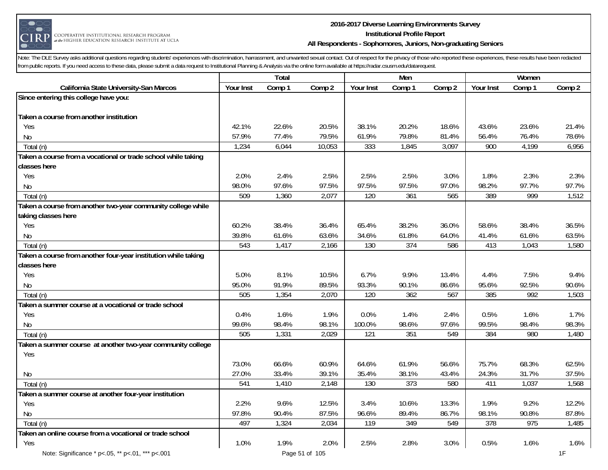

#### **2016-2017 Diverse Learning Environments Survey Institutional Profile Report All Respondents - Sophomores, Juniors, Non-graduating Seniors**

|                                                                |           | Total  |                |           | Men              |        |           | Women  |        |
|----------------------------------------------------------------|-----------|--------|----------------|-----------|------------------|--------|-----------|--------|--------|
| California State University-San Marcos                         | Your Inst | Comp 1 | Comp 2         | Your Inst | Comp 1           | Comp 2 | Your Inst | Comp 1 | Comp 2 |
| Since entering this college have you:                          |           |        |                |           |                  |        |           |        |        |
|                                                                |           |        |                |           |                  |        |           |        |        |
| Taken a course from another institution                        |           |        |                |           |                  |        |           |        |        |
| Yes                                                            | 42.1%     | 22.6%  | 20.5%          | 38.1%     | 20.2%            | 18.6%  | 43.6%     | 23.6%  | 21.4%  |
| <b>No</b>                                                      | 57.9%     | 77.4%  | 79.5%          | 61.9%     | 79.8%            | 81.4%  | 56.4%     | 76.4%  | 78.6%  |
| Total (n)                                                      | 1,234     | 6,044  | 10,053         | 333       | 1,845            | 3,097  | 900       | 4,199  | 6,956  |
| Taken a course from a vocational or trade school while taking  |           |        |                |           |                  |        |           |        |        |
| classes here                                                   |           |        |                |           |                  |        |           |        |        |
| Yes                                                            | 2.0%      | 2.4%   | 2.5%           | 2.5%      | 2.5%             | 3.0%   | 1.8%      | 2.3%   | 2.3%   |
| No                                                             | 98.0%     | 97.6%  | 97.5%          | 97.5%     | 97.5%            | 97.0%  | 98.2%     | 97.7%  | 97.7%  |
| Total (n)                                                      | 509       | 1,360  | 2,077          | 120       | 361              | 565    | 389       | 999    | 1,512  |
| Taken a course from another two-year community college while   |           |        |                |           |                  |        |           |        |        |
| taking classes here                                            |           |        |                |           |                  |        |           |        |        |
| Yes                                                            | 60.2%     | 38.4%  | 36.4%          | 65.4%     | 38.2%            | 36.0%  | 58.6%     | 38.4%  | 36.5%  |
| <b>No</b>                                                      | 39.8%     | 61.6%  | 63.6%          | 34.6%     | 61.8%            | 64.0%  | 41.4%     | 61.6%  | 63.5%  |
| Total (n)                                                      | 543       | 1,417  | 2,166          | 130       | 374              | 586    | 413       | 1,043  | 1,580  |
| Taken a course from another four-year institution while taking |           |        |                |           |                  |        |           |        |        |
| classes here                                                   |           |        |                |           |                  |        |           |        |        |
| Yes                                                            | 5.0%      | 8.1%   | 10.5%          | 6.7%      | 9.9%             | 13.4%  | 4.4%      | 7.5%   | 9.4%   |
| No                                                             | 95.0%     | 91.9%  | 89.5%          | 93.3%     | 90.1%            | 86.6%  | 95.6%     | 92.5%  | 90.6%  |
| Total (n)                                                      | 505       | 1,354  | 2,070          | 120       | 362              | 567    | 385       | 992    | 1,503  |
| Taken a summer course at a vocational or trade school          |           |        |                |           |                  |        |           |        |        |
| Yes                                                            | 0.4%      | 1.6%   | 1.9%           | 0.0%      | 1.4%             | 2.4%   | 0.5%      | 1.6%   | 1.7%   |
| <b>No</b>                                                      | 99.6%     | 98.4%  | 98.1%          | 100.0%    | 98.6%            | 97.6%  | 99.5%     | 98.4%  | 98.3%  |
| Total (n)                                                      | 505       | 1,331  | 2,029          | 121       | 351              | 549    | 384       | 980    | 1,480  |
| Taken a summer course at another two-year community college    |           |        |                |           |                  |        |           |        |        |
| Yes                                                            |           |        |                |           |                  |        |           |        |        |
|                                                                | 73.0%     | 66.6%  | 60.9%          | 64.6%     | 61.9%            | 56.6%  | 75.7%     | 68.3%  | 62.5%  |
| No                                                             | 27.0%     | 33.4%  | 39.1%          | 35.4%     | 38.1%            | 43.4%  | 24.3%     | 31.7%  | 37.5%  |
| Total (n)                                                      | 541       | 1,410  | 2,148          | 130       | $\overline{373}$ | 580    | 411       | 1,037  | 1,568  |
| Taken a summer course at another four-year institution         |           |        |                |           |                  |        |           |        |        |
| Yes                                                            | 2.2%      | 9.6%   | 12.5%          | 3.4%      | 10.6%            | 13.3%  | 1.9%      | 9.2%   | 12.2%  |
|                                                                | 97.8%     | 90.4%  | 87.5%          | 96.6%     | 89.4%            | 86.7%  | 98.1%     | 90.8%  | 87.8%  |
| No                                                             | 497       | 1,324  | 2,034          | 119       | 349              | 549    | 378       | 975    | 1,485  |
| Total (n)                                                      |           |        |                |           |                  |        |           |        |        |
| Taken an online course from a vocational or trade school       | 1.0%      |        |                |           |                  |        |           | 1.6%   |        |
| Yes                                                            |           | 1.9%   | 2.0%           | 2.5%      | 2.8%             | 3.0%   | 0.5%      |        | 1.6%   |
| Note: Significance * p<.05, ** p<.01, *** p<.001               |           |        | Page 51 of 105 |           |                  |        |           |        | 1F     |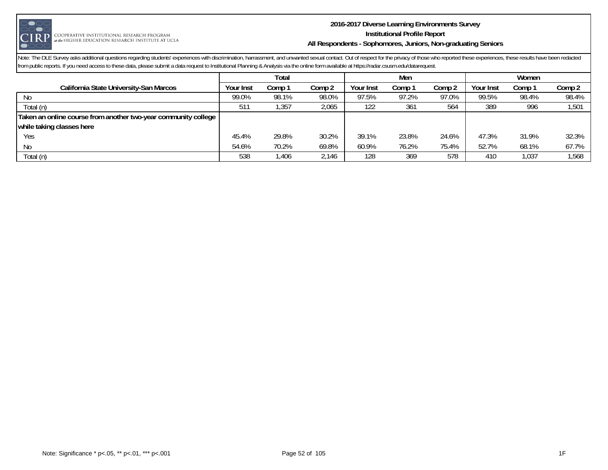

#### **2016-2017 Diverse Learning Environments Survey Institutional Profile Report All Respondents - Sophomores, Juniors, Non-graduating Seniors**

|                                                                | Total     |        |        |           | Men    |        | Women     |        |        |
|----------------------------------------------------------------|-----------|--------|--------|-----------|--------|--------|-----------|--------|--------|
| California State University-San Marcos                         | Your Inst | Comp 1 | Comp 2 | Your Inst | Comp 1 | Comp 2 | Your Inst | Comp : | Comp 2 |
| No.                                                            | 99.0%     | 98.1%  | 98.0%  | 97.5%     | 97.2%  | 97.0%  | 99.5%     | 98.4%  | 98.4%  |
| Total (n)                                                      | 511       | .357   | 2.065  | 122       | 361    | 564    | 389       | 996    | 1,501  |
| Taken an online course from another two-year community college |           |        |        |           |        |        |           |        |        |
| while taking classes here                                      |           |        |        |           |        |        |           |        |        |
| Yes                                                            | 45.4%     | 29.8%  | 30.2%  | 39.1%     | 23.8%  | 24.6%  | 47.3%     | 31.9%  | 32.3%  |
| No                                                             | 54.6%     | 70.2%  | 69.8%  | 60.9%     | 76.2%  | 75.4%  | 52.7%     | 68.1%  | 67.7%  |
| Total (n)                                                      | 538       | l,406  | 2,146  | 128       | 369    | 578    | 410       | 1,037  | 1,568  |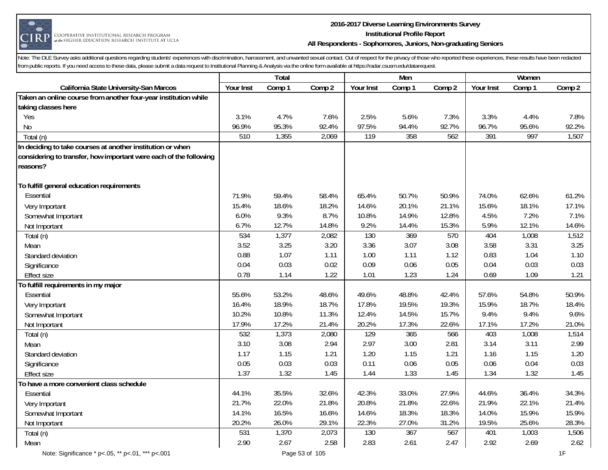

#### **2016-2017 Diverse Learning Environments Survey Institutional Profile Report All Respondents - Sophomores, Juniors, Non-graduating Seniors**

|                                                                   |           | Total  |        |           | Men    |        |           | Women  |        |
|-------------------------------------------------------------------|-----------|--------|--------|-----------|--------|--------|-----------|--------|--------|
| California State University-San Marcos                            | Your Inst | Comp 1 | Comp 2 | Your Inst | Comp 1 | Comp 2 | Your Inst | Comp 1 | Comp 2 |
| Taken an online course from another four-year institution while   |           |        |        |           |        |        |           |        |        |
| taking classes here                                               |           |        |        |           |        |        |           |        |        |
| Yes                                                               | 3.1%      | 4.7%   | 7.6%   | 2.5%      | 5.6%   | 7.3%   | 3.3%      | 4.4%   | 7.8%   |
| No                                                                | 96.9%     | 95.3%  | 92.4%  | 97.5%     | 94.4%  | 92.7%  | 96.7%     | 95.6%  | 92.2%  |
| Total (n)                                                         | 510       | 1,355  | 2,069  | 119       | 358    | 562    | 391       | 997    | 1,507  |
| In deciding to take courses at another institution or when        |           |        |        |           |        |        |           |        |        |
| considering to transfer, how important were each of the following |           |        |        |           |        |        |           |        |        |
| reasons?                                                          |           |        |        |           |        |        |           |        |        |
| To fulfill general education requirements                         |           |        |        |           |        |        |           |        |        |
| Essential                                                         | 71.9%     | 59.4%  | 58.4%  | 65.4%     | 50.7%  | 50.9%  | 74.0%     | 62.6%  | 61.2%  |
| Very Important                                                    | 15.4%     | 18.6%  | 18.2%  | 14.6%     | 20.1%  | 21.1%  | 15.6%     | 18.1%  | 17.1%  |
| Somewhat Important                                                | 6.0%      | 9.3%   | 8.7%   | 10.8%     | 14.9%  | 12.8%  | 4.5%      | 7.2%   | 7.1%   |
| Not Important                                                     | 6.7%      | 12.7%  | 14.8%  | 9.2%      | 14.4%  | 15.3%  | 5.9%      | 12.1%  | 14.6%  |
| Total (n)                                                         | 534       | 1,377  | 2,082  | 130       | 369    | 570    | 404       | 1,008  | 1,512  |
| Mean                                                              | 3.52      | 3.25   | 3.20   | 3.36      | 3.07   | 3.08   | 3.58      | 3.31   | 3.25   |
| Standard deviation                                                | 0.88      | 1.07   | 1.11   | 1.00      | 1.11   | 1.12   | 0.83      | 1.04   | 1.10   |
| Significance                                                      | 0.04      | 0.03   | 0.02   | 0.09      | 0.06   | 0.05   | 0.04      | 0.03   | 0.03   |
| <b>Effect size</b>                                                | 0.78      | 1.14   | 1.22   | 1.01      | 1.23   | 1.24   | 0.69      | 1.09   | 1.21   |
| To fulfill requirements in my major                               |           |        |        |           |        |        |           |        |        |
| Essential                                                         | 55.6%     | 53.2%  | 48.6%  | 49.6%     | 48.8%  | 42.4%  | 57.6%     | 54.8%  | 50.9%  |
| Very Important                                                    | 16.4%     | 18.9%  | 18.7%  | 17.8%     | 19.5%  | 19.3%  | 15.9%     | 18.7%  | 18.4%  |
| Somewhat Important                                                | 10.2%     | 10.8%  | 11.3%  | 12.4%     | 14.5%  | 15.7%  | 9.4%      | 9.4%   | 9.6%   |
| Not Important                                                     | 17.9%     | 17.2%  | 21.4%  | 20.2%     | 17.3%  | 22.6%  | 17.1%     | 17.2%  | 21.0%  |
| Total (n)                                                         | 532       | 1,373  | 2,080  | 129       | 365    | 566    | 403       | 1,008  | 1,514  |
| Mean                                                              | 3.10      | 3.08   | 2.94   | 2.97      | 3.00   | 2.81   | 3.14      | 3.11   | 2.99   |
| Standard deviation                                                | 1.17      | 1.15   | 1.21   | 1.20      | 1.15   | 1.21   | 1.16      | 1.15   | 1.20   |
| Significance                                                      | 0.05      | 0.03   | 0.03   | 0.11      | 0.06   | 0.05   | 0.06      | 0.04   | 0.03   |
| <b>Effect size</b>                                                | 1.37      | 1.32   | 1.45   | 1.44      | 1.33   | 1.45   | 1.34      | 1.32   | 1.45   |
| To have a more convenient class schedule                          |           |        |        |           |        |        |           |        |        |
| Essential                                                         | 44.1%     | 35.5%  | 32.6%  | 42.3%     | 33.0%  | 27.9%  | 44.6%     | 36.4%  | 34.3%  |
| Very Important                                                    | 21.7%     | 22.0%  | 21.8%  | 20.8%     | 21.8%  | 22.6%  | 21.9%     | 22.1%  | 21.4%  |
| Somewhat Important                                                | 14.1%     | 16.5%  | 16.6%  | 14.6%     | 18.3%  | 18.3%  | 14.0%     | 15.9%  | 15.9%  |
| Not Important                                                     | 20.2%     | 26.0%  | 29.1%  | 22.3%     | 27.0%  | 31.2%  | 19.5%     | 25.6%  | 28.3%  |
| Total (n)                                                         | 531       | 1,370  | 2,073  | 130       | 367    | 567    | 401       | 1,003  | 1,506  |
| Mean                                                              | 2.90      | 2.67   | 2.58   | 2.83      | 2.61   | 2.47   | 2.92      | 2.69   | 2.62   |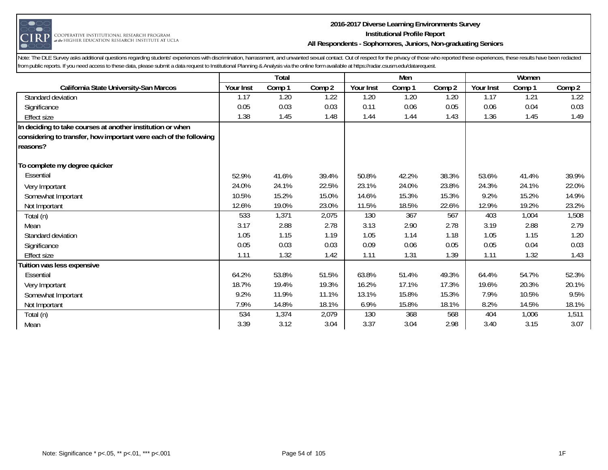

#### **2016-2017 Diverse Learning Environments Survey Institutional Profile Report All Respondents - Sophomores, Juniors, Non-graduating Seniors**

|                                                                   |           | Total  |        |           | Men    |        |           | Women  |        |
|-------------------------------------------------------------------|-----------|--------|--------|-----------|--------|--------|-----------|--------|--------|
| California State University-San Marcos                            | Your Inst | Comp 1 | Comp 2 | Your Inst | Comp 1 | Comp 2 | Your Inst | Comp 1 | Comp 2 |
| Standard deviation                                                | 1.17      | 1.20   | 1.22   | 1.20      | 1.20   | 1.20   | 1.17      | 1.21   | 1.22   |
| Significance                                                      | 0.05      | 0.03   | 0.03   | 0.11      | 0.06   | 0.05   | 0.06      | 0.04   | 0.03   |
| <b>Effect size</b>                                                | 1.38      | 1.45   | 1.48   | 1.44      | 1.44   | 1.43   | 1.36      | 1.45   | 1.49   |
| In deciding to take courses at another institution or when        |           |        |        |           |        |        |           |        |        |
| considering to transfer, how important were each of the following |           |        |        |           |        |        |           |        |        |
| reasons?                                                          |           |        |        |           |        |        |           |        |        |
|                                                                   |           |        |        |           |        |        |           |        |        |
| To complete my degree quicker                                     |           |        |        |           |        |        |           |        |        |
| Essential                                                         | 52.9%     | 41.6%  | 39.4%  | 50.8%     | 42.2%  | 38.3%  | 53.6%     | 41.4%  | 39.9%  |
| Very Important                                                    | 24.0%     | 24.1%  | 22.5%  | 23.1%     | 24.0%  | 23.8%  | 24.3%     | 24.1%  | 22.0%  |
| Somewhat Important                                                | 10.5%     | 15.2%  | 15.0%  | 14.6%     | 15.3%  | 15.3%  | 9.2%      | 15.2%  | 14.9%  |
| Not Important                                                     | 12.6%     | 19.0%  | 23.0%  | 11.5%     | 18.5%  | 22.6%  | 12.9%     | 19.2%  | 23.2%  |
| Total (n)                                                         | 533       | 1,371  | 2,075  | 130       | 367    | 567    | 403       | 1,004  | 1,508  |
| Mean                                                              | 3.17      | 2.88   | 2.78   | 3.13      | 2.90   | 2.78   | 3.19      | 2.88   | 2.79   |
| Standard deviation                                                | 1.05      | 1.15   | 1.19   | 1.05      | 1.14   | 1.18   | 1.05      | 1.15   | 1.20   |
| Significance                                                      | 0.05      | 0.03   | 0.03   | 0.09      | 0.06   | 0.05   | 0.05      | 0.04   | 0.03   |
| <b>Effect size</b>                                                | 1.11      | 1.32   | 1.42   | 1.11      | 1.31   | 1.39   | 1.11      | 1.32   | 1.43   |
| Tuition was less expensive                                        |           |        |        |           |        |        |           |        |        |
| Essential                                                         | 64.2%     | 53.8%  | 51.5%  | 63.8%     | 51.4%  | 49.3%  | 64.4%     | 54.7%  | 52.3%  |
| Very Important                                                    | 18.7%     | 19.4%  | 19.3%  | 16.2%     | 17.1%  | 17.3%  | 19.6%     | 20.3%  | 20.1%  |
| Somewhat Important                                                | 9.2%      | 11.9%  | 11.1%  | 13.1%     | 15.8%  | 15.3%  | 7.9%      | 10.5%  | 9.5%   |
| Not Important                                                     | 7.9%      | 14.8%  | 18.1%  | 6.9%      | 15.8%  | 18.1%  | 8.2%      | 14.5%  | 18.1%  |
| Total (n)                                                         | 534       | 1,374  | 2,079  | 130       | 368    | 568    | 404       | 1,006  | 1,511  |
| Mean                                                              | 3.39      | 3.12   | 3.04   | 3.37      | 3.04   | 2.98   | 3.40      | 3.15   | 3.07   |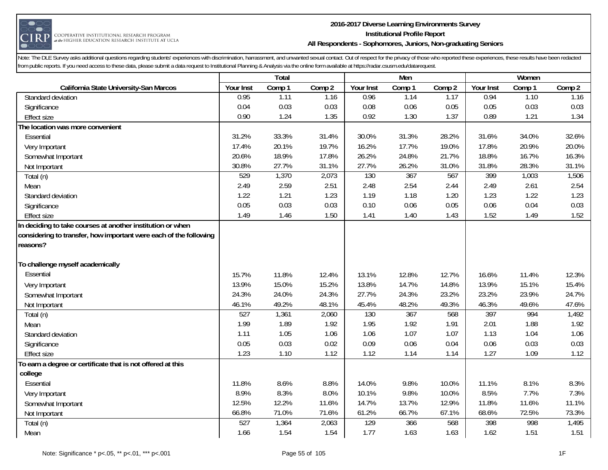

#### **2016-2017 Diverse Learning Environments Survey Institutional Profile Report All Respondents - Sophomores, Juniors, Non-graduating Seniors**

|                                                                   |              | Total        |              |           | Men          |              |              | Women        |              |
|-------------------------------------------------------------------|--------------|--------------|--------------|-----------|--------------|--------------|--------------|--------------|--------------|
| California State University-San Marcos                            | Your Inst    | Comp 1       | Comp 2       | Your Inst | Comp 1       | Comp 2       | Your Inst    | Comp 1       | Comp 2       |
| Standard deviation                                                | 0.95         | 1.11         | 1.16         | 0.96      | 1.14         | 1.17         | 0.94         | 1.10         | 1.16         |
| Significance                                                      | 0.04         | 0.03         | 0.03         | 0.08      | 0.06         | 0.05         | 0.05         | 0.03         | 0.03         |
| <b>Effect size</b>                                                | 0.90         | 1.24         | 1.35         | 0.92      | 1.30         | 1.37         | 0.89         | 1.21         | 1.34         |
| The location was more convenient                                  |              |              |              |           |              |              |              |              |              |
| Essential                                                         | 31.2%        | 33.3%        | 31.4%        | 30.0%     | 31.3%        | 28.2%        | 31.6%        | 34.0%        | 32.6%        |
| Very Important                                                    | 17.4%        | 20.1%        | 19.7%        | 16.2%     | 17.7%        | 19.0%        | 17.8%        | 20.9%        | 20.0%        |
| Somewhat Important                                                | 20.6%        | 18.9%        | 17.8%        | 26.2%     | 24.8%        | 21.7%        | 18.8%        | 16.7%        | 16.3%        |
| Not Important                                                     | 30.8%        | 27.7%        | 31.1%        | 27.7%     | 26.2%        | 31.0%        | 31.8%        | 28.3%        | 31.1%        |
| Total (n)                                                         | 529          | 1,370        | 2,073        | 130       | 367          | 567          | 399          | 1,003        | 1,506        |
| Mean                                                              | 2.49         | 2.59         | 2.51         | 2.48      | 2.54         | 2.44         | 2.49         | 2.61         | 2.54         |
| Standard deviation                                                | 1.22         | 1.21         | 1.23         | 1.19      | 1.18         | 1.20         | 1.23         | 1.22         | 1.23         |
| Significance                                                      | 0.05         | 0.03         | 0.03         | 0.10      | 0.06         | 0.05         | 0.06         | 0.04         | 0.03         |
| <b>Effect size</b>                                                | 1.49         | 1.46         | 1.50         | 1.41      | 1.40         | 1.43         | 1.52         | 1.49         | 1.52         |
| In deciding to take courses at another institution or when        |              |              |              |           |              |              |              |              |              |
| considering to transfer, how important were each of the following |              |              |              |           |              |              |              |              |              |
| reasons?                                                          |              |              |              |           |              |              |              |              |              |
|                                                                   |              |              |              |           |              |              |              |              |              |
| To challenge myself academically                                  |              |              |              |           |              |              |              |              |              |
| Essential                                                         | 15.7%        | 11.8%        | 12.4%        | 13.1%     | 12.8%        | 12.7%        | 16.6%        | 11.4%        | 12.3%        |
| Very Important                                                    | 13.9%        | 15.0%        | 15.2%        | 13.8%     | 14.7%        | 14.8%        | 13.9%        | 15.1%        | 15.4%        |
| Somewhat Important                                                | 24.3%        | 24.0%        | 24.3%        | 27.7%     | 24.3%        | 23.2%        | 23.2%        | 23.9%        | 24.7%        |
| Not Important                                                     | 46.1%        | 49.2%        | 48.1%        | 45.4%     | 48.2%        | 49.3%        | 46.3%        | 49.6%        | 47.6%        |
| Total (n)                                                         | 527          | 1,361        | 2,060        | 130       | 367          | 568          | 397          | 994          | 1,492        |
| Mean                                                              | 1.99         | 1.89         | 1.92         | 1.95      | 1.92         | 1.91         | 2.01         | 1.88         | 1.92         |
| Standard deviation                                                | 1.11         | 1.05         | 1.06         | 1.06      | 1.07         | 1.07         | 1.13         | 1.04         | 1.06         |
| Significance                                                      | 0.05<br>1.23 | 0.03<br>1.10 | 0.02<br>1.12 | 0.09      | 0.06<br>1.14 | 0.04<br>1.14 | 0.06<br>1.27 | 0.03<br>1.09 | 0.03<br>1.12 |
| <b>Effect size</b>                                                |              |              |              | 1.12      |              |              |              |              |              |
| To earn a degree or certificate that is not offered at this       |              |              |              |           |              |              |              |              |              |
| college<br>Essential                                              | 11.8%        | 8.6%         | 8.8%         | 14.0%     | 9.8%         | 10.0%        | 11.1%        | 8.1%         | 8.3%         |
|                                                                   | 8.9%         | 8.3%         | 8.0%         | 10.1%     | 9.8%         | 10.0%        | 8.5%         | 7.7%         | 7.3%         |
| Very Important                                                    | 12.5%        | 12.2%        | 11.6%        | 14.7%     | 13.7%        | 12.9%        | 11.8%        | 11.6%        | 11.1%        |
| Somewhat Important                                                | 66.8%        | 71.0%        | 71.6%        | 61.2%     | 66.7%        | 67.1%        | 68.6%        | 72.5%        | 73.3%        |
| Not Important                                                     | 527          | 1,364        | 2,063        | 129       | 366          | 568          | 398          | 998          | 1,495        |
| Total (n)                                                         | 1.66         | 1.54         | 1.54         | 1.77      | 1.63         | 1.63         | 1.62         | 1.51         | 1.51         |
| Mean                                                              |              |              |              |           |              |              |              |              |              |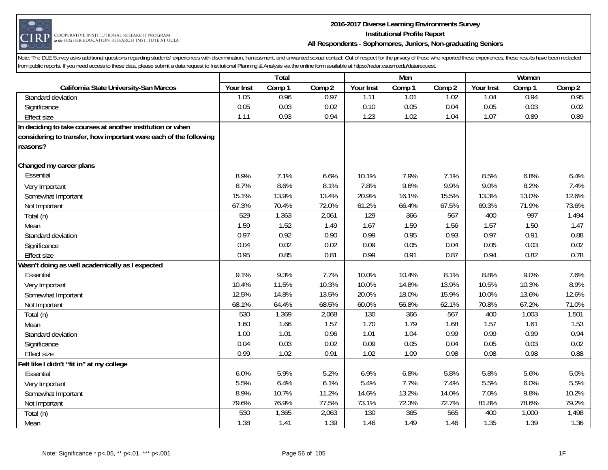

#### **2016-2017 Diverse Learning Environments Survey Institutional Profile Report All Respondents - Sophomores, Juniors, Non-graduating Seniors**

|                                                                   |           | Total  |        |           | Men    |        |           | Women  |        |
|-------------------------------------------------------------------|-----------|--------|--------|-----------|--------|--------|-----------|--------|--------|
| California State University-San Marcos                            | Your Inst | Comp 1 | Comp 2 | Your Inst | Comp 1 | Comp 2 | Your Inst | Comp 1 | Comp 2 |
| Standard deviation                                                | 1.05      | 0.96   | 0.97   | 1.11      | 1.01   | 1.02   | 1.04      | 0.94   | 0.95   |
| Significance                                                      | 0.05      | 0.03   | 0.02   | 0.10      | 0.05   | 0.04   | 0.05      | 0.03   | 0.02   |
| <b>Effect size</b>                                                | 1.11      | 0.93   | 0.94   | 1.23      | 1.02   | 1.04   | 1.07      | 0.89   | 0.89   |
| In deciding to take courses at another institution or when        |           |        |        |           |        |        |           |        |        |
| considering to transfer, how important were each of the following |           |        |        |           |        |        |           |        |        |
| reasons?                                                          |           |        |        |           |        |        |           |        |        |
| Changed my career plans                                           |           |        |        |           |        |        |           |        |        |
| Essential                                                         | 8.9%      | 7.1%   | 6.6%   | 10.1%     | 7.9%   | 7.1%   | 8.5%      | 6.8%   | 6.4%   |
| Very Important                                                    | 8.7%      | 8.6%   | 8.1%   | 7.8%      | 9.6%   | 9.9%   | 9.0%      | 8.2%   | 7.4%   |
| Somewhat Important                                                | 15.1%     | 13.9%  | 13.4%  | 20.9%     | 16.1%  | 15.5%  | 13.3%     | 13.0%  | 12.6%  |
| Not Important                                                     | 67.3%     | 70.4%  | 72.0%  | 61.2%     | 66.4%  | 67.5%  | 69.3%     | 71.9%  | 73.6%  |
| Total (n)                                                         | 529       | 1,363  | 2,061  | 129       | 366    | 567    | 400       | 997    | 1,494  |
| Mean                                                              | 1.59      | 1.52   | 1.49   | 1.67      | 1.59   | 1.56   | 1.57      | 1.50   | 1.47   |
| Standard deviation                                                | 0.97      | 0.92   | 0.90   | 0.99      | 0.95   | 0.93   | 0.97      | 0.91   | 0.88   |
| Significance                                                      | 0.04      | 0.02   | 0.02   | 0.09      | 0.05   | 0.04   | 0.05      | 0.03   | 0.02   |
| <b>Effect size</b>                                                | 0.95      | 0.85   | 0.81   | 0.99      | 0.91   | 0.87   | 0.94      | 0.82   | 0.78   |
| Wasn't doing as well academically as I expected                   |           |        |        |           |        |        |           |        |        |
| Essential                                                         | 9.1%      | 9.3%   | 7.7%   | 10.0%     | 10.4%  | 8.1%   | 8.8%      | 9.0%   | 7.6%   |
| Very Important                                                    | 10.4%     | 11.5%  | 10.3%  | 10.0%     | 14.8%  | 13.9%  | 10.5%     | 10.3%  | 8.9%   |
| Somewhat Important                                                | 12.5%     | 14.8%  | 13.5%  | 20.0%     | 18.0%  | 15.9%  | 10.0%     | 13.6%  | 12.6%  |
| Not Important                                                     | 68.1%     | 64.4%  | 68.5%  | 60.0%     | 56.8%  | 62.1%  | 70.8%     | 67.2%  | 71.0%  |
| Total (n)                                                         | 530       | 1,369  | 2,068  | 130       | 366    | 567    | 400       | 1,003  | 1,501  |
| Mean                                                              | 1.60      | 1.66   | 1.57   | 1.70      | 1.79   | 1.68   | 1.57      | 1.61   | 1.53   |
| Standard deviation                                                | 1.00      | 1.01   | 0.96   | 1.01      | 1.04   | 0.99   | 0.99      | 0.99   | 0.94   |
| Significance                                                      | 0.04      | 0.03   | 0.02   | 0.09      | 0.05   | 0.04   | 0.05      | 0.03   | 0.02   |
| <b>Effect size</b>                                                | 0.99      | 1.02   | 0.91   | 1.02      | 1.09   | 0.98   | 0.98      | 0.98   | 0.88   |
| Felt like I didn't "fit in" at my college                         |           |        |        |           |        |        |           |        |        |
| Essential                                                         | 6.0%      | 5.9%   | 5.2%   | 6.9%      | 6.8%   | 5.8%   | 5.8%      | 5.6%   | 5.0%   |
| Very Important                                                    | 5.5%      | 6.4%   | 6.1%   | 5.4%      | 7.7%   | 7.4%   | 5.5%      | 6.0%   | 5.5%   |
| Somewhat Important                                                | 8.9%      | 10.7%  | 11.2%  | 14.6%     | 13.2%  | 14.0%  | 7.0%      | 9.8%   | 10.2%  |
| Not Important                                                     | 79.6%     | 76.9%  | 77.5%  | 73.1%     | 72.3%  | 72.7%  | 81.8%     | 78.6%  | 79.2%  |
| Total (n)                                                         | 530       | 1,365  | 2,063  | 130       | 365    | 565    | 400       | 1,000  | 1,498  |
| Mean                                                              | 1.38      | 1.41   | 1.39   | 1.46      | 1.49   | 1.46   | 1.35      | 1.39   | 1.36   |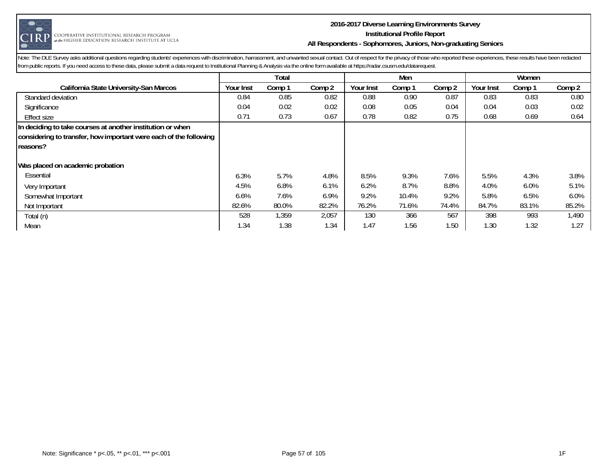

#### **2016-2017 Diverse Learning Environments Survey Institutional Profile Report All Respondents - Sophomores, Juniors, Non-graduating Seniors**

|                                                                                                                                             |           | Total  |        |           | Men    |        |           | Women  |        |
|---------------------------------------------------------------------------------------------------------------------------------------------|-----------|--------|--------|-----------|--------|--------|-----------|--------|--------|
| California State University-San Marcos                                                                                                      | Your Inst | Comp 1 | Comp 2 | Your Inst | Comp 1 | Comp 2 | Your Inst | Comp 1 | Comp 2 |
| Standard deviation                                                                                                                          | 0.84      | 0.85   | 0.82   | 0.88      | 0.90   | 0.87   | 0.83      | 0.83   | 0.80   |
| Significance                                                                                                                                | 0.04      | 0.02   | 0.02   | 0.08      | 0.05   | 0.04   | 0.04      | 0.03   | 0.02   |
| Effect size                                                                                                                                 | 0.71      | 0.73   | 0.67   | 0.78      | 0.82   | 0.75   | 0.68      | 0.69   | 0.64   |
| In deciding to take courses at another institution or when<br>considering to transfer, how important were each of the following<br>reasons? |           |        |        |           |        |        |           |        |        |
| Was placed on academic probation                                                                                                            |           |        |        |           |        |        |           |        |        |
| Essential                                                                                                                                   | 6.3%      | 5.7%   | 4.8%   | 8.5%      | 9.3%   | 7.6%   | 5.5%      | 4.3%   | 3.8%   |
| Very Important                                                                                                                              | 4.5%      | 6.8%   | 6.1%   | 6.2%      | 8.7%   | 8.8%   | 4.0%      | 6.0%   | 5.1%   |
| Somewhat Important                                                                                                                          | 6.6%      | 7.6%   | 6.9%   | 9.2%      | 10.4%  | 9.2%   | 5.8%      | 6.5%   | 6.0%   |
| Not Important                                                                                                                               | 82.6%     | 80.0%  | 82.2%  | 76.2%     | 71.6%  | 74.4%  | 84.7%     | 83.1%  | 85.2%  |
| Total (n)                                                                                                                                   | 528       | 1,359  | 2,057  | 130       | 366    | 567    | 398       | 993    | 1.490  |
| Mean                                                                                                                                        | 1.34      | 1.38   | 1.34   | 1.47      | 1.56   | 1.50   | 1.30      | 1.32   | 1.27   |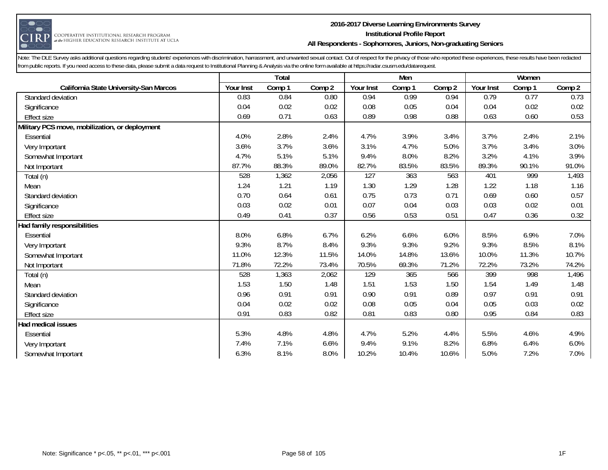

#### **2016-2017 Diverse Learning Environments Survey Institutional Profile Report All Respondents - Sophomores, Juniors, Non-graduating Seniors**

|                                                |           | Total  |        |           | Men    |        |           | Women  |        |
|------------------------------------------------|-----------|--------|--------|-----------|--------|--------|-----------|--------|--------|
| California State University-San Marcos         | Your Inst | Comp 1 | Comp 2 | Your Inst | Comp 1 | Comp 2 | Your Inst | Comp 1 | Comp 2 |
| Standard deviation                             | 0.83      | 0.84   | 0.80   | 0.94      | 0.99   | 0.94   | 0.79      | 0.77   | 0.73   |
| Significance                                   | 0.04      | 0.02   | 0.02   | 0.08      | 0.05   | 0.04   | 0.04      | 0.02   | 0.02   |
| <b>Effect size</b>                             | 0.69      | 0.71   | 0.63   | 0.89      | 0.98   | 0.88   | 0.63      | 0.60   | 0.53   |
| Military PCS move, mobilization, or deployment |           |        |        |           |        |        |           |        |        |
| Essential                                      | 4.0%      | 2.8%   | 2.4%   | 4.7%      | 3.9%   | 3.4%   | 3.7%      | 2.4%   | 2.1%   |
| Very Important                                 | 3.6%      | 3.7%   | 3.6%   | 3.1%      | 4.7%   | 5.0%   | 3.7%      | 3.4%   | 3.0%   |
| Somewhat Important                             | 4.7%      | 5.1%   | 5.1%   | 9.4%      | 8.0%   | 8.2%   | 3.2%      | 4.1%   | 3.9%   |
| Not Important                                  | 87.7%     | 88.3%  | 89.0%  | 82.7%     | 83.5%  | 83.5%  | 89.3%     | 90.1%  | 91.0%  |
| Total (n)                                      | 528       | 1,362  | 2,056  | 127       | 363    | 563    | 401       | 999    | 1,493  |
| Mean                                           | 1.24      | 1.21   | 1.19   | 1.30      | 1.29   | 1.28   | 1.22      | 1.18   | 1.16   |
| Standard deviation                             | 0.70      | 0.64   | 0.61   | 0.75      | 0.73   | 0.71   | 0.69      | 0.60   | 0.57   |
| Significance                                   | 0.03      | 0.02   | 0.01   | 0.07      | 0.04   | 0.03   | 0.03      | 0.02   | 0.01   |
| <b>Effect size</b>                             | 0.49      | 0.41   | 0.37   | 0.56      | 0.53   | 0.51   | 0.47      | 0.36   | 0.32   |
| Had family responsibilities                    |           |        |        |           |        |        |           |        |        |
| Essential                                      | 8.0%      | 6.8%   | 6.7%   | 6.2%      | 6.6%   | 6.0%   | 8.5%      | 6.9%   | 7.0%   |
| Very Important                                 | 9.3%      | 8.7%   | 8.4%   | 9.3%      | 9.3%   | 9.2%   | 9.3%      | 8.5%   | 8.1%   |
| Somewhat Important                             | 11.0%     | 12.3%  | 11.5%  | 14.0%     | 14.8%  | 13.6%  | 10.0%     | 11.3%  | 10.7%  |
| Not Important                                  | 71.8%     | 72.2%  | 73.4%  | 70.5%     | 69.3%  | 71.2%  | 72.2%     | 73.2%  | 74.2%  |
| Total (n)                                      | 528       | 1,363  | 2,062  | 129       | 365    | 566    | 399       | 998    | 1,496  |
| Mean                                           | 1.53      | 1.50   | 1.48   | 1.51      | 1.53   | 1.50   | 1.54      | 1.49   | 1.48   |
| Standard deviation                             | 0.96      | 0.91   | 0.91   | 0.90      | 0.91   | 0.89   | 0.97      | 0.91   | 0.91   |
| Significance                                   | 0.04      | 0.02   | 0.02   | 0.08      | 0.05   | 0.04   | 0.05      | 0.03   | 0.02   |
| <b>Effect size</b>                             | 0.91      | 0.83   | 0.82   | 0.81      | 0.83   | 0.80   | 0.95      | 0.84   | 0.83   |
| Had medical issues                             |           |        |        |           |        |        |           |        |        |
| Essential                                      | 5.3%      | 4.8%   | 4.8%   | 4.7%      | 5.2%   | 4.4%   | 5.5%      | 4.6%   | 4.9%   |
| Very Important                                 | 7.4%      | 7.1%   | 6.6%   | 9.4%      | 9.1%   | 8.2%   | 6.8%      | 6.4%   | 6.0%   |
| Somewhat Important                             | 6.3%      | 8.1%   | 8.0%   | 10.2%     | 10.4%  | 10.6%  | 5.0%      | 7.2%   | 7.0%   |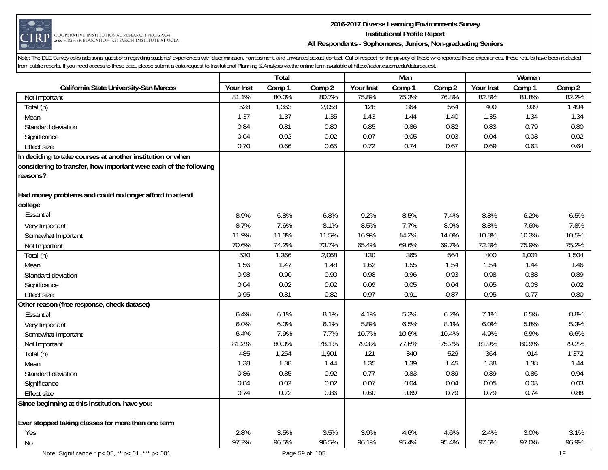

## **2016-2017 Diverse Learning Environments Survey Institutional Profile Report All Respondents - Sophomores, Juniors, Non-graduating Seniors**

|                                                                   |           | Total  |        |                  | Men    |        |           | Women  |        |
|-------------------------------------------------------------------|-----------|--------|--------|------------------|--------|--------|-----------|--------|--------|
| California State University-San Marcos                            | Your Inst | Comp 1 | Comp 2 | Your Inst        | Comp 1 | Comp 2 | Your Inst | Comp 1 | Comp 2 |
| Not Important                                                     | 81.1%     | 80.0%  | 80.7%  | 75.8%            | 75.3%  | 76.8%  | 82.8%     | 81.8%  | 82.2%  |
| Total (n)                                                         | 528       | 1,363  | 2,058  | 128              | 364    | 564    | 400       | 999    | 1,494  |
| Mean                                                              | 1.37      | 1.37   | 1.35   | 1.43             | 1.44   | 1.40   | 1.35      | 1.34   | 1.34   |
| Standard deviation                                                | 0.84      | 0.81   | 0.80   | 0.85             | 0.86   | 0.82   | 0.83      | 0.79   | 0.80   |
| Significance                                                      | 0.04      | 0.02   | 0.02   | 0.07             | 0.05   | 0.03   | 0.04      | 0.03   | 0.02   |
| Effect size                                                       | 0.70      | 0.66   | 0.65   | 0.72             | 0.74   | 0.67   | 0.69      | 0.63   | 0.64   |
| In deciding to take courses at another institution or when        |           |        |        |                  |        |        |           |        |        |
| considering to transfer, how important were each of the following |           |        |        |                  |        |        |           |        |        |
| reasons?                                                          |           |        |        |                  |        |        |           |        |        |
| Had money problems and could no longer afford to attend           |           |        |        |                  |        |        |           |        |        |
| college                                                           |           |        |        |                  |        |        |           |        |        |
| Essential                                                         | 8.9%      | 6.8%   | 6.8%   | 9.2%             | 8.5%   | 7.4%   | 8.8%      | 6.2%   | 6.5%   |
| Very Important                                                    | 8.7%      | 7.6%   | 8.1%   | 8.5%             | 7.7%   | 8.9%   | 8.8%      | 7.6%   | 7.8%   |
| Somewhat Important                                                | 11.9%     | 11.3%  | 11.5%  | 16.9%            | 14.2%  | 14.0%  | 10.3%     | 10.3%  | 10.5%  |
| Not Important                                                     | 70.6%     | 74.2%  | 73.7%  | 65.4%            | 69.6%  | 69.7%  | 72.3%     | 75.9%  | 75.2%  |
| Total (n)                                                         | 530       | 1,366  | 2,068  | 130              | 365    | 564    | 400       | 1,001  | 1,504  |
| Mean                                                              | 1.56      | 1.47   | 1.48   | 1.62             | 1.55   | 1.54   | 1.54      | 1.44   | 1.46   |
| Standard deviation                                                | 0.98      | 0.90   | 0.90   | 0.98             | 0.96   | 0.93   | 0.98      | 0.88   | 0.89   |
| Significance                                                      | 0.04      | 0.02   | 0.02   | 0.09             | 0.05   | 0.04   | 0.05      | 0.03   | 0.02   |
| <b>Effect size</b>                                                | 0.95      | 0.81   | 0.82   | 0.97             | 0.91   | 0.87   | 0.95      | 0.77   | 0.80   |
| Other reason (free response, check dataset)                       |           |        |        |                  |        |        |           |        |        |
| Essential                                                         | 6.4%      | 6.1%   | 8.1%   | 4.1%             | 5.3%   | 6.2%   | 7.1%      | 6.5%   | 8.8%   |
| Very Important                                                    | 6.0%      | 6.0%   | 6.1%   | 5.8%             | 6.5%   | 8.1%   | 6.0%      | 5.8%   | 5.3%   |
| Somewhat Important                                                | 6.4%      | 7.9%   | 7.7%   | 10.7%            | 10.6%  | 10.4%  | 4.9%      | 6.9%   | 6.6%   |
| Not Important                                                     | 81.2%     | 80.0%  | 78.1%  | 79.3%            | 77.6%  | 75.2%  | 81.9%     | 80.9%  | 79.2%  |
| Total (n)                                                         | 485       | 1,254  | 1,901  | $\overline{121}$ | 340    | 529    | 364       | 914    | 1,372  |
| Mean                                                              | 1.38      | 1.38   | 1.44   | 1.35             | 1.39   | 1.45   | 1.38      | 1.38   | 1.44   |
| Standard deviation                                                | 0.86      | 0.85   | 0.92   | 0.77             | 0.83   | 0.89   | 0.89      | 0.86   | 0.94   |
| Significance                                                      | 0.04      | 0.02   | 0.02   | 0.07             | 0.04   | 0.04   | 0.05      | 0.03   | 0.03   |
| <b>Effect size</b>                                                | 0.74      | 0.72   | 0.86   | 0.60             | 0.69   | 0.79   | 0.79      | 0.74   | 0.88   |
| Since beginning at this institution, have you:                    |           |        |        |                  |        |        |           |        |        |
|                                                                   |           |        |        |                  |        |        |           |        |        |
| Ever stopped taking classes for more than one term                |           |        |        |                  |        |        |           |        |        |
| Yes                                                               | 2.8%      | 3.5%   | 3.5%   | 3.9%             | 4.6%   | 4.6%   | 2.4%      | 3.0%   | 3.1%   |
| <b>No</b>                                                         | 97.2%     | 96.5%  | 96.5%  | 96.1%            | 95.4%  | 95.4%  | 97.6%     | 97.0%  | 96.9%  |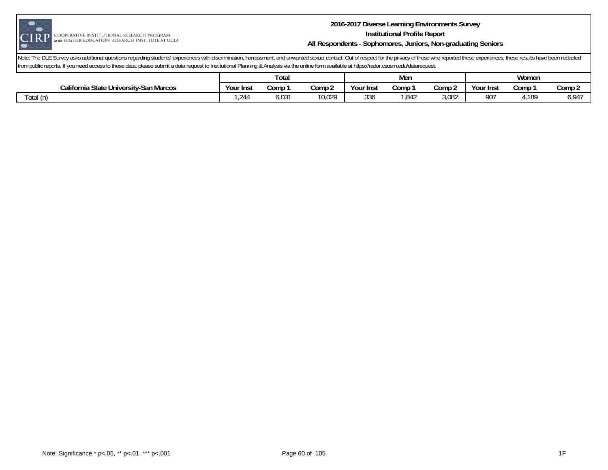

#### **2016-2017 Diverse Learning Environments Survey Institutional Profile Report All Respondents - Sophomores, Juniors, Non-graduating Seniors**

|                                                             | Tota.     |              |        |            | Mer          |              | Women     |      |        |  |
|-------------------------------------------------------------|-----------|--------------|--------|------------|--------------|--------------|-----------|------|--------|--|
| <i><b>California</b></i><br>hia State University-San Marcos | Your Inst | Comp         | Comp 2 | Your Inst  | Comp         | Comp 2       | Your Inst | Comp | Comp 2 |  |
| ⊺otal<br>(n)                                                | 24، ،     | U3.<br>ּ ט,ט | 10,029 | n n<br>33C | 0.10<br>842, | 000<br>3,08Z | ∩∩־<br>7U | ,189 | 794,ن  |  |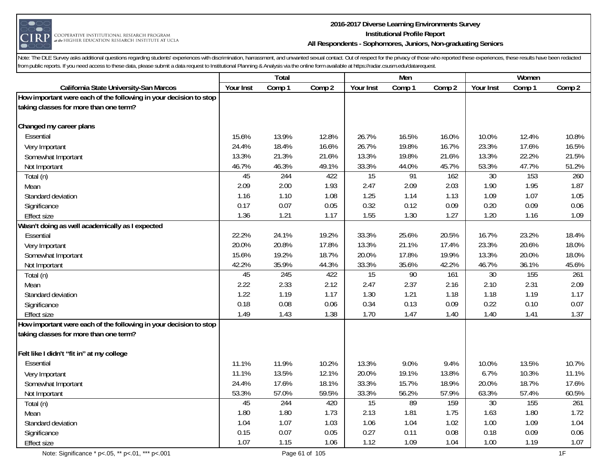

#### **2016-2017 Diverse Learning Environments Survey Institutional Profile Report All Respondents - Sophomores, Juniors, Non-graduating Seniors**

|                                                                   |           | Total  |        |                 | Men    |        |           | Women  |                  |
|-------------------------------------------------------------------|-----------|--------|--------|-----------------|--------|--------|-----------|--------|------------------|
| California State University-San Marcos                            | Your Inst | Comp 1 | Comp 2 | Your Inst       | Comp 1 | Comp 2 | Your Inst | Comp 1 | Comp 2           |
| How important were each of the following in your decision to stop |           |        |        |                 |        |        |           |        |                  |
| taking classes for more than one term?                            |           |        |        |                 |        |        |           |        |                  |
|                                                                   |           |        |        |                 |        |        |           |        |                  |
| Changed my career plans                                           |           |        |        |                 |        |        |           |        |                  |
| Essential                                                         | 15.6%     | 13.9%  | 12.8%  | 26.7%           | 16.5%  | 16.0%  | 10.0%     | 12.4%  | 10.8%            |
| Very Important                                                    | 24.4%     | 18.4%  | 16.6%  | 26.7%           | 19.8%  | 16.7%  | 23.3%     | 17.6%  | 16.5%            |
| Somewhat Important                                                | 13.3%     | 21.3%  | 21.6%  | 13.3%           | 19.8%  | 21.6%  | 13.3%     | 22.2%  | 21.5%            |
| Not Important                                                     | 46.7%     | 46.3%  | 49.1%  | 33.3%           | 44.0%  | 45.7%  | 53.3%     | 47.7%  | 51.2%            |
| Total (n)                                                         | 45        | 244    | 422    | 15              | 91     | 162    | $30\,$    | 153    | 260              |
| Mean                                                              | 2.09      | 2.00   | 1.93   | 2.47            | 2.09   | 2.03   | 1.90      | 1.95   | 1.87             |
| Standard deviation                                                | 1.16      | 1.10   | 1.08   | 1.25            | 1.14   | 1.13   | 1.09      | 1.07   | 1.05             |
| Significance                                                      | 0.17      | 0.07   | 0.05   | 0.32            | 0.12   | 0.09   | 0.20      | 0.09   | 0.06             |
| <b>Effect size</b>                                                | 1.36      | 1.21   | 1.17   | 1.55            | 1.30   | 1.27   | 1.20      | 1.16   | 1.09             |
| Wasn't doing as well academically as I expected                   |           |        |        |                 |        |        |           |        |                  |
| Essential                                                         | 22.2%     | 24.1%  | 19.2%  | 33.3%           | 25.6%  | 20.5%  | 16.7%     | 23.2%  | 18.4%            |
| Very Important                                                    | 20.0%     | 20.8%  | 17.8%  | 13.3%           | 21.1%  | 17.4%  | 23.3%     | 20.6%  | 18.0%            |
| Somewhat Important                                                | 15.6%     | 19.2%  | 18.7%  | 20.0%           | 17.8%  | 19.9%  | 13.3%     | 20.0%  | 18.0%            |
| Not Important                                                     | 42.2%     | 35.9%  | 44.3%  | 33.3%           | 35.6%  | 42.2%  | 46.7%     | 36.1%  | 45.6%            |
| Total (n)                                                         | 45        | 245    | 422    | $\overline{15}$ | 90     | 161    | 30        | 155    | 261              |
| Mean                                                              | 2.22      | 2.33   | 2.12   | 2.47            | 2.37   | 2.16   | 2.10      | 2.31   | 2.09             |
| Standard deviation                                                | 1.22      | 1.19   | 1.17   | 1.30            | 1.21   | 1.18   | 1.18      | 1.19   | 1.17             |
| Significance                                                      | 0.18      | 0.08   | 0.06   | 0.34            | 0.13   | 0.09   | 0.22      | 0.10   | 0.07             |
| <b>Effect size</b>                                                | 1.49      | 1.43   | 1.38   | 1.70            | 1.47   | 1.40   | 1.40      | 1.41   | 1.37             |
| How important were each of the following in your decision to stop |           |        |        |                 |        |        |           |        |                  |
| taking classes for more than one term?                            |           |        |        |                 |        |        |           |        |                  |
|                                                                   |           |        |        |                 |        |        |           |        |                  |
| Felt like I didn't "fit in" at my college                         |           |        |        |                 |        |        |           |        |                  |
| Essential                                                         | 11.1%     | 11.9%  | 10.2%  | 13.3%           | 9.0%   | 9.4%   | 10.0%     | 13.5%  | 10.7%            |
| Very Important                                                    | 11.1%     | 13.5%  | 12.1%  | 20.0%           | 19.1%  | 13.8%  | 6.7%      | 10.3%  | 11.1%            |
| Somewhat Important                                                | 24.4%     | 17.6%  | 18.1%  | 33.3%           | 15.7%  | 18.9%  | 20.0%     | 18.7%  | 17.6%            |
| Not Important                                                     | 53.3%     | 57.0%  | 59.5%  | 33.3%           | 56.2%  | 57.9%  | 63.3%     | 57.4%  | 60.5%            |
| Total (n)                                                         | 45        | 244    | 420    | $\overline{15}$ | 89     | 159    | 30        | 155    | $\overline{261}$ |
| Mean                                                              | 1.80      | 1.80   | 1.73   | 2.13            | 1.81   | 1.75   | 1.63      | 1.80   | 1.72             |
| Standard deviation                                                | 1.04      | 1.07   | 1.03   | 1.06            | 1.04   | 1.02   | 1.00      | 1.09   | 1.04             |
| Significance                                                      | 0.15      | 0.07   | 0.05   | 0.27            | 0.11   | 0.08   | 0.18      | 0.09   | 0.06             |
| <b>Effect size</b>                                                | 1.07      | 1.15   | 1.06   | 1.12            | 1.09   | 1.04   | 1.00      | 1.19   | 1.07             |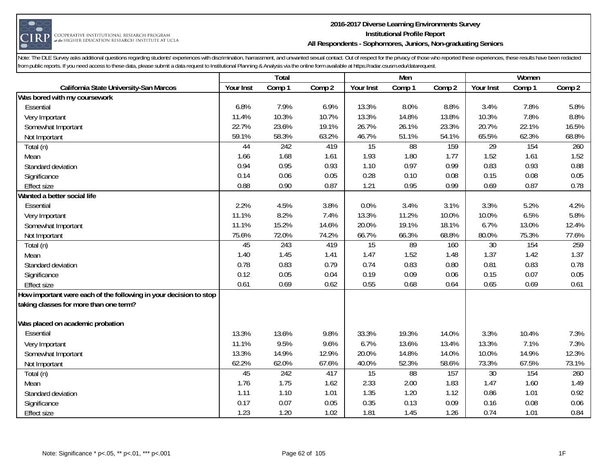

#### **2016-2017 Diverse Learning Environments Survey Institutional Profile Report All Respondents - Sophomores, Juniors, Non-graduating Seniors**

|                                                                   |           | Total  |        |                 | Men    |        |                 | Women  |        |
|-------------------------------------------------------------------|-----------|--------|--------|-----------------|--------|--------|-----------------|--------|--------|
| California State University-San Marcos                            | Your Inst | Comp 1 | Comp 2 | Your Inst       | Comp 1 | Comp 2 | Your Inst       | Comp 1 | Comp 2 |
| Was bored with my coursework                                      |           |        |        |                 |        |        |                 |        |        |
| Essential                                                         | 6.8%      | 7.9%   | 6.9%   | 13.3%           | 8.0%   | 8.8%   | 3.4%            | 7.8%   | 5.8%   |
| Very Important                                                    | 11.4%     | 10.3%  | 10.7%  | 13.3%           | 14.8%  | 13.8%  | 10.3%           | 7.8%   | 8.8%   |
| Somewhat Important                                                | 22.7%     | 23.6%  | 19.1%  | 26.7%           | 26.1%  | 23.3%  | 20.7%           | 22.1%  | 16.5%  |
| Not Important                                                     | 59.1%     | 58.3%  | 63.2%  | 46.7%           | 51.1%  | 54.1%  | 65.5%           | 62.3%  | 68.8%  |
| Total (n)                                                         | 44        | 242    | 419    | 15              | 88     | 159    | $\overline{29}$ | 154    | 260    |
| Mean                                                              | 1.66      | 1.68   | 1.61   | 1.93            | 1.80   | 1.77   | 1.52            | 1.61   | 1.52   |
| Standard deviation                                                | 0.94      | 0.95   | 0.93   | 1.10            | 0.97   | 0.99   | 0.83            | 0.93   | 0.88   |
| Significance                                                      | 0.14      | 0.06   | 0.05   | 0.28            | 0.10   | 0.08   | 0.15            | 0.08   | 0.05   |
| <b>Effect size</b>                                                | 0.88      | 0.90   | 0.87   | 1.21            | 0.95   | 0.99   | 0.69            | 0.87   | 0.78   |
| Wanted a better social life                                       |           |        |        |                 |        |        |                 |        |        |
| Essential                                                         | 2.2%      | 4.5%   | 3.8%   | 0.0%            | 3.4%   | 3.1%   | 3.3%            | 5.2%   | 4.2%   |
| Very Important                                                    | 11.1%     | 8.2%   | 7.4%   | 13.3%           | 11.2%  | 10.0%  | 10.0%           | 6.5%   | 5.8%   |
| Somewhat Important                                                | 11.1%     | 15.2%  | 14.6%  | 20.0%           | 19.1%  | 18.1%  | 6.7%            | 13.0%  | 12.4%  |
| Not Important                                                     | 75.6%     | 72.0%  | 74.2%  | 66.7%           | 66.3%  | 68.8%  | 80.0%           | 75.3%  | 77.6%  |
| Total (n)                                                         | 45        | 243    | 419    | $\overline{15}$ | 89     | 160    | $\overline{30}$ | 154    | 259    |
| Mean                                                              | 1.40      | 1.45   | 1.41   | 1.47            | 1.52   | 1.48   | 1.37            | 1.42   | 1.37   |
| Standard deviation                                                | 0.78      | 0.83   | 0.79   | 0.74            | 0.83   | 0.80   | 0.81            | 0.83   | 0.78   |
| Significance                                                      | 0.12      | 0.05   | 0.04   | 0.19            | 0.09   | 0.06   | 0.15            | 0.07   | 0.05   |
| <b>Effect size</b>                                                | 0.61      | 0.69   | 0.62   | 0.55            | 0.68   | 0.64   | 0.65            | 0.69   | 0.61   |
| How important were each of the following in your decision to stop |           |        |        |                 |        |        |                 |        |        |
| taking classes for more than one term?                            |           |        |        |                 |        |        |                 |        |        |
| Was placed on academic probation                                  |           |        |        |                 |        |        |                 |        |        |
| Essential                                                         | 13.3%     | 13.6%  | 9.8%   | 33.3%           | 19.3%  | 14.0%  | 3.3%            | 10.4%  | 7.3%   |
| Very Important                                                    | 11.1%     | 9.5%   | 9.6%   | 6.7%            | 13.6%  | 13.4%  | 13.3%           | 7.1%   | 7.3%   |
| Somewhat Important                                                | 13.3%     | 14.9%  | 12.9%  | 20.0%           | 14.8%  | 14.0%  | 10.0%           | 14.9%  | 12.3%  |
| Not Important                                                     | 62.2%     | 62.0%  | 67.6%  | 40.0%           | 52.3%  | 58.6%  | 73.3%           | 67.5%  | 73.1%  |
| Total (n)                                                         | 45        | 242    | 417    | 15              | 88     | 157    | 30              | 154    | 260    |
| Mean                                                              | 1.76      | 1.75   | 1.62   | 2.33            | 2.00   | 1.83   | 1.47            | 1.60   | 1.49   |
| Standard deviation                                                | 1.11      | 1.10   | 1.01   | 1.35            | 1.20   | 1.12   | 0.86            | 1.01   | 0.92   |
| Significance                                                      | 0.17      | 0.07   | 0.05   | 0.35            | 0.13   | 0.09   | 0.16            | 0.08   | 0.06   |
| <b>Effect size</b>                                                | 1.23      | 1.20   | 1.02   | 1.81            | 1.45   | 1.26   | 0.74            | 1.01   | 0.84   |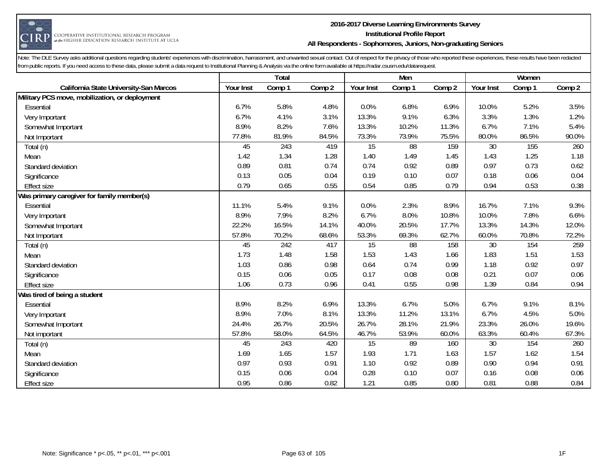

#### **2016-2017 Diverse Learning Environments Survey Institutional Profile Report All Respondents - Sophomores, Juniors, Non-graduating Seniors**

|                                                |           | Total  |        |           | Men    |        |           | Women  |        |
|------------------------------------------------|-----------|--------|--------|-----------|--------|--------|-----------|--------|--------|
| California State University-San Marcos         | Your Inst | Comp 1 | Comp 2 | Your Inst | Comp 1 | Comp 2 | Your Inst | Comp 1 | Comp 2 |
| Military PCS move, mobilization, or deployment |           |        |        |           |        |        |           |        |        |
| Essential                                      | 6.7%      | 5.8%   | 4.8%   | 0.0%      | 6.8%   | 6.9%   | 10.0%     | 5.2%   | 3.5%   |
| Very Important                                 | 6.7%      | 4.1%   | 3.1%   | 13.3%     | 9.1%   | 6.3%   | 3.3%      | 1.3%   | 1.2%   |
| Somewhat Important                             | 8.9%      | 8.2%   | 7.6%   | 13.3%     | 10.2%  | 11.3%  | 6.7%      | 7.1%   | 5.4%   |
| Not Important                                  | 77.8%     | 81.9%  | 84.5%  | 73.3%     | 73.9%  | 75.5%  | 80.0%     | 86.5%  | 90.0%  |
| Total (n)                                      | 45        | 243    | 419    | 15        | 88     | 159    | 30        | 155    | 260    |
| Mean                                           | 1.42      | 1.34   | 1.28   | 1.40      | 1.49   | 1.45   | 1.43      | 1.25   | 1.18   |
| Standard deviation                             | 0.89      | 0.81   | 0.74   | 0.74      | 0.92   | 0.89   | 0.97      | 0.73   | 0.62   |
| Significance                                   | 0.13      | 0.05   | 0.04   | 0.19      | 0.10   | 0.07   | 0.18      | 0.06   | 0.04   |
| <b>Effect size</b>                             | 0.79      | 0.65   | 0.55   | 0.54      | 0.85   | 0.79   | 0.94      | 0.53   | 0.38   |
| Was primary caregiver for family member(s)     |           |        |        |           |        |        |           |        |        |
| Essential                                      | 11.1%     | 5.4%   | 9.1%   | 0.0%      | 2.3%   | 8.9%   | 16.7%     | 7.1%   | 9.3%   |
| Very Important                                 | 8.9%      | 7.9%   | 8.2%   | 6.7%      | 8.0%   | 10.8%  | 10.0%     | 7.8%   | 6.6%   |
| Somewhat Important                             | 22.2%     | 16.5%  | 14.1%  | 40.0%     | 20.5%  | 17.7%  | 13.3%     | 14.3%  | 12.0%  |
| Not Important                                  | 57.8%     | 70.2%  | 68.6%  | 53.3%     | 69.3%  | 62.7%  | 60.0%     | 70.8%  | 72.2%  |
| Total (n)                                      | 45        | 242    | 417    | 15        | 88     | 158    | 30        | 154    | 259    |
| Mean                                           | 1.73      | 1.48   | 1.58   | 1.53      | 1.43   | 1.66   | 1.83      | 1.51   | 1.53   |
| Standard deviation                             | 1.03      | 0.86   | 0.98   | 0.64      | 0.74   | 0.99   | 1.18      | 0.92   | 0.97   |
| Significance                                   | 0.15      | 0.06   | 0.05   | 0.17      | 0.08   | 0.08   | 0.21      | 0.07   | 0.06   |
| <b>Effect size</b>                             | 1.06      | 0.73   | 0.96   | 0.41      | 0.55   | 0.98   | 1.39      | 0.84   | 0.94   |
| Was tired of being a student                   |           |        |        |           |        |        |           |        |        |
| Essential                                      | 8.9%      | 8.2%   | 6.9%   | 13.3%     | 6.7%   | 5.0%   | 6.7%      | 9.1%   | 8.1%   |
| Very Important                                 | 8.9%      | 7.0%   | 8.1%   | 13.3%     | 11.2%  | 13.1%  | 6.7%      | 4.5%   | 5.0%   |
| Somewhat Important                             | 24.4%     | 26.7%  | 20.5%  | 26.7%     | 28.1%  | 21.9%  | 23.3%     | 26.0%  | 19.6%  |
| Not important                                  | 57.8%     | 58.0%  | 64.5%  | 46.7%     | 53.9%  | 60.0%  | 63.3%     | 60.4%  | 67.3%  |
| Total (n)                                      | 45        | 243    | 420    | 15        | 89     | 160    | 30        | 154    | 260    |
| Mean                                           | 1.69      | 1.65   | 1.57   | 1.93      | 1.71   | 1.63   | 1.57      | 1.62   | 1.54   |
| Standard deviation                             | 0.97      | 0.93   | 0.91   | 1.10      | 0.92   | 0.89   | 0.90      | 0.94   | 0.91   |
| Significance                                   | 0.15      | 0.06   | 0.04   | 0.28      | 0.10   | 0.07   | 0.16      | 0.08   | 0.06   |
| <b>Effect size</b>                             | 0.95      | 0.86   | 0.82   | 1.21      | 0.85   | 0.80   | 0.81      | 0.88   | 0.84   |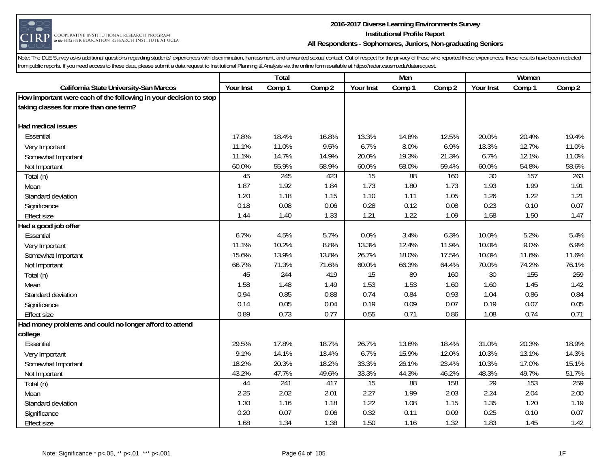

#### **2016-2017 Diverse Learning Environments Survey Institutional Profile Report All Respondents - Sophomores, Juniors, Non-graduating Seniors**

|                                                                   |           | Total  |        |           | Men             |        |           | Women  |        |
|-------------------------------------------------------------------|-----------|--------|--------|-----------|-----------------|--------|-----------|--------|--------|
| California State University-San Marcos                            | Your Inst | Comp 1 | Comp 2 | Your Inst | Comp 1          | Comp 2 | Your Inst | Comp 1 | Comp 2 |
| How important were each of the following in your decision to stop |           |        |        |           |                 |        |           |        |        |
| taking classes for more than one term?                            |           |        |        |           |                 |        |           |        |        |
|                                                                   |           |        |        |           |                 |        |           |        |        |
| Had medical issues                                                |           |        |        |           |                 |        |           |        |        |
| Essential                                                         | 17.8%     | 18.4%  | 16.8%  | 13.3%     | 14.8%           | 12.5%  | 20.0%     | 20.4%  | 19.4%  |
| Very Important                                                    | 11.1%     | 11.0%  | 9.5%   | 6.7%      | 8.0%            | 6.9%   | 13.3%     | 12.7%  | 11.0%  |
| Somewhat Important                                                | 11.1%     | 14.7%  | 14.9%  | 20.0%     | 19.3%           | 21.3%  | 6.7%      | 12.1%  | 11.0%  |
| Not Important                                                     | 60.0%     | 55.9%  | 58.9%  | 60.0%     | 58.0%           | 59.4%  | 60.0%     | 54.8%  | 58.6%  |
| Total (n)                                                         | 45        | 245    | 423    | 15        | $\overline{88}$ | 160    | 30        | 157    | 263    |
| Mean                                                              | 1.87      | 1.92   | 1.84   | 1.73      | 1.80            | 1.73   | 1.93      | 1.99   | 1.91   |
| Standard deviation                                                | 1.20      | 1.18   | 1.15   | 1.10      | 1.11            | 1.05   | 1.26      | 1.22   | 1.21   |
| Significance                                                      | 0.18      | 0.08   | 0.06   | 0.28      | 0.12            | 0.08   | 0.23      | 0.10   | 0.07   |
| <b>Effect size</b>                                                | 1.44      | 1.40   | 1.33   | 1.21      | 1.22            | 1.09   | 1.58      | 1.50   | 1.47   |
| Had a good job offer                                              |           |        |        |           |                 |        |           |        |        |
| Essential                                                         | 6.7%      | 4.5%   | 5.7%   | 0.0%      | 3.4%            | 6.3%   | 10.0%     | 5.2%   | 5.4%   |
| Very Important                                                    | 11.1%     | 10.2%  | 8.8%   | 13.3%     | 12.4%           | 11.9%  | 10.0%     | 9.0%   | 6.9%   |
| Somewhat Important                                                | 15.6%     | 13.9%  | 13.8%  | 26.7%     | 18.0%           | 17.5%  | 10.0%     | 11.6%  | 11.6%  |
| Not Important                                                     | 66.7%     | 71.3%  | 71.6%  | 60.0%     | 66.3%           | 64.4%  | 70.0%     | 74.2%  | 76.1%  |
| Total (n)                                                         | 45        | 244    | 419    | 15        | 89              | 160    | 30        | 155    | 259    |
| Mean                                                              | 1.58      | 1.48   | 1.49   | 1.53      | 1.53            | 1.60   | 1.60      | 1.45   | 1.42   |
| Standard deviation                                                | 0.94      | 0.85   | 0.88   | 0.74      | 0.84            | 0.93   | 1.04      | 0.86   | 0.84   |
| Significance                                                      | 0.14      | 0.05   | 0.04   | 0.19      | 0.09            | 0.07   | 0.19      | 0.07   | 0.05   |
| <b>Effect size</b>                                                | 0.89      | 0.73   | 0.77   | 0.55      | 0.71            | 0.86   | 1.08      | 0.74   | 0.71   |
| Had money problems and could no longer afford to attend           |           |        |        |           |                 |        |           |        |        |
| college                                                           |           |        |        |           |                 |        |           |        |        |
| Essential                                                         | 29.5%     | 17.8%  | 18.7%  | 26.7%     | 13.6%           | 18.4%  | 31.0%     | 20.3%  | 18.9%  |
| Very Important                                                    | 9.1%      | 14.1%  | 13.4%  | 6.7%      | 15.9%           | 12.0%  | 10.3%     | 13.1%  | 14.3%  |
| Somewhat Important                                                | 18.2%     | 20.3%  | 18.2%  | 33.3%     | 26.1%           | 23.4%  | 10.3%     | 17.0%  | 15.1%  |
| Not Important                                                     | 43.2%     | 47.7%  | 49.6%  | 33.3%     | 44.3%           | 46.2%  | 48.3%     | 49.7%  | 51.7%  |
| Total (n)                                                         | 44        | 241    | 417    | 15        | $\overline{88}$ | 158    | 29        | 153    | 259    |
| Mean                                                              | 2.25      | 2.02   | 2.01   | 2.27      | 1.99            | 2.03   | 2.24      | 2.04   | 2.00   |
| Standard deviation                                                | 1.30      | 1.16   | 1.18   | 1.22      | 1.08            | 1.15   | 1.35      | 1.20   | 1.19   |
| Significance                                                      | 0.20      | 0.07   | 0.06   | 0.32      | 0.11            | 0.09   | 0.25      | 0.10   | 0.07   |
| <b>Effect size</b>                                                | 1.68      | 1.34   | 1.38   | 1.50      | 1.16            | 1.32   | 1.83      | 1.45   | 1.42   |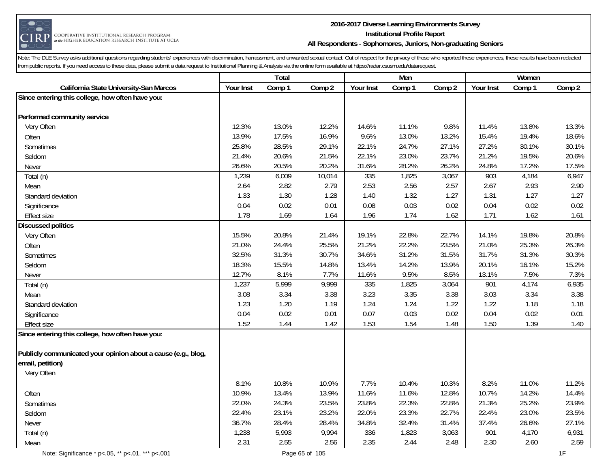

#### **2016-2017 Diverse Learning Environments Survey Institutional Profile Report All Respondents - Sophomores, Juniors, Non-graduating Seniors**

|                                                               |           | Total  |        |           | Men    |        |           | Women  |        |
|---------------------------------------------------------------|-----------|--------|--------|-----------|--------|--------|-----------|--------|--------|
| California State University-San Marcos                        | Your Inst | Comp 1 | Comp 2 | Your Inst | Comp 1 | Comp 2 | Your Inst | Comp 1 | Comp 2 |
| Since entering this college, how often have you:              |           |        |        |           |        |        |           |        |        |
|                                                               |           |        |        |           |        |        |           |        |        |
| Performed community service                                   |           |        |        |           |        |        |           |        |        |
| Very Often                                                    | 12.3%     | 13.0%  | 12.2%  | 14.6%     | 11.1%  | 9.8%   | 11.4%     | 13.8%  | 13.3%  |
| Often                                                         | 13.9%     | 17.5%  | 16.9%  | 9.6%      | 13.0%  | 13.2%  | 15.4%     | 19.4%  | 18.6%  |
| Sometimes                                                     | 25.8%     | 28.5%  | 29.1%  | 22.1%     | 24.7%  | 27.1%  | 27.2%     | 30.1%  | 30.1%  |
| Seldom                                                        | 21.4%     | 20.6%  | 21.5%  | 22.1%     | 23.0%  | 23.7%  | 21.2%     | 19.5%  | 20.6%  |
| Never                                                         | 26.6%     | 20.5%  | 20.2%  | 31.6%     | 28.2%  | 26.2%  | 24.8%     | 17.2%  | 17.5%  |
| Total (n)                                                     | 1,239     | 6,009  | 10,014 | 335       | 1,825  | 3,067  | 903       | 4,184  | 6,947  |
| Mean                                                          | 2.64      | 2.82   | 2.79   | 2.53      | 2.56   | 2.57   | 2.67      | 2.93   | 2.90   |
| Standard deviation                                            | 1.33      | 1.30   | 1.28   | 1.40      | 1.32   | 1.27   | 1.31      | 1.27   | 1.27   |
| Significance                                                  | 0.04      | 0.02   | 0.01   | 0.08      | 0.03   | 0.02   | 0.04      | 0.02   | 0.02   |
| <b>Effect size</b>                                            | 1.78      | 1.69   | 1.64   | 1.96      | 1.74   | 1.62   | 1.71      | 1.62   | 1.61   |
| <b>Discussed politics</b>                                     |           |        |        |           |        |        |           |        |        |
| Very Often                                                    | 15.5%     | 20.8%  | 21.4%  | 19.1%     | 22.8%  | 22.7%  | 14.1%     | 19.8%  | 20.8%  |
| Often                                                         | 21.0%     | 24.4%  | 25.5%  | 21.2%     | 22.2%  | 23.5%  | 21.0%     | 25.3%  | 26.3%  |
| Sometimes                                                     | 32.5%     | 31.3%  | 30.7%  | 34.6%     | 31.2%  | 31.5%  | 31.7%     | 31.3%  | 30.3%  |
| Seldom                                                        | 18.3%     | 15.5%  | 14.8%  | 13.4%     | 14.2%  | 13.9%  | 20.1%     | 16.1%  | 15.2%  |
| Never                                                         | 12.7%     | 8.1%   | 7.7%   | 11.6%     | 9.5%   | 8.5%   | 13.1%     | 7.5%   | 7.3%   |
| Total (n)                                                     | 1,237     | 5,999  | 9,999  | 335       | 1,825  | 3,064  | 901       | 4,174  | 6,935  |
| Mean                                                          | 3.08      | 3.34   | 3.38   | 3.23      | 3.35   | 3.38   | 3.03      | 3.34   | 3.38   |
| Standard deviation                                            | 1.23      | 1.20   | 1.19   | 1.24      | 1.24   | 1.22   | 1.22      | 1.18   | 1.18   |
| Significance                                                  | 0.04      | 0.02   | 0.01   | 0.07      | 0.03   | 0.02   | 0.04      | 0.02   | 0.01   |
| <b>Effect size</b>                                            | 1.52      | 1.44   | 1.42   | 1.53      | 1.54   | 1.48   | 1.50      | 1.39   | 1.40   |
| Since entering this college, how often have you:              |           |        |        |           |        |        |           |        |        |
|                                                               |           |        |        |           |        |        |           |        |        |
| Publicly communicated your opinion about a cause (e.g., blog, |           |        |        |           |        |        |           |        |        |
| email, petition)                                              |           |        |        |           |        |        |           |        |        |
| Very Often                                                    |           |        |        |           |        |        |           |        |        |
|                                                               | 8.1%      | 10.8%  | 10.9%  | 7.7%      | 10.4%  | 10.3%  | 8.2%      | 11.0%  | 11.2%  |
| Often                                                         | 10.9%     | 13.4%  | 13.9%  | 11.6%     | 11.6%  | 12.8%  | 10.7%     | 14.2%  | 14.4%  |
| Sometimes                                                     | 22.0%     | 24.3%  | 23.5%  | 23.8%     | 22.3%  | 22.8%  | 21.3%     | 25.2%  | 23.9%  |
| Seldom                                                        | 22.4%     | 23.1%  | 23.2%  | 22.0%     | 23.3%  | 22.7%  | 22.4%     | 23.0%  | 23.5%  |
| Never                                                         | 36.7%     | 28.4%  | 28.4%  | 34.8%     | 32.4%  | 31.4%  | 37.4%     | 26.6%  | 27.1%  |
| Total (n)                                                     | 1,238     | 5,993  | 9,994  | 336       | 1,823  | 3,063  | 901       | 4,170  | 6,931  |
| Mean                                                          | 2.31      | 2.55   | 2.56   | 2.35      | 2.44   | 2.48   | 2.30      | 2.60   | 2.59   |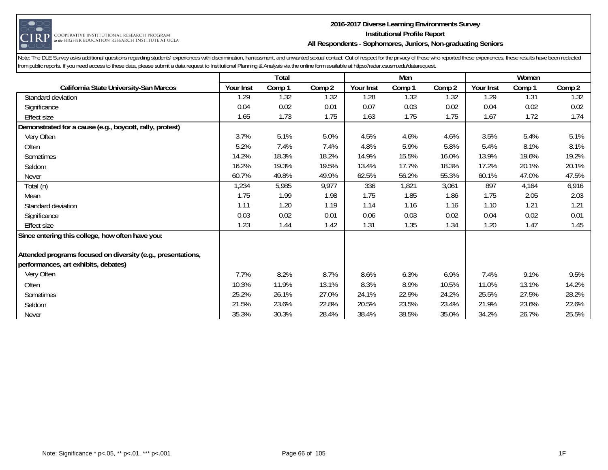

#### **2016-2017 Diverse Learning Environments Survey Institutional Profile Report All Respondents - Sophomores, Juniors, Non-graduating Seniors**

|                                                              | Total<br>Men |        |        |           |        | Women  |           |        |        |
|--------------------------------------------------------------|--------------|--------|--------|-----------|--------|--------|-----------|--------|--------|
| <b>California State University-San Marcos</b>                | Your Inst    | Comp 1 | Comp 2 | Your Inst | Comp 1 | Comp 2 | Your Inst | Comp 1 | Comp 2 |
| Standard deviation                                           | 1.29         | 1.32   | 1.32   | 1.28      | 1.32   | 1.32   | 1.29      | 1.31   | 1.32   |
| Significance                                                 | 0.04         | 0.02   | 0.01   | 0.07      | 0.03   | 0.02   | 0.04      | 0.02   | 0.02   |
| <b>Effect size</b>                                           | 1.65         | 1.73   | 1.75   | 1.63      | 1.75   | 1.75   | 1.67      | 1.72   | 1.74   |
| Demonstrated for a cause (e.g., boycott, rally, protest)     |              |        |        |           |        |        |           |        |        |
| Very Often                                                   | 3.7%         | 5.1%   | 5.0%   | 4.5%      | 4.6%   | 4.6%   | 3.5%      | 5.4%   | 5.1%   |
| Often                                                        | 5.2%         | 7.4%   | 7.4%   | 4.8%      | 5.9%   | 5.8%   | 5.4%      | 8.1%   | 8.1%   |
| Sometimes                                                    | 14.2%        | 18.3%  | 18.2%  | 14.9%     | 15.5%  | 16.0%  | 13.9%     | 19.6%  | 19.2%  |
| Seldom                                                       | 16.2%        | 19.3%  | 19.5%  | 13.4%     | 17.7%  | 18.3%  | 17.2%     | 20.1%  | 20.1%  |
| <b>Never</b>                                                 | 60.7%        | 49.8%  | 49.9%  | 62.5%     | 56.2%  | 55.3%  | 60.1%     | 47.0%  | 47.5%  |
| Total (n)                                                    | 1,234        | 5,985  | 9,977  | 336       | 1,821  | 3,061  | 897       | 4,164  | 6,916  |
| Mean                                                         | 1.75         | 1.99   | 1.98   | 1.75      | 1.85   | 1.86   | 1.75      | 2.05   | 2.03   |
| Standard deviation                                           | 1.11         | 1.20   | 1.19   | 1.14      | 1.16   | 1.16   | 1.10      | 1.21   | 1.21   |
| Significance                                                 | 0.03         | 0.02   | 0.01   | 0.06      | 0.03   | 0.02   | 0.04      | 0.02   | 0.01   |
| <b>Effect size</b>                                           | 1.23         | 1.44   | 1.42   | 1.31      | 1.35   | 1.34   | 1.20      | 1.47   | 1.45   |
| Since entering this college, how often have you:             |              |        |        |           |        |        |           |        |        |
| Attended programs focused on diversity (e.g., presentations, |              |        |        |           |        |        |           |        |        |
| performances, art exhibits, debates)                         |              |        |        |           |        |        |           |        |        |
| Very Often                                                   | 7.7%         | 8.2%   | 8.7%   | 8.6%      | 6.3%   | 6.9%   | 7.4%      | 9.1%   | 9.5%   |
| Often                                                        | 10.3%        | 11.9%  | 13.1%  | 8.3%      | 8.9%   | 10.5%  | 11.0%     | 13.1%  | 14.2%  |
| Sometimes                                                    | 25.2%        | 26.1%  | 27.0%  | 24.1%     | 22.9%  | 24.2%  | 25.5%     | 27.5%  | 28.2%  |
| Seldom                                                       | 21.5%        | 23.6%  | 22.8%  | 20.5%     | 23.5%  | 23.4%  | 21.9%     | 23.6%  | 22.6%  |
| Never                                                        | 35.3%        | 30.3%  | 28.4%  | 38.4%     | 38.5%  | 35.0%  | 34.2%     | 26.7%  | 25.5%  |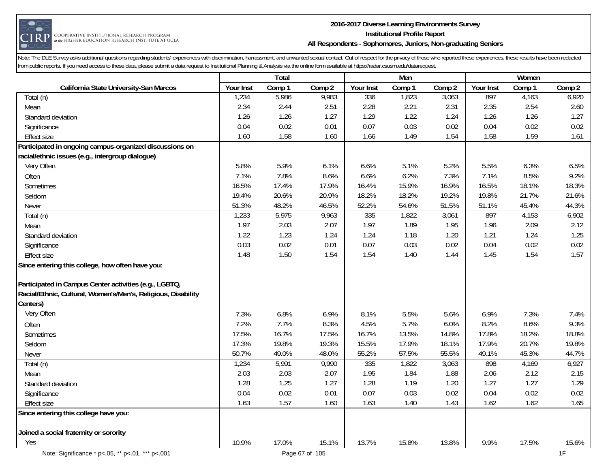

## **2016-2017 Diverse Learning Environments Survey Institutional Profile Report All Respondents - Sophomores, Juniors, Non-graduating Seniors**

|                                                               |           | Total  |                |           | Men    |        |           | Women  |        |
|---------------------------------------------------------------|-----------|--------|----------------|-----------|--------|--------|-----------|--------|--------|
| California State University-San Marcos                        | Your Inst | Comp 1 | Comp 2         | Your Inst | Comp 1 | Comp 2 | Your Inst | Comp 1 | Comp 2 |
| Total (n)                                                     | 1,234     | 5,986  | 9,983          | 336       | 1,823  | 3,063  | 897       | 4,163  | 6,920  |
| Mean                                                          | 2.34      | 2.44   | 2.51           | 2.28      | 2.21   | 2.31   | 2.35      | 2.54   | 2.60   |
| Standard deviation                                            | 1.26      | 1.26   | 1.27           | 1.29      | 1.22   | 1.24   | 1.26      | 1.26   | 1.27   |
| Significance                                                  | 0.04      | 0.02   | 0.01           | 0.07      | 0.03   | 0.02   | 0.04      | 0.02   | 0.02   |
| <b>Effect size</b>                                            | 1.60      | 1.58   | 1.60           | 1.66      | 1.49   | 1.54   | 1.58      | 1.59   | 1.61   |
| Participated in ongoing campus-organized discussions on       |           |        |                |           |        |        |           |        |        |
| racial/ethnic issues (e.g., intergroup dialogue)              |           |        |                |           |        |        |           |        |        |
| Very Often                                                    | 5.8%      | 5.9%   | 6.1%           | 6.6%      | 5.1%   | 5.2%   | 5.5%      | 6.3%   | 6.5%   |
| Often                                                         | 7.1%      | 7.8%   | 8.6%           | 6.6%      | 6.2%   | 7.3%   | 7.1%      | 8.5%   | 9.2%   |
| Sometimes                                                     | 16.5%     | 17.4%  | 17.9%          | 16.4%     | 15.9%  | 16.9%  | 16.5%     | 18.1%  | 18.3%  |
| Seldom                                                        | 19.4%     | 20.6%  | 20.9%          | 18.2%     | 18.2%  | 19.2%  | 19.8%     | 21.7%  | 21.6%  |
| Never                                                         | 51.3%     | 48.2%  | 46.5%          | 52.2%     | 54.6%  | 51.5%  | 51.1%     | 45.4%  | 44.3%  |
| Total (n)                                                     | 1,233     | 5,975  | 9,963          | 335       | 1,822  | 3,061  | 897       | 4,153  | 6,902  |
| Mean                                                          | 1.97      | 2.03   | 2.07           | 1.97      | 1.89   | 1.95   | 1.96      | 2.09   | 2.12   |
| Standard deviation                                            | 1.22      | 1.23   | 1.24           | 1.24      | 1.18   | 1.20   | 1.21      | 1.24   | 1.25   |
| Significance                                                  | 0.03      | 0.02   | 0.01           | 0.07      | 0.03   | 0.02   | 0.04      | 0.02   | 0.02   |
| <b>Effect size</b>                                            | 1.48      | 1.50   | 1.54           | 1.54      | 1.40   | 1.44   | 1.45      | 1.54   | 1.57   |
| Since entering this college, how often have you:              |           |        |                |           |        |        |           |        |        |
| Participated in Campus Center activities (e.g., LGBTQ,        |           |        |                |           |        |        |           |        |        |
| Racial/Ethnic, Cultural, Women's/Men's, Religious, Disability |           |        |                |           |        |        |           |        |        |
| Centers)                                                      |           |        |                |           |        |        |           |        |        |
| Very Often                                                    | 7.3%      | 6.8%   | 6.9%           | 8.1%      | 5.5%   | 5.6%   | 6.9%      | 7.3%   | 7.4%   |
| Often                                                         | 7.2%      | 7.7%   | 8.3%           | 4.5%      | 5.7%   | 6.0%   | 8.2%      | 8.6%   | 9.3%   |
| Sometimes                                                     | 17.5%     | 16.7%  | 17.5%          | 16.7%     | 13.5%  | 14.8%  | 17.8%     | 18.2%  | 18.8%  |
| Seldom                                                        | 17.3%     | 19.8%  | 19.3%          | 15.5%     | 17.9%  | 18.1%  | 17.9%     | 20.7%  | 19.8%  |
| Never                                                         | 50.7%     | 49.0%  | 48.0%          | 55.2%     | 57.5%  | 55.5%  | 49.1%     | 45.3%  | 44.7%  |
| Total (n)                                                     | 1,234     | 5,991  | 9,990          | 335       | 1,822  | 3,063  | 898       | 4,169  | 6,927  |
| Mean                                                          | 2.03      | 2.03   | 2.07           | 1.95      | 1.84   | 1.88   | 2.06      | 2.12   | 2.15   |
| Standard deviation                                            | 1.28      | 1.25   | 1.27           | 1.28      | 1.19   | 1.20   | 1.27      | 1.27   | 1.29   |
| Significance                                                  | 0.04      | 0.02   | 0.01           | 0.07      | 0.03   | 0.02   | 0.04      | 0.02   | 0.02   |
| <b>Effect size</b>                                            | 1.63      | 1.57   | 1.60           | 1.63      | 1.40   | 1.43   | 1.62      | 1.62   | 1.65   |
| Since entering this college have you:                         |           |        |                |           |        |        |           |        |        |
| Joined a social fraternity or sorority                        |           |        |                |           |        |        |           |        |        |
| Yes                                                           | 10.9%     | 17.0%  | 15.1%          | 13.7%     | 15.8%  | 13.8%  | 9.9%      | 17.5%  | 15.6%  |
| Note: Significance * p<.05, ** p<.01, *** p<.001              |           |        | Page 67 of 105 |           |        |        |           |        | 1F     |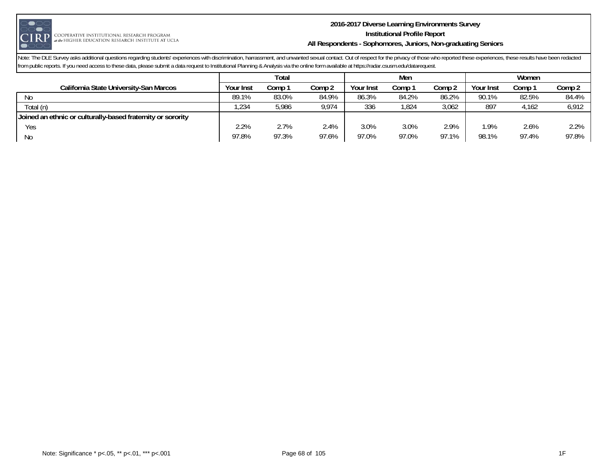

#### **2016-2017 Diverse Learning Environments Survey Institutional Profile Report All Respondents - Sophomores, Juniors, Non-graduating Seniors**

|                                                             | Total     |        |        |                  | Men    |        | Women     |        |        |
|-------------------------------------------------------------|-----------|--------|--------|------------------|--------|--------|-----------|--------|--------|
| California State University-San Marcos                      | Your Inst | Comp : | Comp 2 | <b>Your Inst</b> | comp : | Comp 2 | Your Inst | Comp : | Comp 2 |
| N0                                                          | 89.1%     | 83.0%  | 84.9%  | 86.3%            | 84.2%  | 86.2%  | 90.1%     | 82.5%  | 84.4%  |
| Total (n)                                                   | ,234      | 5,986  | 9,974  | 336              | .824   | 3,062  | 897       | 4,162  | 6,912  |
| Joined an ethnic or culturally-based fraternity or sorority |           |        |        |                  |        |        |           |        |        |
| Yes                                                         | 2.2%      | 2.7%   | 2.4%   | 3.0%             | 3.0%   | 2.9%   | .9%       | 2.6%   | 2.2%   |
| No                                                          | 97.8%     | 97.3%  | 97.6%  | 97.0%            | 97.0%  | 97.1%  | 98.1%     | 97.4%  | 97.8%  |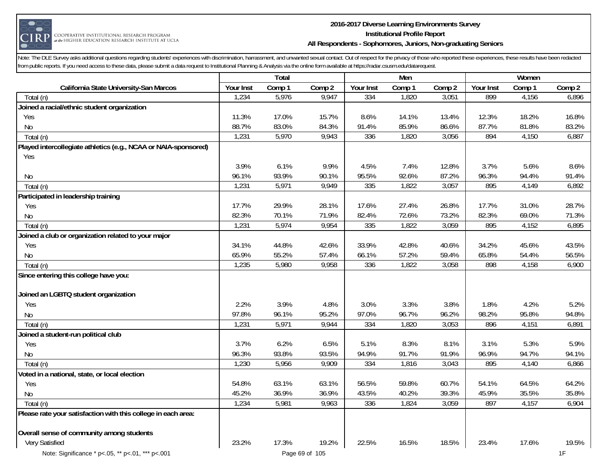

#### **2016-2017 Diverse Learning Environments Survey Institutional Profile Report All Respondents - Sophomores, Juniors, Non-graduating Seniors**

|                                                                 |           | Total  |                |           | Men    |        |           | Women  |        |
|-----------------------------------------------------------------|-----------|--------|----------------|-----------|--------|--------|-----------|--------|--------|
| California State University-San Marcos                          | Your Inst | Comp 1 | Comp 2         | Your Inst | Comp 1 | Comp 2 | Your Inst | Comp 1 | Comp 2 |
| Total (n)                                                       | 1,234     | 5,976  | 9,947          | 334       | 1,820  | 3,051  | 899       | 4,156  | 6,896  |
| Joined a racial/ethnic student organization                     |           |        |                |           |        |        |           |        |        |
| Yes                                                             | 11.3%     | 17.0%  | 15.7%          | 8.6%      | 14.1%  | 13.4%  | 12.3%     | 18.2%  | 16.8%  |
| No                                                              | 88.7%     | 83.0%  | 84.3%          | 91.4%     | 85.9%  | 86.6%  | 87.7%     | 81.8%  | 83.2%  |
| Total (n)                                                       | 1,231     | 5,970  | 9,943          | 336       | 1,820  | 3,056  | 894       | 4,150  | 6,887  |
| Played intercollegiate athletics (e.g., NCAA or NAIA-sponsored) |           |        |                |           |        |        |           |        |        |
| Yes                                                             |           |        |                |           |        |        |           |        |        |
|                                                                 | 3.9%      | 6.1%   | 9.9%           | 4.5%      | 7.4%   | 12.8%  | 3.7%      | 5.6%   | 8.6%   |
| No                                                              | 96.1%     | 93.9%  | 90.1%          | 95.5%     | 92.6%  | 87.2%  | 96.3%     | 94.4%  | 91.4%  |
| Total (n)                                                       | 1,231     | 5,971  | 9,949          | 335       | 1,822  | 3,057  | 895       | 4,149  | 6,892  |
| Participated in leadership training                             |           |        |                |           |        |        |           |        |        |
| Yes                                                             | 17.7%     | 29.9%  | 28.1%          | 17.6%     | 27.4%  | 26.8%  | 17.7%     | 31.0%  | 28.7%  |
| No                                                              | 82.3%     | 70.1%  | 71.9%          | 82.4%     | 72.6%  | 73.2%  | 82.3%     | 69.0%  | 71.3%  |
| Total (n)                                                       | 1,231     | 5,974  | 9,954          | 335       | 1,822  | 3,059  | 895       | 4,152  | 6,895  |
| Joined a club or organization related to your major             |           |        |                |           |        |        |           |        |        |
| Yes                                                             | 34.1%     | 44.8%  | 42.6%          | 33.9%     | 42.8%  | 40.6%  | 34.2%     | 45.6%  | 43.5%  |
| No                                                              | 65.9%     | 55.2%  | 57.4%          | 66.1%     | 57.2%  | 59.4%  | 65.8%     | 54.4%  | 56.5%  |
| Total (n)                                                       | 1,235     | 5,980  | 9,958          | 336       | 1,822  | 3,058  | 898       | 4,158  | 6,900  |
| Since entering this college have you:                           |           |        |                |           |        |        |           |        |        |
|                                                                 |           |        |                |           |        |        |           |        |        |
| Joined an LGBTQ student organization                            |           |        |                |           |        |        |           |        |        |
| Yes                                                             | 2.2%      | 3.9%   | 4.8%           | 3.0%      | 3.3%   | 3.8%   | 1.8%      | 4.2%   | 5.2%   |
| <b>No</b>                                                       | 97.8%     | 96.1%  | 95.2%          | 97.0%     | 96.7%  | 96.2%  | 98.2%     | 95.8%  | 94.8%  |
| Total (n)                                                       | 1,231     | 5,971  | 9,944          | 334       | 1,820  | 3,053  | 896       | 4,151  | 6,891  |
| Joined a student-run political club                             |           |        |                |           |        |        |           |        |        |
| Yes                                                             | 3.7%      | 6.2%   | 6.5%           | 5.1%      | 8.3%   | 8.1%   | 3.1%      | 5.3%   | 5.9%   |
| No                                                              | 96.3%     | 93.8%  | 93.5%          | 94.9%     | 91.7%  | 91.9%  | 96.9%     | 94.7%  | 94.1%  |
| Total (n)                                                       | 1,230     | 5,956  | 9,909          | 334       | 1,816  | 3,043  | 895       | 4,140  | 6,866  |
| Voted in a national, state, or local election                   |           |        |                |           |        |        |           |        |        |
| Yes                                                             | 54.8%     | 63.1%  | 63.1%          | 56.5%     | 59.8%  | 60.7%  | 54.1%     | 64.5%  | 64.2%  |
| <b>No</b>                                                       | 45.2%     | 36.9%  | 36.9%          | 43.5%     | 40.2%  | 39.3%  | 45.9%     | 35.5%  | 35.8%  |
| Total (n)                                                       | 1,234     | 5,981  | 9,963          | 336       | 1,824  | 3,059  | 897       | 4,157  | 6,904  |
| Please rate your satisfaction with this college in each area:   |           |        |                |           |        |        |           |        |        |
| Overall sense of community among students                       |           |        |                |           |        |        |           |        |        |
| Very Satisfied                                                  | 23.2%     | 17.3%  | 19.2%          | 22.5%     | 16.5%  | 18.5%  | 23.4%     | 17.6%  | 19.5%  |
| Note: Significance * p<.05, ** p<.01, *** p<.001                |           |        | Page 69 of 105 |           |        |        |           |        | 1F     |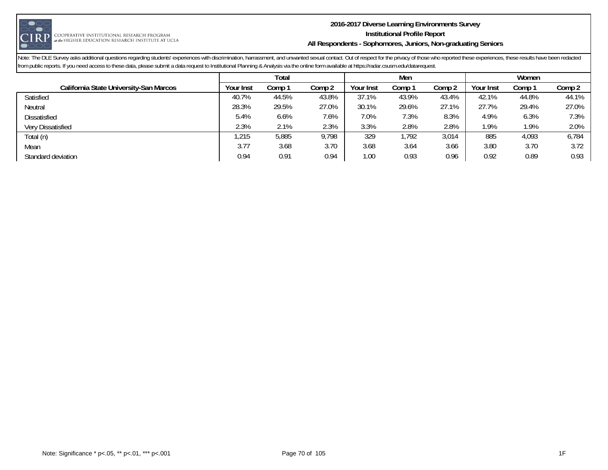

#### **2016-2017 Diverse Learning Environments Survey Institutional Profile Report All Respondents - Sophomores, Juniors, Non-graduating Seniors**

|                                        | Total     |        |        |                  | Men    |        | Women     |        |        |  |
|----------------------------------------|-----------|--------|--------|------------------|--------|--------|-----------|--------|--------|--|
| California State University-San Marcos | Your Inst | Comp 1 | Comp 2 | <b>Your Inst</b> | Comp 1 | Comp 2 | Your Inst | Comp 1 | Comp 2 |  |
| Satisfied                              | 40.7%     | 44.5%  | 43.8%  | 37.1%            | 43.9%  | 43.4%  | 42.1%     | 44.8%  | 44.1%  |  |
| Neutral                                | 28.3%     | 29.5%  | 27.0%  | 30.1%            | 29.6%  | 27.1%  | 27.7%     | 29.4%  | 27.0%  |  |
| <b>Dissatisfied</b>                    | 5.4%      | 6.6%   | 7.6%   | 7.0%             | 7.3%   | 8.3%   | 4.9%      | 6.3%   | 7.3%   |  |
| Very Dissatisfied                      | 2.3%      | 2.1%   | 2.3%   | 3.3%             | 2.8%   | 2.8%   | 1.9%      | 1.9%   | 2.0%   |  |
| Total (n)                              | ,215      | 5,885  | 9,798  | 329              | ,792   | 3,014  | 885       | 4,093  | 6,784  |  |
| Mean                                   | 3.77      | 3.68   | 3.70   | 3.68             | 3.64   | 3.66   | 3.80      | 3.70   | 3.72   |  |
| Standard deviation                     | 0.94      | 0.91   | 0.94   | 1.00             | 0.93   | 0.96   | 0.92      | 0.89   | 0.93   |  |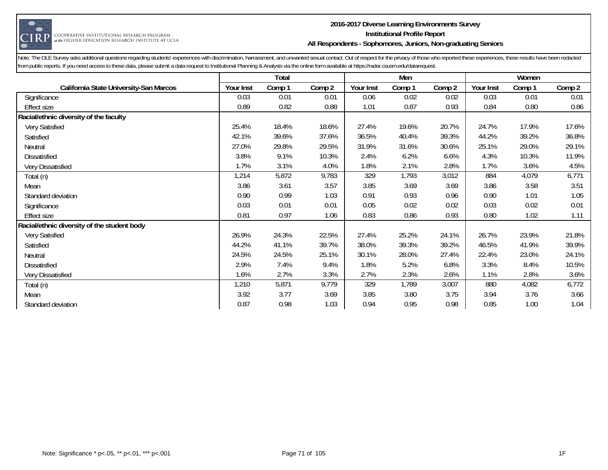

## **2016-2017 Diverse Learning Environments Survey Institutional Profile Report All Respondents - Sophomores, Juniors, Non-graduating Seniors**

|                                             |           | Total  |        |           | Men    |        |           | Women  |        |
|---------------------------------------------|-----------|--------|--------|-----------|--------|--------|-----------|--------|--------|
| California State University-San Marcos      | Your Inst | Comp 1 | Comp 2 | Your Inst | Comp 1 | Comp 2 | Your Inst | Comp 1 | Comp 2 |
| Significance                                | 0.03      | 0.01   | 0.01   | 0.06      | 0.02   | 0.02   | 0.03      | 0.01   | 0.01   |
| Effect size                                 | 0.89      | 0.82   | 0.88   | 1.01      | 0.87   | 0.93   | 0.84      | 0.80   | 0.86   |
| Racial/ethnic diversity of the faculty      |           |        |        |           |        |        |           |        |        |
| Very Satisfied                              | 25.4%     | 18.4%  | 18.6%  | 27.4%     | 19.6%  | 20.7%  | 24.7%     | 17.9%  | 17.6%  |
| Satisfied                                   | 42.1%     | 39.6%  | 37.6%  | 36.5%     | 40.4%  | 39.3%  | 44.2%     | 39.2%  | 36.8%  |
| Neutral                                     | 27.0%     | 29.8%  | 29.5%  | 31.9%     | 31.6%  | 30.6%  | 25.1%     | 29.0%  | 29.1%  |
| Dissatisfied                                | 3.8%      | 9.1%   | 10.3%  | 2.4%      | 6.2%   | 6.6%   | 4.3%      | 10.3%  | 11.9%  |
| Very Dissatisfied                           | 1.7%      | 3.1%   | 4.0%   | 1.8%      | 2.1%   | 2.8%   | 1.7%      | 3.6%   | 4.5%   |
| Total (n)                                   | 1,214     | 5,872  | 9,783  | 329       | 1,793  | 3,012  | 884       | 4,079  | 6,771  |
| Mean                                        | 3.86      | 3.61   | 3.57   | 3.85      | 3.69   | 3.69   | 3.86      | 3.58   | 3.51   |
| Standard deviation                          | 0.90      | 0.99   | 1.03   | 0.91      | 0.93   | 0.96   | 0.90      | 1.01   | 1.05   |
| Significance                                | 0.03      | 0.01   | 0.01   | 0.05      | 0.02   | 0.02   | 0.03      | 0.02   | 0.01   |
| <b>Effect size</b>                          | 0.81      | 0.97   | 1.06   | 0.83      | 0.86   | 0.93   | 0.80      | 1.02   | 1.11   |
| Racial/ethnic diversity of the student body |           |        |        |           |        |        |           |        |        |
| Very Satisfied                              | 26.9%     | 24.3%  | 22.5%  | 27.4%     | 25.2%  | 24.1%  | 26.7%     | 23.9%  | 21.8%  |
| Satisfied                                   | 44.2%     | 41.1%  | 39.7%  | 38.0%     | 39.3%  | 39.2%  | 46.5%     | 41.9%  | 39.9%  |
| Neutral                                     | 24.5%     | 24.5%  | 25.1%  | 30.1%     | 28.0%  | 27.4%  | 22.4%     | 23.0%  | 24.1%  |
| Dissatisfied                                | 2.9%      | 7.4%   | 9.4%   | 1.8%      | 5.2%   | 6.8%   | 3.3%      | 8.4%   | 10.5%  |
| Very Dissatisfied                           | 1.6%      | 2.7%   | 3.3%   | 2.7%      | 2.3%   | 2.6%   | 1.1%      | 2.8%   | 3.6%   |
| Total (n)                                   | 1,210     | 5,871  | 9,779  | 329       | 1,789  | 3,007  | 880       | 4,082  | 6,772  |
| Mean                                        | 3.92      | 3.77   | 3.69   | 3.85      | 3.80   | 3.75   | 3.94      | 3.76   | 3.66   |
| Standard deviation                          | 0.87      | 0.98   | 1.03   | 0.94      | 0.95   | 0.98   | 0.85      | 1.00   | 1.04   |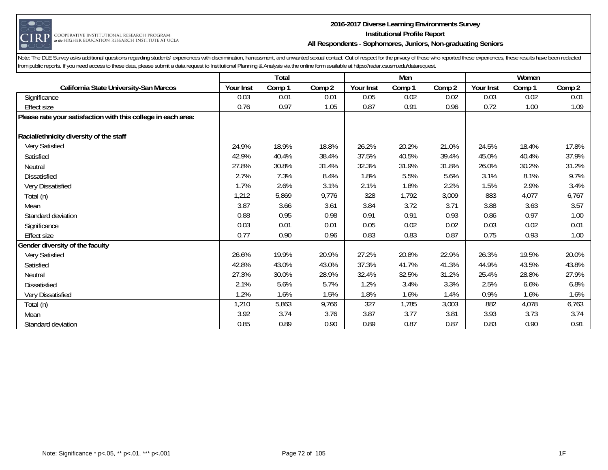

#### **2016-2017 Diverse Learning Environments Survey Institutional Profile Report All Respondents - Sophomores, Juniors, Non-graduating Seniors**

|                                                               |           | <b>Total</b> |        |           | Men    |        |           | Women  |        |
|---------------------------------------------------------------|-----------|--------------|--------|-----------|--------|--------|-----------|--------|--------|
| California State University-San Marcos                        | Your Inst | Comp 1       | Comp 2 | Your Inst | Comp 1 | Comp 2 | Your Inst | Comp 1 | Comp 2 |
| Significance                                                  | 0.03      | 0.01         | 0.01   | 0.05      | 0.02   | 0.02   | 0.03      | 0.02   | 0.01   |
| <b>Effect size</b>                                            | 0.76      | 0.97         | 1.05   | 0.87      | 0.91   | 0.96   | 0.72      | 1.00   | 1.09   |
| Please rate your satisfaction with this college in each area: |           |              |        |           |        |        |           |        |        |
| Racial/ethnicity diversity of the staff                       |           |              |        |           |        |        |           |        |        |
| Very Satisfied                                                | 24.9%     | 18.9%        | 18.8%  | 26.2%     | 20.2%  | 21.0%  | 24.5%     | 18.4%  | 17.8%  |
| Satisfied                                                     | 42.9%     | 40.4%        | 38.4%  | 37.5%     | 40.5%  | 39.4%  | 45.0%     | 40.4%  | 37.9%  |
| Neutral                                                       | 27.8%     | 30.8%        | 31.4%  | 32.3%     | 31.9%  | 31.8%  | 26.0%     | 30.2%  | 31.2%  |
| <b>Dissatisfied</b>                                           | 2.7%      | 7.3%         | 8.4%   | 1.8%      | 5.5%   | 5.6%   | 3.1%      | 8.1%   | 9.7%   |
| Very Dissatisfied                                             | 1.7%      | 2.6%         | 3.1%   | 2.1%      | 1.8%   | 2.2%   | 1.5%      | 2.9%   | 3.4%   |
| Total (n)                                                     | 1,212     | 5,869        | 9,776  | 328       | 1,792  | 3,009  | 883       | 4,077  | 6,767  |
| Mean                                                          | 3.87      | 3.66         | 3.61   | 3.84      | 3.72   | 3.71   | 3.88      | 3.63   | 3.57   |
| Standard deviation                                            | 0.88      | 0.95         | 0.98   | 0.91      | 0.91   | 0.93   | 0.86      | 0.97   | 1.00   |
| Significance                                                  | 0.03      | 0.01         | 0.01   | 0.05      | 0.02   | 0.02   | 0.03      | 0.02   | 0.01   |
| Effect size                                                   | 0.77      | 0.90         | 0.96   | 0.83      | 0.83   | 0.87   | 0.75      | 0.93   | 1.00   |
| Gender diversity of the faculty                               |           |              |        |           |        |        |           |        |        |
| Very Satisfied                                                | 26.6%     | 19.9%        | 20.9%  | 27.2%     | 20.8%  | 22.9%  | 26.3%     | 19.5%  | 20.0%  |
| Satisfied                                                     | 42.8%     | 43.0%        | 43.0%  | 37.3%     | 41.7%  | 41.3%  | 44.9%     | 43.5%  | 43.8%  |
| Neutral                                                       | 27.3%     | 30.0%        | 28.9%  | 32.4%     | 32.5%  | 31.2%  | 25.4%     | 28.8%  | 27.9%  |
| <b>Dissatisfied</b>                                           | 2.1%      | 5.6%         | 5.7%   | 1.2%      | 3.4%   | 3.3%   | 2.5%      | 6.6%   | 6.8%   |
| Very Dissatisfied                                             | 1.2%      | 1.6%         | 1.5%   | 1.8%      | 1.6%   | 1.4%   | 0.9%      | 1.6%   | 1.6%   |
| Total (n)                                                     | 1,210     | 5,863        | 9,766  | 327       | 1,785  | 3,003  | 882       | 4,078  | 6,763  |
| Mean                                                          | 3.92      | 3.74         | 3.76   | 3.87      | 3.77   | 3.81   | 3.93      | 3.73   | 3.74   |
| Standard deviation                                            | 0.85      | 0.89         | 0.90   | 0.89      | 0.87   | 0.87   | 0.83      | 0.90   | 0.91   |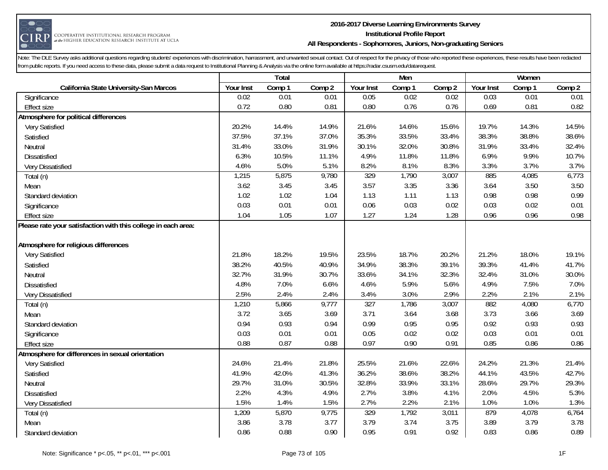

#### **2016-2017 Diverse Learning Environments Survey Institutional Profile Report All Respondents - Sophomores, Juniors, Non-graduating Seniors**

|                                                               |           | Total  |        |           | Men    |        |           | Women  |        |
|---------------------------------------------------------------|-----------|--------|--------|-----------|--------|--------|-----------|--------|--------|
| California State University-San Marcos                        | Your Inst | Comp 1 | Comp 2 | Your Inst | Comp 1 | Comp 2 | Your Inst | Comp 1 | Comp 2 |
| Significance                                                  | 0.02      | 0.01   | 0.01   | 0.05      | 0.02   | 0.02   | 0.03      | 0.01   | 0.01   |
| <b>Effect size</b>                                            | 0.72      | 0.80   | 0.81   | 0.80      | 0.76   | 0.76   | 0.69      | 0.81   | 0.82   |
| Atmosphere for political differences                          |           |        |        |           |        |        |           |        |        |
| Very Satisfied                                                | 20.2%     | 14.4%  | 14.9%  | 21.6%     | 14.6%  | 15.6%  | 19.7%     | 14.3%  | 14.5%  |
| Satisfied                                                     | 37.5%     | 37.1%  | 37.0%  | 35.3%     | 33.5%  | 33.4%  | 38.3%     | 38.8%  | 38.6%  |
| Neutral                                                       | 31.4%     | 33.0%  | 31.9%  | 30.1%     | 32.0%  | 30.8%  | 31.9%     | 33.4%  | 32.4%  |
| <b>Dissatisfied</b>                                           | 6.3%      | 10.5%  | 11.1%  | 4.9%      | 11.8%  | 11.8%  | 6.9%      | 9.9%   | 10.7%  |
| Very Dissatisfied                                             | 4.6%      | 5.0%   | 5.1%   | 8.2%      | 8.1%   | 8.3%   | 3.3%      | 3.7%   | 3.7%   |
| Total (n)                                                     | 1,215     | 5,875  | 9,780  | 329       | 1,790  | 3,007  | 885       | 4,085  | 6,773  |
| Mean                                                          | 3.62      | 3.45   | 3.45   | 3.57      | 3.35   | 3.36   | 3.64      | 3.50   | 3.50   |
| Standard deviation                                            | 1.02      | 1.02   | 1.04   | 1.13      | 1.11   | 1.13   | 0.98      | 0.98   | 0.99   |
| Significance                                                  | 0.03      | 0.01   | 0.01   | 0.06      | 0.03   | 0.02   | 0.03      | 0.02   | 0.01   |
| <b>Effect size</b>                                            | 1.04      | 1.05   | 1.07   | 1.27      | 1.24   | 1.28   | 0.96      | 0.96   | 0.98   |
| Please rate your satisfaction with this college in each area: |           |        |        |           |        |        |           |        |        |
|                                                               |           |        |        |           |        |        |           |        |        |
| Atmosphere for religious differences                          |           |        |        |           |        |        |           |        |        |
| Very Satisfied                                                | 21.8%     | 18.2%  | 19.5%  | 23.5%     | 18.7%  | 20.2%  | 21.2%     | 18.0%  | 19.1%  |
| Satisfied                                                     | 38.2%     | 40.5%  | 40.9%  | 34.9%     | 38.3%  | 39.1%  | 39.3%     | 41.4%  | 41.7%  |
| Neutral                                                       | 32.7%     | 31.9%  | 30.7%  | 33.6%     | 34.1%  | 32.3%  | 32.4%     | 31.0%  | 30.0%  |
| <b>Dissatisfied</b>                                           | 4.8%      | 7.0%   | 6.6%   | 4.6%      | 5.9%   | 5.6%   | 4.9%      | 7.5%   | 7.0%   |
| Very Dissatisfied                                             | 2.5%      | 2.4%   | 2.4%   | 3.4%      | 3.0%   | 2.9%   | 2.2%      | 2.1%   | 2.1%   |
| Total (n)                                                     | 1,210     | 5,866  | 9,777  | 327       | 1,786  | 3,007  | 882       | 4,080  | 6,770  |
| Mean                                                          | 3.72      | 3.65   | 3.69   | 3.71      | 3.64   | 3.68   | 3.73      | 3.66   | 3.69   |
| Standard deviation                                            | 0.94      | 0.93   | 0.94   | 0.99      | 0.95   | 0.95   | 0.92      | 0.93   | 0.93   |
| Significance                                                  | 0.03      | 0.01   | 0.01   | 0.05      | 0.02   | 0.02   | 0.03      | 0.01   | 0.01   |
| <b>Effect size</b>                                            | 0.88      | 0.87   | 0.88   | 0.97      | 0.90   | 0.91   | 0.85      | 0.86   | 0.86   |
| Atmosphere for differences in sexual orientation              |           |        |        |           |        |        |           |        |        |
| Very Satisfied                                                | 24.6%     | 21.4%  | 21.8%  | 25.5%     | 21.6%  | 22.6%  | 24.2%     | 21.3%  | 21.4%  |
| Satisfied                                                     | 41.9%     | 42.0%  | 41.3%  | 36.2%     | 38.6%  | 38.2%  | 44.1%     | 43.5%  | 42.7%  |
| Neutral                                                       | 29.7%     | 31.0%  | 30.5%  | 32.8%     | 33.9%  | 33.1%  | 28.6%     | 29.7%  | 29.3%  |
| <b>Dissatisfied</b>                                           | 2.2%      | 4.3%   | 4.9%   | 2.7%      | 3.8%   | 4.1%   | 2.0%      | 4.5%   | 5.3%   |
| Very Dissatisfied                                             | 1.5%      | 1.4%   | 1.5%   | 2.7%      | 2.2%   | 2.1%   | 1.0%      | 1.0%   | 1.3%   |
| Total (n)                                                     | 1,209     | 5,870  | 9,775  | 329       | 1,792  | 3,011  | 879       | 4,078  | 6,764  |
| Mean                                                          | 3.86      | 3.78   | 3.77   | 3.79      | 3.74   | 3.75   | 3.89      | 3.79   | 3.78   |
| Standard deviation                                            | 0.86      | 0.88   | 0.90   | 0.95      | 0.91   | 0.92   | 0.83      | 0.86   | 0.89   |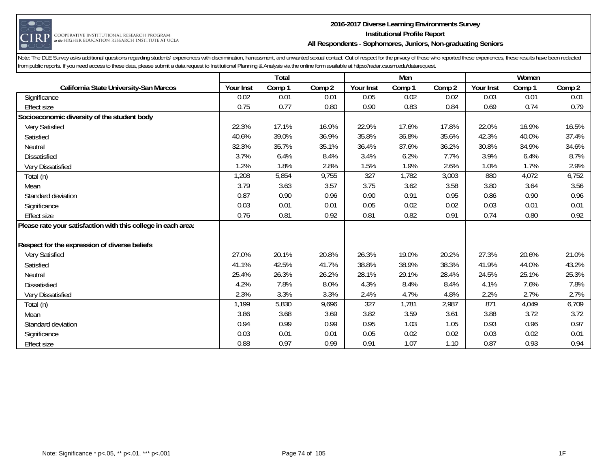

#### **2016-2017 Diverse Learning Environments Survey Institutional Profile Report All Respondents - Sophomores, Juniors, Non-graduating Seniors**

|                                                               |           | Total  |        |           | Men    |        |           | Women  |        |
|---------------------------------------------------------------|-----------|--------|--------|-----------|--------|--------|-----------|--------|--------|
| California State University-San Marcos                        | Your Inst | Comp 1 | Comp 2 | Your Inst | Comp 1 | Comp 2 | Your Inst | Comp 1 | Comp 2 |
| Significance                                                  | 0.02      | 0.01   | 0.01   | 0.05      | 0.02   | 0.02   | 0.03      | 0.01   | 0.01   |
| <b>Effect size</b>                                            | 0.75      | 0.77   | 0.80   | 0.90      | 0.83   | 0.84   | 0.69      | 0.74   | 0.79   |
| Socioeconomic diversity of the student body                   |           |        |        |           |        |        |           |        |        |
| Very Satisfied                                                | 22.3%     | 17.1%  | 16.9%  | 22.9%     | 17.6%  | 17.8%  | 22.0%     | 16.9%  | 16.5%  |
| Satisfied                                                     | 40.6%     | 39.0%  | 36.9%  | 35.8%     | 36.8%  | 35.6%  | 42.3%     | 40.0%  | 37.4%  |
| Neutral                                                       | 32.3%     | 35.7%  | 35.1%  | 36.4%     | 37.6%  | 36.2%  | 30.8%     | 34.9%  | 34.6%  |
| <b>Dissatisfied</b>                                           | 3.7%      | 6.4%   | 8.4%   | 3.4%      | 6.2%   | 7.7%   | 3.9%      | 6.4%   | 8.7%   |
| Very Dissatisfied                                             | 1.2%      | 1.8%   | 2.8%   | 1.5%      | 1.9%   | 2.6%   | 1.0%      | 1.7%   | 2.9%   |
| Total (n)                                                     | 1,208     | 5,854  | 9,755  | 327       | 1,782  | 3,003  | 880       | 4,072  | 6,752  |
| Mean                                                          | 3.79      | 3.63   | 3.57   | 3.75      | 3.62   | 3.58   | 3.80      | 3.64   | 3.56   |
| Standard deviation                                            | 0.87      | 0.90   | 0.96   | 0.90      | 0.91   | 0.95   | 0.86      | 0.90   | 0.96   |
| Significance                                                  | 0.03      | 0.01   | 0.01   | 0.05      | 0.02   | 0.02   | 0.03      | 0.01   | 0.01   |
| <b>Effect size</b>                                            | 0.76      | 0.81   | 0.92   | 0.81      | 0.82   | 0.91   | 0.74      | 0.80   | 0.92   |
| Please rate your satisfaction with this college in each area: |           |        |        |           |        |        |           |        |        |
|                                                               |           |        |        |           |        |        |           |        |        |
| Respect for the expression of diverse beliefs                 |           |        |        |           |        |        |           |        |        |
| Very Satisfied                                                | 27.0%     | 20.1%  | 20.8%  | 26.3%     | 19.0%  | 20.2%  | 27.3%     | 20.6%  | 21.0%  |
| Satisfied                                                     | 41.1%     | 42.5%  | 41.7%  | 38.8%     | 38.9%  | 38.3%  | 41.9%     | 44.0%  | 43.2%  |
| Neutral                                                       | 25.4%     | 26.3%  | 26.2%  | 28.1%     | 29.1%  | 28.4%  | 24.5%     | 25.1%  | 25.3%  |
| <b>Dissatisfied</b>                                           | 4.2%      | 7.8%   | 8.0%   | 4.3%      | 8.4%   | 8.4%   | 4.1%      | 7.6%   | 7.8%   |
| Very Dissatisfied                                             | 2.3%      | 3.3%   | 3.3%   | 2.4%      | 4.7%   | 4.8%   | 2.2%      | 2.7%   | 2.7%   |
| Total (n)                                                     | 1,199     | 5,830  | 9,696  | 327       | 1,781  | 2,987  | 871       | 4,049  | 6,709  |
| Mean                                                          | 3.86      | 3.68   | 3.69   | 3.82      | 3.59   | 3.61   | 3.88      | 3.72   | 3.72   |
| Standard deviation                                            | 0.94      | 0.99   | 0.99   | 0.95      | 1.03   | 1.05   | 0.93      | 0.96   | 0.97   |
| Significance                                                  | 0.03      | 0.01   | 0.01   | 0.05      | 0.02   | 0.02   | 0.03      | 0.02   | 0.01   |
| <b>Effect size</b>                                            | 0.88      | 0.97   | 0.99   | 0.91      | 1.07   | 1.10   | 0.87      | 0.93   | 0.94   |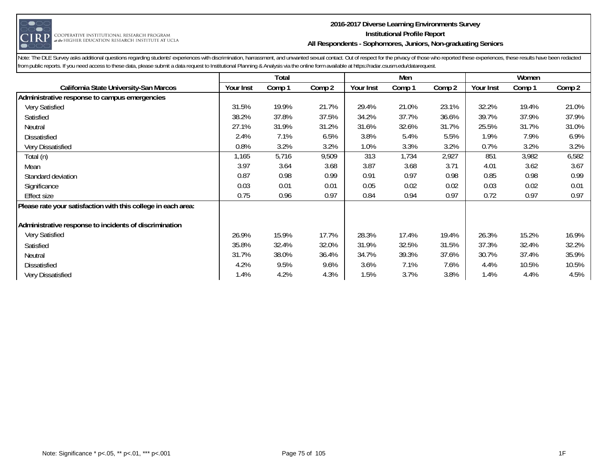

#### **2016-2017 Diverse Learning Environments Survey Institutional Profile Report All Respondents - Sophomores, Juniors, Non-graduating Seniors**

|                                                               |           | Total  |        |           | Men    |        |           | Women  |        |
|---------------------------------------------------------------|-----------|--------|--------|-----------|--------|--------|-----------|--------|--------|
| California State University-San Marcos                        | Your Inst | Comp 1 | Comp 2 | Your Inst | Comp 1 | Comp 2 | Your Inst | Comp 1 | Comp 2 |
| Administrative response to campus emergencies                 |           |        |        |           |        |        |           |        |        |
| Very Satisfied                                                | 31.5%     | 19.9%  | 21.7%  | 29.4%     | 21.0%  | 23.1%  | 32.2%     | 19.4%  | 21.0%  |
| Satisfied                                                     | 38.2%     | 37.8%  | 37.5%  | 34.2%     | 37.7%  | 36.6%  | 39.7%     | 37.9%  | 37.9%  |
| Neutral                                                       | 27.1%     | 31.9%  | 31.2%  | 31.6%     | 32.6%  | 31.7%  | 25.5%     | 31.7%  | 31.0%  |
| <b>Dissatisfied</b>                                           | 2.4%      | 7.1%   | 6.5%   | 3.8%      | 5.4%   | 5.5%   | 1.9%      | 7.9%   | 6.9%   |
| Very Dissatisfied                                             | 0.8%      | 3.2%   | 3.2%   | 1.0%      | 3.3%   | 3.2%   | 0.7%      | 3.2%   | 3.2%   |
| Total (n)                                                     | 1,165     | 5,716  | 9,509  | 313       | 1,734  | 2,927  | 851       | 3,982  | 6,582  |
| Mean                                                          | 3.97      | 3.64   | 3.68   | 3.87      | 3.68   | 3.71   | 4.01      | 3.62   | 3.67   |
| Standard deviation                                            | 0.87      | 0.98   | 0.99   | 0.91      | 0.97   | 0.98   | 0.85      | 0.98   | 0.99   |
| Significance                                                  | 0.03      | 0.01   | 0.01   | 0.05      | 0.02   | 0.02   | 0.03      | 0.02   | 0.01   |
| <b>Effect size</b>                                            | 0.75      | 0.96   | 0.97   | 0.84      | 0.94   | 0.97   | 0.72      | 0.97   | 0.97   |
| Please rate your satisfaction with this college in each area: |           |        |        |           |        |        |           |        |        |
| Administrative response to incidents of discrimination        |           |        |        |           |        |        |           |        |        |
| Very Satisfied                                                | 26.9%     | 15.9%  | 17.7%  | 28.3%     | 17.4%  | 19.4%  | 26.3%     | 15.2%  | 16.9%  |
| Satisfied                                                     | 35.8%     | 32.4%  | 32.0%  | 31.9%     | 32.5%  | 31.5%  | 37.3%     | 32.4%  | 32.2%  |
| Neutral                                                       | 31.7%     | 38.0%  | 36.4%  | 34.7%     | 39.3%  | 37.6%  | 30.7%     | 37.4%  | 35.9%  |
| <b>Dissatisfied</b>                                           | 4.2%      | 9.5%   | 9.6%   | 3.6%      | 7.1%   | 7.6%   | 4.4%      | 10.5%  | 10.5%  |
| Very Dissatisfied                                             | 1.4%      | 4.2%   | 4.3%   | 1.5%      | 3.7%   | 3.8%   | 1.4%      | 4.4%   | 4.5%   |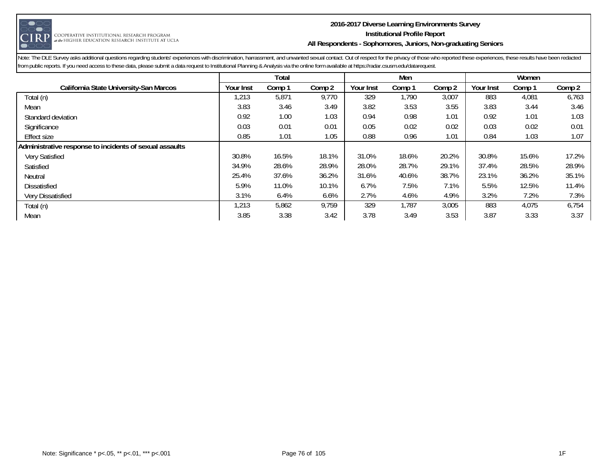

#### **2016-2017 Diverse Learning Environments Survey Institutional Profile Report All Respondents - Sophomores, Juniors, Non-graduating Seniors**

|                                                         |           | Total  |        |           | Men    |        |           | Women  |        |
|---------------------------------------------------------|-----------|--------|--------|-----------|--------|--------|-----------|--------|--------|
| California State University-San Marcos                  | Your Inst | Comp 1 | Comp 2 | Your Inst | Comp 1 | Comp 2 | Your Inst | Comp 1 | Comp 2 |
| Total (n)                                               | ,213      | 5,871  | 9,770  | 329       | 1,790  | 3,007  | 883       | 4,081  | 6,763  |
| Mean                                                    | 3.83      | 3.46   | 3.49   | 3.82      | 3.53   | 3.55   | 3.83      | 3.44   | 3.46   |
| Standard deviation                                      | 0.92      | 1.00   | 1.03   | 0.94      | 0.98   | 1.01   | 0.92      | 1.01   | 1.03   |
| Significance                                            | 0.03      | 0.01   | 0.01   | 0.05      | 0.02   | 0.02   | 0.03      | 0.02   | 0.01   |
| <b>Effect size</b>                                      | 0.85      | 1.01   | 1.05   | 0.88      | 0.96   | 1.01   | 0.84      | 1.03   | 1.07   |
| Administrative response to incidents of sexual assaults |           |        |        |           |        |        |           |        |        |
| Very Satisfied                                          | 30.8%     | 16.5%  | 18.1%  | 31.0%     | 18.6%  | 20.2%  | 30.8%     | 15.6%  | 17.2%  |
| Satisfied                                               | 34.9%     | 28.6%  | 28.9%  | 28.0%     | 28.7%  | 29.1%  | 37.4%     | 28.5%  | 28.9%  |
| Neutral                                                 | 25.4%     | 37.6%  | 36.2%  | 31.6%     | 40.6%  | 38.7%  | 23.1%     | 36.2%  | 35.1%  |
| <b>Dissatisfied</b>                                     | 5.9%      | 11.0%  | 10.1%  | 6.7%      | 7.5%   | 7.1%   | 5.5%      | 12.5%  | 11.4%  |
| Very Dissatisfied                                       | 3.1%      | 6.4%   | 6.6%   | 2.7%      | 4.6%   | 4.9%   | 3.2%      | 7.2%   | 7.3%   |
| Total (n)                                               | ,213      | 5,862  | 9,759  | 329       | 1,787  | 3,005  | 883       | 4,075  | 6,754  |
| Mean                                                    | 3.85      | 3.38   | 3.42   | 3.78      | 3.49   | 3.53   | 3.87      | 3.33   | 3.37   |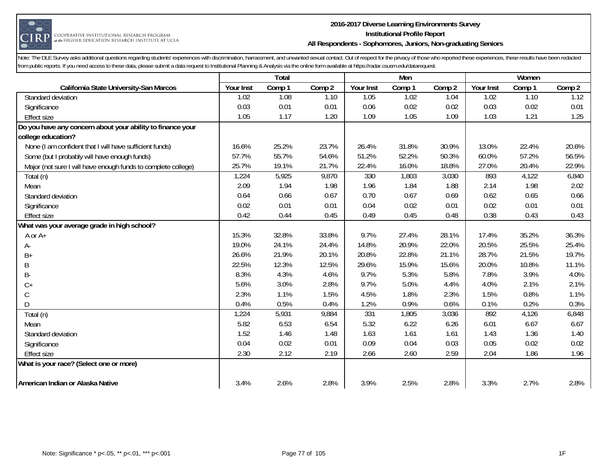

#### **2016-2017 Diverse Learning Environments Survey Institutional Profile Report All Respondents - Sophomores, Juniors, Non-graduating Seniors**

|                                                               |           | Total  |        |           | Men    |        |           | Women  |        |
|---------------------------------------------------------------|-----------|--------|--------|-----------|--------|--------|-----------|--------|--------|
| California State University-San Marcos                        | Your Inst | Comp 1 | Comp 2 | Your Inst | Comp 1 | Comp 2 | Your Inst | Comp 1 | Comp 2 |
| Standard deviation                                            | 1.02      | 1.08   | 1.10   | 1.05      | 1.02   | 1.04   | 1.02      | 1.10   | 1.12   |
| Significance                                                  | 0.03      | 0.01   | 0.01   | 0.06      | 0.02   | 0.02   | 0.03      | 0.02   | 0.01   |
| <b>Effect size</b>                                            | 1.05      | 1.17   | 1.20   | 1.09      | 1.05   | 1.09   | 1.03      | 1.21   | 1.25   |
| Do you have any concern about your ability to finance your    |           |        |        |           |        |        |           |        |        |
| college education?                                            |           |        |        |           |        |        |           |        |        |
| None (I am confident that I will have sufficient funds)       | 16.6%     | 25.2%  | 23.7%  | 26.4%     | 31.8%  | 30.9%  | 13.0%     | 22.4%  | 20.6%  |
| Some (but I probably will have enough funds)                  | 57.7%     | 55.7%  | 54.6%  | 51.2%     | 52.2%  | 50.3%  | 60.0%     | 57.2%  | 56.5%  |
| Major (not sure I will have enough funds to complete college) | 25.7%     | 19.1%  | 21.7%  | 22.4%     | 16.0%  | 18.8%  | 27.0%     | 20.4%  | 22.9%  |
| Total (n)                                                     | 1,224     | 5,925  | 9,870  | 330       | 1,803  | 3,030  | 893       | 4,122  | 6,840  |
| Mean                                                          | 2.09      | 1.94   | 1.98   | 1.96      | 1.84   | 1.88   | 2.14      | 1.98   | 2.02   |
| Standard deviation                                            | 0.64      | 0.66   | 0.67   | 0.70      | 0.67   | 0.69   | 0.62      | 0.65   | 0.66   |
| Significance                                                  | 0.02      | 0.01   | 0.01   | 0.04      | 0.02   | 0.01   | 0.02      | 0.01   | 0.01   |
| <b>Effect size</b>                                            | 0.42      | 0.44   | 0.45   | 0.49      | 0.45   | 0.48   | 0.38      | 0.43   | 0.43   |
| What was your average grade in high school?                   |           |        |        |           |        |        |           |        |        |
| A or $A+$                                                     | 15.3%     | 32.8%  | 33.8%  | 9.7%      | 27.4%  | 28.1%  | 17.4%     | 35.2%  | 36.3%  |
| A-                                                            | 19.0%     | 24.1%  | 24.4%  | 14.8%     | 20.9%  | 22.0%  | 20.5%     | 25.5%  | 25.4%  |
| $B+$                                                          | 26.6%     | 21.9%  | 20.1%  | 20.8%     | 22.8%  | 21.1%  | 28.7%     | 21.5%  | 19.7%  |
| B                                                             | 22.5%     | 12.3%  | 12.5%  | 29.6%     | 15.9%  | 15.6%  | 20.0%     | 10.8%  | 11.1%  |
| B-                                                            | 8.3%      | 4.3%   | 4.6%   | 9.7%      | 5.3%   | 5.8%   | 7.8%      | 3.9%   | 4.0%   |
| $C+$                                                          | 5.6%      | 3.0%   | 2.8%   | 9.7%      | 5.0%   | 4.4%   | 4.0%      | 2.1%   | 2.1%   |
| C                                                             | 2.3%      | 1.1%   | 1.5%   | 4.5%      | 1.8%   | 2.3%   | 1.5%      | 0.8%   | 1.1%   |
| D                                                             | 0.4%      | 0.5%   | 0.4%   | 1.2%      | 0.9%   | 0.6%   | 0.1%      | 0.2%   | 0.3%   |
| Total (n)                                                     | 1,224     | 5,931  | 9,884  | 331       | 1,805  | 3,036  | 892       | 4,126  | 6,848  |
| Mean                                                          | 5.82      | 6.53   | 6.54   | 5.32      | 6.22   | 6.26   | 6.01      | 6.67   | 6.67   |
| Standard deviation                                            | 1.52      | 1.46   | 1.48   | 1.63      | 1.61   | 1.61   | 1.43      | 1.36   | 1.40   |
| Significance                                                  | 0.04      | 0.02   | 0.01   | 0.09      | 0.04   | 0.03   | 0.05      | 0.02   | 0.02   |
| <b>Effect size</b>                                            | 2.30      | 2.12   | 2.19   | 2.66      | 2.60   | 2.59   | 2.04      | 1.86   | 1.96   |
| What is your race? (Select one or more)                       |           |        |        |           |        |        |           |        |        |
| American Indian or Alaska Native                              | 3.4%      | 2.6%   | 2.8%   | 3.9%      | 2.5%   | 2.8%   | 3.3%      | 2.7%   | 2.8%   |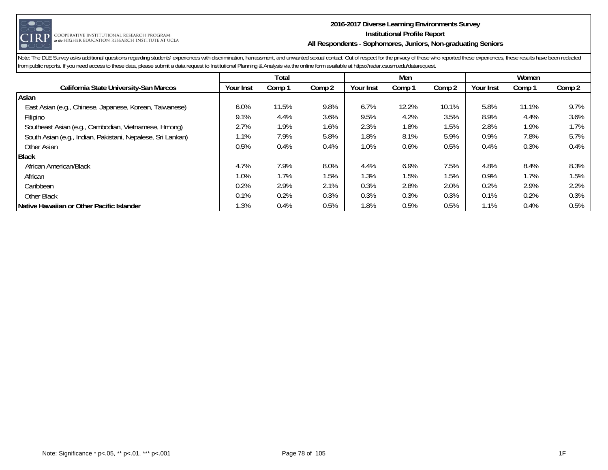

#### **2016-2017 Diverse Learning Environments Survey Institutional Profile Report All Respondents - Sophomores, Juniors, Non-graduating Seniors**

|                                                             |           | Total  |         |           | Men    |                   |           | Women   |         |
|-------------------------------------------------------------|-----------|--------|---------|-----------|--------|-------------------|-----------|---------|---------|
| California State University-San Marcos                      | Your Inst | Comp 1 | Comp 2  | Your Inst | Comp 1 | Comp <sub>2</sub> | Your Inst | Comp 1  | Comp 2  |
| Asian                                                       |           |        |         |           |        |                   |           |         |         |
| East Asian (e.g., Chinese, Japanese, Korean, Taiwanese)     | 6.0%      | 11.5%  | 9.8%    | 6.7%      | 12.2%  | 10.1%             | 5.8%      | 11.1%   | 9.7%    |
| Filipino                                                    | 9.1%      | 4.4%   | 3.6%    | 9.5%      | 4.2%   | 3.5%              | 8.9%      | 4.4%    | $3.6\%$ |
| Southeast Asian (e.g., Cambodian, Vietnamese, Hmong)        | 2.7%      | 1.9%   | 1.6%    | 2.3%      | 1.8%   | 1.5%              | 2.8%      | 1.9%    | 1.7%    |
| South Asian (e.g., Indian, Pakistani, Nepalese, Sri Lankan) | 1.1%      | 7.9%   | 5.8%    | 1.8%      | 8.1%   | 5.9%              | 0.9%      | 7.8%    | 5.7%    |
| Other Asian                                                 | 0.5%      | 0.4%   | $0.4\%$ | 1.0%      | 0.6%   | $0.5\%$           | 0.4%      | 0.3%    | $0.4\%$ |
| <b>Black</b>                                                |           |        |         |           |        |                   |           |         |         |
| African American/Black                                      | 4.7%      | 7.9%   | 8.0%    | 4.4%      | 6.9%   | 7.5%              | 4.8%      | 8.4%    | 8.3%    |
| African                                                     | 1.0%      | 1.7%   | 1.5%    | 1.3%      | 1.5%   | 1.5%              | 0.9%      | 1.7%    | 1.5%    |
| Caribbean                                                   | 0.2%      | 2.9%   | 2.1%    | 0.3%      | 2.8%   | 2.0%              | 0.2%      | 2.9%    | 2.2%    |
| Other Black                                                 | 0.1%      | 0.2%   | 0.3%    | 0.3%      | 0.3%   | 0.3%              | 0.1%      | 0.2%    | 0.3%    |
| Native Hawaiian or Other Pacific Islander                   | 1.3%      | 0.4%   | 0.5%    | 1.8%      | 0.5%   | 0.5%              | 1.1%      | $0.4\%$ | 0.5%    |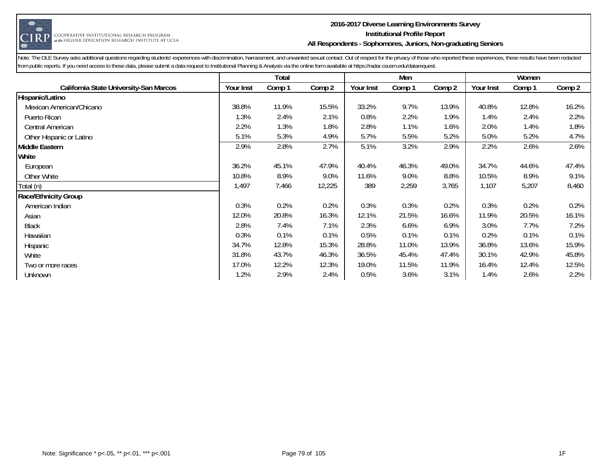

#### **2016-2017 Diverse Learning Environments Survey Institutional Profile Report All Respondents - Sophomores, Juniors, Non-graduating Seniors**

|                                        |           | Total  |        |           | Men    |        |           | Women  |        |
|----------------------------------------|-----------|--------|--------|-----------|--------|--------|-----------|--------|--------|
| California State University-San Marcos | Your Inst | Comp 1 | Comp 2 | Your Inst | Comp 1 | Comp 2 | Your Inst | Comp 1 | Comp 2 |
| Hispanic/Latino                        |           |        |        |           |        |        |           |        |        |
| Mexican American/Chicano               | 38.8%     | 11.9%  | 15.5%  | 33.2%     | 9.7%   | 13.9%  | 40.8%     | 12.8%  | 16.2%  |
| Puerto Rican                           | 1.3%      | 2.4%   | 2.1%   | 0.8%      | 2.2%   | 1.9%   | 1.4%      | 2.4%   | 2.2%   |
| Central American                       | 2.2%      | 1.3%   | 1.8%   | 2.8%      | 1.1%   | 1.6%   | 2.0%      | 1.4%   | 1.8%   |
| Other Hispanic or Latino               | 5.1%      | 5.3%   | 4.9%   | 5.7%      | 5.5%   | 5.2%   | 5.0%      | 5.2%   | 4.7%   |
| Middle Eastern                         | 2.9%      | 2.8%   | 2.7%   | 5.1%      | 3.2%   | 2.9%   | 2.2%      | 2.6%   | 2.6%   |
| White                                  |           |        |        |           |        |        |           |        |        |
| European                               | 36.2%     | 45.1%  | 47.9%  | 40.4%     | 46.3%  | 49.0%  | 34.7%     | 44.6%  | 47.4%  |
| Other White                            | 10.8%     | 8.9%   | 9.0%   | 11.6%     | 9.0%   | 8.8%   | 10.5%     | 8.9%   | 9.1%   |
| Total (n)                              | 1,497     | 7,466  | 12,225 | 389       | 2,259  | 3,765  | 1,107     | 5,207  | 8,460  |
| Race/Ethnicity Group                   |           |        |        |           |        |        |           |        |        |
| American Indian                        | 0.3%      | 0.2%   | 0.2%   | 0.3%      | 0.3%   | 0.2%   | 0.3%      | 0.2%   | 0.2%   |
| Asian                                  | 12.0%     | 20.8%  | 16.3%  | 12.1%     | 21.5%  | 16.6%  | 11.9%     | 20.5%  | 16.1%  |
| <b>Black</b>                           | 2.8%      | 7.4%   | 7.1%   | 2.3%      | 6.6%   | 6.9%   | 3.0%      | 7.7%   | 7.2%   |
| Hawaiian                               | 0.3%      | 0.1%   | 0.1%   | 0.5%      | 0.1%   | 0.1%   | 0.2%      | 0.1%   | 0.1%   |
| Hispanic                               | 34.7%     | 12.8%  | 15.3%  | 28.8%     | 11.0%  | 13.9%  | 36.8%     | 13.6%  | 15.9%  |
| White                                  | 31.8%     | 43.7%  | 46.3%  | 36.5%     | 45.4%  | 47.4%  | 30.1%     | 42.9%  | 45.8%  |
| Two or more races                      | 17.0%     | 12.2%  | 12.3%  | 19.0%     | 11.5%  | 11.9%  | 16.4%     | 12.4%  | 12.5%  |
| Unknown                                | 1.2%      | 2.9%   | 2.4%   | 0.5%      | 3.6%   | 3.1%   | 1.4%      | 2.6%   | 2.2%   |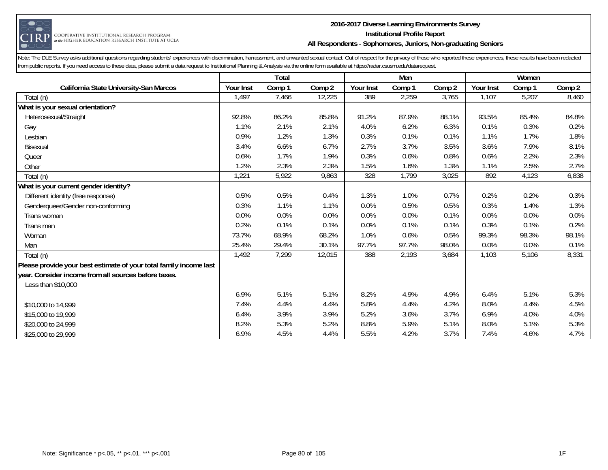

#### **2016-2017 Diverse Learning Environments Survey Institutional Profile Report All Respondents - Sophomores, Juniors, Non-graduating Seniors**

|                                                                    |           | Total  |        |           | Men    |        |           | Women  |        |
|--------------------------------------------------------------------|-----------|--------|--------|-----------|--------|--------|-----------|--------|--------|
| California State University-San Marcos                             | Your Inst | Comp 1 | Comp 2 | Your Inst | Comp 1 | Comp 2 | Your Inst | Comp 1 | Comp 2 |
| Total (n)                                                          | 1,497     | 7,466  | 12,225 | 389       | 2,259  | 3,765  | 1,107     | 5,207  | 8,460  |
| What is your sexual orientation?                                   |           |        |        |           |        |        |           |        |        |
| Heterosexual/Straight                                              | 92.8%     | 86.2%  | 85.8%  | 91.2%     | 87.9%  | 88.1%  | 93.5%     | 85.4%  | 84.8%  |
| Gay                                                                | 1.1%      | 2.1%   | 2.1%   | 4.0%      | 6.2%   | 6.3%   | 0.1%      | 0.3%   | 0.2%   |
| Lesbian                                                            | 0.9%      | 1.2%   | 1.3%   | 0.3%      | 0.1%   | 0.1%   | 1.1%      | 1.7%   | 1.8%   |
| <b>Bisexual</b>                                                    | 3.4%      | 6.6%   | 6.7%   | 2.7%      | 3.7%   | 3.5%   | 3.6%      | 7.9%   | 8.1%   |
| Queer                                                              | 0.6%      | 1.7%   | 1.9%   | 0.3%      | 0.6%   | 0.8%   | 0.6%      | 2.2%   | 2.3%   |
| Other                                                              | 1.2%      | 2.3%   | 2.3%   | 1.5%      | 1.6%   | 1.3%   | 1.1%      | 2.5%   | 2.7%   |
| Total (n)                                                          | 1,221     | 5,922  | 9,863  | 328       | 1,799  | 3,025  | 892       | 4,123  | 6,838  |
| What is your current gender identity?                              |           |        |        |           |        |        |           |        |        |
| Different identity (free response)                                 | 0.5%      | 0.5%   | 0.4%   | 1.3%      | 1.0%   | 0.7%   | 0.2%      | 0.2%   | 0.3%   |
| Genderqueer/Gender non-conforming                                  | 0.3%      | 1.1%   | 1.1%   | 0.0%      | 0.5%   | 0.5%   | 0.3%      | 1.4%   | 1.3%   |
| Trans woman                                                        | 0.0%      | 0.0%   | 0.0%   | 0.0%      | 0.0%   | 0.1%   | 0.0%      | 0.0%   | 0.0%   |
| Trans man                                                          | 0.2%      | 0.1%   | 0.1%   | 0.0%      | 0.1%   | 0.1%   | 0.3%      | 0.1%   | 0.2%   |
| Woman                                                              | 73.7%     | 68.9%  | 68.2%  | 1.0%      | 0.6%   | 0.5%   | 99.3%     | 98.3%  | 98.1%  |
| Man                                                                | 25.4%     | 29.4%  | 30.1%  | 97.7%     | 97.7%  | 98.0%  | 0.0%      | 0.0%   | 0.1%   |
| Total (n)                                                          | 1,492     | 7,299  | 12,015 | 388       | 2,193  | 3,684  | 1,103     | 5,106  | 8,331  |
| Please provide your best estimate of your total family income last |           |        |        |           |        |        |           |        |        |
| year. Consider income from all sources before taxes.               |           |        |        |           |        |        |           |        |        |
| Less than \$10,000                                                 |           |        |        |           |        |        |           |        |        |
|                                                                    | 6.9%      | 5.1%   | 5.1%   | 8.2%      | 4.9%   | 4.9%   | 6.4%      | 5.1%   | 5.3%   |
| \$10,000 to 14,999                                                 | 7.4%      | 4.4%   | 4.4%   | 5.8%      | 4.4%   | 4.2%   | 8.0%      | 4.4%   | 4.5%   |
| \$15,000 to 19,999                                                 | 6.4%      | 3.9%   | 3.9%   | 5.2%      | 3.6%   | 3.7%   | 6.9%      | 4.0%   | 4.0%   |
| \$20,000 to 24,999                                                 | 8.2%      | 5.3%   | 5.2%   | 8.8%      | 5.9%   | 5.1%   | 8.0%      | 5.1%   | 5.3%   |
| \$25,000 to 29,999                                                 | 6.9%      | 4.5%   | 4.4%   | 5.5%      | 4.2%   | 3.7%   | 7.4%      | 4.6%   | 4.7%   |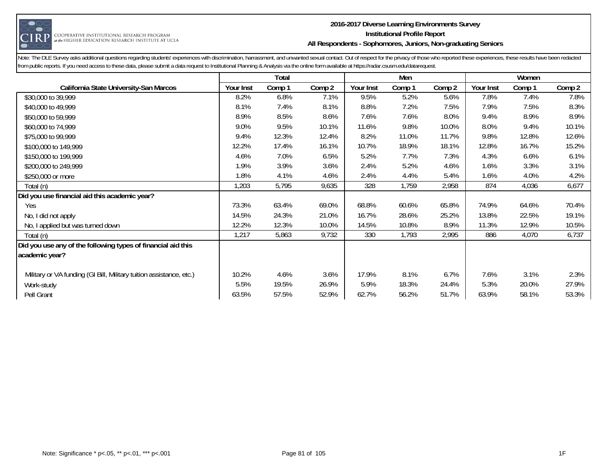

#### **2016-2017 Diverse Learning Environments Survey Institutional Profile Report All Respondents - Sophomores, Juniors, Non-graduating Seniors**

|                                                                     |           | Total  |        |           | Men    |        |           | Women  |        |
|---------------------------------------------------------------------|-----------|--------|--------|-----------|--------|--------|-----------|--------|--------|
| California State University-San Marcos                              | Your Inst | Comp 1 | Comp 2 | Your Inst | Comp 1 | Comp 2 | Your Inst | Comp 1 | Comp 2 |
| \$30,000 to 39,999                                                  | 8.2%      | 6.8%   | 7.1%   | 9.5%      | 5.2%   | 5.6%   | 7.8%      | 7.4%   | 7.8%   |
| \$40,000 to 49,999                                                  | 8.1%      | 7.4%   | 8.1%   | 8.8%      | 7.2%   | 7.5%   | 7.9%      | 7.5%   | 8.3%   |
| \$50,000 to 59,999                                                  | 8.9%      | 8.5%   | 8.6%   | 7.6%      | 7.6%   | 8.0%   | 9.4%      | 8.9%   | 8.9%   |
| \$60,000 to 74,999                                                  | 9.0%      | 9.5%   | 10.1%  | 11.6%     | 9.8%   | 10.0%  | 8.0%      | 9.4%   | 10.1%  |
| \$75,000 to 99,999                                                  | 9.4%      | 12.3%  | 12.4%  | 8.2%      | 11.0%  | 11.7%  | 9.8%      | 12.8%  | 12.6%  |
| \$100,000 to 149,999                                                | 12.2%     | 17.4%  | 16.1%  | 10.7%     | 18.9%  | 18.1%  | 12.8%     | 16.7%  | 15.2%  |
| \$150,000 to 199,999                                                | 4.6%      | 7.0%   | 6.5%   | 5.2%      | 7.7%   | 7.3%   | 4.3%      | 6.6%   | 6.1%   |
| \$200,000 to 249,999                                                | 1.9%      | 3.9%   | 3.6%   | 2.4%      | 5.2%   | 4.6%   | 1.6%      | 3.3%   | 3.1%   |
| \$250,000 or more                                                   | 1.8%      | 4.1%   | 4.6%   | 2.4%      | 4.4%   | 5.4%   | 1.6%      | 4.0%   | 4.2%   |
| Total (n)                                                           | 1,203     | 5,795  | 9,635  | 328       | 1,759  | 2,958  | 874       | 4,036  | 6,677  |
| Did you use financial aid this academic year?                       |           |        |        |           |        |        |           |        |        |
| Yes                                                                 | 73.3%     | 63.4%  | 69.0%  | 68.8%     | 60.6%  | 65.8%  | 74.9%     | 64.6%  | 70.4%  |
| No, I did not apply                                                 | 14.5%     | 24.3%  | 21.0%  | 16.7%     | 28.6%  | 25.2%  | 13.8%     | 22.5%  | 19.1%  |
| No, I applied but was turned down                                   | 12.2%     | 12.3%  | 10.0%  | 14.5%     | 10.8%  | 8.9%   | 11.3%     | 12.9%  | 10.5%  |
| Total (n)                                                           | 1,217     | 5,863  | 9,732  | 330       | 1,793  | 2,995  | 886       | 4,070  | 6,737  |
| Did you use any of the following types of financial aid this        |           |        |        |           |        |        |           |        |        |
| academic year?                                                      |           |        |        |           |        |        |           |        |        |
|                                                                     |           |        |        |           |        |        |           |        |        |
| Military or VA funding (GI Bill, Military tuition assistance, etc.) | 10.2%     | 4.6%   | 3.6%   | 17.9%     | 8.1%   | 6.7%   | 7.6%      | 3.1%   | 2.3%   |
| Work-study                                                          | 5.5%      | 19.5%  | 26.9%  | 5.9%      | 18.3%  | 24.4%  | 5.3%      | 20.0%  | 27.9%  |
| Pell Grant                                                          | 63.5%     | 57.5%  | 52.9%  | 62.7%     | 56.2%  | 51.7%  | 63.9%     | 58.1%  | 53.3%  |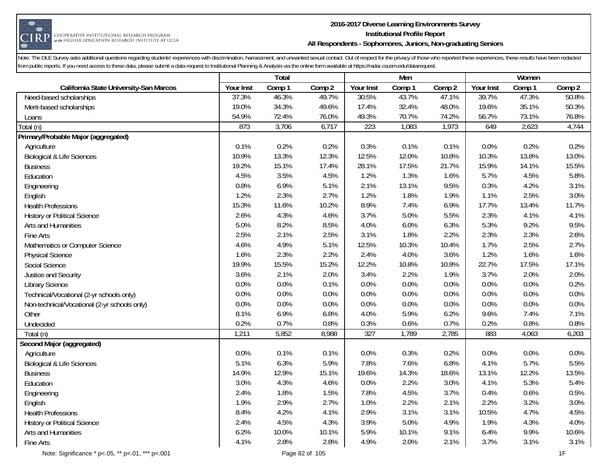

#### **2016-2017 Diverse Learning Environments Survey Institutional Profile Report All Respondents - Sophomores, Juniors, Non-graduating Seniors**

|                                              |           | <b>Total</b> |        |                  | Men    |        |           | Women  |        |
|----------------------------------------------|-----------|--------------|--------|------------------|--------|--------|-----------|--------|--------|
| California State University-San Marcos       | Your Inst | Comp 1       | Comp 2 | Your Inst        | Comp 1 | Comp 2 | Your Inst | Comp 1 | Comp 2 |
| Need-based scholarships                      | 37.3%     | 46.3%        | 49.7%  | 30.5%            | 43.7%  | 47.1%  | 39.7%     | 47.3%  | 50.8%  |
| Merit-based scholarships                     | 19.0%     | 34.3%        | 49.6%  | 17.4%            | 32.4%  | 48.0%  | 19.6%     | 35.1%  | 50.3%  |
| Loans                                        | 54.9%     | 72.4%        | 76.0%  | 49.3%            | 70.7%  | 74.2%  | 56.7%     | 73.1%  | 76.8%  |
| Total (n)                                    | 873       | 3,706        | 6,717  | 223              | 1,083  | 1,973  | 649       | 2,623  | 4,744  |
| Primary/Probable Major (aggregated)          |           |              |        |                  |        |        |           |        |        |
| Agriculture                                  | 0.1%      | 0.2%         | 0.2%   | 0.3%             | 0.1%   | 0.1%   | 0.0%      | 0.2%   | 0.2%   |
| <b>Biological &amp; Life Sciences</b>        | 10.9%     | 13.3%        | 12.3%  | 12.5%            | 12.0%  | 10.8%  | 10.3%     | 13.8%  | 13.0%  |
| <b>Business</b>                              | 19.2%     | 15.1%        | 17.4%  | 28.1%            | 17.5%  | 21.7%  | 15.9%     | 14.1%  | 15.5%  |
| Education                                    | 4.5%      | 3.5%         | 4.5%   | 1.2%             | 1.3%   | 1.6%   | 5.7%      | 4.5%   | 5.8%   |
| Engineering                                  | 0.8%      | 6.9%         | 5.1%   | 2.1%             | 13.1%  | 9.5%   | 0.3%      | 4.2%   | 3.1%   |
| English                                      | 1.2%      | 2.3%         | 2.7%   | 1.2%             | 1.8%   | 1.9%   | 1.1%      | 2.5%   | 3.0%   |
| <b>Health Professions</b>                    | 15.3%     | 11.6%        | 10.2%  | 8.9%             | 7.4%   | 6.9%   | 17.7%     | 13.4%  | 11.7%  |
| <b>History or Political Science</b>          | 2.6%      | 4.3%         | 4.6%   | 3.7%             | 5.0%   | 5.5%   | 2.3%      | 4.1%   | 4.1%   |
| Arts and Humanities                          | 5.0%      | 8.2%         | 8.5%   | 4.0%             | 6.0%   | 6.3%   | 5.3%      | 9.2%   | 9.5%   |
| Fine Arts                                    | 2.5%      | 2.1%         | 2.5%   | 3.1%             | 1.8%   | 2.2%   | 2.3%      | 2.3%   | 2.6%   |
| Mathematics or Computer Science              | 4.6%      | 4.9%         | 5.1%   | 12.5%            | 10.3%  | 10.4%  | 1.7%      | 2.5%   | 2.7%   |
| <b>Physical Science</b>                      | 1.6%      | 2.3%         | 2.2%   | 2.4%             | 4.0%   | 3.6%   | 1.2%      | 1.6%   | 1.6%   |
| Social Science                               | 19.9%     | 15.5%        | 15.2%  | 12.2%            | 10.8%  | 10.8%  | 22.7%     | 17.5%  | 17.1%  |
| Justice and Security                         | 3.6%      | 2.1%         | 2.0%   | 3.4%             | 2.2%   | 1.9%   | 3.7%      | 2.0%   | 2.0%   |
| <b>Library Science</b>                       | 0.0%      | 0.0%         | 0.1%   | 0.0%             | 0.0%   | 0.0%   | 0.0%      | 0.0%   | 0.2%   |
| Technical/Vocational (2-yr schools only)     | 0.0%      | 0.0%         | 0.0%   | 0.0%             | 0.0%   | 0.0%   | 0.0%      | 0.0%   | 0.0%   |
| Non-technical/Vocational (2-yr schools only) | 0.0%      | 0.0%         | 0.0%   | 0.0%             | 0.0%   | 0.0%   | 0.0%      | 0.0%   | 0.0%   |
| Other                                        | 8.1%      | 6.9%         | 6.8%   | 4.0%             | 5.9%   | 6.2%   | 9.6%      | 7.4%   | 7.1%   |
| Undecided                                    | 0.2%      | 0.7%         | 0.8%   | 0.3%             | 0.6%   | 0.7%   | 0.2%      | 0.8%   | 0.8%   |
| Total (n)                                    | 1,211     | 5,852        | 8,988  | $\overline{327}$ | 1,789  | 2,785  | 883       | 4,063  | 6,203  |
| Second Major (aggregated)                    |           |              |        |                  |        |        |           |        |        |
| Agriculture                                  | 0.0%      | 0.1%         | 0.1%   | 0.0%             | 0.3%   | 0.2%   | 0.0%      | 0.0%   | 0.0%   |
| <b>Biological &amp; Life Sciences</b>        | 5.1%      | 6.3%         | 5.9%   | 7.8%             | 7.6%   | 6.8%   | 4.1%      | 5.7%   | 5.5%   |
| <b>Business</b>                              | 14.9%     | 12.9%        | 15.1%  | 19.6%            | 14.3%  | 18.6%  | 13.1%     | 12.2%  | 13.5%  |
| Education                                    | 3.0%      | 4.3%         | 4.6%   | 0.0%             | 2.2%   | 3.0%   | 4.1%      | 5.3%   | 5.4%   |
| Engineering                                  | 2.4%      | 1.8%         | 1.5%   | 7.8%             | 4.5%   | 3.7%   | 0.4%      | 0.6%   | 0.5%   |
| English                                      | 1.9%      | 2.9%         | 2.7%   | 1.0%             | 2.2%   | 2.1%   | 2.2%      | 3.2%   | 3.0%   |
| <b>Health Professions</b>                    | 8.4%      | 4.2%         | 4.1%   | 2.9%             | 3.1%   | 3.1%   | 10.5%     | 4.7%   | 4.5%   |
| <b>History or Political Science</b>          | 2.4%      | 4.5%         | 4.3%   | 3.9%             | 5.0%   | 4.9%   | 1.9%      | 4.3%   | 4.0%   |
| Arts and Humanities                          | 6.2%      | 10.0%        | 10.1%  | 5.9%             | 10.1%  | 9.1%   | 6.4%      | 9.9%   | 10.6%  |
| Fine Arts                                    | 4.1%      | 2.8%         | 2.8%   | 4.9%             | 2.0%   | 2.1%   | 3.7%      | 3.1%   | 3.1%   |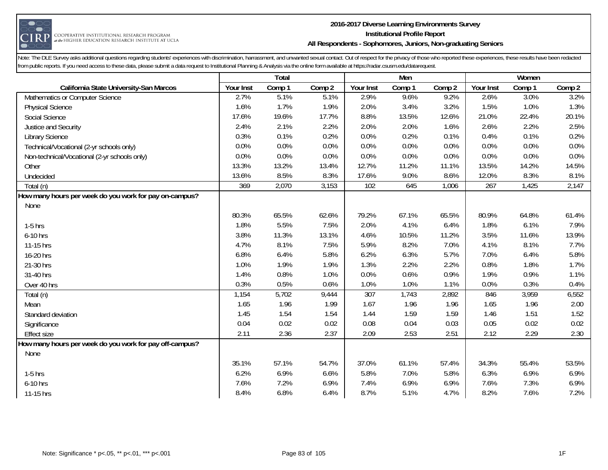

#### **2016-2017 Diverse Learning Environments Survey Institutional Profile Report All Respondents - Sophomores, Juniors, Non-graduating Seniors**

|                                                         |           | Total  |        |           | Men    |        |           | Women  |        |
|---------------------------------------------------------|-----------|--------|--------|-----------|--------|--------|-----------|--------|--------|
| California State University-San Marcos                  | Your Inst | Comp 1 | Comp 2 | Your Inst | Comp 1 | Comp 2 | Your Inst | Comp 1 | Comp 2 |
| Mathematics or Computer Science                         | 2.7%      | 5.1%   | 5.1%   | 2.9%      | 9.6%   | 9.2%   | 2.6%      | 3.0%   | 3.2%   |
| <b>Physical Science</b>                                 | 1.6%      | 1.7%   | 1.9%   | 2.0%      | 3.4%   | 3.2%   | 1.5%      | 1.0%   | 1.3%   |
| Social Science                                          | 17.6%     | 19.6%  | 17.7%  | 8.8%      | 13.5%  | 12.6%  | 21.0%     | 22.4%  | 20.1%  |
| Justice and Security                                    | 2.4%      | 2.1%   | 2.2%   | 2.0%      | 2.0%   | 1.6%   | 2.6%      | 2.2%   | 2.5%   |
| <b>Library Science</b>                                  | 0.3%      | 0.1%   | 0.2%   | 0.0%      | 0.2%   | 0.1%   | 0.4%      | 0.1%   | 0.2%   |
| Technical/Vocational (2-yr schools only)                | 0.0%      | 0.0%   | 0.0%   | 0.0%      | 0.0%   | 0.0%   | 0.0%      | 0.0%   | 0.0%   |
| Non-technical/Vocational (2-yr schools only)            | 0.0%      | 0.0%   | 0.0%   | 0.0%      | 0.0%   | 0.0%   | 0.0%      | 0.0%   | 0.0%   |
| Other                                                   | 13.3%     | 13.2%  | 13.4%  | 12.7%     | 11.2%  | 11.1%  | 13.5%     | 14.2%  | 14.5%  |
| Undecided                                               | 13.6%     | 8.5%   | 8.3%   | 17.6%     | 9.0%   | 8.6%   | 12.0%     | 8.3%   | 8.1%   |
| Total (n)                                               | 369       | 2,070  | 3,153  | 102       | 645    | 1,006  | 267       | 1,425  | 2,147  |
| How many hours per week do you work for pay on-campus?  |           |        |        |           |        |        |           |        |        |
| None                                                    |           |        |        |           |        |        |           |        |        |
|                                                         | 80.3%     | 65.5%  | 62.6%  | 79.2%     | 67.1%  | 65.5%  | 80.9%     | 64.8%  | 61.4%  |
| $1-5$ hrs                                               | 1.8%      | 5.5%   | 7.5%   | 2.0%      | 4.1%   | 6.4%   | 1.8%      | 6.1%   | 7.9%   |
| 6-10 hrs                                                | 3.8%      | 11.3%  | 13.1%  | 4.6%      | 10.5%  | 11.2%  | 3.5%      | 11.6%  | 13.9%  |
| 11-15 hrs                                               | 4.7%      | 8.1%   | 7.5%   | 5.9%      | 8.2%   | 7.0%   | 4.1%      | 8.1%   | 7.7%   |
| 16-20 hrs                                               | 6.8%      | 6.4%   | 5.8%   | 6.2%      | 6.3%   | 5.7%   | 7.0%      | 6.4%   | 5.8%   |
| 21-30 hrs                                               | 1.0%      | 1.9%   | 1.9%   | 1.3%      | 2.2%   | 2.2%   | 0.8%      | 1.8%   | 1.7%   |
| 31-40 hrs                                               | 1.4%      | 0.8%   | 1.0%   | 0.0%      | 0.6%   | 0.9%   | 1.9%      | 0.9%   | 1.1%   |
| Over 40 hrs                                             | 0.3%      | 0.5%   | 0.6%   | 1.0%      | 1.0%   | 1.1%   | 0.0%      | 0.3%   | 0.4%   |
| Total (n)                                               | 1,154     | 5,702  | 9,444  | 307       | 1,743  | 2,892  | 846       | 3,959  | 6,552  |
| Mean                                                    | 1.65      | 1.96   | 1.99   | 1.67      | 1.96   | 1.96   | 1.65      | 1.96   | 2.00   |
| Standard deviation                                      | 1.45      | 1.54   | 1.54   | 1.44      | 1.59   | 1.59   | 1.46      | 1.51   | 1.52   |
| Significance                                            | 0.04      | 0.02   | 0.02   | 0.08      | 0.04   | 0.03   | 0.05      | 0.02   | 0.02   |
| <b>Effect size</b>                                      | 2.11      | 2.36   | 2.37   | 2.09      | 2.53   | 2.51   | 2.12      | 2.29   | 2.30   |
| How many hours per week do you work for pay off-campus? |           |        |        |           |        |        |           |        |        |
| None                                                    |           |        |        |           |        |        |           |        |        |
|                                                         | 35.1%     | 57.1%  | 54.7%  | 37.0%     | 61.1%  | 57.4%  | 34.3%     | 55.4%  | 53.5%  |
| $1-5$ hrs                                               | 6.2%      | 6.9%   | 6.6%   | 5.8%      | 7.0%   | 5.8%   | 6.3%      | 6.9%   | 6.9%   |
| 6-10 hrs                                                | 7.6%      | 7.2%   | 6.9%   | 7.4%      | 6.9%   | 6.9%   | 7.6%      | 7.3%   | 6.9%   |
| 11-15 hrs                                               | 8.4%      | 6.8%   | 6.4%   | 8.7%      | 5.1%   | 4.7%   | 8.2%      | 7.6%   | 7.2%   |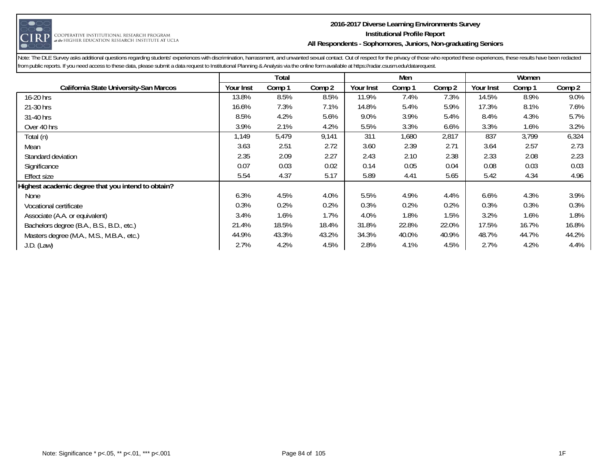

#### **2016-2017 Diverse Learning Environments Survey Institutional Profile Report All Respondents - Sophomores, Juniors, Non-graduating Seniors**

|                                                    |           | Total  |        |           | Men    |        |           | Women  |        |
|----------------------------------------------------|-----------|--------|--------|-----------|--------|--------|-----------|--------|--------|
| California State University-San Marcos             | Your Inst | Comp 1 | Comp 2 | Your Inst | Comp 1 | Comp 2 | Your Inst | Comp 1 | Comp 2 |
| 16-20 hrs                                          | 13.8%     | 8.5%   | 8.5%   | 11.9%     | 7.4%   | 7.3%   | 14.5%     | 8.9%   | 9.0%   |
| 21-30 hrs                                          | 16.6%     | 7.3%   | 7.1%   | 14.8%     | 5.4%   | 5.9%   | 17.3%     | 8.1%   | 7.6%   |
| 31-40 hrs                                          | 8.5%      | 4.2%   | 5.6%   | 9.0%      | 3.9%   | 5.4%   | 8.4%      | 4.3%   | 5.7%   |
| Over 40 hrs                                        | 3.9%      | 2.1%   | 4.2%   | 5.5%      | 3.3%   | 6.6%   | 3.3%      | 1.6%   | 3.2%   |
| Total (n)                                          | 1,149     | 5,479  | 9,141  | 311       | 1,680  | 2,817  | 837       | 3,799  | 6,324  |
| Mean                                               | 3.63      | 2.51   | 2.72   | 3.60      | 2.39   | 2.71   | 3.64      | 2.57   | 2.73   |
| Standard deviation                                 | 2.35      | 2.09   | 2.27   | 2.43      | 2.10   | 2.38   | 2.33      | 2.08   | 2.23   |
| Significance                                       | 0.07      | 0.03   | 0.02   | 0.14      | 0.05   | 0.04   | 0.08      | 0.03   | 0.03   |
| Effect size                                        | 5.54      | 4.37   | 5.17   | 5.89      | 4.41   | 5.65   | 5.42      | 4.34   | 4.96   |
| Highest academic degree that you intend to obtain? |           |        |        |           |        |        |           |        |        |
| None                                               | 6.3%      | 4.5%   | 4.0%   | 5.5%      | 4.9%   | 4.4%   | 6.6%      | 4.3%   | 3.9%   |
| Vocational certificate                             | 0.3%      | 0.2%   | 0.2%   | 0.3%      | 0.2%   | 0.2%   | 0.3%      | 0.3%   | 0.3%   |
| Associate (A.A. or equivalent)                     | 3.4%      | 1.6%   | 1.7%   | 4.0%      | 1.8%   | 1.5%   | 3.2%      | 1.6%   | 1.8%   |
| Bachelors degree (B.A., B.S., B.D., etc.)          | 21.4%     | 18.5%  | 18.4%  | 31.8%     | 22.8%  | 22.0%  | 17.5%     | 16.7%  | 16.8%  |
| Masters degree (M.A., M.S., M.B.A., etc.)          | 44.9%     | 43.3%  | 43.2%  | 34.3%     | 40.0%  | 40.9%  | 48.7%     | 44.7%  | 44.2%  |
| $J.D.$ (Law)                                       | 2.7%      | 4.2%   | 4.5%   | 2.8%      | 4.1%   | 4.5%   | 2.7%      | 4.2%   | 4.4%   |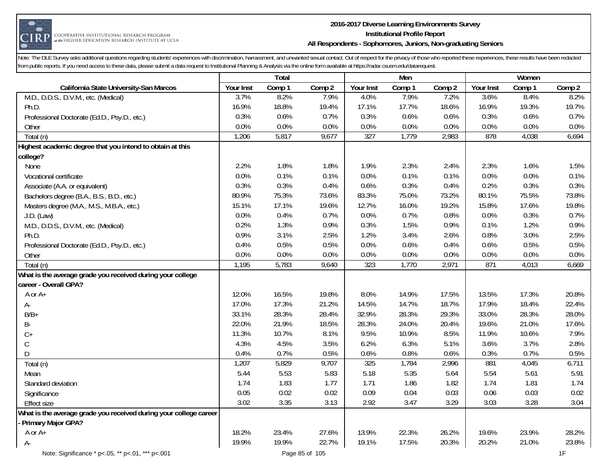

#### **2016-2017 Diverse Learning Environments Survey Institutional Profile Report All Respondents - Sophomores, Juniors, Non-graduating Seniors**

|                                                                   |           | <b>Total</b> |        |                  | Men    |        |           | Women  |        |
|-------------------------------------------------------------------|-----------|--------------|--------|------------------|--------|--------|-----------|--------|--------|
| California State University-San Marcos                            | Your Inst | Comp 1       | Comp 2 | Your Inst        | Comp 1 | Comp 2 | Your Inst | Comp 1 | Comp 2 |
| M.D., D.D.S., D.V.M., etc. (Medical)                              | 3.7%      | 8.2%         | 7.9%   | 4.0%             | 7.9%   | 7.2%   | 3.6%      | 8.4%   | 8.2%   |
| Ph.D.                                                             | 16.9%     | 18.8%        | 19.4%  | 17.1%            | 17.7%  | 18.6%  | 16.9%     | 19.3%  | 19.7%  |
| Professional Doctorate (Ed.D., Psy.D., etc.)                      | 0.3%      | 0.6%         | 0.7%   | 0.3%             | 0.6%   | 0.6%   | 0.3%      | 0.6%   | 0.7%   |
| Other                                                             | 0.0%      | 0.0%         | 0.0%   | 0.0%             | 0.0%   | 0.0%   | 0.0%      | 0.0%   | 0.0%   |
| Total (n)                                                         | 1,206     | 5,817        | 9,677  | $\overline{327}$ | 1,779  | 2,983  | 878       | 4,038  | 6,694  |
| Highest academic degree that you intend to obtain at this         |           |              |        |                  |        |        |           |        |        |
| college?                                                          |           |              |        |                  |        |        |           |        |        |
| None                                                              | 2.2%      | 1.8%         | 1.8%   | 1.9%             | 2.3%   | 2.4%   | 2.3%      | 1.6%   | 1.5%   |
| Vocational certificate                                            | 0.0%      | 0.1%         | 0.1%   | 0.0%             | 0.1%   | 0.1%   | 0.0%      | 0.0%   | 0.1%   |
| Associate (A.A. or equivalent)                                    | 0.3%      | 0.3%         | 0.4%   | 0.6%             | 0.3%   | 0.4%   | 0.2%      | 0.3%   | 0.3%   |
| Bachelors degree (B.A., B.S., B.D., etc.)                         | 80.9%     | 75.3%        | 73.6%  | 83.3%            | 75.0%  | 73.2%  | 80.1%     | 75.5%  | 73.8%  |
| Masters degree (M.A., M.S., M.B.A., etc.)                         | 15.1%     | 17.1%        | 19.6%  | 12.7%            | 16.0%  | 19.2%  | 15.8%     | 17.6%  | 19.8%  |
| $J.D.$ (Law)                                                      | 0.0%      | 0.4%         | 0.7%   | 0.0%             | 0.7%   | 0.8%   | 0.0%      | 0.3%   | 0.7%   |
| M.D., D.D.S., D.V.M., etc. (Medical)                              | 0.2%      | 1.3%         | 0.9%   | 0.3%             | 1.5%   | 0.9%   | 0.1%      | 1.2%   | 0.9%   |
| Ph.D.                                                             | 0.9%      | 3.1%         | 2.5%   | 1.2%             | 3.4%   | 2.6%   | 0.8%      | 3.0%   | 2.5%   |
| Professional Doctorate (Ed.D., Psy.D., etc.)                      | 0.4%      | 0.5%         | 0.5%   | 0.0%             | 0.6%   | 0.4%   | 0.6%      | 0.5%   | 0.5%   |
| Other                                                             | 0.0%      | 0.0%         | 0.0%   | 0.0%             | 0.0%   | 0.0%   | 0.0%      | 0.0%   | 0.0%   |
| Total (n)                                                         | 1,195     | 5,783        | 9,640  | 323              | 1,770  | 2,971  | 871       | 4,013  | 6,669  |
| What is the average grade you received during your college        |           |              |        |                  |        |        |           |        |        |
| career - Overall GPA?                                             |           |              |        |                  |        |        |           |        |        |
| A or A+                                                           | 12.0%     | 16.5%        | 19.8%  | 8.0%             | 14.9%  | 17.5%  | 13.5%     | 17.3%  | 20.8%  |
| A-                                                                | 17.0%     | 17.3%        | 21.2%  | 14.5%            | 14.7%  | 18.7%  | 17.9%     | 18.4%  | 22.4%  |
| $B/B+$                                                            | 33.1%     | 28.3%        | 28.4%  | 32.9%            | 28.3%  | 29.3%  | 33.0%     | 28.3%  | 28.0%  |
| B-                                                                | 22.0%     | 21.9%        | 18.5%  | 28.3%            | 24.0%  | 20.4%  | 19.6%     | 21.0%  | 17.6%  |
| $C+$                                                              | 11.3%     | 10.7%        | 8.1%   | 9.5%             | 10.9%  | 8.5%   | 11.9%     | 10.6%  | 7.9%   |
| $\mathsf C$                                                       | 4.3%      | 4.5%         | 3.5%   | 6.2%             | 6.3%   | 5.1%   | 3.6%      | 3.7%   | 2.8%   |
| D                                                                 | 0.4%      | 0.7%         | 0.5%   | 0.6%             | 0.8%   | 0.6%   | 0.3%      | 0.7%   | 0.5%   |
| Total (n)                                                         | 1,207     | 5,829        | 9,707  | 325              | 1,784  | 2,996  | 881       | 4,045  | 6,711  |
| Mean                                                              | 5.44      | 5.53         | 5.83   | 5.18             | 5.35   | 5.64   | 5.54      | 5.61   | 5.91   |
| Standard deviation                                                | 1.74      | 1.83         | 1.77   | 1.71             | 1.86   | 1.82   | 1.74      | 1.81   | 1.74   |
| Significance                                                      | 0.05      | 0.02         | 0.02   | 0.09             | 0.04   | 0.03   | 0.06      | 0.03   | 0.02   |
| <b>Effect size</b>                                                | 3.02      | 3.35         | 3.13   | 2.92             | 3.47   | 3.29   | 3.03      | 3.28   | 3.04   |
| What is the average grade you received during your college career |           |              |        |                  |        |        |           |        |        |
| Primary Major GPA?                                                |           |              |        |                  |        |        |           |        |        |
| A or A+                                                           | 18.2%     | 23.4%        | 27.6%  | 13.9%            | 22.3%  | 26.2%  | 19.6%     | 23.9%  | 28.2%  |
| $A -$                                                             | 19.9%     | 19.9%        | 22.7%  | 19.1%            | 17.5%  | 20.3%  | 20.2%     | 21.0%  | 23.8%  |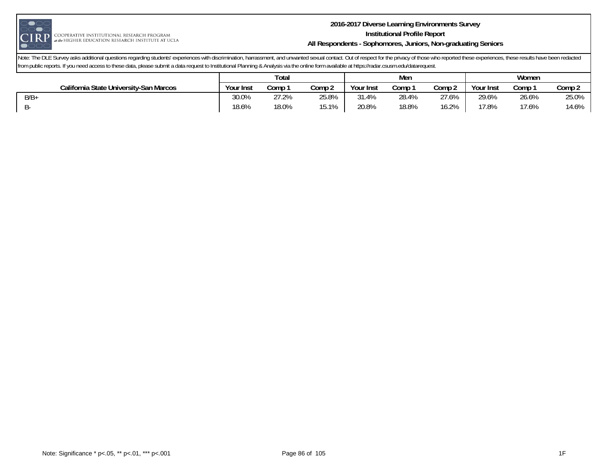

#### **2016-2017 Diverse Learning Environments Survey Institutional Profile Report All Respondents - Sophomores, Juniors, Non-graduating Seniors**

|                                        | Total     |       |        |           | Men   |                 | Women     |       |        |
|----------------------------------------|-----------|-------|--------|-----------|-------|-----------------|-----------|-------|--------|
| California State University-San Marcos | Your Inst | Comp  | Comp 2 | Your Inst | Comp  | Comp 2          | Your Inst | Comp  | Comp 2 |
| $B/B+$                                 | 30.0%     | 27.2% | 25.8%  | 31.4%     | 28.4% | 27.6%           | 29.6%     | 26.6% | 25.0%  |
|                                        | 18.6%     | 18.0% | 15.1%  | 20.8%     | 18.8% | 16.704<br>10.Z% | 17.8%     | 17.6% | 14.6%  |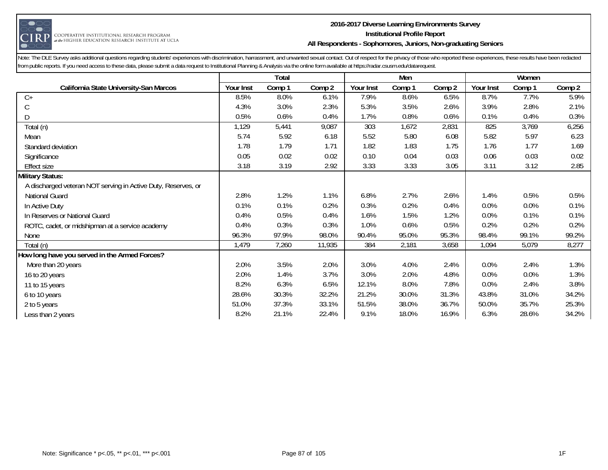

#### **2016-2017 Diverse Learning Environments Survey Institutional Profile Report All Respondents - Sophomores, Juniors, Non-graduating Seniors**

|                                                               |           | <b>Total</b> |        |           | Men    |        |           | Women  |        |
|---------------------------------------------------------------|-----------|--------------|--------|-----------|--------|--------|-----------|--------|--------|
| California State University-San Marcos                        | Your Inst | Comp 1       | Comp 2 | Your Inst | Comp 1 | Comp 2 | Your Inst | Comp 1 | Comp 2 |
| $C+$                                                          | 8.5%      | 8.0%         | 6.1%   | 7.9%      | 8.6%   | 6.5%   | 8.7%      | 7.7%   | 5.9%   |
| С                                                             | 4.3%      | 3.0%         | 2.3%   | 5.3%      | 3.5%   | 2.6%   | 3.9%      | 2.8%   | 2.1%   |
| D                                                             | 0.5%      | 0.6%         | 0.4%   | 1.7%      | 0.8%   | 0.6%   | 0.1%      | 0.4%   | 0.3%   |
| Total (n)                                                     | 1,129     | 5,441        | 9,087  | 303       | 1,672  | 2,831  | 825       | 3,769  | 6,256  |
| Mean                                                          | 5.74      | 5.92         | 6.18   | 5.52      | 5.80   | 6.08   | 5.82      | 5.97   | 6.23   |
| Standard deviation                                            | 1.78      | 1.79         | 1.71   | 1.82      | 1.83   | 1.75   | 1.76      | 1.77   | 1.69   |
| Significance                                                  | 0.05      | 0.02         | 0.02   | 0.10      | 0.04   | 0.03   | 0.06      | 0.03   | 0.02   |
| <b>Effect size</b>                                            | 3.18      | 3.19         | 2.92   | 3.33      | 3.33   | 3.05   | 3.11      | 3.12   | 2.85   |
| <b>Military Status:</b>                                       |           |              |        |           |        |        |           |        |        |
| A discharged veteran NOT serving in Active Duty, Reserves, or |           |              |        |           |        |        |           |        |        |
| National Guard                                                | 2.8%      | 1.2%         | 1.1%   | 6.8%      | 2.7%   | 2.6%   | 1.4%      | 0.5%   | 0.5%   |
| In Active Duty                                                | 0.1%      | 0.1%         | 0.2%   | 0.3%      | 0.2%   | 0.4%   | 0.0%      | 0.0%   | 0.1%   |
| In Reserves or National Guard                                 | 0.4%      | 0.5%         | 0.4%   | 1.6%      | 1.5%   | 1.2%   | 0.0%      | 0.1%   | 0.1%   |
| ROTC, cadet, or midshipman at a service academy               | 0.4%      | 0.3%         | 0.3%   | 1.0%      | 0.6%   | 0.5%   | 0.2%      | 0.2%   | 0.2%   |
| None                                                          | 96.3%     | 97.9%        | 98.0%  | 90.4%     | 95.0%  | 95.3%  | 98.4%     | 99.1%  | 99.2%  |
| Total (n)                                                     | 1,479     | 7,260        | 11,935 | 384       | 2,181  | 3,658  | 1,094     | 5,079  | 8,277  |
| How long have you served in the Armed Forces?                 |           |              |        |           |        |        |           |        |        |
| More than 20 years                                            | 2.0%      | 3.5%         | 2.0%   | 3.0%      | 4.0%   | 2.4%   | 0.0%      | 2.4%   | 1.3%   |
| 16 to 20 years                                                | 2.0%      | 1.4%         | 3.7%   | 3.0%      | 2.0%   | 4.8%   | 0.0%      | 0.0%   | 1.3%   |
| 11 to 15 years                                                | 8.2%      | 6.3%         | 6.5%   | 12.1%     | 8.0%   | 7.8%   | 0.0%      | 2.4%   | 3.8%   |
| 6 to 10 years                                                 | 28.6%     | 30.3%        | 32.2%  | 21.2%     | 30.0%  | 31.3%  | 43.8%     | 31.0%  | 34.2%  |
| 2 to 5 years                                                  | 51.0%     | 37.3%        | 33.1%  | 51.5%     | 38.0%  | 36.7%  | 50.0%     | 35.7%  | 25.3%  |
| Less than 2 years                                             | 8.2%      | 21.1%        | 22.4%  | 9.1%      | 18.0%  | 16.9%  | 6.3%      | 28.6%  | 34.2%  |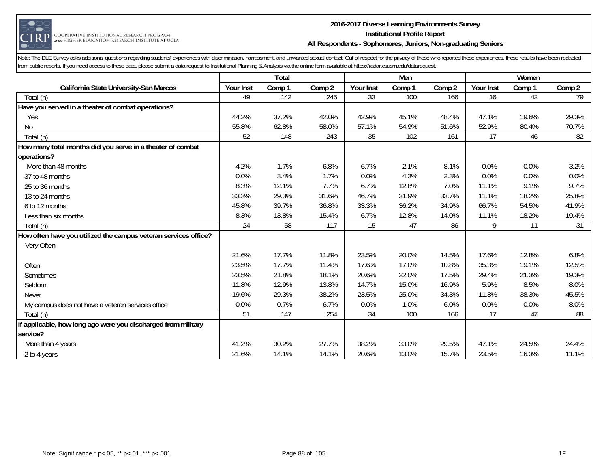

#### **2016-2017 Diverse Learning Environments Survey Institutional Profile Report All Respondents - Sophomores, Juniors, Non-graduating Seniors**

|                                                                 |           | Total  |        |           | Men    |        |           | Women  |                 |
|-----------------------------------------------------------------|-----------|--------|--------|-----------|--------|--------|-----------|--------|-----------------|
| <b>California State University-San Marcos</b>                   | Your Inst | Comp 1 | Comp 2 | Your Inst | Comp 1 | Comp 2 | Your Inst | Comp 1 | Comp 2          |
| Total (n)                                                       | 49        | 142    | 245    | 33        | 100    | 166    | 16        | 42     | $\overline{79}$ |
| Have you served in a theater of combat operations?              |           |        |        |           |        |        |           |        |                 |
| Yes                                                             | 44.2%     | 37.2%  | 42.0%  | 42.9%     | 45.1%  | 48.4%  | 47.1%     | 19.6%  | 29.3%           |
| <b>No</b>                                                       | 55.8%     | 62.8%  | 58.0%  | 57.1%     | 54.9%  | 51.6%  | 52.9%     | 80.4%  | 70.7%           |
| Total (n)                                                       | 52        | 148    | 243    | 35        | 102    | 161    | 17        | 46     | 82              |
| How many total months did you serve in a theater of combat      |           |        |        |           |        |        |           |        |                 |
| operations?                                                     |           |        |        |           |        |        |           |        |                 |
| More than 48 months                                             | 4.2%      | 1.7%   | 6.8%   | 6.7%      | 2.1%   | 8.1%   | 0.0%      | 0.0%   | 3.2%            |
| 37 to 48 months                                                 | 0.0%      | 3.4%   | 1.7%   | 0.0%      | 4.3%   | 2.3%   | 0.0%      | 0.0%   | 0.0%            |
| 25 to 36 months                                                 | 8.3%      | 12.1%  | 7.7%   | 6.7%      | 12.8%  | 7.0%   | 11.1%     | 9.1%   | 9.7%            |
| 13 to 24 months                                                 | 33.3%     | 29.3%  | 31.6%  | 46.7%     | 31.9%  | 33.7%  | 11.1%     | 18.2%  | 25.8%           |
| 6 to 12 months                                                  | 45.8%     | 39.7%  | 36.8%  | 33.3%     | 36.2%  | 34.9%  | 66.7%     | 54.5%  | 41.9%           |
| Less than six months                                            | 8.3%      | 13.8%  | 15.4%  | 6.7%      | 12.8%  | 14.0%  | 11.1%     | 18.2%  | 19.4%           |
| Total (n)                                                       | 24        | 58     | 117    | 15        | 47     | 86     | 9         | 11     | 31              |
| How often have you utilized the campus veteran services office? |           |        |        |           |        |        |           |        |                 |
| Very Often                                                      |           |        |        |           |        |        |           |        |                 |
|                                                                 | 21.6%     | 17.7%  | 11.8%  | 23.5%     | 20.0%  | 14.5%  | 17.6%     | 12.8%  | 6.8%            |
| Often                                                           | 23.5%     | 17.7%  | 11.4%  | 17.6%     | 17.0%  | 10.8%  | 35.3%     | 19.1%  | 12.5%           |
| Sometimes                                                       | 23.5%     | 21.8%  | 18.1%  | 20.6%     | 22.0%  | 17.5%  | 29.4%     | 21.3%  | 19.3%           |
| Seldom                                                          | 11.8%     | 12.9%  | 13.8%  | 14.7%     | 15.0%  | 16.9%  | 5.9%      | 8.5%   | 8.0%            |
| <b>Never</b>                                                    | 19.6%     | 29.3%  | 38.2%  | 23.5%     | 25.0%  | 34.3%  | 11.8%     | 38.3%  | 45.5%           |
| My campus does not have a veteran services office               | 0.0%      | 0.7%   | 6.7%   | 0.0%      | 1.0%   | 6.0%   | 0.0%      | 0.0%   | 8.0%            |
| Total (n)                                                       | 51        | 147    | 254    | 34        | 100    | 166    | 17        | 47     | 88              |
| If applicable, how long ago were you discharged from military   |           |        |        |           |        |        |           |        |                 |
| service?                                                        |           |        |        |           |        |        |           |        |                 |
| More than 4 years                                               | 41.2%     | 30.2%  | 27.7%  | 38.2%     | 33.0%  | 29.5%  | 47.1%     | 24.5%  | 24.4%           |
| 2 to 4 years                                                    | 21.6%     | 14.1%  | 14.1%  | 20.6%     | 13.0%  | 15.7%  | 23.5%     | 16.3%  | 11.1%           |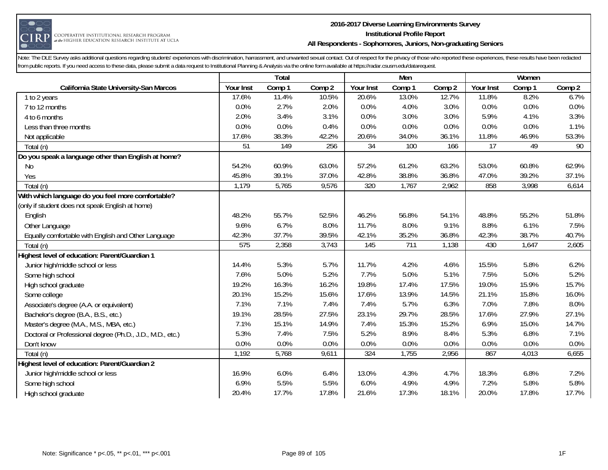

#### **2016-2017 Diverse Learning Environments Survey Institutional Profile Report All Respondents - Sophomores, Juniors, Non-graduating Seniors**

|                                                           |                 | Total  |        |                 | Men    |        |                 | Women  |        |
|-----------------------------------------------------------|-----------------|--------|--------|-----------------|--------|--------|-----------------|--------|--------|
| California State University-San Marcos                    | Your Inst       | Comp 1 | Comp 2 | Your Inst       | Comp 1 | Comp 2 | Your Inst       | Comp 1 | Comp 2 |
| 1 to 2 years                                              | 17.6%           | 11.4%  | 10.5%  | 20.6%           | 13.0%  | 12.7%  | 11.8%           | 8.2%   | 6.7%   |
| 7 to 12 months                                            | 0.0%            | 2.7%   | 2.0%   | 0.0%            | 4.0%   | 3.0%   | 0.0%            | 0.0%   | 0.0%   |
| 4 to 6 months                                             | 2.0%            | 3.4%   | 3.1%   | 0.0%            | 3.0%   | 3.0%   | 5.9%            | 4.1%   | 3.3%   |
| Less than three months                                    | 0.0%            | 0.0%   | 0.4%   | 0.0%            | 0.0%   | 0.0%   | 0.0%            | 0.0%   | 1.1%   |
| Not applicable                                            | 17.6%           | 38.3%  | 42.2%  | 20.6%           | 34.0%  | 36.1%  | 11.8%           | 46.9%  | 53.3%  |
| Total (n)                                                 | $\overline{51}$ | 149    | 256    | $\overline{34}$ | 100    | 166    | $\overline{17}$ | 49     | 90     |
| Do you speak a language other than English at home?       |                 |        |        |                 |        |        |                 |        |        |
| No                                                        | 54.2%           | 60.9%  | 63.0%  | 57.2%           | 61.2%  | 63.2%  | 53.0%           | 60.8%  | 62.9%  |
| Yes                                                       | 45.8%           | 39.1%  | 37.0%  | 42.8%           | 38.8%  | 36.8%  | 47.0%           | 39.2%  | 37.1%  |
| Total (n)                                                 | 1,179           | 5,765  | 9,576  | 320             | 1,767  | 2,962  | 858             | 3,998  | 6,614  |
| With which language do you feel more comfortable?         |                 |        |        |                 |        |        |                 |        |        |
| (only if student does not speak English at home)          |                 |        |        |                 |        |        |                 |        |        |
| English                                                   | 48.2%           | 55.7%  | 52.5%  | 46.2%           | 56.8%  | 54.1%  | 48.8%           | 55.2%  | 51.8%  |
| Other Language                                            | 9.6%            | 6.7%   | 8.0%   | 11.7%           | 8.0%   | 9.1%   | 8.8%            | 6.1%   | 7.5%   |
| Equally comfortable with English and Other Language       | 42.3%           | 37.7%  | 39.5%  | 42.1%           | 35.2%  | 36.8%  | 42.3%           | 38.7%  | 40.7%  |
| Total (n)                                                 | 575             | 2,358  | 3,743  | 145             | 711    | 1,138  | 430             | 1,647  | 2,605  |
| Highest level of education: Parent/Guardian 1             |                 |        |        |                 |        |        |                 |        |        |
| Junior high/middle school or less                         | 14.4%           | 5.3%   | 5.7%   | 11.7%           | 4.2%   | 4.6%   | 15.5%           | 5.8%   | 6.2%   |
| Some high school                                          | 7.6%            | 5.0%   | 5.2%   | 7.7%            | 5.0%   | 5.1%   | 7.5%            | 5.0%   | 5.2%   |
| High school graduate                                      | 19.2%           | 16.3%  | 16.2%  | 19.8%           | 17.4%  | 17.5%  | 19.0%           | 15.9%  | 15.7%  |
| Some college                                              | 20.1%           | 15.2%  | 15.6%  | 17.6%           | 13.9%  | 14.5%  | 21.1%           | 15.8%  | 16.0%  |
| Associate's degree (A.A. or equivalent)                   | 7.1%            | 7.1%   | 7.4%   | 7.4%            | 5.7%   | 6.3%   | 7.0%            | 7.8%   | 8.0%   |
| Bachelor's degree (B.A., B.S., etc.)                      | 19.1%           | 28.5%  | 27.5%  | 23.1%           | 29.7%  | 28.5%  | 17.6%           | 27.9%  | 27.1%  |
| Master's degree (M.A., M.S., MBA, etc.)                   | 7.1%            | 15.1%  | 14.9%  | 7.4%            | 15.3%  | 15.2%  | 6.9%            | 15.0%  | 14.7%  |
| Doctoral or Professional degree (Ph.D., J.D., M.D., etc.) | 5.3%            | 7.4%   | 7.5%   | 5.2%            | 8.9%   | 8.4%   | 5.3%            | 6.8%   | 7.1%   |
| Don't know                                                | 0.0%            | 0.0%   | 0.0%   | 0.0%            | 0.0%   | 0.0%   | 0.0%            | 0.0%   | 0.0%   |
| Total (n)                                                 | 1,192           | 5,768  | 9,611  | 324             | 1,755  | 2,956  | 867             | 4,013  | 6,655  |
| Highest level of education: Parent/Guardian 2             |                 |        |        |                 |        |        |                 |        |        |
| Junior high/middle school or less                         | 16.9%           | 6.0%   | 6.4%   | 13.0%           | 4.3%   | 4.7%   | 18.3%           | 6.8%   | 7.2%   |
| Some high school                                          | 6.9%            | 5.5%   | 5.5%   | 6.0%            | 4.9%   | 4.9%   | 7.2%            | 5.8%   | 5.8%   |
| High school graduate                                      | 20.4%           | 17.7%  | 17.8%  | 21.6%           | 17.3%  | 18.1%  | 20.0%           | 17.8%  | 17.7%  |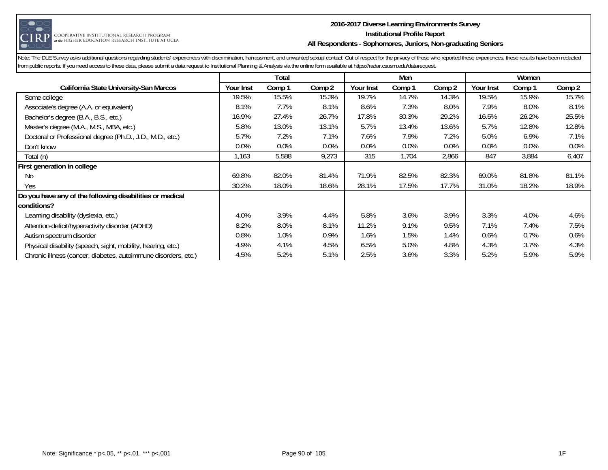

#### **2016-2017 Diverse Learning Environments Survey Institutional Profile Report All Respondents - Sophomores, Juniors, Non-graduating Seniors**

|                                                                |           | Total  |        |                  | Men    |         |           | Women  |        |
|----------------------------------------------------------------|-----------|--------|--------|------------------|--------|---------|-----------|--------|--------|
| <b>California State University-San Marcos</b>                  | Your Inst | Comp 1 | Comp 2 | <b>Your Inst</b> | Comp 1 | Comp 2  | Your Inst | Comp 1 | Comp 2 |
| Some college                                                   | 19.5%     | 15.5%  | 15.3%  | 19.7%            | 14.7%  | 14.3%   | 19.5%     | 15.9%  | 15.7%  |
| Associate's degree (A.A. or equivalent)                        | 8.1%      | 7.7%   | 8.1%   | 8.6%             | 7.3%   | 8.0%    | 7.9%      | 8.0%   | 8.1%   |
| Bachelor's degree (B.A., B.S., etc.)                           | 16.9%     | 27.4%  | 26.7%  | 17.8%            | 30.3%  | 29.2%   | 16.5%     | 26.2%  | 25.5%  |
| Master's degree (M.A., M.S., MBA, etc.)                        | 5.8%      | 13.0%  | 13.1%  | 5.7%             | 13.4%  | 13.6%   | 5.7%      | 12.8%  | 12.8%  |
| Doctoral or Professional degree (Ph.D., J.D., M.D., etc.)      | 5.7%      | 7.2%   | 7.1%   | 7.6%             | 7.9%   | 7.2%    | 5.0%      | 6.9%   | 7.1%   |
| Don't know                                                     | $0.0\%$   | 0.0%   | 0.0%   | 0.0%             | 0.0%   | $0.0\%$ | 0.0%      | 0.0%   | 0.0%   |
| Total (n)                                                      | 1,163     | 5,588  | 9,273  | 315              | 1,704  | 2,866   | 847       | 3,884  | 6,407  |
| First generation in college                                    |           |        |        |                  |        |         |           |        |        |
| No.                                                            | 69.8%     | 82.0%  | 81.4%  | 71.9%            | 82.5%  | 82.3%   | 69.0%     | 81.8%  | 81.1%  |
| Yes                                                            | 30.2%     | 18.0%  | 18.6%  | 28.1%            | 17.5%  | 17.7%   | 31.0%     | 18.2%  | 18.9%  |
| Do you have any of the following disabilities or medical       |           |        |        |                  |        |         |           |        |        |
| conditions?                                                    |           |        |        |                  |        |         |           |        |        |
| Learning disability (dyslexia, etc.)                           | 4.0%      | 3.9%   | 4.4%   | 5.8%             | 3.6%   | 3.9%    | 3.3%      | 4.0%   | 4.6%   |
| Attention-deficit/hyperactivity disorder (ADHD)                | 8.2%      | 8.0%   | 8.1%   | 11.2%            | 9.1%   | 9.5%    | 7.1%      | 7.4%   | 7.5%   |
| Autism spectrum disorder                                       | 0.8%      | 1.0%   | 0.9%   | 1.6%             | 1.5%   | 1.4%    | 0.6%      | 0.7%   | 0.6%   |
| Physical disability (speech, sight, mobility, hearing, etc.)   | 4.9%      | 4.1%   | 4.5%   | 6.5%             | 5.0%   | 4.8%    | 4.3%      | 3.7%   | 4.3%   |
| Chronic illness (cancer, diabetes, autoimmune disorders, etc.) | 4.5%      | 5.2%   | 5.1%   | 2.5%             | 3.6%   | 3.3%    | 5.2%      | 5.9%   | 5.9%   |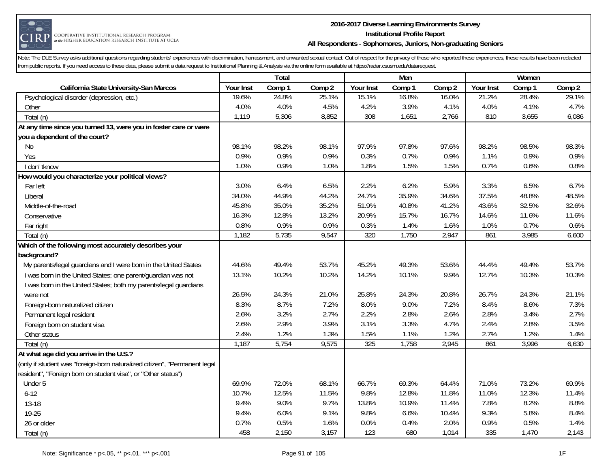

#### **2016-2017 Diverse Learning Environments Survey Institutional Profile Report All Respondents - Sophomores, Juniors, Non-graduating Seniors**

|                                                                           |           | Total  |        |           | Men    |        |           | Women  |        |
|---------------------------------------------------------------------------|-----------|--------|--------|-----------|--------|--------|-----------|--------|--------|
| California State University-San Marcos                                    | Your Inst | Comp 1 | Comp 2 | Your Inst | Comp 1 | Comp 2 | Your Inst | Comp 1 | Comp 2 |
| Psychological disorder (depression, etc.)                                 | 19.6%     | 24.8%  | 25.1%  | 15.1%     | 16.8%  | 16.0%  | 21.2%     | 28.4%  | 29.1%  |
| Other                                                                     | 4.0%      | 4.0%   | 4.5%   | 4.2%      | 3.9%   | 4.1%   | 4.0%      | 4.1%   | 4.7%   |
| Total (n)                                                                 | 1,119     | 5,306  | 8,852  | 308       | 1,651  | 2,766  | 810       | 3,655  | 6,086  |
| At any time since you turned 13, were you in foster care or were          |           |        |        |           |        |        |           |        |        |
| you a dependent of the court?                                             |           |        |        |           |        |        |           |        |        |
| No                                                                        | 98.1%     | 98.2%  | 98.1%  | 97.9%     | 97.8%  | 97.6%  | 98.2%     | 98.5%  | 98.3%  |
| Yes                                                                       | 0.9%      | 0.9%   | 0.9%   | 0.3%      | 0.7%   | 0.9%   | 1.1%      | 0.9%   | 0.9%   |
| I don'tknow                                                               | 1.0%      | 0.9%   | 1.0%   | 1.8%      | 1.5%   | 1.5%   | 0.7%      | 0.6%   | 0.8%   |
| How would you characterize your political views?                          |           |        |        |           |        |        |           |        |        |
| Far left                                                                  | 3.0%      | 6.4%   | 6.5%   | 2.2%      | 6.2%   | 5.9%   | 3.3%      | 6.5%   | 6.7%   |
| Liberal                                                                   | 34.0%     | 44.9%  | 44.2%  | 24.7%     | 35.9%  | 34.6%  | 37.5%     | 48.8%  | 48.5%  |
| Middle-of-the-road                                                        | 45.8%     | 35.0%  | 35.2%  | 51.9%     | 40.8%  | 41.2%  | 43.6%     | 32.5%  | 32.6%  |
| Conservative                                                              | 16.3%     | 12.8%  | 13.2%  | 20.9%     | 15.7%  | 16.7%  | 14.6%     | 11.6%  | 11.6%  |
| Far right                                                                 | 0.8%      | 0.9%   | 0.9%   | 0.3%      | 1.4%   | 1.6%   | 1.0%      | 0.7%   | 0.6%   |
| Total (n)                                                                 | 1,182     | 5,735  | 9,547  | 320       | 1,750  | 2,947  | 861       | 3,985  | 6,600  |
| Which of the following most accurately describes your                     |           |        |        |           |        |        |           |        |        |
| background?                                                               |           |        |        |           |        |        |           |        |        |
| My parents/legal guardians and I were born in the United States           | 44.6%     | 49.4%  | 53.7%  | 45.2%     | 49.3%  | 53.6%  | 44.4%     | 49.4%  | 53.7%  |
| I was born in the United States; one parent/guardian was not              | 13.1%     | 10.2%  | 10.2%  | 14.2%     | 10.1%  | 9.9%   | 12.7%     | 10.3%  | 10.3%  |
| I was born in the United States; both my parents/legal guardians          |           |        |        |           |        |        |           |        |        |
| were not                                                                  | 26.5%     | 24.3%  | 21.0%  | 25.8%     | 24.3%  | 20.8%  | 26.7%     | 24.3%  | 21.1%  |
| Foreign-born naturalized citizen                                          | 8.3%      | 8.7%   | 7.2%   | 8.0%      | 9.0%   | 7.2%   | 8.4%      | 8.6%   | 7.3%   |
| Permanent legal resident                                                  | 2.6%      | 3.2%   | 2.7%   | 2.2%      | 2.8%   | 2.6%   | 2.8%      | 3.4%   | 2.7%   |
| Foreign born on student visa                                              | 2.6%      | 2.9%   | 3.9%   | 3.1%      | 3.3%   | 4.7%   | 2.4%      | 2.8%   | 3.5%   |
| Other status                                                              | 2.4%      | 1.2%   | 1.3%   | 1.5%      | 1.1%   | 1.2%   | 2.7%      | 1.2%   | 1.4%   |
| Total (n)                                                                 | 1,187     | 5,754  | 9,575  | 325       | 1,758  | 2,945  | 861       | 3,996  | 6,630  |
| At what age did you arrive in the U.S.?                                   |           |        |        |           |        |        |           |        |        |
| (only if student was "foreign-born naturalized citizen", "Permanent legal |           |        |        |           |        |        |           |        |        |
| resident", "Foreign born on student visa", or "Other status")             |           |        |        |           |        |        |           |        |        |
| Under 5                                                                   | 69.9%     | 72.0%  | 68.1%  | 66.7%     | 69.3%  | 64.4%  | 71.0%     | 73.2%  | 69.9%  |
| $6 - 12$                                                                  | 10.7%     | 12.5%  | 11.5%  | 9.8%      | 12.8%  | 11.8%  | 11.0%     | 12.3%  | 11.4%  |
| 13-18                                                                     | 9.4%      | 9.0%   | 9.7%   | 13.8%     | 10.9%  | 11.4%  | 7.8%      | 8.2%   | 8.8%   |
| 19-25                                                                     | 9.4%      | 6.0%   | 9.1%   | 9.8%      | 6.6%   | 10.4%  | 9.3%      | 5.8%   | 8.4%   |
| 26 or older                                                               | 0.7%      | 0.5%   | 1.6%   | 0.0%      | 0.4%   | 2.0%   | 0.9%      | 0.5%   | 1.4%   |
| Total (n)                                                                 | 458       | 2,150  | 3,157  | 123       | 680    | 1,014  | 335       | 1,470  | 2,143  |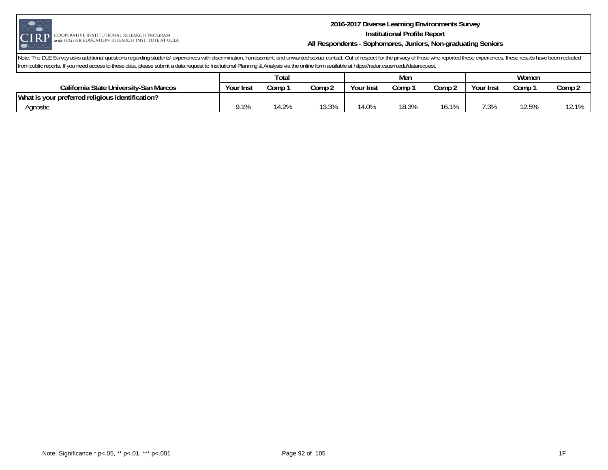

#### **2016-2017 Diverse Learning Environments Survey Institutional Profile Report All Respondents - Sophomores, Juniors, Non-graduating Seniors**

|                                                  | Total     |      |        |           | Men   |        | Women     |       |        |
|--------------------------------------------------|-----------|------|--------|-----------|-------|--------|-----------|-------|--------|
| California State University-San Marcos           | Your Inst | Comp | Comp 2 | Your Inst | Comp  | Comp 2 | Your Inst | Comp  | Comp 2 |
| What is your preferred religious identification? |           |      |        |           |       |        |           |       |        |
| Agnostic                                         | 9.1%      | 4.2% | 13.3%  | 14.0%     | 18.3% | 16.1%  | 7.3%      | 12.5% | 12.1%  |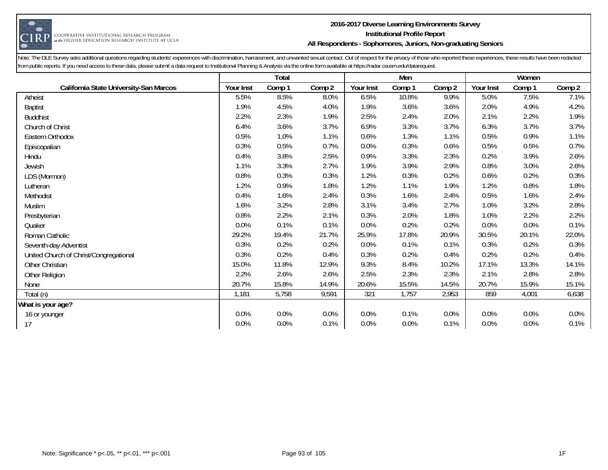

#### **2016-2017 Diverse Learning Environments Survey Institutional Profile Report All Respondents - Sophomores, Juniors, Non-graduating Seniors**

|                                        |           | <b>Total</b> |        |           | Men    |        |           | Women  |        |
|----------------------------------------|-----------|--------------|--------|-----------|--------|--------|-----------|--------|--------|
| California State University-San Marcos | Your Inst | Comp 1       | Comp 2 | Your Inst | Comp 1 | Comp 2 | Your Inst | Comp 1 | Comp 2 |
| Atheist                                | 5.5%      | 8.5%         | 8.0%   | 6.5%      | 10.8%  | 9.9%   | 5.0%      | 7.5%   | 7.1%   |
| <b>Baptist</b>                         | 1.9%      | 4.5%         | 4.0%   | 1.9%      | 3.6%   | 3.6%   | 2.0%      | 4.9%   | 4.2%   |
| <b>Buddhist</b>                        | 2.2%      | 2.3%         | 1.9%   | 2.5%      | 2.4%   | 2.0%   | 2.1%      | 2.2%   | 1.9%   |
| Church of Christ                       | 6.4%      | 3.6%         | 3.7%   | 6.9%      | 3.3%   | 3.7%   | 6.3%      | 3.7%   | 3.7%   |
| Eastern Orthodox                       | 0.5%      | 1.0%         | 1.1%   | 0.6%      | 1.3%   | 1.1%   | 0.5%      | 0.9%   | 1.1%   |
| Episcopalian                           | 0.3%      | 0.5%         | 0.7%   | 0.0%      | 0.3%   | 0.6%   | 0.5%      | 0.5%   | 0.7%   |
| Hindu                                  | 0.4%      | 3.8%         | 2.5%   | 0.9%      | 3.3%   | 2.3%   | 0.2%      | 3.9%   | 2.6%   |
| Jewish                                 | 1.1%      | 3.3%         | 2.7%   | 1.9%      | 3.9%   | 2.9%   | 0.8%      | 3.0%   | 2.6%   |
| LDS (Mormon)                           | 0.8%      | 0.3%         | 0.3%   | 1.2%      | 0.3%   | 0.2%   | 0.6%      | 0.2%   | 0.3%   |
| Lutheran                               | 1.2%      | 0.9%         | 1.8%   | 1.2%      | 1.1%   | 1.9%   | 1.2%      | 0.8%   | 1.8%   |
| Methodist                              | 0.4%      | 1.6%         | 2.4%   | 0.3%      | 1.6%   | 2.4%   | 0.5%      | 1.6%   | 2.4%   |
| Muslim                                 | 1.6%      | 3.2%         | 2.8%   | 3.1%      | 3.4%   | 2.7%   | 1.0%      | 3.2%   | 2.8%   |
| Presbyterian                           | 0.8%      | 2.2%         | 2.1%   | 0.3%      | 2.0%   | 1.8%   | 1.0%      | 2.2%   | 2.2%   |
| Quaker                                 | 0.0%      | 0.1%         | 0.1%   | 0.0%      | 0.2%   | 0.2%   | 0.0%      | 0.0%   | 0.1%   |
| Roman Catholic                         | 29.2%     | 19.4%        | 21.7%  | 25.9%     | 17.8%  | 20.9%  | 30.5%     | 20.1%  | 22.0%  |
| Seventh-day Adventist                  | 0.3%      | 0.2%         | 0.2%   | 0.0%      | 0.1%   | 0.1%   | 0.3%      | 0.2%   | 0.3%   |
| United Church of Christ/Congregational | 0.3%      | 0.2%         | 0.4%   | 0.3%      | 0.2%   | 0.4%   | 0.2%      | 0.2%   | 0.4%   |
| Other Christian                        | 15.0%     | 11.8%        | 12.9%  | 9.3%      | 8.4%   | 10.2%  | 17.1%     | 13.3%  | 14.1%  |
| Other Religion                         | 2.2%      | 2.6%         | 2.6%   | 2.5%      | 2.3%   | 2.3%   | 2.1%      | 2.8%   | 2.8%   |
| None                                   | 20.7%     | 15.8%        | 14.9%  | 20.6%     | 15.5%  | 14.5%  | 20.7%     | 15.9%  | 15.1%  |
| Total (n)                              | 1,181     | 5,758        | 9,591  | 321       | 1,757  | 2,953  | 859       | 4,001  | 6,638  |
| What is your age?                      |           |              |        |           |        |        |           |        |        |
| 16 or younger                          | 0.0%      | 0.0%         | 0.0%   | 0.0%      | 0.1%   | 0.0%   | 0.0%      | 0.0%   | 0.0%   |
| 17                                     | 0.0%      | 0.0%         | 0.1%   | 0.0%      | 0.0%   | 0.1%   | 0.0%      | 0.0%   | 0.1%   |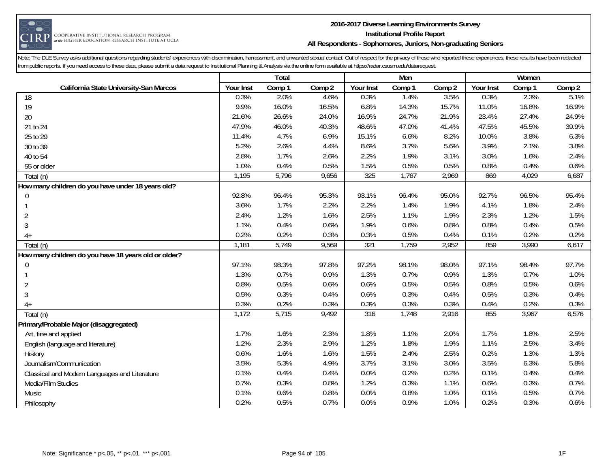

#### **2016-2017 Diverse Learning Environments Survey Institutional Profile Report All Respondents - Sophomores, Juniors, Non-graduating Seniors**

|                                                      |           | Total  |        |           | Men    |        |           | Women  |        |
|------------------------------------------------------|-----------|--------|--------|-----------|--------|--------|-----------|--------|--------|
| California State University-San Marcos               | Your Inst | Comp 1 | Comp 2 | Your Inst | Comp 1 | Comp 2 | Your Inst | Comp 1 | Comp 2 |
| 18                                                   | 0.3%      | 2.0%   | 4.6%   | 0.3%      | 1.4%   | 3.5%   | 0.3%      | 2.3%   | 5.1%   |
| 19                                                   | 9.9%      | 16.0%  | 16.5%  | 6.8%      | 14.3%  | 15.7%  | 11.0%     | 16.8%  | 16.9%  |
| 20                                                   | 21.6%     | 26.6%  | 24.0%  | 16.9%     | 24.7%  | 21.9%  | 23.4%     | 27.4%  | 24.9%  |
| 21 to 24                                             | 47.9%     | 46.0%  | 40.3%  | 48.6%     | 47.0%  | 41.4%  | 47.5%     | 45.5%  | 39.9%  |
| 25 to 29                                             | 11.4%     | 4.7%   | 6.9%   | 15.1%     | 6.6%   | 8.2%   | 10.0%     | 3.8%   | 6.3%   |
| 30 to 39                                             | 5.2%      | 2.6%   | 4.4%   | 8.6%      | 3.7%   | 5.6%   | 3.9%      | 2.1%   | 3.8%   |
| 40 to 54                                             | 2.8%      | 1.7%   | 2.6%   | 2.2%      | 1.9%   | 3.1%   | 3.0%      | 1.6%   | 2.4%   |
| 55 or older                                          | 1.0%      | 0.4%   | 0.5%   | 1.5%      | 0.5%   | 0.5%   | 0.8%      | 0.4%   | 0.6%   |
| Total (n)                                            | 1,195     | 5,796  | 9,656  | 325       | 1,767  | 2,969  | 869       | 4,029  | 6,687  |
| How many children do you have under 18 years old?    |           |        |        |           |        |        |           |        |        |
| 0                                                    | 92.8%     | 96.4%  | 95.3%  | 93.1%     | 96.4%  | 95.0%  | 92.7%     | 96.5%  | 95.4%  |
|                                                      | 3.6%      | 1.7%   | 2.2%   | 2.2%      | 1.4%   | 1.9%   | 4.1%      | 1.8%   | 2.4%   |
| $\overline{2}$                                       | 2.4%      | 1.2%   | 1.6%   | 2.5%      | 1.1%   | 1.9%   | 2.3%      | 1.2%   | 1.5%   |
| $\mathfrak{Z}$                                       | 1.1%      | 0.4%   | 0.6%   | 1.9%      | 0.6%   | 0.8%   | 0.8%      | 0.4%   | 0.5%   |
| $4+$                                                 | 0.2%      | 0.2%   | 0.3%   | 0.3%      | 0.5%   | 0.4%   | 0.1%      | 0.2%   | 0.2%   |
| Total (n)                                            | 1,181     | 5,749  | 9,569  | 321       | 1,759  | 2,952  | 859       | 3,990  | 6,617  |
| How many children do you have 18 years old or older? |           |        |        |           |        |        |           |        |        |
| 0                                                    | 97.1%     | 98.3%  | 97.8%  | 97.2%     | 98.1%  | 98.0%  | 97.1%     | 98.4%  | 97.7%  |
|                                                      | 1.3%      | 0.7%   | 0.9%   | 1.3%      | 0.7%   | 0.9%   | 1.3%      | 0.7%   | 1.0%   |
| $\overline{2}$                                       | 0.8%      | 0.5%   | 0.6%   | 0.6%      | 0.5%   | 0.5%   | 0.8%      | 0.5%   | 0.6%   |
| $\mathfrak{Z}$                                       | 0.5%      | 0.3%   | 0.4%   | 0.6%      | 0.3%   | 0.4%   | 0.5%      | 0.3%   | 0.4%   |
| $4+$                                                 | 0.3%      | 0.2%   | 0.3%   | 0.3%      | 0.3%   | 0.3%   | 0.4%      | 0.2%   | 0.3%   |
| Total (n)                                            | 1,172     | 5,715  | 9,492  | 316       | 1,748  | 2,916  | 855       | 3,967  | 6,576  |
| Primary/Probable Major (disaggregated)               |           |        |        |           |        |        |           |        |        |
| Art, fine and applied                                | 1.7%      | 1.6%   | 2.3%   | 1.8%      | 1.1%   | 2.0%   | 1.7%      | 1.8%   | 2.5%   |
| English (language and literature)                    | 1.2%      | 2.3%   | 2.9%   | 1.2%      | 1.8%   | 1.9%   | 1.1%      | 2.5%   | 3.4%   |
| History                                              | 0.6%      | 1.6%   | 1.6%   | 1.5%      | 2.4%   | 2.5%   | 0.2%      | 1.3%   | 1.3%   |
| Journalism/Communication                             | 3.5%      | 5.3%   | 4.9%   | 3.7%      | 3.1%   | 3.0%   | 3.5%      | 6.3%   | 5.8%   |
| Classical and Modern Languages and Literature        | 0.1%      | 0.4%   | 0.4%   | 0.0%      | 0.2%   | 0.2%   | 0.1%      | 0.4%   | 0.4%   |
| Media/Film Studies                                   | 0.7%      | 0.3%   | 0.8%   | 1.2%      | 0.3%   | 1.1%   | 0.6%      | 0.3%   | 0.7%   |
| Music                                                | 0.1%      | 0.6%   | 0.8%   | 0.0%      | 0.8%   | 1.0%   | 0.1%      | 0.5%   | 0.7%   |
| Philosophy                                           | 0.2%      | 0.5%   | 0.7%   | 0.0%      | 0.9%   | 1.0%   | 0.2%      | 0.3%   | 0.6%   |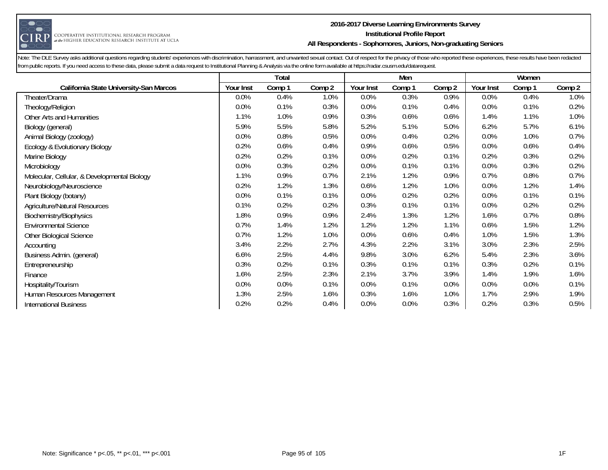

#### **2016-2017 Diverse Learning Environments Survey Institutional Profile Report All Respondents - Sophomores, Juniors, Non-graduating Seniors**

|                                              |           | <b>Total</b> |        |           | Men     |        |           | Women  |        |
|----------------------------------------------|-----------|--------------|--------|-----------|---------|--------|-----------|--------|--------|
| California State University-San Marcos       | Your Inst | Comp 1       | Comp 2 | Your Inst | Comp 1  | Comp 2 | Your Inst | Comp 1 | Comp 2 |
| Theater/Drama                                | 0.0%      | 0.4%         | 1.0%   | 0.0%      | 0.3%    | 0.9%   | 0.0%      | 0.4%   | 1.0%   |
| Theology/Religion                            | 0.0%      | 0.1%         | 0.3%   | 0.0%      | 0.1%    | 0.4%   | 0.0%      | 0.1%   | 0.2%   |
| Other Arts and Humanities                    | 1.1%      | 1.0%         | 0.9%   | 0.3%      | 0.6%    | 0.6%   | 1.4%      | 1.1%   | 1.0%   |
| Biology (general)                            | 5.9%      | 5.5%         | 5.8%   | 5.2%      | 5.1%    | 5.0%   | 6.2%      | 5.7%   | 6.1%   |
| Animal Biology (zoology)                     | 0.0%      | 0.8%         | 0.5%   | 0.0%      | 0.4%    | 0.2%   | 0.0%      | 1.0%   | 0.7%   |
| Ecology & Evolutionary Biology               | 0.2%      | 0.6%         | 0.4%   | 0.9%      | 0.6%    | 0.5%   | $0.0\%$   | 0.6%   | 0.4%   |
| Marine Biology                               | 0.2%      | 0.2%         | 0.1%   | 0.0%      | 0.2%    | 0.1%   | 0.2%      | 0.3%   | 0.2%   |
| Microbiology                                 | 0.0%      | 0.3%         | 0.2%   | 0.0%      | 0.1%    | 0.1%   | 0.0%      | 0.3%   | 0.2%   |
| Molecular, Cellular, & Developmental Biology | 1.1%      | 0.9%         | 0.7%   | 2.1%      | 1.2%    | 0.9%   | 0.7%      | 0.8%   | 0.7%   |
| Neurobiology/Neuroscience                    | 0.2%      | 1.2%         | 1.3%   | 0.6%      | 1.2%    | 1.0%   | 0.0%      | 1.2%   | 1.4%   |
| Plant Biology (botany)                       | 0.0%      | 0.1%         | 0.1%   | 0.0%      | 0.2%    | 0.2%   | 0.0%      | 0.1%   | 0.1%   |
| <b>Agriculture/Natural Resources</b>         | 0.1%      | 0.2%         | 0.2%   | 0.3%      | 0.1%    | 0.1%   | 0.0%      | 0.2%   | 0.2%   |
| Biochemistry/Biophysics                      | 1.8%      | 0.9%         | 0.9%   | 2.4%      | 1.3%    | 1.2%   | 1.6%      | 0.7%   | 0.8%   |
| <b>Environmental Science</b>                 | 0.7%      | 1.4%         | 1.2%   | 1.2%      | 1.2%    | 1.1%   | 0.6%      | 1.5%   | 1.2%   |
| Other Biological Science                     | 0.7%      | 1.2%         | 1.0%   | 0.0%      | 0.6%    | 0.4%   | 1.0%      | 1.5%   | 1.3%   |
| Accounting                                   | 3.4%      | 2.2%         | 2.7%   | 4.3%      | 2.2%    | 3.1%   | 3.0%      | 2.3%   | 2.5%   |
| Business Admin. (general)                    | 6.6%      | 2.5%         | 4.4%   | 9.8%      | 3.0%    | 6.2%   | 5.4%      | 2.3%   | 3.6%   |
| Entrepreneurship                             | 0.3%      | 0.2%         | 0.1%   | 0.3%      | 0.1%    | 0.1%   | 0.3%      | 0.2%   | 0.1%   |
| Finance                                      | 1.6%      | 2.5%         | 2.3%   | 2.1%      | 3.7%    | 3.9%   | 1.4%      | 1.9%   | 1.6%   |
| Hospitality/Tourism                          | 0.0%      | 0.0%         | 0.1%   | 0.0%      | 0.1%    | 0.0%   | 0.0%      | 0.0%   | 0.1%   |
| Human Resources Management                   | 1.3%      | 2.5%         | 1.6%   | 0.3%      | 1.6%    | 1.0%   | 1.7%      | 2.9%   | 1.9%   |
| <b>International Business</b>                | 0.2%      | 0.2%         | 0.4%   | 0.0%      | $0.0\%$ | 0.3%   | 0.2%      | 0.3%   | 0.5%   |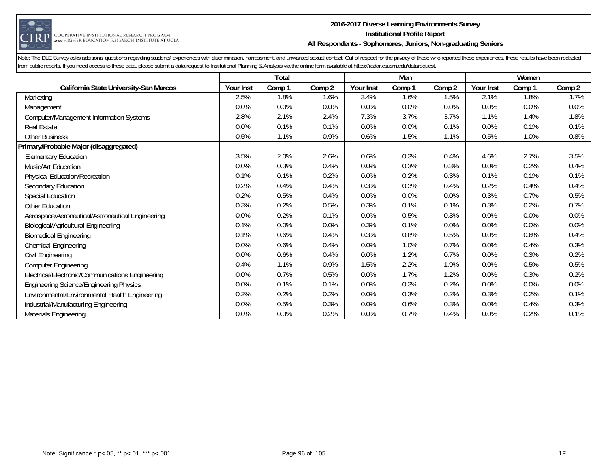

#### **2016-2017 Diverse Learning Environments Survey Institutional Profile Report All Respondents - Sophomores, Juniors, Non-graduating Seniors**

|                                                  |           | Total  |        |           | Men    |        |           | Women   |         |
|--------------------------------------------------|-----------|--------|--------|-----------|--------|--------|-----------|---------|---------|
| California State University-San Marcos           | Your Inst | Comp 1 | Comp 2 | Your Inst | Comp 1 | Comp 2 | Your Inst | Comp 1  | Comp 2  |
| Marketing                                        | 2.5%      | 1.8%   | 1.6%   | 3.4%      | 1.6%   | 1.5%   | 2.1%      | 1.8%    | 1.7%    |
| Management                                       | 0.0%      | 0.0%   | 0.0%   | 0.0%      | 0.0%   | 0.0%   | 0.0%      | 0.0%    | 0.0%    |
| <b>Computer/Management Information Systems</b>   | 2.8%      | 2.1%   | 2.4%   | 7.3%      | 3.7%   | 3.7%   | 1.1%      | 1.4%    | 1.8%    |
| <b>Real Estate</b>                               | 0.0%      | 0.1%   | 0.1%   | 0.0%      | 0.0%   | 0.1%   | 0.0%      | 0.1%    | 0.1%    |
| <b>Other Business</b>                            | 0.5%      | 1.1%   | 0.9%   | 0.6%      | 1.5%   | 1.1%   | 0.5%      | 1.0%    | 0.8%    |
| Primary/Probable Major (disaggregated)           |           |        |        |           |        |        |           |         |         |
| <b>Elementary Education</b>                      | 3.5%      | 2.0%   | 2.6%   | 0.6%      | 0.3%   | 0.4%   | 4.6%      | 2.7%    | 3.5%    |
| Music/Art Education                              | 0.0%      | 0.3%   | 0.4%   | 0.0%      | 0.3%   | 0.3%   | 0.0%      | 0.2%    | 0.4%    |
| <b>Physical Education/Recreation</b>             | 0.1%      | 0.1%   | 0.2%   | 0.0%      | 0.2%   | 0.3%   | 0.1%      | 0.1%    | 0.1%    |
| Secondary Education                              | 0.2%      | 0.4%   | 0.4%   | 0.3%      | 0.3%   | 0.4%   | 0.2%      | 0.4%    | 0.4%    |
| <b>Special Education</b>                         | 0.2%      | 0.5%   | 0.4%   | 0.0%      | 0.0%   | 0.0%   | 0.3%      | 0.7%    | 0.5%    |
| Other Education                                  | 0.3%      | 0.2%   | 0.5%   | 0.3%      | 0.1%   | 0.1%   | 0.3%      | 0.2%    | 0.7%    |
| Aerospace/Aeronautical/Astronautical Engineering | 0.0%      | 0.2%   | 0.1%   | 0.0%      | 0.5%   | 0.3%   | 0.0%      | 0.0%    | 0.0%    |
| <b>Biological/Agricultural Engineering</b>       | 0.1%      | 0.0%   | 0.0%   | 0.3%      | 0.1%   | 0.0%   | 0.0%      | $0.0\%$ | $0.0\%$ |
| <b>Biomedical Engineering</b>                    | 0.1%      | 0.6%   | 0.4%   | 0.3%      | 0.8%   | 0.5%   | 0.0%      | 0.6%    | 0.4%    |
| <b>Chemical Engineering</b>                      | 0.0%      | 0.6%   | 0.4%   | 0.0%      | 1.0%   | 0.7%   | 0.0%      | 0.4%    | 0.3%    |
| Civil Engineering                                | 0.0%      | 0.6%   | 0.4%   | 0.0%      | 1.2%   | 0.7%   | 0.0%      | 0.3%    | 0.2%    |
| <b>Computer Engineering</b>                      | 0.4%      | 1.1%   | 0.9%   | 1.5%      | 2.2%   | 1.9%   | 0.0%      | 0.5%    | 0.5%    |
| Electrical/Electronic/Communications Engineering | 0.0%      | 0.7%   | 0.5%   | 0.0%      | 1.7%   | 1.2%   | 0.0%      | 0.3%    | 0.2%    |
| <b>Engineering Science/Engineering Physics</b>   | 0.0%      | 0.1%   | 0.1%   | 0.0%      | 0.3%   | 0.2%   | 0.0%      | 0.0%    | 0.0%    |
| Environmental/Environmental Health Engineering   | 0.2%      | 0.2%   | 0.2%   | 0.0%      | 0.3%   | 0.2%   | 0.3%      | 0.2%    | 0.1%    |
| Industrial/Manufacturing Engineering             | 0.0%      | 0.5%   | 0.3%   | 0.0%      | 0.6%   | 0.3%   | 0.0%      | 0.4%    | 0.3%    |
| Materials Engineering                            | 0.0%      | 0.3%   | 0.2%   | 0.0%      | 0.7%   | 0.4%   | 0.0%      | 0.2%    | 0.1%    |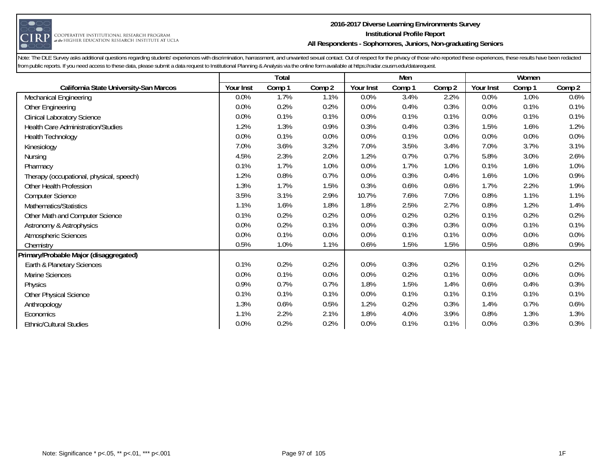

#### **2016-2017 Diverse Learning Environments Survey Institutional Profile Report All Respondents - Sophomores, Juniors, Non-graduating Seniors**

|                                           |           | Total  |        |           | Men    |        |           | Women  |        |
|-------------------------------------------|-----------|--------|--------|-----------|--------|--------|-----------|--------|--------|
| California State University-San Marcos    | Your Inst | Comp 1 | Comp 2 | Your Inst | Comp 1 | Comp 2 | Your Inst | Comp 1 | Comp 2 |
| <b>Mechanical Engineering</b>             | $0.0\%$   | 1.7%   | 1.1%   | 0.0%      | 3.4%   | 2.2%   | 0.0%      | 1.0%   | 0.6%   |
| Other Engineering                         | 0.0%      | 0.2%   | 0.2%   | 0.0%      | 0.4%   | 0.3%   | 0.0%      | 0.1%   | 0.1%   |
| <b>Clinical Laboratory Science</b>        | $0.0\%$   | 0.1%   | 0.1%   | 0.0%      | 0.1%   | 0.1%   | 0.0%      | 0.1%   | 0.1%   |
| <b>Health Care Administration/Studies</b> | 1.2%      | 1.3%   | 0.9%   | 0.3%      | 0.4%   | 0.3%   | 1.5%      | 1.6%   | 1.2%   |
| Health Technology                         | 0.0%      | 0.1%   | 0.0%   | 0.0%      | 0.1%   | 0.0%   | 0.0%      | 0.0%   | 0.0%   |
| Kinesiology                               | 7.0%      | 3.6%   | 3.2%   | 7.0%      | 3.5%   | 3.4%   | 7.0%      | 3.7%   | 3.1%   |
| Nursing                                   | 4.5%      | 2.3%   | 2.0%   | 1.2%      | 0.7%   | 0.7%   | 5.8%      | 3.0%   | 2.6%   |
| Pharmacy                                  | 0.1%      | 1.7%   | 1.0%   | 0.0%      | 1.7%   | 1.0%   | 0.1%      | 1.6%   | 1.0%   |
| Therapy (occupational, physical, speech)  | 1.2%      | 0.8%   | 0.7%   | 0.0%      | 0.3%   | 0.4%   | 1.6%      | 1.0%   | 0.9%   |
| Other Health Profession                   | 1.3%      | 1.7%   | 1.5%   | 0.3%      | 0.6%   | 0.6%   | 1.7%      | 2.2%   | 1.9%   |
| <b>Computer Science</b>                   | 3.5%      | 3.1%   | 2.9%   | 10.7%     | 7.6%   | 7.0%   | 0.8%      | 1.1%   | 1.1%   |
| Mathematics/Statistics                    | 1.1%      | 1.6%   | 1.8%   | 1.8%      | 2.5%   | 2.7%   | 0.8%      | 1.2%   | 1.4%   |
| Other Math and Computer Science           | 0.1%      | 0.2%   | 0.2%   | 0.0%      | 0.2%   | 0.2%   | 0.1%      | 0.2%   | 0.2%   |
| Astronomy & Astrophysics                  | 0.0%      | 0.2%   | 0.1%   | 0.0%      | 0.3%   | 0.3%   | 0.0%      | 0.1%   | 0.1%   |
| Atmospheric Sciences                      | 0.0%      | 0.1%   | 0.0%   | 0.0%      | 0.1%   | 0.1%   | 0.0%      | 0.0%   | 0.0%   |
| Chemistry                                 | 0.5%      | 1.0%   | 1.1%   | 0.6%      | 1.5%   | 1.5%   | 0.5%      | 0.8%   | 0.9%   |
| Primary/Probable Major (disaggregated)    |           |        |        |           |        |        |           |        |        |
| Earth & Planetary Sciences                | 0.1%      | 0.2%   | 0.2%   | 0.0%      | 0.3%   | 0.2%   | 0.1%      | 0.2%   | 0.2%   |
| Marine Sciences                           | 0.0%      | 0.1%   | 0.0%   | 0.0%      | 0.2%   | 0.1%   | 0.0%      | 0.0%   | 0.0%   |
| Physics                                   | 0.9%      | 0.7%   | 0.7%   | 1.8%      | 1.5%   | 1.4%   | 0.6%      | 0.4%   | 0.3%   |
| <b>Other Physical Science</b>             | 0.1%      | 0.1%   | 0.1%   | 0.0%      | 0.1%   | 0.1%   | 0.1%      | 0.1%   | 0.1%   |
| Anthropology                              | 1.3%      | 0.6%   | 0.5%   | 1.2%      | 0.2%   | 0.3%   | 1.4%      | 0.7%   | 0.6%   |
| Economics                                 | 1.1%      | 2.2%   | 2.1%   | 1.8%      | 4.0%   | 3.9%   | 0.8%      | 1.3%   | 1.3%   |
| <b>Ethnic/Cultural Studies</b>            | 0.0%      | 0.2%   | 0.2%   | 0.0%      | 0.1%   | 0.1%   | 0.0%      | 0.3%   | 0.3%   |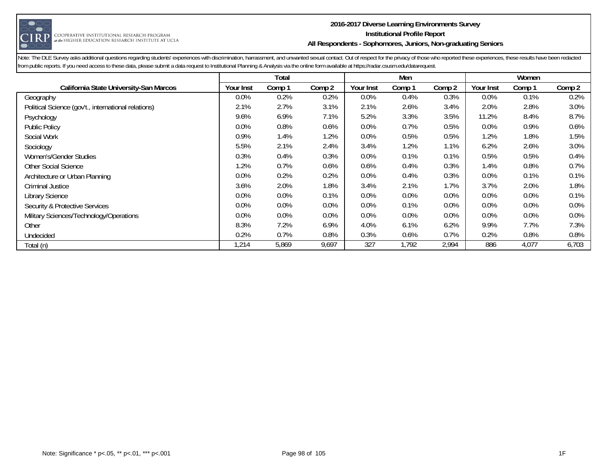

#### **2016-2017 Diverse Learning Environments Survey Institutional Profile Report All Respondents - Sophomores, Juniors, Non-graduating Seniors**

|                                                     |           | Total  |         |           | Men     |        |                  | Women  |         |
|-----------------------------------------------------|-----------|--------|---------|-----------|---------|--------|------------------|--------|---------|
| California State University-San Marcos              | Your Inst | Comp 1 | Comp 2  | Your Inst | Comp 1  | Comp 2 | <b>Your Inst</b> | Comp 1 | Comp 2  |
| Geography                                           | 0.0%      | 0.2%   | 0.2%    | 0.0%      | 0.4%    | 0.3%   | 0.0%             | 0.1%   | 0.2%    |
| Political Science (gov't., international relations) | 2.1%      | 2.7%   | 3.1%    | 2.1%      | 2.6%    | 3.4%   | 2.0%             | 2.8%   | 3.0%    |
| Psychology                                          | 9.6%      | 6.9%   | 7.1%    | 5.2%      | 3.3%    | 3.5%   | 11.2%            | 8.4%   | 8.7%    |
| <b>Public Policy</b>                                | $0.0\%$   | 0.8%   | 0.6%    | $0.0\%$   | 0.7%    | 0.5%   | 0.0%             | 0.9%   | $0.6\%$ |
| Social Work                                         | 0.9%      | 1.4%   | 1.2%    | $0.0\%$   | 0.5%    | 0.5%   | 1.2%             | 1.8%   | 1.5%    |
| Sociology                                           | 5.5%      | 2.1%   | 2.4%    | 3.4%      | 1.2%    | 1.1%   | 6.2%             | 2.6%   | 3.0%    |
| Women's/Gender Studies                              | 0.3%      | 0.4%   | 0.3%    | 0.0%      | 0.1%    | 0.1%   | 0.5%             | 0.5%   | 0.4%    |
| <b>Other Social Science</b>                         | 1.2%      | 0.7%   | 0.6%    | 0.6%      | 0.4%    | 0.3%   | 1.4%             | 0.8%   | 0.7%    |
| Architecture or Urban Planning                      | 0.0%      | 0.2%   | 0.2%    | 0.0%      | 0.4%    | 0.3%   | 0.0%             | 0.1%   | 0.1%    |
| Criminal Justice                                    | 3.6%      | 2.0%   | 1.8%    | 3.4%      | 2.1%    | 1.7%   | 3.7%             | 2.0%   | 1.8%    |
| <b>Library Science</b>                              | 0.0%      | 0.0%   | 0.1%    | 0.0%      | $0.0\%$ | 0.0%   | 0.0%             | 0.0%   | 0.1%    |
| Security & Protective Services                      | 0.0%      | 0.0%   | $0.0\%$ | $0.0\%$   | 0.1%    | 0.0%   | 0.0%             | 0.0%   | $0.0\%$ |
| Military Sciences/Technology/Operations             | 0.0%      | 0.0%   | 0.0%    | 0.0%      | $0.0\%$ | 0.0%   | 0.0%             | 0.0%   | $0.0\%$ |
| Other                                               | 8.3%      | 7.2%   | 6.9%    | 4.0%      | 6.1%    | 6.2%   | 9.9%             | 7.7%   | 7.3%    |
| Undecided                                           | 0.2%      | 0.7%   | 0.8%    | 0.3%      | 0.6%    | 0.7%   | 0.2%             | 0.8%   | 0.8%    |
| Total (n)                                           | 1,214     | 5,869  | 9,697   | 327       | 1,792   | 2,994  | 886              | 4,077  | 6,703   |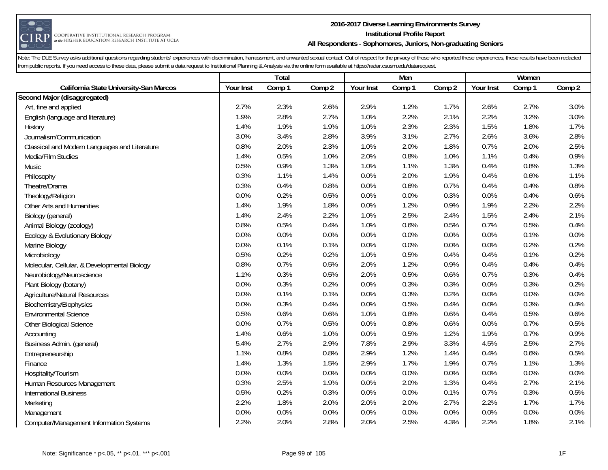

#### **2016-2017 Diverse Learning Environments Survey Institutional Profile Report All Respondents - Sophomores, Juniors, Non-graduating Seniors**

|                                                | <b>Total</b> |        |        | Men       |        |        | Women     |        |         |
|------------------------------------------------|--------------|--------|--------|-----------|--------|--------|-----------|--------|---------|
| California State University-San Marcos         | Your Inst    | Comp 1 | Comp 2 | Your Inst | Comp 1 | Comp 2 | Your Inst | Comp 1 | Comp 2  |
| Second Major (disaggregated)                   |              |        |        |           |        |        |           |        |         |
| Art, fine and applied                          | 2.7%         | 2.3%   | 2.6%   | 2.9%      | 1.2%   | 1.7%   | 2.6%      | 2.7%   | 3.0%    |
| English (language and literature)              | 1.9%         | 2.8%   | 2.7%   | 1.0%      | 2.2%   | 2.1%   | 2.2%      | 3.2%   | 3.0%    |
| History                                        | 1.4%         | 1.9%   | 1.9%   | 1.0%      | 2.3%   | 2.3%   | 1.5%      | 1.8%   | 1.7%    |
| Journalism/Communication                       | 3.0%         | 3.4%   | 2.8%   | 3.9%      | 3.1%   | 2.7%   | 2.6%      | 3.6%   | 2.8%    |
| Classical and Modern Languages and Literature  | 0.8%         | 2.0%   | 2.3%   | 1.0%      | 2.0%   | 1.8%   | 0.7%      | 2.0%   | 2.5%    |
| Media/Film Studies                             | 1.4%         | 0.5%   | 1.0%   | 2.0%      | 0.8%   | 1.0%   | 1.1%      | 0.4%   | 0.9%    |
| Music                                          | 0.5%         | 0.9%   | 1.3%   | 1.0%      | 1.1%   | 1.3%   | 0.4%      | 0.8%   | 1.3%    |
| Philosophy                                     | 0.3%         | 1.1%   | 1.4%   | 0.0%      | 2.0%   | 1.9%   | 0.4%      | 0.6%   | 1.1%    |
| Theatre/Drama                                  | 0.3%         | 0.4%   | 0.8%   | 0.0%      | 0.6%   | 0.7%   | 0.4%      | 0.4%   | $0.8\%$ |
| Theology/Religion                              | 0.0%         | 0.2%   | 0.5%   | 0.0%      | 0.0%   | 0.3%   | 0.0%      | 0.4%   | 0.6%    |
| Other Arts and Humanities                      | 1.4%         | 1.9%   | 1.8%   | 0.0%      | 1.2%   | 0.9%   | 1.9%      | 2.2%   | 2.2%    |
| Biology (general)                              | 1.4%         | 2.4%   | 2.2%   | 1.0%      | 2.5%   | 2.4%   | 1.5%      | 2.4%   | 2.1%    |
| Animal Biology (zoology)                       | 0.8%         | 0.5%   | 0.4%   | 1.0%      | 0.6%   | 0.5%   | 0.7%      | 0.5%   | 0.4%    |
| Ecology & Evolutionary Biology                 | 0.0%         | 0.0%   | 0.0%   | 0.0%      | 0.0%   | 0.0%   | 0.0%      | 0.1%   | 0.0%    |
| Marine Biology                                 | 0.0%         | 0.1%   | 0.1%   | 0.0%      | 0.0%   | 0.0%   | 0.0%      | 0.2%   | 0.2%    |
| Microbiology                                   | 0.5%         | 0.2%   | 0.2%   | 1.0%      | 0.5%   | 0.4%   | 0.4%      | 0.1%   | 0.2%    |
| Molecular, Cellular, & Developmental Biology   | 0.8%         | 0.7%   | 0.5%   | 2.0%      | 1.2%   | 0.9%   | 0.4%      | 0.4%   | 0.4%    |
| Neurobiology/Neuroscience                      | 1.1%         | 0.3%   | 0.5%   | 2.0%      | 0.5%   | 0.6%   | 0.7%      | 0.3%   | 0.4%    |
| Plant Biology (botany)                         | 0.0%         | 0.3%   | 0.2%   | 0.0%      | 0.3%   | 0.3%   | 0.0%      | 0.3%   | 0.2%    |
| <b>Agriculture/Natural Resources</b>           | 0.0%         | 0.1%   | 0.1%   | 0.0%      | 0.3%   | 0.2%   | 0.0%      | 0.0%   | 0.0%    |
| Biochemistry/Biophysics                        | 0.0%         | 0.3%   | 0.4%   | 0.0%      | 0.5%   | 0.4%   | 0.0%      | 0.3%   | 0.4%    |
| <b>Environmental Science</b>                   | 0.5%         | 0.6%   | 0.6%   | 1.0%      | 0.8%   | 0.6%   | 0.4%      | 0.5%   | 0.6%    |
| Other Biological Science                       | 0.0%         | 0.7%   | 0.5%   | 0.0%      | 0.8%   | 0.6%   | 0.0%      | 0.7%   | 0.5%    |
| Accounting                                     | 1.4%         | 0.6%   | 1.0%   | 0.0%      | 0.5%   | 1.2%   | 1.9%      | 0.7%   | 0.9%    |
| Business Admin. (general)                      | 5.4%         | 2.7%   | 2.9%   | 7.8%      | 2.9%   | 3.3%   | 4.5%      | 2.5%   | 2.7%    |
| Entrepreneurship                               | 1.1%         | 0.8%   | 0.8%   | 2.9%      | 1.2%   | 1.4%   | 0.4%      | 0.6%   | 0.5%    |
| Finance                                        | 1.4%         | 1.3%   | 1.5%   | 2.9%      | 1.7%   | 1.9%   | 0.7%      | 1.1%   | 1.3%    |
| Hospitality/Tourism                            | 0.0%         | 0.0%   | 0.0%   | 0.0%      | 0.0%   | 0.0%   | 0.0%      | 0.0%   | 0.0%    |
| Human Resources Management                     | 0.3%         | 2.5%   | 1.9%   | 0.0%      | 2.0%   | 1.3%   | 0.4%      | 2.7%   | 2.1%    |
| <b>International Business</b>                  | 0.5%         | 0.2%   | 0.3%   | 0.0%      | 0.0%   | 0.1%   | 0.7%      | 0.3%   | 0.5%    |
| Marketing                                      | 2.2%         | 1.8%   | 2.0%   | 2.0%      | 2.0%   | 2.7%   | 2.2%      | 1.7%   | 1.7%    |
| Management                                     | 0.0%         | 0.0%   | 0.0%   | 0.0%      | 0.0%   | 0.0%   | 0.0%      | 0.0%   | 0.0%    |
| <b>Computer/Management Information Systems</b> | 2.2%         | 2.0%   | 2.8%   | 2.0%      | 2.5%   | 4.3%   | 2.2%      | 1.8%   | 2.1%    |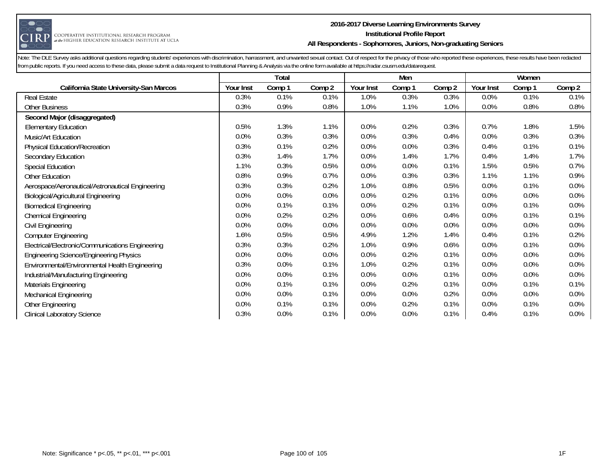

#### **2016-2017 Diverse Learning Environments Survey Institutional Profile Report All Respondents - Sophomores, Juniors, Non-graduating Seniors**

|                                                  |           | Total  |        |           | Men     |        |           | Women  |         |
|--------------------------------------------------|-----------|--------|--------|-----------|---------|--------|-----------|--------|---------|
| California State University-San Marcos           | Your Inst | Comp 1 | Comp 2 | Your Inst | Comp 1  | Comp 2 | Your Inst | Comp 1 | Comp 2  |
| <b>Real Estate</b>                               | 0.3%      | 0.1%   | 0.1%   | 1.0%      | 0.3%    | 0.3%   | 0.0%      | 0.1%   | 0.1%    |
| <b>Other Business</b>                            | 0.3%      | 0.9%   | 0.8%   | 1.0%      | 1.1%    | 1.0%   | 0.0%      | 0.8%   | 0.8%    |
| Second Major (disaggregated)                     |           |        |        |           |         |        |           |        |         |
| <b>Elementary Education</b>                      | 0.5%      | 1.3%   | 1.1%   | 0.0%      | 0.2%    | 0.3%   | 0.7%      | 1.8%   | 1.5%    |
| Music/Art Education                              | 0.0%      | 0.3%   | 0.3%   | 0.0%      | 0.3%    | 0.4%   | 0.0%      | 0.3%   | 0.3%    |
| <b>Physical Education/Recreation</b>             | 0.3%      | 0.1%   | 0.2%   | 0.0%      | 0.0%    | 0.3%   | 0.4%      | 0.1%   | 0.1%    |
| Secondary Education                              | 0.3%      | 1.4%   | 1.7%   | 0.0%      | 1.4%    | 1.7%   | 0.4%      | 1.4%   | 1.7%    |
| <b>Special Education</b>                         | 1.1%      | 0.3%   | 0.5%   | 0.0%      | 0.0%    | 0.1%   | 1.5%      | 0.5%   | 0.7%    |
| Other Education                                  | 0.8%      | 0.9%   | 0.7%   | 0.0%      | 0.3%    | 0.3%   | 1.1%      | 1.1%   | 0.9%    |
| Aerospace/Aeronautical/Astronautical Engineering | 0.3%      | 0.3%   | 0.2%   | 1.0%      | 0.8%    | 0.5%   | 0.0%      | 0.1%   | $0.0\%$ |
| <b>Biological/Agricultural Engineering</b>       | 0.0%      | 0.0%   | 0.0%   | 0.0%      | 0.2%    | 0.1%   | 0.0%      | 0.0%   | $0.0\%$ |
| <b>Biomedical Engineering</b>                    | 0.0%      | 0.1%   | 0.1%   | 0.0%      | 0.2%    | 0.1%   | 0.0%      | 0.1%   | $0.0\%$ |
| <b>Chemical Engineering</b>                      | 0.0%      | 0.2%   | 0.2%   | 0.0%      | 0.6%    | 0.4%   | 0.0%      | 0.1%   | 0.1%    |
| Civil Engineering                                | 0.0%      | 0.0%   | 0.0%   | 0.0%      | $0.0\%$ | 0.0%   | 0.0%      | 0.0%   | 0.0%    |
| <b>Computer Engineering</b>                      | 1.6%      | 0.5%   | 0.5%   | 4.9%      | 1.2%    | 1.4%   | 0.4%      | 0.1%   | 0.2%    |
| Electrical/Electronic/Communications Engineering | 0.3%      | 0.3%   | 0.2%   | 1.0%      | 0.9%    | 0.6%   | 0.0%      | 0.1%   | 0.0%    |
| <b>Engineering Science/Engineering Physics</b>   | 0.0%      | 0.0%   | 0.0%   | 0.0%      | 0.2%    | 0.1%   | 0.0%      | 0.0%   | 0.0%    |
| Environmental/Environmental Health Engineering   | 0.3%      | 0.0%   | 0.1%   | 1.0%      | 0.2%    | 0.1%   | 0.0%      | 0.0%   | 0.0%    |
| Industrial/Manufacturing Engineering             | 0.0%      | 0.0%   | 0.1%   | 0.0%      | 0.0%    | 0.1%   | 0.0%      | 0.0%   | 0.0%    |
| Materials Engineering                            | 0.0%      | 0.1%   | 0.1%   | 0.0%      | 0.2%    | 0.1%   | 0.0%      | 0.1%   | 0.1%    |
| <b>Mechanical Engineering</b>                    | 0.0%      | 0.0%   | 0.1%   | 0.0%      | 0.0%    | 0.2%   | 0.0%      | 0.0%   | 0.0%    |
| Other Engineering                                | 0.0%      | 0.1%   | 0.1%   | 0.0%      | 0.2%    | 0.1%   | 0.0%      | 0.1%   | $0.0\%$ |
| <b>Clinical Laboratory Science</b>               | 0.3%      | 0.0%   | 0.1%   | 0.0%      | 0.0%    | 0.1%   | 0.4%      | 0.1%   | 0.0%    |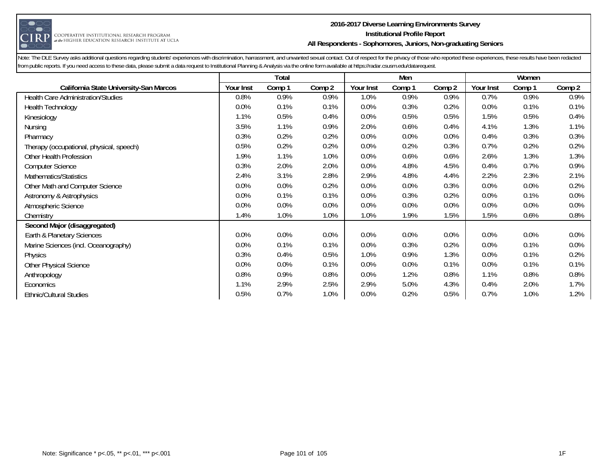

#### **2016-2017 Diverse Learning Environments Survey Institutional Profile Report All Respondents - Sophomores, Juniors, Non-graduating Seniors**

|                                          |           | <b>Total</b> |        |           | Men    |        |           | Women   |         |
|------------------------------------------|-----------|--------------|--------|-----------|--------|--------|-----------|---------|---------|
| California State University-San Marcos   | Your Inst | Comp 1       | Comp 2 | Your Inst | Comp 1 | Comp 2 | Your Inst | Comp 1  | Comp 2  |
| Health Care Administration/Studies       | 0.8%      | 0.9%         | 0.9%   | 1.0%      | 0.9%   | 0.9%   | 0.7%      | 0.9%    | $0.9\%$ |
| <b>Health Technology</b>                 | 0.0%      | 0.1%         | 0.1%   | 0.0%      | 0.3%   | 0.2%   | 0.0%      | 0.1%    | 0.1%    |
| Kinesiology                              | 1.1%      | 0.5%         | 0.4%   | 0.0%      | 0.5%   | 0.5%   | 1.5%      | 0.5%    | 0.4%    |
| Nursing                                  | 3.5%      | 1.1%         | 0.9%   | 2.0%      | 0.6%   | 0.4%   | 4.1%      | 1.3%    | 1.1%    |
| Pharmacy                                 | 0.3%      | 0.2%         | 0.2%   | 0.0%      | 0.0%   | 0.0%   | 0.4%      | 0.3%    | 0.3%    |
| Therapy (occupational, physical, speech) | 0.5%      | 0.2%         | 0.2%   | 0.0%      | 0.2%   | 0.3%   | 0.7%      | 0.2%    | 0.2%    |
| Other Health Profession                  | 1.9%      | 1.1%         | 1.0%   | 0.0%      | 0.6%   | 0.6%   | 2.6%      | 1.3%    | 1.3%    |
| <b>Computer Science</b>                  | 0.3%      | 2.0%         | 2.0%   | 0.0%      | 4.8%   | 4.5%   | 0.4%      | 0.7%    | 0.9%    |
| Mathematics/Statistics                   | 2.4%      | 3.1%         | 2.8%   | 2.9%      | 4.8%   | 4.4%   | 2.2%      | 2.3%    | 2.1%    |
| Other Math and Computer Science          | 0.0%      | 0.0%         | 0.2%   | 0.0%      | 0.0%   | 0.3%   | 0.0%      | $0.0\%$ | 0.2%    |
| Astronomy & Astrophysics                 | 0.0%      | 0.1%         | 0.1%   | 0.0%      | 0.3%   | 0.2%   | 0.0%      | 0.1%    | $0.0\%$ |
| Atmospheric Science                      | 0.0%      | 0.0%         | 0.0%   | 0.0%      | 0.0%   | 0.0%   | 0.0%      | $0.0\%$ | $0.0\%$ |
| Chemistry                                | 1.4%      | 1.0%         | 1.0%   | 1.0%      | 1.9%   | 1.5%   | 1.5%      | 0.6%    | 0.8%    |
| Second Major (disaggregated)             |           |              |        |           |        |        |           |         |         |
| Earth & Planetary Sciences               | 0.0%      | 0.0%         | 0.0%   | 0.0%      | 0.0%   | 0.0%   | 0.0%      | 0.0%    | 0.0%    |
| Marine Sciences (incl. Oceanography)     | 0.0%      | 0.1%         | 0.1%   | 0.0%      | 0.3%   | 0.2%   | 0.0%      | 0.1%    | $0.0\%$ |
| Physics                                  | 0.3%      | 0.4%         | 0.5%   | 1.0%      | 0.9%   | 1.3%   | 0.0%      | 0.1%    | 0.2%    |
| <b>Other Physical Science</b>            | 0.0%      | 0.0%         | 0.1%   | 0.0%      | 0.0%   | 0.1%   | 0.0%      | 0.1%    | 0.1%    |
| Anthropology                             | 0.8%      | 0.9%         | 0.8%   | 0.0%      | 1.2%   | 0.8%   | 1.1%      | 0.8%    | 0.8%    |
| Economics                                | 1.1%      | 2.9%         | 2.5%   | 2.9%      | 5.0%   | 4.3%   | 0.4%      | 2.0%    | 1.7%    |
| <b>Ethnic/Cultural Studies</b>           | 0.5%      | 0.7%         | 1.0%   | 0.0%      | 0.2%   | 0.5%   | 0.7%      | 1.0%    | 1.2%    |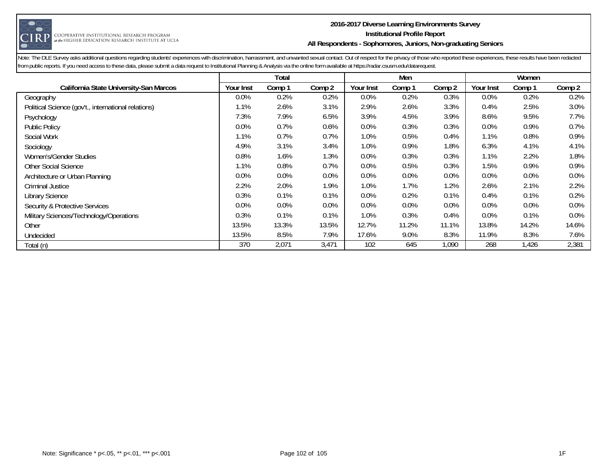

#### **2016-2017 Diverse Learning Environments Survey Institutional Profile Report All Respondents - Sophomores, Juniors, Non-graduating Seniors**

|                                                     |                  | Total  |        |           | Men    |        |           | Women  |         |
|-----------------------------------------------------|------------------|--------|--------|-----------|--------|--------|-----------|--------|---------|
| California State University-San Marcos              | <b>Your Inst</b> | Comp 1 | Comp 2 | Your Inst | Comp 1 | Comp 2 | Your Inst | Comp 1 | Comp 2  |
| Geography                                           | $0.0\%$          | 0.2%   | 0.2%   | $0.0\%$   | 0.2%   | 0.3%   | $0.0\%$   | 0.2%   | 0.2%    |
| Political Science (gov't., international relations) | 1.1%             | 2.6%   | 3.1%   | 2.9%      | 2.6%   | 3.3%   | 0.4%      | 2.5%   | 3.0%    |
| Psychology                                          | 7.3%             | 7.9%   | 6.5%   | 3.9%      | 4.5%   | 3.9%   | 8.6%      | 9.5%   | 7.7%    |
| <b>Public Policy</b>                                | 0.0%             | 0.7%   | 0.6%   | 0.0%      | 0.3%   | 0.3%   | 0.0%      | 0.9%   | 0.7%    |
| Social Work                                         | 1.1%             | 0.7%   | 0.7%   | 1.0%      | 0.5%   | 0.4%   | 1.1%      | 0.8%   | 0.9%    |
| Sociology                                           | 4.9%             | 3.1%   | 3.4%   | 1.0%      | 0.9%   | 1.8%   | 6.3%      | 4.1%   | 4.1%    |
| Women's/Gender Studies                              | 0.8%             | 1.6%   | 1.3%   | 0.0%      | 0.3%   | 0.3%   | 1.1%      | 2.2%   | 1.8%    |
| Other Social Science                                | 1.1%             | 0.8%   | 0.7%   | 0.0%      | 0.5%   | 0.3%   | 1.5%      | 0.9%   | 0.9%    |
| Architecture or Urban Planning                      | 0.0%             | 0.0%   | 0.0%   | 0.0%      | 0.0%   | 0.0%   | 0.0%      | 0.0%   | 0.0%    |
| Criminal Justice                                    | 2.2%             | 2.0%   | 1.9%   | 1.0%      | 1.7%   | 1.2%   | 2.6%      | 2.1%   | 2.2%    |
| <b>Library Science</b>                              | 0.3%             | 0.1%   | 0.1%   | 0.0%      | 0.2%   | 0.1%   | 0.4%      | 0.1%   | 0.2%    |
| Security & Protective Services                      | 0.0%             | 0.0%   | 0.0%   | 0.0%      | 0.0%   | 0.0%   | 0.0%      | 0.0%   | 0.0%    |
| Military Sciences/Technology/Operations             | 0.3%             | 0.1%   | 0.1%   | 1.0%      | 0.3%   | 0.4%   | 0.0%      | 0.1%   | $0.0\%$ |
| Other                                               | 13.5%            | 13.3%  | 13.5%  | 12.7%     | 11.2%  | 11.1%  | 13.8%     | 14.2%  | 14.6%   |
| Undecided                                           | 13.5%            | 8.5%   | 7.9%   | 17.6%     | 9.0%   | 8.3%   | 11.9%     | 8.3%   | 7.6%    |
| Total (n)                                           | 370              | 2,071  | 3,471  | 102       | 645    | 1,090  | 268       | 1,426  | 2,381   |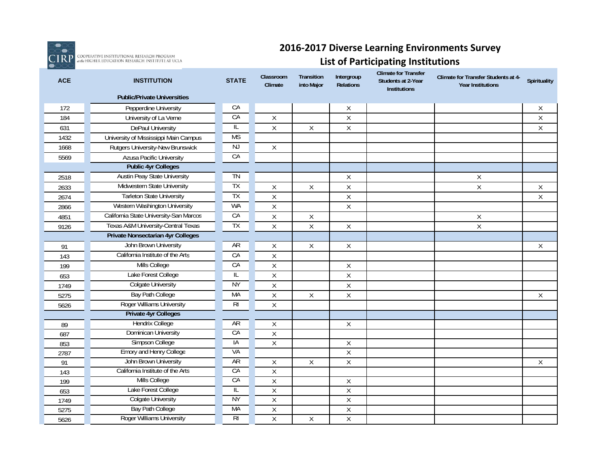

**IRP** COOPERATIVE INSTITUTIONAL RESEARCH PROGRAM<br>**IRP** absenigher education research institute at ucla

### **2016‐2017 Diverse Learning Environments Survey**

### **List of Participating Institutions**

| <b>ACE</b> | <b>INSTITUTION</b>                       | <b>STATE</b>   | Classroom<br>Climate | Transition<br>into Major | Intergroup<br>Relations | <b>Climate for Transfer</b><br>Students at 2-Year<br><b>Institutions</b> | Climate for Transfer Students at 4-<br><b>Year Institutions</b> | Spirituality |
|------------|------------------------------------------|----------------|----------------------|--------------------------|-------------------------|--------------------------------------------------------------------------|-----------------------------------------------------------------|--------------|
|            | <b>Public/Private Universities</b>       |                |                      |                          |                         |                                                                          |                                                                 |              |
| 172        | Pepperdine University                    | CA             |                      |                          | Χ                       |                                                                          |                                                                 | Χ            |
| 184        | University of La Verne                   | CA             | $\sf X$              |                          | $\mathsf X$             |                                                                          |                                                                 | Χ            |
| 631        | DePaul University                        | IL             | $\overline{X}$       | $\mathsf{X}$             | $\mathsf X$             |                                                                          |                                                                 | $\mathsf X$  |
| 1432       | University of Mississippi Main Campus    | <b>MS</b>      |                      |                          |                         |                                                                          |                                                                 |              |
| 1668       | Rutgers University-New Brunswick         | NJ             | $\mathsf X$          |                          |                         |                                                                          |                                                                 |              |
| 5569       | <b>Azusa Pacific University</b>          | CA             |                      |                          |                         |                                                                          |                                                                 |              |
|            | <b>Public 4yr Colleges</b>               |                |                      |                          |                         |                                                                          |                                                                 |              |
| 2518       | <b>Austin Peay State University</b>      | TN             |                      |                          | Χ                       |                                                                          | Χ                                                               |              |
| 2633       | Midwestern State University              | TΧ             | $\sf X$              | X                        | $\mathsf X$             |                                                                          | $\mathsf X$                                                     | Χ            |
| 2674       | <b>Tarleton State University</b>         | TX             | $\sf X$              |                          | $\mathsf X$             |                                                                          |                                                                 | $\mathsf X$  |
| 2866       | Western Washington University            | <b>WA</b>      | $\sf X$              |                          | $\mathsf X$             |                                                                          |                                                                 |              |
| 4851       | California State University-San Marcos   | CA             | $\sf X$              | $\mathsf{X}$             |                         |                                                                          | $\mathsf X$                                                     |              |
| 9126       | Texas A&M University-Central Texas       | TX             | $\sf X$              | $\mathsf X$              | $\mathsf X$             |                                                                          | $\mathsf X$                                                     |              |
|            | <b>Private Nonsectarian 4yr Colleges</b> |                |                      |                          |                         |                                                                          |                                                                 |              |
| 91         | John Brown University                    | <b>AR</b>      | X                    | X                        | Χ                       |                                                                          |                                                                 | Χ            |
| 143        | California Institute of the Arts         | CA             | $\overline{X}$       |                          |                         |                                                                          |                                                                 |              |
| 199        | Mills College                            | CA             | $\sf X$              |                          | Χ                       |                                                                          |                                                                 |              |
| 653        | Lake Forest College                      | IL             | $\sf X$              |                          | $\mathsf X$             |                                                                          |                                                                 |              |
| 1749       | <b>Colgate University</b>                | <b>NY</b>      | $\sf X$              |                          | $\mathsf X$             |                                                                          |                                                                 |              |
| 5275       | Bay Path College                         | <b>MA</b>      | $\sf X$              | $\mathsf{X}$             | $\mathsf X$             |                                                                          |                                                                 | Χ            |
| 5626       | Roger Williams University                | R <sub>l</sub> | $\sf X$              |                          |                         |                                                                          |                                                                 |              |
|            | <b>Private 4yr Colleges</b>              |                |                      |                          |                         |                                                                          |                                                                 |              |
| 89         | Hendrix College                          | AR             | Χ                    |                          | Χ                       |                                                                          |                                                                 |              |
| 687        | Dominican University                     | CA             | $\sf X$              |                          |                         |                                                                          |                                                                 |              |
| 853        | Simpson College                          | IA             | $\sf X$              |                          | Χ                       |                                                                          |                                                                 |              |
| 2787       | Emory and Henry College                  | VA             |                      |                          | Χ                       |                                                                          |                                                                 |              |
| 91         | John Brown University                    | AR             | X                    | X                        | $\mathsf X$             |                                                                          |                                                                 | X            |
| 143        | California Institute of the Arts         | CA             | Χ                    |                          |                         |                                                                          |                                                                 |              |
| 199        | Mills College                            | CA             | $\sf X$              |                          | Χ                       |                                                                          |                                                                 |              |
| 653        | Lake Forest College                      | IL             | $\overline{X}$       |                          | $\overline{X}$          |                                                                          |                                                                 |              |
| 1749       | <b>Colgate University</b>                | <b>NY</b>      | $\overline{X}$       |                          | $\overline{X}$          |                                                                          |                                                                 |              |
| 5275       | <b>Bay Path College</b>                  | МA             | $\overline{X}$       |                          | $\overline{X}$          |                                                                          |                                                                 |              |
| 5626       | <b>Roger Williams University</b>         | RI             | X                    | X                        | X                       |                                                                          |                                                                 |              |